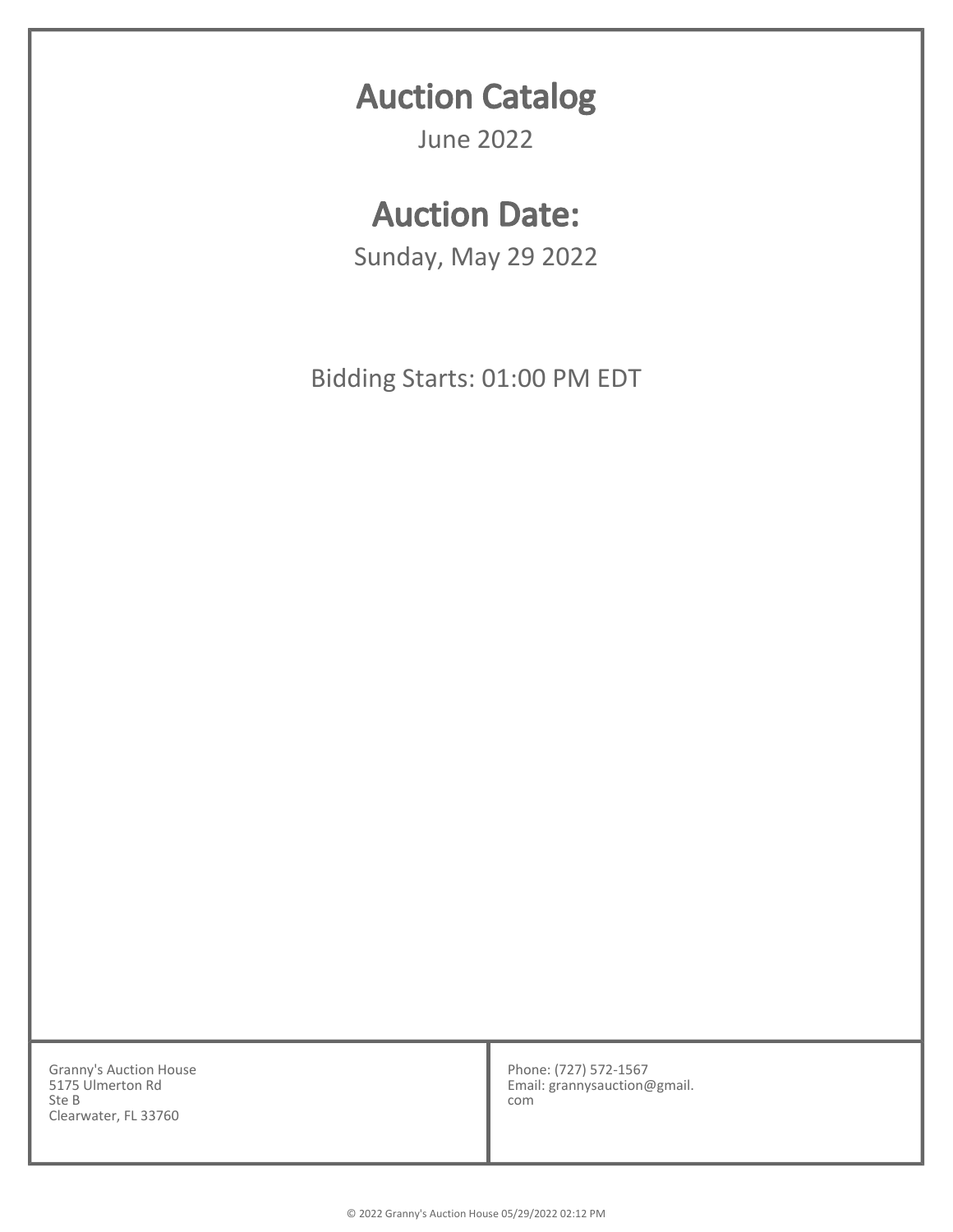## Auction Catalog

June 2022

## Auction Date:

Sunday, May 29 2022

Bidding Starts: 01:00 PM EDT

Granny's Auction House 5175 Ulmerton Rd Ste B Clearwater, FL 33760

Phone: (727) 572-1567 Email: grannysauction@gmail. com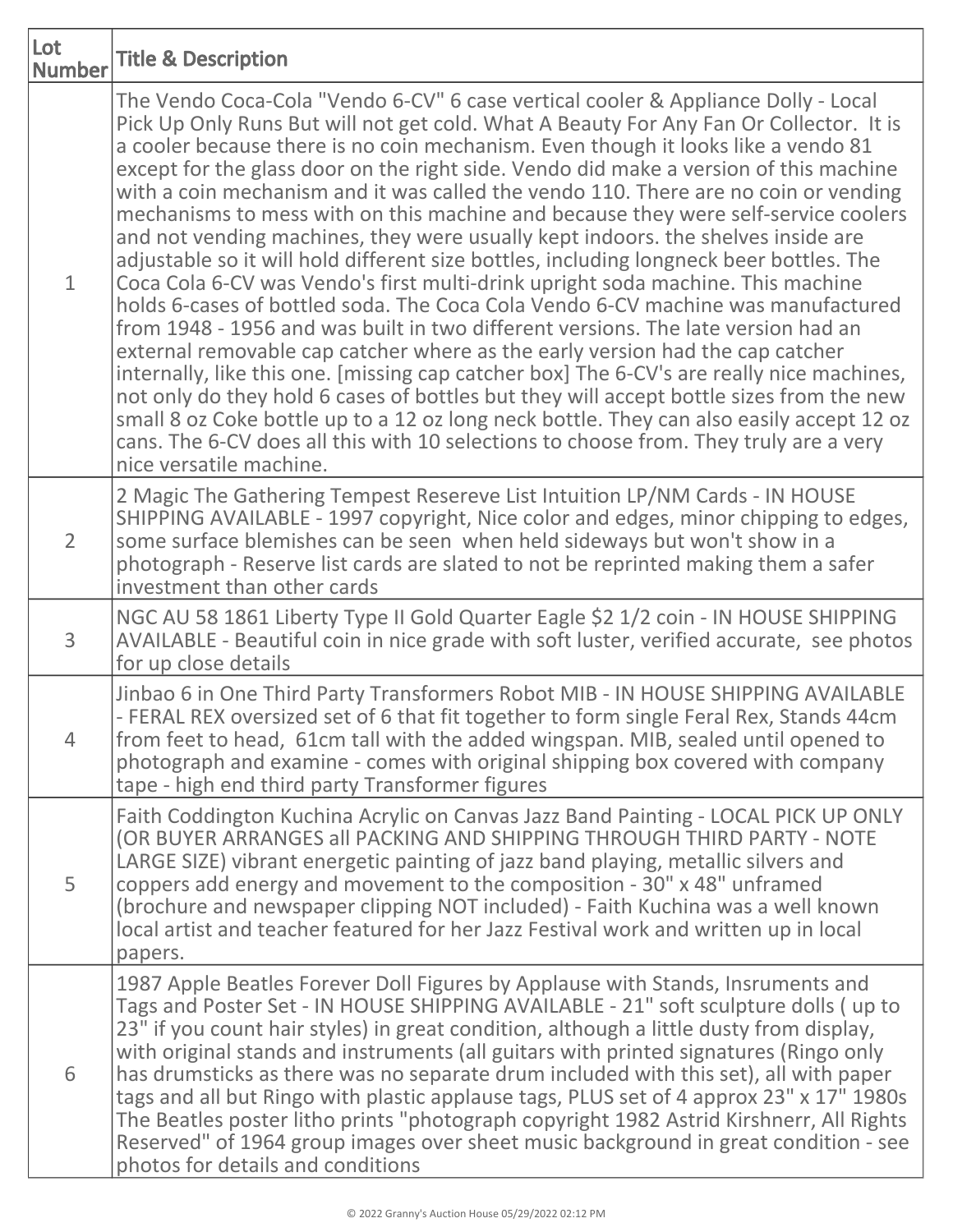| Lot<br><b>Number</b> | <b>Title &amp; Description</b>                                                                                                                                                                                                                                                                                                                                                                                                                                                                                                                                                                                                                                                                                                                                                                                                                                                                                                                                                                                                                                                                                                                                                                                                                                                                                                                                                                                                                                             |
|----------------------|----------------------------------------------------------------------------------------------------------------------------------------------------------------------------------------------------------------------------------------------------------------------------------------------------------------------------------------------------------------------------------------------------------------------------------------------------------------------------------------------------------------------------------------------------------------------------------------------------------------------------------------------------------------------------------------------------------------------------------------------------------------------------------------------------------------------------------------------------------------------------------------------------------------------------------------------------------------------------------------------------------------------------------------------------------------------------------------------------------------------------------------------------------------------------------------------------------------------------------------------------------------------------------------------------------------------------------------------------------------------------------------------------------------------------------------------------------------------------|
| $\mathbf{1}$         | The Vendo Coca-Cola "Vendo 6-CV" 6 case vertical cooler & Appliance Dolly - Local<br>Pick Up Only Runs But will not get cold. What A Beauty For Any Fan Or Collector. It is<br>a cooler because there is no coin mechanism. Even though it looks like a vendo 81<br>except for the glass door on the right side. Vendo did make a version of this machine<br>with a coin mechanism and it was called the vendo 110. There are no coin or vending<br>mechanisms to mess with on this machine and because they were self-service coolers<br>and not vending machines, they were usually kept indoors. the shelves inside are<br>adjustable so it will hold different size bottles, including longneck beer bottles. The<br>Coca Cola 6-CV was Vendo's first multi-drink upright soda machine. This machine<br>holds 6-cases of bottled soda. The Coca Cola Vendo 6-CV machine was manufactured<br>from 1948 - 1956 and was built in two different versions. The late version had an<br>external removable cap catcher where as the early version had the cap catcher<br>internally, like this one. [missing cap catcher box] The 6-CV's are really nice machines,<br>not only do they hold 6 cases of bottles but they will accept bottle sizes from the new<br>small 8 oz Coke bottle up to a 12 oz long neck bottle. They can also easily accept 12 oz<br>cans. The 6-CV does all this with 10 selections to choose from. They truly are a very<br>nice versatile machine. |
| $\overline{2}$       | 2 Magic The Gathering Tempest Resereve List Intuition LP/NM Cards - IN HOUSE<br>SHIPPING AVAILABLE - 1997 copyright, Nice color and edges, minor chipping to edges,<br>some surface blemishes can be seen when held sideways but won't show in a<br>photograph - Reserve list cards are slated to not be reprinted making them a safer<br>investment than other cards                                                                                                                                                                                                                                                                                                                                                                                                                                                                                                                                                                                                                                                                                                                                                                                                                                                                                                                                                                                                                                                                                                      |
| 3                    | NGC AU 58 1861 Liberty Type II Gold Quarter Eagle \$2 1/2 coin - IN HOUSE SHIPPING<br>AVAILABLE - Beautiful coin in nice grade with soft luster, verified accurate, see photos<br>for up close details                                                                                                                                                                                                                                                                                                                                                                                                                                                                                                                                                                                                                                                                                                                                                                                                                                                                                                                                                                                                                                                                                                                                                                                                                                                                     |
| $\overline{4}$       | Jinbao 6 in One Third Party Transformers Robot MIB - IN HOUSE SHIPPING AVAILABLE<br>- FERAL REX oversized set of 6 that fit together to form single Feral Rex, Stands 44cm<br>from feet to head, 61cm tall with the added wingspan. MIB, sealed until opened to<br>photograph and examine - comes with original shipping box covered with company<br>tape - high end third party Transformer figures                                                                                                                                                                                                                                                                                                                                                                                                                                                                                                                                                                                                                                                                                                                                                                                                                                                                                                                                                                                                                                                                       |
| 5                    | Faith Coddington Kuchina Acrylic on Canvas Jazz Band Painting - LOCAL PICK UP ONLY<br>(OR BUYER ARRANGES all PACKING AND SHIPPING THROUGH THIRD PARTY - NOTE<br>LARGE SIZE) vibrant energetic painting of jazz band playing, metallic silvers and<br>coppers add energy and movement to the composition - 30" x 48" unframed<br>(brochure and newspaper clipping NOT included) - Faith Kuchina was a well known<br>local artist and teacher featured for her Jazz Festival work and written up in local<br>papers.                                                                                                                                                                                                                                                                                                                                                                                                                                                                                                                                                                                                                                                                                                                                                                                                                                                                                                                                                         |
| 6                    | 1987 Apple Beatles Forever Doll Figures by Applause with Stands, Insruments and<br>Tags and Poster Set - IN HOUSE SHIPPING AVAILABLE - 21" soft sculpture dolls (up to<br>23" if you count hair styles) in great condition, although a little dusty from display,<br>with original stands and instruments (all guitars with printed signatures (Ringo only<br>has drumsticks as there was no separate drum included with this set), all with paper<br>tags and all but Ringo with plastic applause tags, PLUS set of 4 approx 23" x 17" 1980s<br>The Beatles poster litho prints "photograph copyright 1982 Astrid Kirshnerr, All Rights<br>Reserved" of 1964 group images over sheet music background in great condition - see<br>photos for details and conditions                                                                                                                                                                                                                                                                                                                                                                                                                                                                                                                                                                                                                                                                                                       |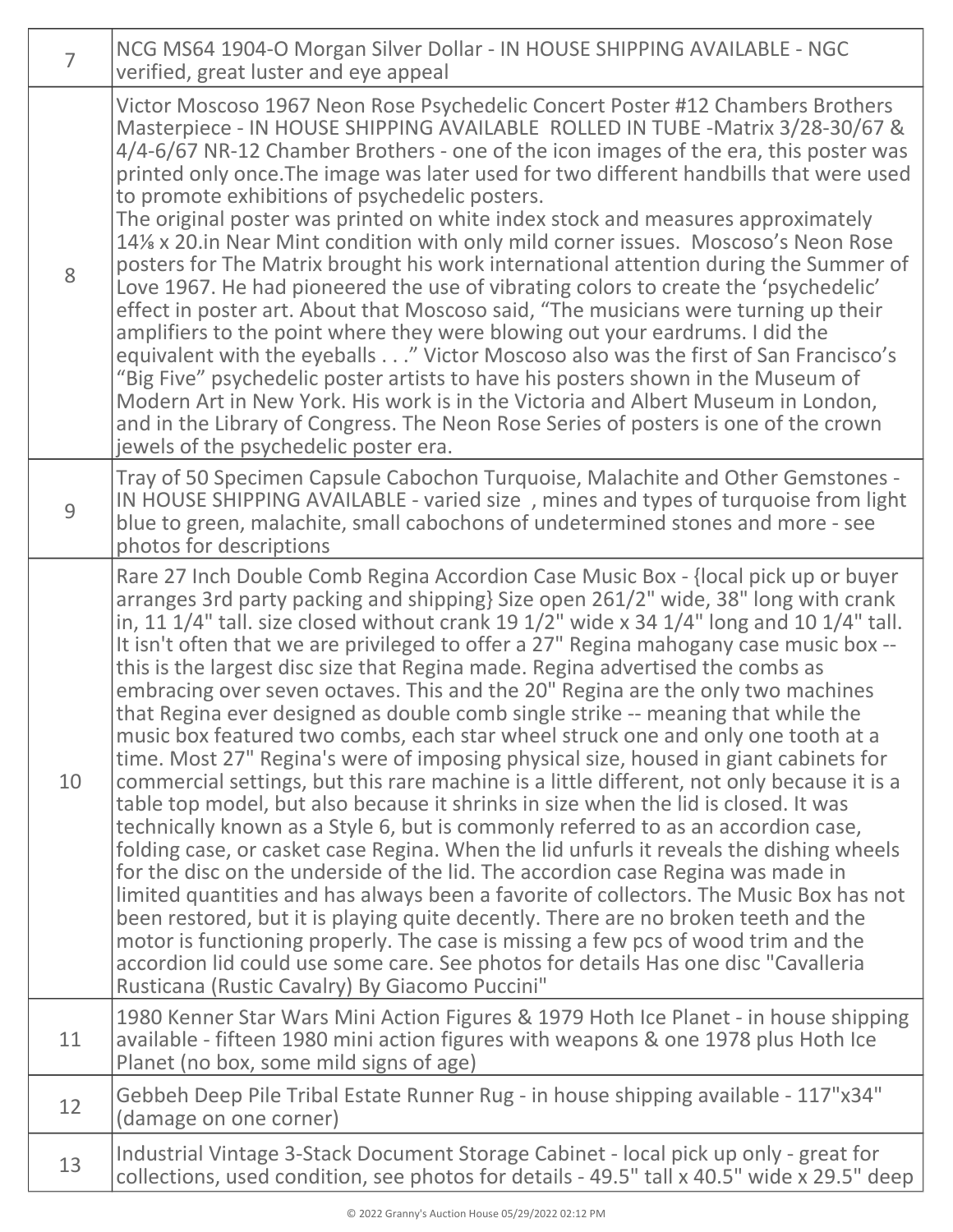| $\overline{7}$ | NCG MS64 1904-O Morgan Silver Dollar - IN HOUSE SHIPPING AVAILABLE - NGC<br>verified, great luster and eye appeal                                                                                                                                                                                                                                                                                                                                                                                                                                                                                                                                                                                                                                                                                                                                                                                                                                                                                                                                                                                                                                                                                                                                                                                                                                                                                                                                                                                                                                                                                                                                                                      |
|----------------|----------------------------------------------------------------------------------------------------------------------------------------------------------------------------------------------------------------------------------------------------------------------------------------------------------------------------------------------------------------------------------------------------------------------------------------------------------------------------------------------------------------------------------------------------------------------------------------------------------------------------------------------------------------------------------------------------------------------------------------------------------------------------------------------------------------------------------------------------------------------------------------------------------------------------------------------------------------------------------------------------------------------------------------------------------------------------------------------------------------------------------------------------------------------------------------------------------------------------------------------------------------------------------------------------------------------------------------------------------------------------------------------------------------------------------------------------------------------------------------------------------------------------------------------------------------------------------------------------------------------------------------------------------------------------------------|
| 8              | Victor Moscoso 1967 Neon Rose Psychedelic Concert Poster #12 Chambers Brothers<br>Masterpiece - IN HOUSE SHIPPING AVAILABLE ROLLED IN TUBE -Matrix 3/28-30/67 &<br>4/4-6/67 NR-12 Chamber Brothers - one of the icon images of the era, this poster was<br>printed only once. The image was later used for two different handbills that were used<br>to promote exhibitions of psychedelic posters.<br>The original poster was printed on white index stock and measures approximately<br>14% x 20.in Near Mint condition with only mild corner issues. Moscoso's Neon Rose<br>posters for The Matrix brought his work international attention during the Summer of<br>Love 1967. He had pioneered the use of vibrating colors to create the 'psychedelic'<br>effect in poster art. About that Moscoso said, "The musicians were turning up their<br>amplifiers to the point where they were blowing out your eardrums. I did the<br>equivalent with the eyeballs" Victor Moscoso also was the first of San Francisco's<br>"Big Five" psychedelic poster artists to have his posters shown in the Museum of<br>Modern Art in New York. His work is in the Victoria and Albert Museum in London,<br>and in the Library of Congress. The Neon Rose Series of posters is one of the crown<br>jewels of the psychedelic poster era.                                                                                                                                                                                                                                                                                                                                                        |
| 9              | Tray of 50 Specimen Capsule Cabochon Turquoise, Malachite and Other Gemstones -<br>IN HOUSE SHIPPING AVAILABLE - varied size, mines and types of turquoise from light<br>blue to green, malachite, small cabochons of undetermined stones and more - see<br>photos for descriptions                                                                                                                                                                                                                                                                                                                                                                                                                                                                                                                                                                                                                                                                                                                                                                                                                                                                                                                                                                                                                                                                                                                                                                                                                                                                                                                                                                                                    |
| 10             | Rare 27 Inch Double Comb Regina Accordion Case Music Box - {local pick up or buyer<br>arranges 3rd party packing and shipping} Size open 261/2" wide, 38" long with crank<br>in, 11 $1/4$ " tall. size closed without crank 19 $1/2$ " wide x 34 $1/4$ " long and 10 $1/4$ " tall.<br>It isn't often that we are privileged to offer a 27" Regina mahogany case music box --<br>this is the largest disc size that Regina made. Regina advertised the combs as<br>embracing over seven octaves. This and the 20" Regina are the only two machines<br>that Regina ever designed as double comb single strike -- meaning that while the<br>music box featured two combs, each star wheel struck one and only one tooth at a<br>time. Most 27" Regina's were of imposing physical size, housed in giant cabinets for<br>commercial settings, but this rare machine is a little different, not only because it is a<br>table top model, but also because it shrinks in size when the lid is closed. It was<br>technically known as a Style 6, but is commonly referred to as an accordion case,<br>folding case, or casket case Regina. When the lid unfurls it reveals the dishing wheels<br>for the disc on the underside of the lid. The accordion case Regina was made in<br>limited quantities and has always been a favorite of collectors. The Music Box has not<br>been restored, but it is playing quite decently. There are no broken teeth and the<br>motor is functioning properly. The case is missing a few pcs of wood trim and the<br>accordion lid could use some care. See photos for details Has one disc "Cavalleria<br>Rusticana (Rustic Cavalry) By Giacomo Puccini" |
| 11             | 1980 Kenner Star Wars Mini Action Figures & 1979 Hoth Ice Planet - in house shipping<br>available - fifteen 1980 mini action figures with weapons & one 1978 plus Hoth Ice<br>Planet (no box, some mild signs of age)                                                                                                                                                                                                                                                                                                                                                                                                                                                                                                                                                                                                                                                                                                                                                                                                                                                                                                                                                                                                                                                                                                                                                                                                                                                                                                                                                                                                                                                                  |
| 12             | Gebbeh Deep Pile Tribal Estate Runner Rug - in house shipping available - 117"x34"<br>(damage on one corner)                                                                                                                                                                                                                                                                                                                                                                                                                                                                                                                                                                                                                                                                                                                                                                                                                                                                                                                                                                                                                                                                                                                                                                                                                                                                                                                                                                                                                                                                                                                                                                           |
| 13             | Industrial Vintage 3-Stack Document Storage Cabinet - local pick up only - great for<br>collections, used condition, see photos for details - 49.5" tall x 40.5" wide x 29.5" deep                                                                                                                                                                                                                                                                                                                                                                                                                                                                                                                                                                                                                                                                                                                                                                                                                                                                                                                                                                                                                                                                                                                                                                                                                                                                                                                                                                                                                                                                                                     |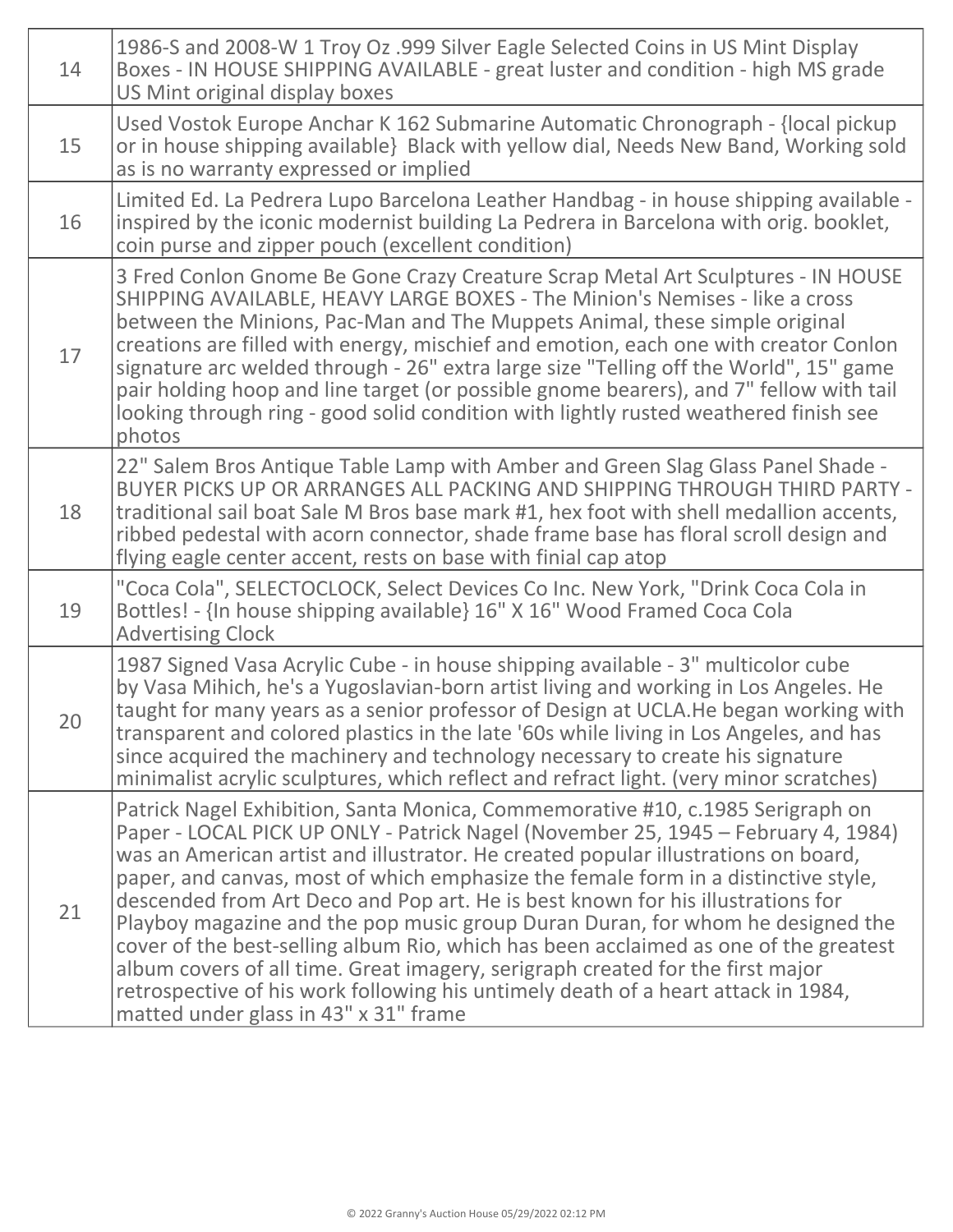| 14 | 1986-S and 2008-W 1 Troy Oz .999 Silver Eagle Selected Coins in US Mint Display<br>Boxes - IN HOUSE SHIPPING AVAILABLE - great luster and condition - high MS grade<br>US Mint original display boxes                                                                                                                                                                                                                                                                                                                                                                                                                                                                                                                                                                                                                        |
|----|------------------------------------------------------------------------------------------------------------------------------------------------------------------------------------------------------------------------------------------------------------------------------------------------------------------------------------------------------------------------------------------------------------------------------------------------------------------------------------------------------------------------------------------------------------------------------------------------------------------------------------------------------------------------------------------------------------------------------------------------------------------------------------------------------------------------------|
| 15 | Used Vostok Europe Anchar K 162 Submarine Automatic Chronograph - {local pickup<br>or in house shipping available} Black with yellow dial, Needs New Band, Working sold<br>as is no warranty expressed or implied                                                                                                                                                                                                                                                                                                                                                                                                                                                                                                                                                                                                            |
| 16 | Limited Ed. La Pedrera Lupo Barcelona Leather Handbag - in house shipping available -<br>inspired by the iconic modernist building La Pedrera in Barcelona with orig. booklet,<br>coin purse and zipper pouch (excellent condition)                                                                                                                                                                                                                                                                                                                                                                                                                                                                                                                                                                                          |
| 17 | 3 Fred Conlon Gnome Be Gone Crazy Creature Scrap Metal Art Sculptures - IN HOUSE<br>SHIPPING AVAILABLE, HEAVY LARGE BOXES - The Minion's Nemises - like a cross<br>between the Minions, Pac-Man and The Muppets Animal, these simple original<br>creations are filled with energy, mischief and emotion, each one with creator Conlon<br>signature arc welded through - 26" extra large size "Telling off the World", 15" game<br>pair holding hoop and line target (or possible gnome bearers), and 7" fellow with tail<br>looking through ring - good solid condition with lightly rusted weathered finish see<br>photos                                                                                                                                                                                                   |
| 18 | 22" Salem Bros Antique Table Lamp with Amber and Green Slag Glass Panel Shade -<br>BUYER PICKS UP OR ARRANGES ALL PACKING AND SHIPPING THROUGH THIRD PARTY -<br>traditional sail boat Sale M Bros base mark #1, hex foot with shell medallion accents,<br>ribbed pedestal with acorn connector, shade frame base has floral scroll design and<br>flying eagle center accent, rests on base with finial cap atop                                                                                                                                                                                                                                                                                                                                                                                                              |
| 19 | "Coca Cola", SELECTOCLOCK, Select Devices Co Inc. New York, "Drink Coca Cola in<br>Bottles! - {In house shipping available} 16" X 16" Wood Framed Coca Cola<br><b>Advertising Clock</b>                                                                                                                                                                                                                                                                                                                                                                                                                                                                                                                                                                                                                                      |
| 20 | 1987 Signed Vasa Acrylic Cube - in house shipping available - 3" multicolor cube<br>by Vasa Mihich, he's a Yugoslavian-born artist living and working in Los Angeles. He<br>taught for many years as a senior professor of Design at UCLA. He began working with<br>transparent and colored plastics in the late '60s while living in Los Angeles, and has<br>since acquired the machinery and technology necessary to create his signature<br>minimalist acrylic sculptures, which reflect and refract light. (very minor scratches)                                                                                                                                                                                                                                                                                        |
| 21 | Patrick Nagel Exhibition, Santa Monica, Commemorative #10, c.1985 Serigraph on<br>Paper - LOCAL PICK UP ONLY - Patrick Nagel (November 25, 1945 - February 4, 1984)<br>was an American artist and illustrator. He created popular illustrations on board,<br>paper, and canvas, most of which emphasize the female form in a distinctive style,<br>descended from Art Deco and Pop art. He is best known for his illustrations for<br>Playboy magazine and the pop music group Duran Duran, for whom he designed the<br>cover of the best-selling album Rio, which has been acclaimed as one of the greatest<br>album covers of all time. Great imagery, serigraph created for the first major<br>retrospective of his work following his untimely death of a heart attack in 1984,<br>matted under glass in 43" x 31" frame |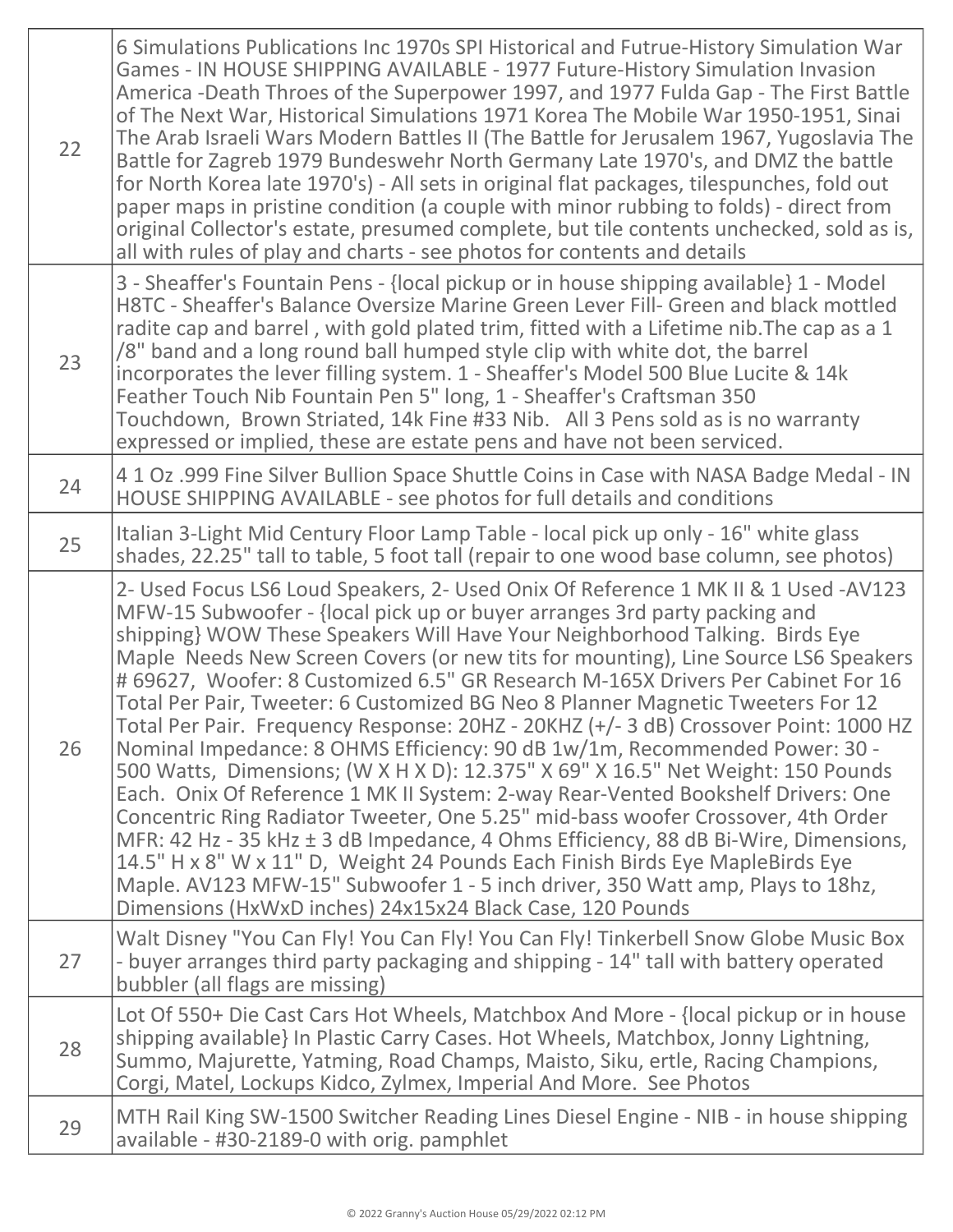| 22 | 6 Simulations Publications Inc 1970s SPI Historical and Futrue-History Simulation War<br>Games - IN HOUSE SHIPPING AVAILABLE - 1977 Future-History Simulation Invasion<br>America -Death Throes of the Superpower 1997, and 1977 Fulda Gap - The First Battle<br>of The Next War, Historical Simulations 1971 Korea The Mobile War 1950-1951, Sinai<br>The Arab Israeli Wars Modern Battles II (The Battle for Jerusalem 1967, Yugoslavia The<br>Battle for Zagreb 1979 Bundeswehr North Germany Late 1970's, and DMZ the battle<br>for North Korea late 1970's) - All sets in original flat packages, tilespunches, fold out<br>paper maps in pristine condition (a couple with minor rubbing to folds) - direct from<br>original Collector's estate, presumed complete, but tile contents unchecked, sold as is,<br>all with rules of play and charts - see photos for contents and details                                                                                                                                                                                                                                                                                                                                                                        |
|----|----------------------------------------------------------------------------------------------------------------------------------------------------------------------------------------------------------------------------------------------------------------------------------------------------------------------------------------------------------------------------------------------------------------------------------------------------------------------------------------------------------------------------------------------------------------------------------------------------------------------------------------------------------------------------------------------------------------------------------------------------------------------------------------------------------------------------------------------------------------------------------------------------------------------------------------------------------------------------------------------------------------------------------------------------------------------------------------------------------------------------------------------------------------------------------------------------------------------------------------------------------------------|
| 23 | 3 - Sheaffer's Fountain Pens - {local pickup or in house shipping available} 1 - Model<br>H8TC - Sheaffer's Balance Oversize Marine Green Lever Fill- Green and black mottled<br>radite cap and barrel, with gold plated trim, fitted with a Lifetime nib. The cap as a 1<br>/8" band and a long round ball humped style clip with white dot, the barrel<br>incorporates the lever filling system. 1 - Sheaffer's Model 500 Blue Lucite & 14k<br>Feather Touch Nib Fountain Pen 5" long, 1 - Sheaffer's Craftsman 350<br>Touchdown, Brown Striated, 14k Fine #33 Nib. All 3 Pens sold as is no warranty<br>expressed or implied, these are estate pens and have not been serviced.                                                                                                                                                                                                                                                                                                                                                                                                                                                                                                                                                                                   |
| 24 | 4 1 Oz .999 Fine Silver Bullion Space Shuttle Coins in Case with NASA Badge Medal - IN<br>HOUSE SHIPPING AVAILABLE - see photos for full details and conditions                                                                                                                                                                                                                                                                                                                                                                                                                                                                                                                                                                                                                                                                                                                                                                                                                                                                                                                                                                                                                                                                                                      |
| 25 | Italian 3-Light Mid Century Floor Lamp Table - local pick up only - 16" white glass<br>shades, 22.25" tall to table, 5 foot tall (repair to one wood base column, see photos)                                                                                                                                                                                                                                                                                                                                                                                                                                                                                                                                                                                                                                                                                                                                                                                                                                                                                                                                                                                                                                                                                        |
| 26 | 2- Used Focus LS6 Loud Speakers, 2- Used Onix Of Reference 1 MK II & 1 Used -AV123<br>MFW-15 Subwoofer - {local pick up or buyer arranges 3rd party packing and<br>shipping} WOW These Speakers Will Have Your Neighborhood Talking. Birds Eye<br>Maple Needs New Screen Covers (or new tits for mounting), Line Source LS6 Speakers<br># 69627, Woofer: 8 Customized 6.5" GR Research M-165X Drivers Per Cabinet For 16<br>Total Per Pair, Tweeter: 6 Customized BG Neo 8 Planner Magnetic Tweeters For 12<br>Total Per Pair. Frequency Response: 20HZ - 20KHZ (+/- 3 dB) Crossover Point: 1000 HZ<br>Nominal Impedance: 8 OHMS Efficiency: 90 dB 1w/1m, Recommended Power: 30 -<br>500 Watts, Dimensions; (W X H X D): 12.375" X 69" X 16.5" Net Weight: 150 Pounds<br>Each. Onix Of Reference 1 MK II System: 2-way Rear-Vented Bookshelf Drivers: One<br>Concentric Ring Radiator Tweeter, One 5.25" mid-bass woofer Crossover, 4th Order<br>MFR: 42 Hz - 35 kHz ± 3 dB Impedance, 4 Ohms Efficiency, 88 dB Bi-Wire, Dimensions,<br>14.5" H x 8" W x 11" D, Weight 24 Pounds Each Finish Birds Eye MapleBirds Eye<br>Maple. AV123 MFW-15" Subwoofer 1 - 5 inch driver, 350 Watt amp, Plays to 18hz,<br>Dimensions (HxWxD inches) 24x15x24 Black Case, 120 Pounds |
| 27 | Walt Disney "You Can Fly! You Can Fly! You Can Fly! Tinkerbell Snow Globe Music Box<br>- buyer arranges third party packaging and shipping - 14" tall with battery operated<br>bubbler (all flags are missing)                                                                                                                                                                                                                                                                                                                                                                                                                                                                                                                                                                                                                                                                                                                                                                                                                                                                                                                                                                                                                                                       |
| 28 | Lot Of 550+ Die Cast Cars Hot Wheels, Matchbox And More - {local pickup or in house<br>shipping available} In Plastic Carry Cases. Hot Wheels, Matchbox, Jonny Lightning,<br>Summo, Majurette, Yatming, Road Champs, Maisto, Siku, ertle, Racing Champions,<br>Corgi, Matel, Lockups Kidco, Zylmex, Imperial And More. See Photos                                                                                                                                                                                                                                                                                                                                                                                                                                                                                                                                                                                                                                                                                                                                                                                                                                                                                                                                    |
| 29 | MTH Rail King SW-1500 Switcher Reading Lines Diesel Engine - NIB - in house shipping<br>available - #30-2189-0 with orig. pamphlet                                                                                                                                                                                                                                                                                                                                                                                                                                                                                                                                                                                                                                                                                                                                                                                                                                                                                                                                                                                                                                                                                                                                   |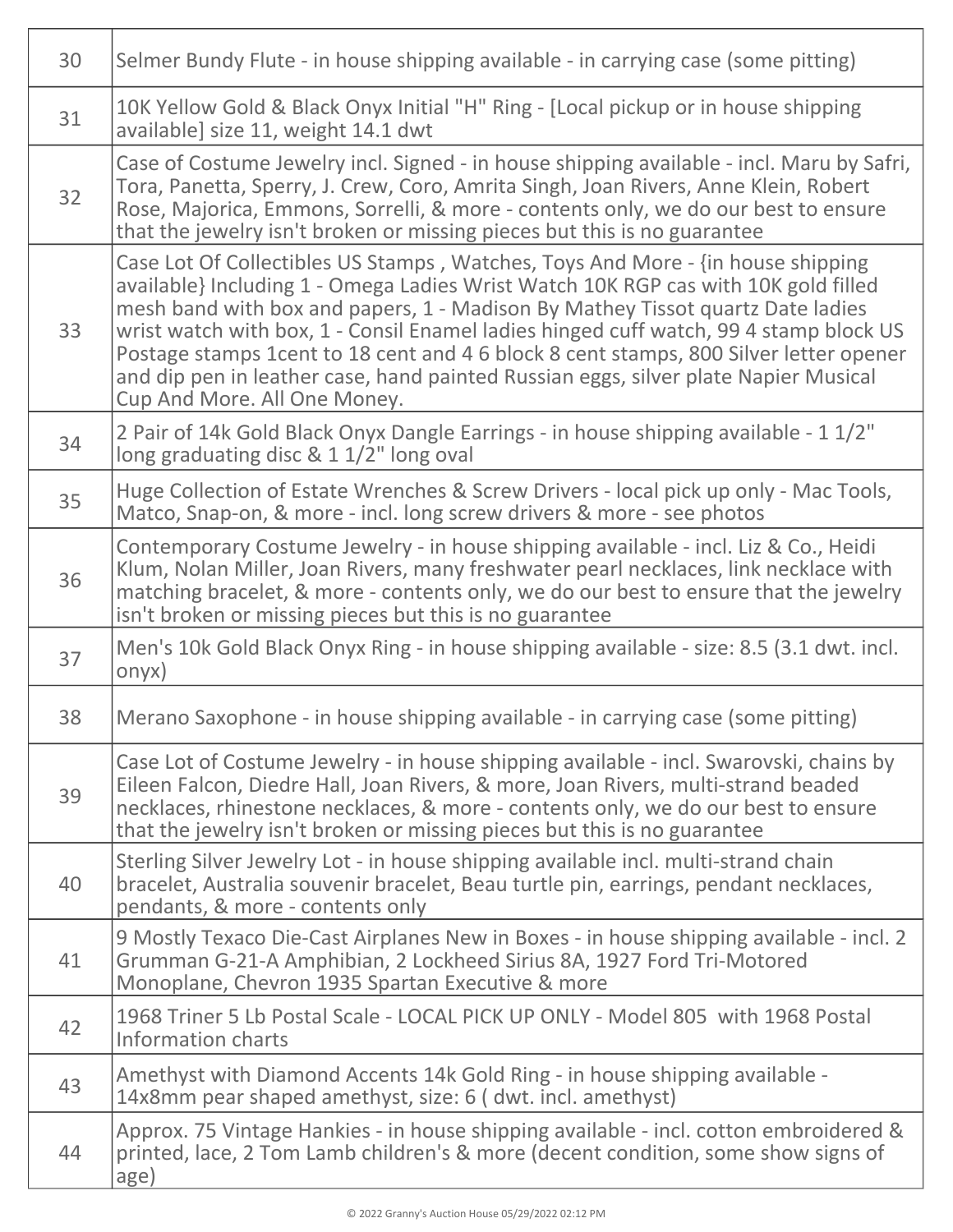| 30 | Selmer Bundy Flute - in house shipping available - in carrying case (some pitting)                                                                                                                                                                                                                                                                                                                                                                                                                                                                               |
|----|------------------------------------------------------------------------------------------------------------------------------------------------------------------------------------------------------------------------------------------------------------------------------------------------------------------------------------------------------------------------------------------------------------------------------------------------------------------------------------------------------------------------------------------------------------------|
| 31 | 10K Yellow Gold & Black Onyx Initial "H" Ring - [Local pickup or in house shipping<br>available] size 11, weight 14.1 dwt                                                                                                                                                                                                                                                                                                                                                                                                                                        |
| 32 | Case of Costume Jewelry incl. Signed - in house shipping available - incl. Maru by Safri,<br>Tora, Panetta, Sperry, J. Crew, Coro, Amrita Singh, Joan Rivers, Anne Klein, Robert<br>Rose, Majorica, Emmons, Sorrelli, & more - contents only, we do our best to ensure<br>that the jewelry isn't broken or missing pieces but this is no guarantee                                                                                                                                                                                                               |
| 33 | Case Lot Of Collectibles US Stamps, Watches, Toys And More - {in house shipping<br>available} Including 1 - Omega Ladies Wrist Watch 10K RGP cas with 10K gold filled<br>mesh band with box and papers, 1 - Madison By Mathey Tissot quartz Date ladies<br>wrist watch with box, 1 - Consil Enamel ladies hinged cuff watch, 99 4 stamp block US<br>Postage stamps 1cent to 18 cent and 4 6 block 8 cent stamps, 800 Silver letter opener<br>and dip pen in leather case, hand painted Russian eggs, silver plate Napier Musical<br>Cup And More. All One Money. |
| 34 | 2 Pair of 14k Gold Black Onyx Dangle Earrings - in house shipping available - 1 1/2"<br>long graduating disc & 1 1/2" long oval                                                                                                                                                                                                                                                                                                                                                                                                                                  |
| 35 | Huge Collection of Estate Wrenches & Screw Drivers - local pick up only - Mac Tools,<br>Matco, Snap-on, & more - incl. long screw drivers & more - see photos                                                                                                                                                                                                                                                                                                                                                                                                    |
| 36 | Contemporary Costume Jewelry - in house shipping available - incl. Liz & Co., Heidi<br>Klum, Nolan Miller, Joan Rivers, many freshwater pearl necklaces, link necklace with<br>matching bracelet, & more - contents only, we do our best to ensure that the jewelry<br>isn't broken or missing pieces but this is no guarantee                                                                                                                                                                                                                                   |
| 37 | Men's 10k Gold Black Onyx Ring - in house shipping available - size: 8.5 (3.1 dwt. incl.<br>onyx)                                                                                                                                                                                                                                                                                                                                                                                                                                                                |
| 38 | Merano Saxophone - in house shipping available - in carrying case (some pitting)                                                                                                                                                                                                                                                                                                                                                                                                                                                                                 |
| 39 | Case Lot of Costume Jewelry - in house shipping available - incl. Swarovski, chains by<br>Eileen Falcon, Diedre Hall, Joan Rivers, & more, Joan Rivers, multi-strand beaded<br>necklaces, rhinestone necklaces, & more - contents only, we do our best to ensure<br>that the jewelry isn't broken or missing pieces but this is no guarantee                                                                                                                                                                                                                     |
| 40 | Sterling Silver Jewelry Lot - in house shipping available incl. multi-strand chain<br>bracelet, Australia souvenir bracelet, Beau turtle pin, earrings, pendant necklaces,<br>pendants, & more - contents only                                                                                                                                                                                                                                                                                                                                                   |
| 41 | 9 Mostly Texaco Die-Cast Airplanes New in Boxes - in house shipping available - incl. 2<br>Grumman G-21-A Amphibian, 2 Lockheed Sirius 8A, 1927 Ford Tri-Motored<br>Monoplane, Chevron 1935 Spartan Executive & more                                                                                                                                                                                                                                                                                                                                             |
| 42 | 1968 Triner 5 Lb Postal Scale - LOCAL PICK UP ONLY - Model 805 with 1968 Postal<br>Information charts                                                                                                                                                                                                                                                                                                                                                                                                                                                            |
| 43 | Amethyst with Diamond Accents 14k Gold Ring - in house shipping available -<br>14x8mm pear shaped amethyst, size: 6 (dwt. incl. amethyst)                                                                                                                                                                                                                                                                                                                                                                                                                        |
| 44 | Approx. 75 Vintage Hankies - in house shipping available - incl. cotton embroidered &<br>printed, lace, 2 Tom Lamb children's & more (decent condition, some show signs of<br>age)                                                                                                                                                                                                                                                                                                                                                                               |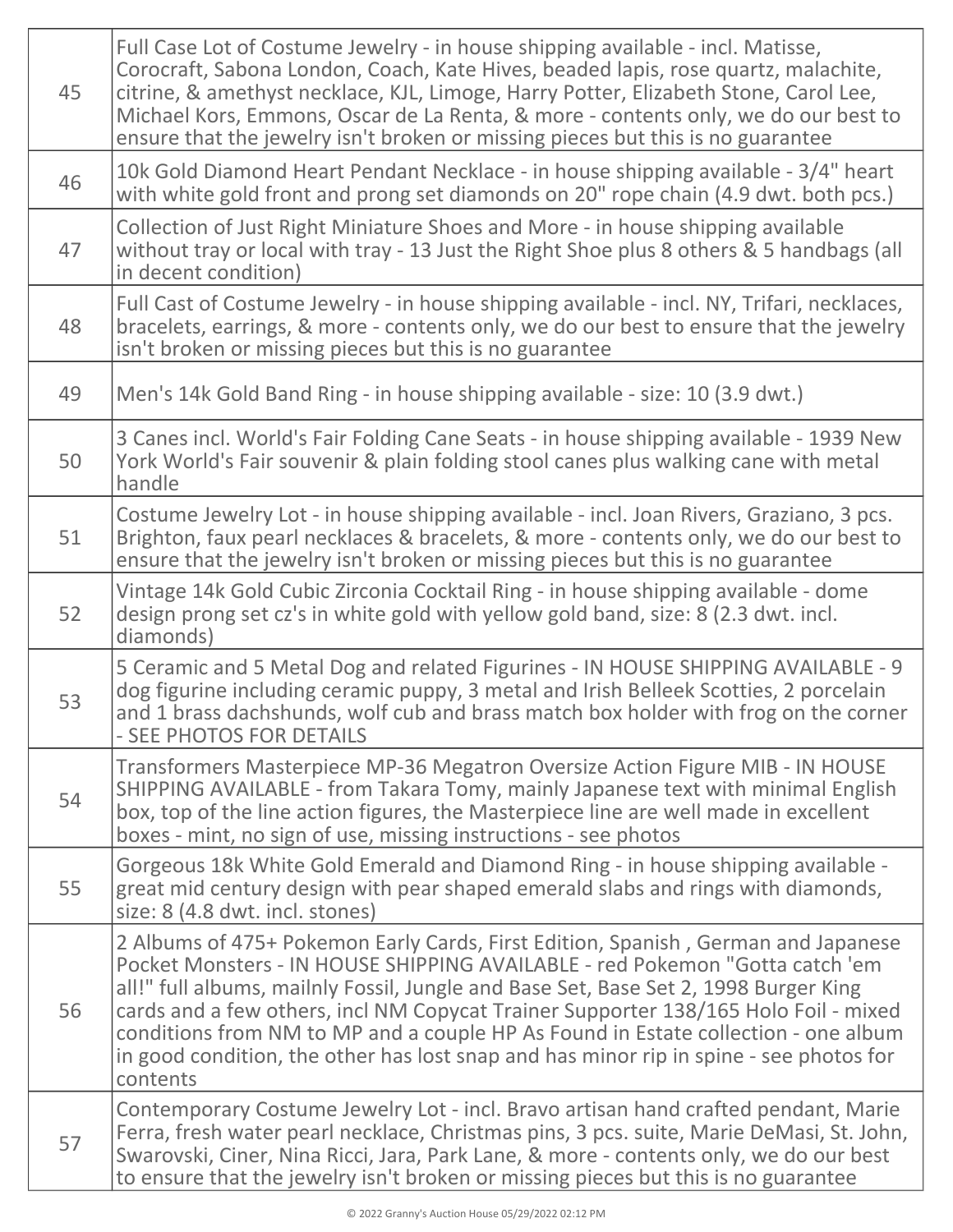| 45 | Full Case Lot of Costume Jewelry - in house shipping available - incl. Matisse,<br>Corocraft, Sabona London, Coach, Kate Hives, beaded lapis, rose quartz, malachite,<br>citrine, & amethyst necklace, KJL, Limoge, Harry Potter, Elizabeth Stone, Carol Lee,<br>Michael Kors, Emmons, Oscar de La Renta, & more - contents only, we do our best to<br>ensure that the jewelry isn't broken or missing pieces but this is no guarantee                                                                                                       |
|----|----------------------------------------------------------------------------------------------------------------------------------------------------------------------------------------------------------------------------------------------------------------------------------------------------------------------------------------------------------------------------------------------------------------------------------------------------------------------------------------------------------------------------------------------|
| 46 | 10k Gold Diamond Heart Pendant Necklace - in house shipping available - 3/4" heart<br>with white gold front and prong set diamonds on 20" rope chain (4.9 dwt. both pcs.)                                                                                                                                                                                                                                                                                                                                                                    |
| 47 | Collection of Just Right Miniature Shoes and More - in house shipping available<br>without tray or local with tray - 13 Just the Right Shoe plus 8 others & 5 handbags (all<br>in decent condition)                                                                                                                                                                                                                                                                                                                                          |
| 48 | Full Cast of Costume Jewelry - in house shipping available - incl. NY, Trifari, necklaces,<br>bracelets, earrings, & more - contents only, we do our best to ensure that the jewelry<br>isn't broken or missing pieces but this is no guarantee                                                                                                                                                                                                                                                                                              |
| 49 | Men's 14k Gold Band Ring - in house shipping available - size: 10 (3.9 dwt.)                                                                                                                                                                                                                                                                                                                                                                                                                                                                 |
| 50 | 3 Canes incl. World's Fair Folding Cane Seats - in house shipping available - 1939 New<br>York World's Fair souvenir & plain folding stool canes plus walking cane with metal<br>handle                                                                                                                                                                                                                                                                                                                                                      |
| 51 | Costume Jewelry Lot - in house shipping available - incl. Joan Rivers, Graziano, 3 pcs.<br>Brighton, faux pearl necklaces & bracelets, & more - contents only, we do our best to<br>ensure that the jewelry isn't broken or missing pieces but this is no guarantee                                                                                                                                                                                                                                                                          |
| 52 | Vintage 14k Gold Cubic Zirconia Cocktail Ring - in house shipping available - dome<br>design prong set cz's in white gold with yellow gold band, size: 8 (2.3 dwt. incl.<br>diamonds)                                                                                                                                                                                                                                                                                                                                                        |
| 53 | 5 Ceramic and 5 Metal Dog and related Figurines - IN HOUSE SHIPPING AVAILABLE - 9<br>dog figurine including ceramic puppy, 3 metal and Irish Belleek Scotties, 2 porcelain<br>and 1 brass dachshunds, wolf cub and brass match box holder with frog on the corner<br>- SEE PHOTOS FOR DETAILS                                                                                                                                                                                                                                                |
| 54 | Transformers Masterpiece MP-36 Megatron Oversize Action Figure MIB - IN HOUSE<br>SHIPPING AVAILABLE - from Takara Tomy, mainly Japanese text with minimal English<br>box, top of the line action figures, the Masterpiece line are well made in excellent<br>boxes - mint, no sign of use, missing instructions - see photos                                                                                                                                                                                                                 |
| 55 | Gorgeous 18k White Gold Emerald and Diamond Ring - in house shipping available -<br>great mid century design with pear shaped emerald slabs and rings with diamonds,<br>size: 8 (4.8 dwt. incl. stones)                                                                                                                                                                                                                                                                                                                                      |
| 56 | 2 Albums of 475+ Pokemon Early Cards, First Edition, Spanish, German and Japanese<br>Pocket Monsters - IN HOUSE SHIPPING AVAILABLE - red Pokemon "Gotta catch 'em<br>all!" full albums, mailnly Fossil, Jungle and Base Set, Base Set 2, 1998 Burger King<br>cards and a few others, incl NM Copycat Trainer Supporter 138/165 Holo Foil - mixed<br>conditions from NM to MP and a couple HP As Found in Estate collection - one album<br>in good condition, the other has lost snap and has minor rip in spine - see photos for<br>contents |
| 57 | Contemporary Costume Jewelry Lot - incl. Bravo artisan hand crafted pendant, Marie<br>Ferra, fresh water pearl necklace, Christmas pins, 3 pcs. suite, Marie DeMasi, St. John,<br>Swarovski, Ciner, Nina Ricci, Jara, Park Lane, & more - contents only, we do our best<br>to ensure that the jewelry isn't broken or missing pieces but this is no guarantee                                                                                                                                                                                |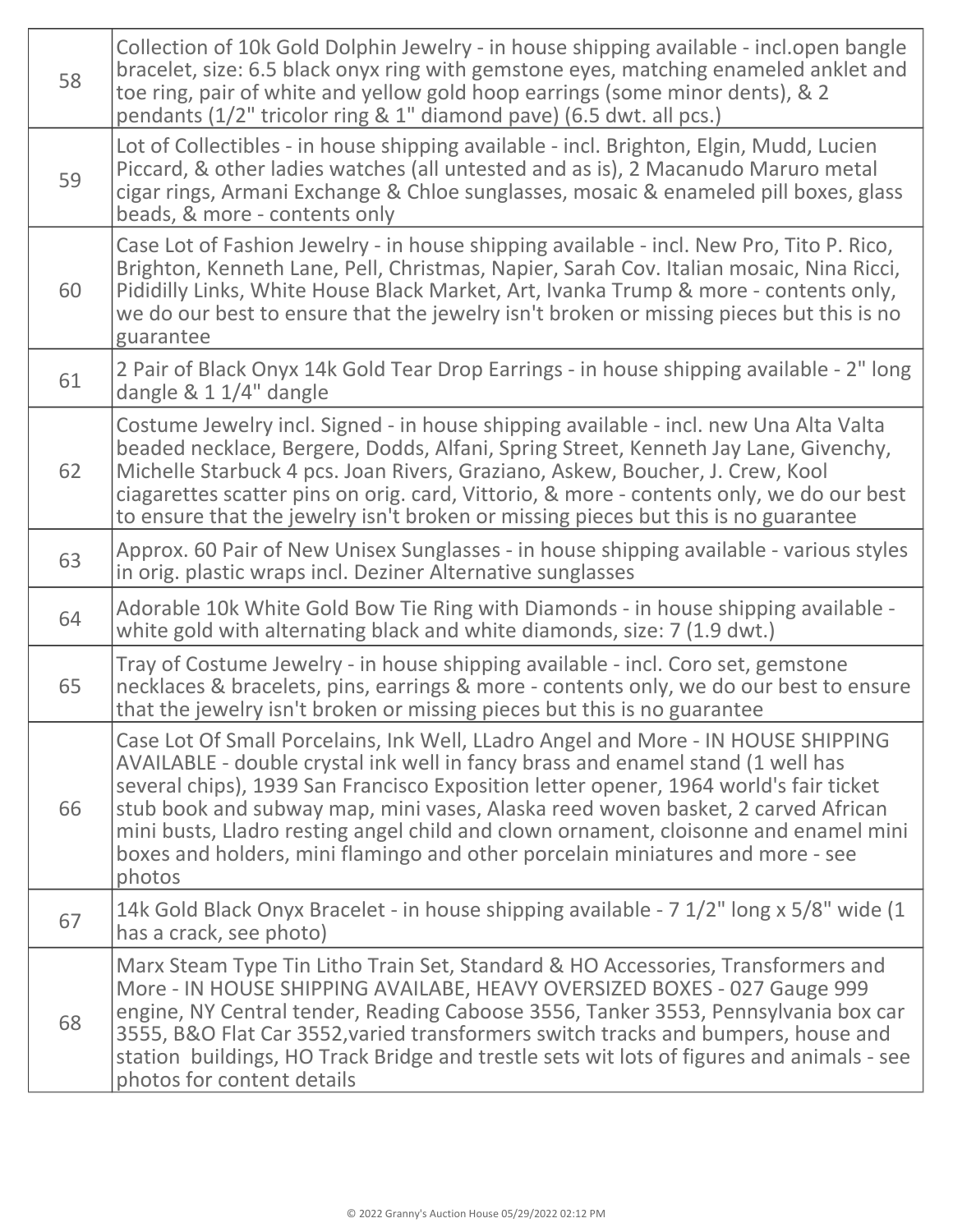| 58 | Collection of 10k Gold Dolphin Jewelry - in house shipping available - incl.open bangle<br>bracelet, size: 6.5 black onyx ring with gemstone eyes, matching enameled anklet and<br>toe ring, pair of white and yellow gold hoop earrings (some minor dents), & 2<br>pendants (1/2" tricolor ring & 1" diamond pave) (6.5 dwt. all pcs.)                                                                                                                                                                                               |
|----|---------------------------------------------------------------------------------------------------------------------------------------------------------------------------------------------------------------------------------------------------------------------------------------------------------------------------------------------------------------------------------------------------------------------------------------------------------------------------------------------------------------------------------------|
| 59 | Lot of Collectibles - in house shipping available - incl. Brighton, Elgin, Mudd, Lucien<br>Piccard, & other ladies watches (all untested and as is), 2 Macanudo Maruro metal<br>cigar rings, Armani Exchange & Chloe sunglasses, mosaic & enameled pill boxes, glass<br>beads, & more - contents only                                                                                                                                                                                                                                 |
| 60 | Case Lot of Fashion Jewelry - in house shipping available - incl. New Pro, Tito P. Rico,<br>Brighton, Kenneth Lane, Pell, Christmas, Napier, Sarah Cov. Italian mosaic, Nina Ricci,<br>Pididilly Links, White House Black Market, Art, Ivanka Trump & more - contents only,<br>we do our best to ensure that the jewelry isn't broken or missing pieces but this is no<br>guarantee                                                                                                                                                   |
| 61 | 2 Pair of Black Onyx 14k Gold Tear Drop Earrings - in house shipping available - 2" long<br>dangle $& 11/4"$ dangle                                                                                                                                                                                                                                                                                                                                                                                                                   |
| 62 | Costume Jewelry incl. Signed - in house shipping available - incl. new Una Alta Valta<br>beaded necklace, Bergere, Dodds, Alfani, Spring Street, Kenneth Jay Lane, Givenchy,<br>Michelle Starbuck 4 pcs. Joan Rivers, Graziano, Askew, Boucher, J. Crew, Kool<br>ciagarettes scatter pins on orig. card, Vittorio, & more - contents only, we do our best<br>to ensure that the jewelry isn't broken or missing pieces but this is no guarantee                                                                                       |
| 63 | Approx. 60 Pair of New Unisex Sunglasses - in house shipping available - various styles<br>in orig. plastic wraps incl. Deziner Alternative sunglasses                                                                                                                                                                                                                                                                                                                                                                                |
| 64 | Adorable 10k White Gold Bow Tie Ring with Diamonds - in house shipping available -<br>white gold with alternating black and white diamonds, size: 7 (1.9 dwt.)                                                                                                                                                                                                                                                                                                                                                                        |
| 65 | Tray of Costume Jewelry - in house shipping available - incl. Coro set, gemstone<br>necklaces & bracelets, pins, earrings & more - contents only, we do our best to ensure<br>that the jewelry isn't broken or missing pieces but this is no guarantee                                                                                                                                                                                                                                                                                |
| 66 | Case Lot Of Small Porcelains, Ink Well, LLadro Angel and More - IN HOUSE SHIPPING<br>AVAILABLE - double crystal ink well in fancy brass and enamel stand (1 well has<br>several chips), 1939 San Francisco Exposition letter opener, 1964 world's fair ticket<br>stub book and subway map, mini vases, Alaska reed woven basket, 2 carved African<br>mini busts, Lladro resting angel child and clown ornament, cloisonne and enamel mini<br>boxes and holders, mini flamingo and other porcelain miniatures and more - see<br>photos |
| 67 | 14k Gold Black Onyx Bracelet - in house shipping available - 7 1/2" long x 5/8" wide (1<br>has a crack, see photo)                                                                                                                                                                                                                                                                                                                                                                                                                    |
| 68 | Marx Steam Type Tin Litho Train Set, Standard & HO Accessories, Transformers and<br>More - IN HOUSE SHIPPING AVAILABE, HEAVY OVERSIZED BOXES - 027 Gauge 999<br>engine, NY Central tender, Reading Caboose 3556, Tanker 3553, Pennsylvania box car<br>3555, B&O Flat Car 3552, varied transformers switch tracks and bumpers, house and<br>station buildings, HO Track Bridge and trestle sets wit lots of figures and animals - see<br>photos for content details                                                                    |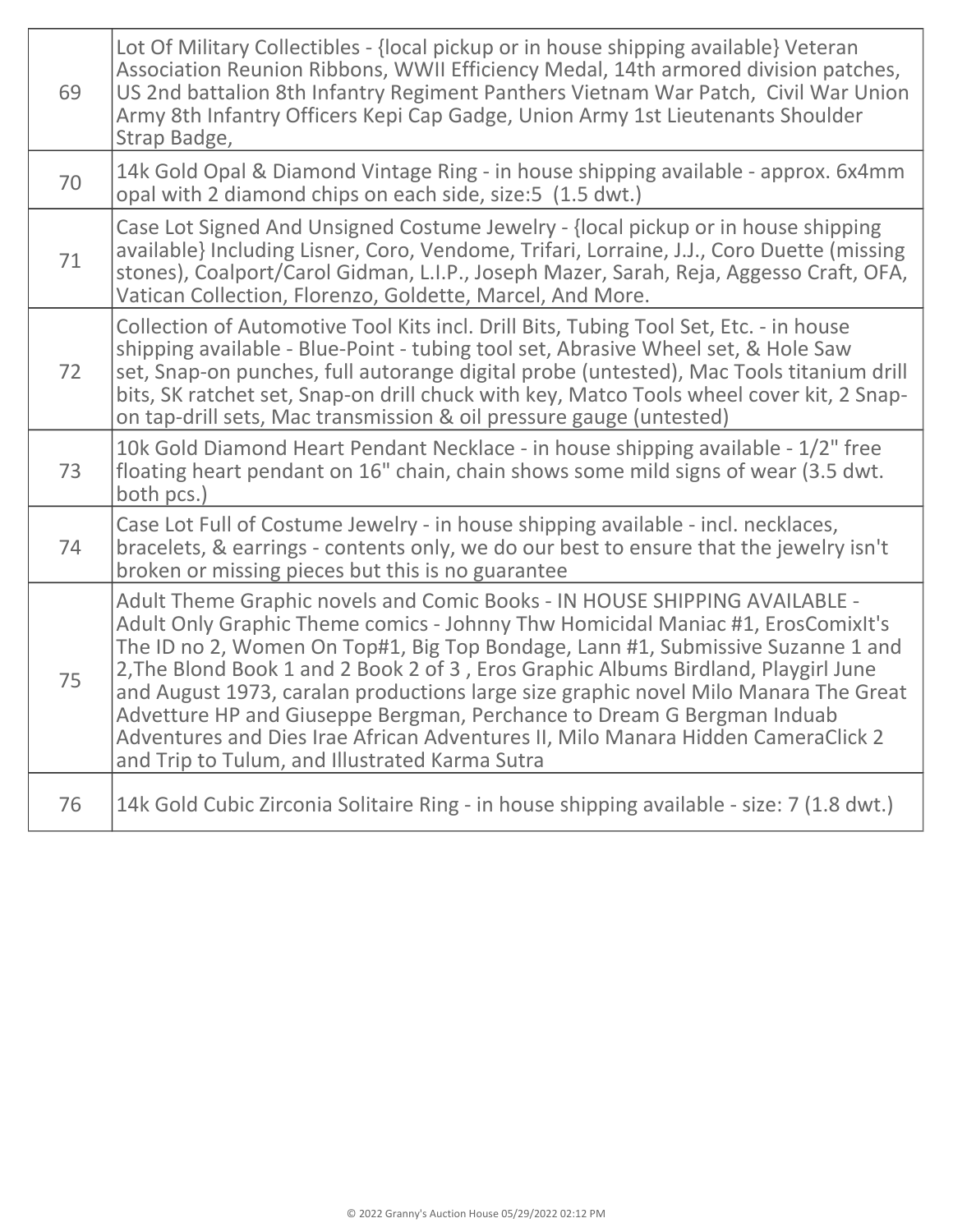| 69 | Lot Of Military Collectibles - {local pickup or in house shipping available} Veteran<br>Association Reunion Ribbons, WWII Efficiency Medal, 14th armored division patches,<br>US 2nd battalion 8th Infantry Regiment Panthers Vietnam War Patch, Civil War Union<br>Army 8th Infantry Officers Kepi Cap Gadge, Union Army 1st Lieutenants Shoulder<br>Strap Badge,                                                                                                                                                                                                                                                                            |
|----|-----------------------------------------------------------------------------------------------------------------------------------------------------------------------------------------------------------------------------------------------------------------------------------------------------------------------------------------------------------------------------------------------------------------------------------------------------------------------------------------------------------------------------------------------------------------------------------------------------------------------------------------------|
| 70 | 14k Gold Opal & Diamond Vintage Ring - in house shipping available - approx. 6x4mm<br>opal with 2 diamond chips on each side, size: 5 (1.5 dwt.)                                                                                                                                                                                                                                                                                                                                                                                                                                                                                              |
| 71 | Case Lot Signed And Unsigned Costume Jewelry - {local pickup or in house shipping<br>available} Including Lisner, Coro, Vendome, Trifari, Lorraine, J.J., Coro Duette (missing<br>stones), Coalport/Carol Gidman, L.I.P., Joseph Mazer, Sarah, Reja, Aggesso Craft, OFA,<br>Vatican Collection, Florenzo, Goldette, Marcel, And More.                                                                                                                                                                                                                                                                                                         |
| 72 | Collection of Automotive Tool Kits incl. Drill Bits, Tubing Tool Set, Etc. - in house<br>shipping available - Blue-Point - tubing tool set, Abrasive Wheel set, & Hole Saw<br>set, Snap-on punches, full autorange digital probe (untested), Mac Tools titanium drill<br>bits, SK ratchet set, Snap-on drill chuck with key, Matco Tools wheel cover kit, 2 Snap-<br>on tap-drill sets, Mac transmission & oil pressure gauge (untested)                                                                                                                                                                                                      |
| 73 | 10k Gold Diamond Heart Pendant Necklace - in house shipping available - 1/2" free<br>floating heart pendant on 16" chain, chain shows some mild signs of wear (3.5 dwt.<br>both pcs.)                                                                                                                                                                                                                                                                                                                                                                                                                                                         |
| 74 | Case Lot Full of Costume Jewelry - in house shipping available - incl. necklaces,<br>bracelets, & earrings - contents only, we do our best to ensure that the jewelry isn't<br>broken or missing pieces but this is no guarantee                                                                                                                                                                                                                                                                                                                                                                                                              |
| 75 | Adult Theme Graphic novels and Comic Books - IN HOUSE SHIPPING AVAILABLE -<br>Adult Only Graphic Theme comics - Johnny Thw Homicidal Maniac #1, ErosComixIt's<br>The ID no 2, Women On Top#1, Big Top Bondage, Lann #1, Submissive Suzanne 1 and<br>2, The Blond Book 1 and 2 Book 2 of 3, Eros Graphic Albums Birdland, Playgirl June<br>and August 1973, caralan productions large size graphic novel Milo Manara The Great<br>Advetture HP and Giuseppe Bergman, Perchance to Dream G Bergman Induab<br>Adventures and Dies Irae African Adventures II, Milo Manara Hidden CameraClick 2<br>and Trip to Tulum, and Illustrated Karma Sutra |
| 76 | 14k Gold Cubic Zirconia Solitaire Ring - in house shipping available - size: 7 (1.8 dwt.)                                                                                                                                                                                                                                                                                                                                                                                                                                                                                                                                                     |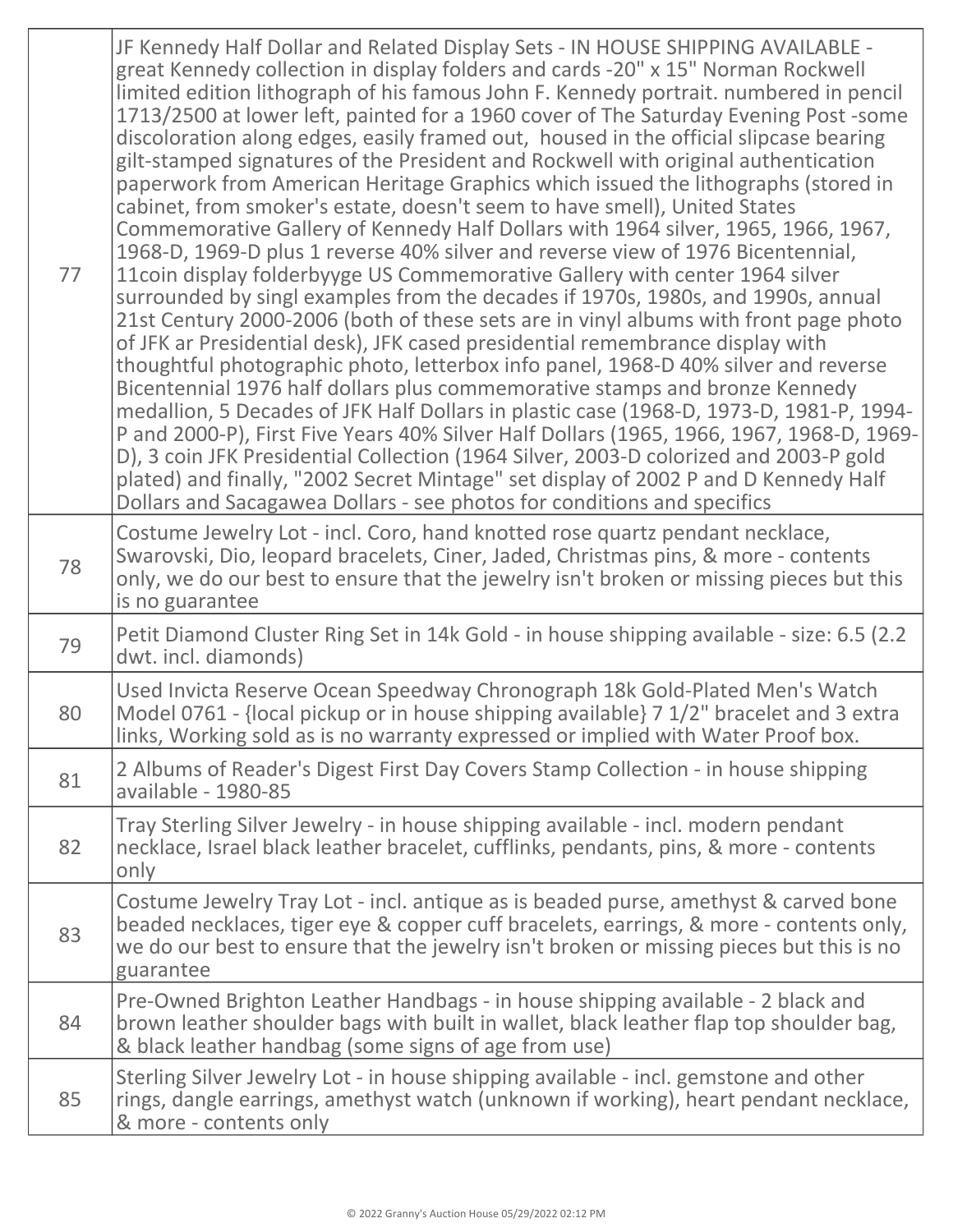| 77 | JF Kennedy Half Dollar and Related Display Sets - IN HOUSE SHIPPING AVAILABLE -<br>great Kennedy collection in display folders and cards -20" x 15" Norman Rockwell<br>limited edition lithograph of his famous John F. Kennedy portrait. numbered in pencil<br>1713/2500 at lower left, painted for a 1960 cover of The Saturday Evening Post-some<br>discoloration along edges, easily framed out, housed in the official slipcase bearing<br>gilt-stamped signatures of the President and Rockwell with original authentication<br>paperwork from American Heritage Graphics which issued the lithographs (stored in<br>cabinet, from smoker's estate, doesn't seem to have smell), United States<br>Commemorative Gallery of Kennedy Half Dollars with 1964 silver, 1965, 1966, 1967,<br>1968-D, 1969-D plus 1 reverse 40% silver and reverse view of 1976 Bicentennial,<br>11 coin display folderbyyge US Commemorative Gallery with center 1964 silver<br>surrounded by singl examples from the decades if 1970s, 1980s, and 1990s, annual<br>21st Century 2000-2006 (both of these sets are in vinyl albums with front page photo<br>of JFK ar Presidential desk), JFK cased presidential remembrance display with<br>thoughtful photographic photo, letterbox info panel, 1968-D 40% silver and reverse<br>Bicentennial 1976 half dollars plus commemorative stamps and bronze Kennedy<br>medallion, 5 Decades of JFK Half Dollars in plastic case (1968-D, 1973-D, 1981-P, 1994-<br>P and 2000-P), First Five Years 40% Silver Half Dollars (1965, 1966, 1967, 1968-D, 1969-<br>D), 3 coin JFK Presidential Collection (1964 Silver, 2003-D colorized and 2003-P gold<br>plated) and finally, "2002 Secret Mintage" set display of 2002 P and D Kennedy Half<br>Dollars and Sacagawea Dollars - see photos for conditions and specifics |
|----|--------------------------------------------------------------------------------------------------------------------------------------------------------------------------------------------------------------------------------------------------------------------------------------------------------------------------------------------------------------------------------------------------------------------------------------------------------------------------------------------------------------------------------------------------------------------------------------------------------------------------------------------------------------------------------------------------------------------------------------------------------------------------------------------------------------------------------------------------------------------------------------------------------------------------------------------------------------------------------------------------------------------------------------------------------------------------------------------------------------------------------------------------------------------------------------------------------------------------------------------------------------------------------------------------------------------------------------------------------------------------------------------------------------------------------------------------------------------------------------------------------------------------------------------------------------------------------------------------------------------------------------------------------------------------------------------------------------------------------------------------------------------------------------------------------------------------------------------------|
| 78 | Costume Jewelry Lot - incl. Coro, hand knotted rose quartz pendant necklace,<br>Swarovski, Dio, leopard bracelets, Ciner, Jaded, Christmas pins, & more - contents<br>only, we do our best to ensure that the jewelry isn't broken or missing pieces but this<br>is no guarantee                                                                                                                                                                                                                                                                                                                                                                                                                                                                                                                                                                                                                                                                                                                                                                                                                                                                                                                                                                                                                                                                                                                                                                                                                                                                                                                                                                                                                                                                                                                                                                 |
| 79 | Petit Diamond Cluster Ring Set in 14k Gold - in house shipping available - size: 6.5 (2.2)<br>dwt. incl. diamonds)                                                                                                                                                                                                                                                                                                                                                                                                                                                                                                                                                                                                                                                                                                                                                                                                                                                                                                                                                                                                                                                                                                                                                                                                                                                                                                                                                                                                                                                                                                                                                                                                                                                                                                                               |
| 80 | Used Invicta Reserve Ocean Speedway Chronograph 18k Gold-Plated Men's Watch<br>Model 0761 - {local pickup or in house shipping available} 7 1/2" bracelet and 3 extra<br>links, Working sold as is no warranty expressed or implied with Water Proof box.                                                                                                                                                                                                                                                                                                                                                                                                                                                                                                                                                                                                                                                                                                                                                                                                                                                                                                                                                                                                                                                                                                                                                                                                                                                                                                                                                                                                                                                                                                                                                                                        |
| 81 | 2 Albums of Reader's Digest First Day Covers Stamp Collection - in house shipping<br>available - 1980-85                                                                                                                                                                                                                                                                                                                                                                                                                                                                                                                                                                                                                                                                                                                                                                                                                                                                                                                                                                                                                                                                                                                                                                                                                                                                                                                                                                                                                                                                                                                                                                                                                                                                                                                                         |
| 82 | Tray Sterling Silver Jewelry - in house shipping available - incl. modern pendant<br>necklace, Israel black leather bracelet, cufflinks, pendants, pins, & more - contents<br>only                                                                                                                                                                                                                                                                                                                                                                                                                                                                                                                                                                                                                                                                                                                                                                                                                                                                                                                                                                                                                                                                                                                                                                                                                                                                                                                                                                                                                                                                                                                                                                                                                                                               |
| 83 | Costume Jewelry Tray Lot - incl. antique as is beaded purse, amethyst & carved bone<br>beaded necklaces, tiger eye & copper cuff bracelets, earrings, & more - contents only,<br>we do our best to ensure that the jewelry isn't broken or missing pieces but this is no<br>guarantee                                                                                                                                                                                                                                                                                                                                                                                                                                                                                                                                                                                                                                                                                                                                                                                                                                                                                                                                                                                                                                                                                                                                                                                                                                                                                                                                                                                                                                                                                                                                                            |
| 84 | Pre-Owned Brighton Leather Handbags - in house shipping available - 2 black and<br>brown leather shoulder bags with built in wallet, black leather flap top shoulder bag,<br>& black leather handbag (some signs of age from use)                                                                                                                                                                                                                                                                                                                                                                                                                                                                                                                                                                                                                                                                                                                                                                                                                                                                                                                                                                                                                                                                                                                                                                                                                                                                                                                                                                                                                                                                                                                                                                                                                |
| 85 | Sterling Silver Jewelry Lot - in house shipping available - incl. gemstone and other<br>rings, dangle earrings, amethyst watch (unknown if working), heart pendant necklace,<br>& more - contents only                                                                                                                                                                                                                                                                                                                                                                                                                                                                                                                                                                                                                                                                                                                                                                                                                                                                                                                                                                                                                                                                                                                                                                                                                                                                                                                                                                                                                                                                                                                                                                                                                                           |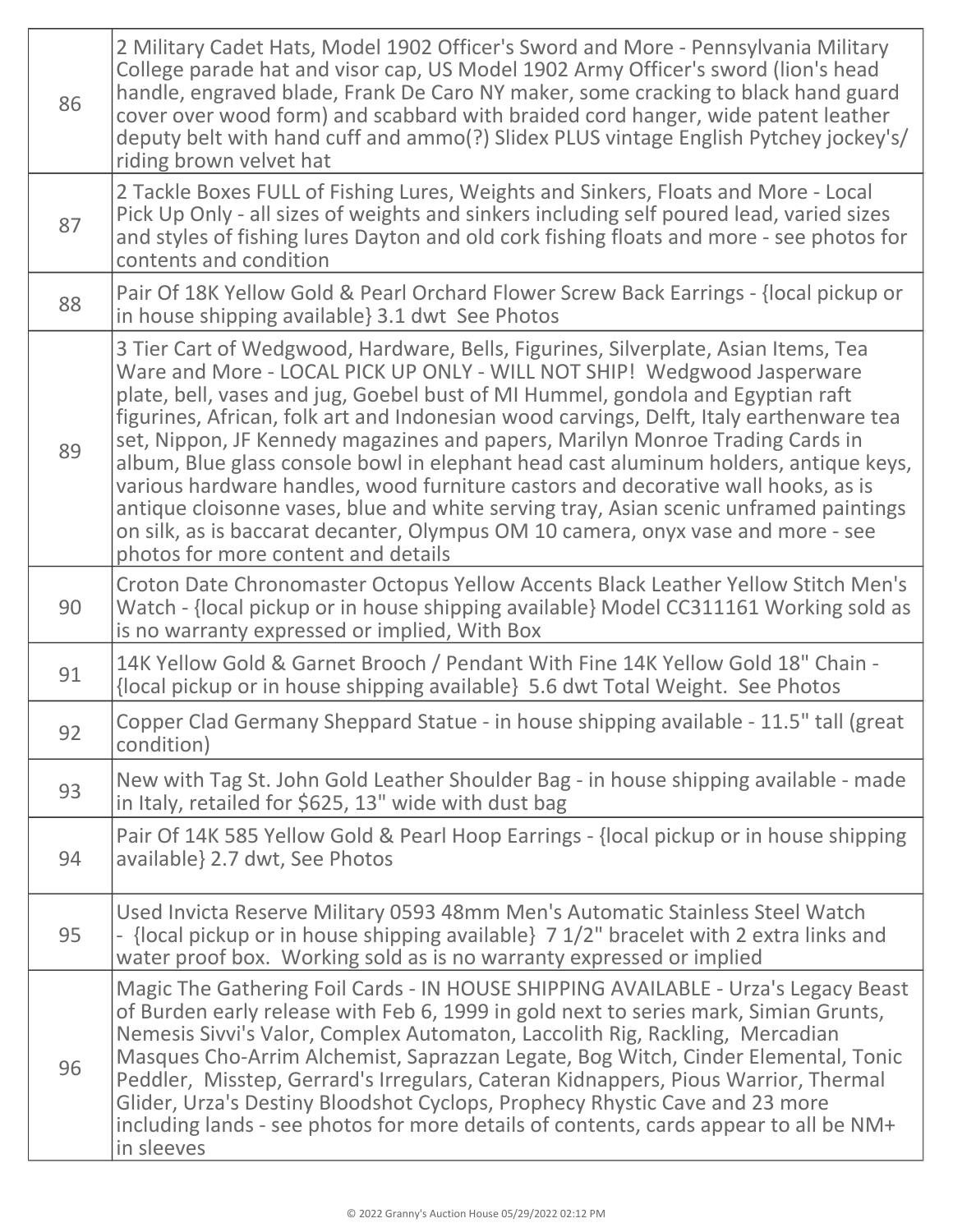| 86 | 2 Military Cadet Hats, Model 1902 Officer's Sword and More - Pennsylvania Military<br>College parade hat and visor cap, US Model 1902 Army Officer's sword (lion's head<br>handle, engraved blade, Frank De Caro NY maker, some cracking to black hand guard<br>cover over wood form) and scabbard with braided cord hanger, wide patent leather<br>deputy belt with hand cuff and ammo(?) Slidex PLUS vintage English Pytchey jockey's/<br>riding brown velvet hat                                                                                                                                                                                                                                                                                                                                                           |
|----|-------------------------------------------------------------------------------------------------------------------------------------------------------------------------------------------------------------------------------------------------------------------------------------------------------------------------------------------------------------------------------------------------------------------------------------------------------------------------------------------------------------------------------------------------------------------------------------------------------------------------------------------------------------------------------------------------------------------------------------------------------------------------------------------------------------------------------|
| 87 | 2 Tackle Boxes FULL of Fishing Lures, Weights and Sinkers, Floats and More - Local<br>Pick Up Only - all sizes of weights and sinkers including self poured lead, varied sizes<br>and styles of fishing lures Dayton and old cork fishing floats and more - see photos for<br>contents and condition                                                                                                                                                                                                                                                                                                                                                                                                                                                                                                                          |
| 88 | Pair Of 18K Yellow Gold & Pearl Orchard Flower Screw Back Earrings - {local pickup or<br>in house shipping available 3.1 dwt See Photos                                                                                                                                                                                                                                                                                                                                                                                                                                                                                                                                                                                                                                                                                       |
| 89 | 3 Tier Cart of Wedgwood, Hardware, Bells, Figurines, Silverplate, Asian Items, Tea<br>Ware and More - LOCAL PICK UP ONLY - WILL NOT SHIP! Wedgwood Jasperware<br>plate, bell, vases and jug, Goebel bust of MI Hummel, gondola and Egyptian raft<br>figurines, African, folk art and Indonesian wood carvings, Delft, Italy earthenware tea<br>set, Nippon, JF Kennedy magazines and papers, Marilyn Monroe Trading Cards in<br>album, Blue glass console bowl in elephant head cast aluminum holders, antique keys,<br>various hardware handles, wood furniture castors and decorative wall hooks, as is<br>antique cloisonne vases, blue and white serving tray, Asian scenic unframed paintings<br>on silk, as is baccarat decanter, Olympus OM 10 camera, onyx vase and more - see<br>photos for more content and details |
| 90 | Croton Date Chronomaster Octopus Yellow Accents Black Leather Yellow Stitch Men's<br>Watch - {local pickup or in house shipping available} Model CC311161 Working sold as<br>is no warranty expressed or implied, With Box                                                                                                                                                                                                                                                                                                                                                                                                                                                                                                                                                                                                    |
| 91 | 14K Yellow Gold & Garnet Brooch / Pendant With Fine 14K Yellow Gold 18" Chain -<br>{local pickup or in house shipping available} 5.6 dwt Total Weight. See Photos                                                                                                                                                                                                                                                                                                                                                                                                                                                                                                                                                                                                                                                             |
| 92 | Copper Clad Germany Sheppard Statue - in house shipping available - 11.5" tall (great<br>condition)                                                                                                                                                                                                                                                                                                                                                                                                                                                                                                                                                                                                                                                                                                                           |
| 93 | New with Tag St. John Gold Leather Shoulder Bag - in house shipping available - made<br>in Italy, retailed for \$625, 13" wide with dust bag                                                                                                                                                                                                                                                                                                                                                                                                                                                                                                                                                                                                                                                                                  |
| 94 | Pair Of 14K 585 Yellow Gold & Pearl Hoop Earrings - {local pickup or in house shipping<br>available} 2.7 dwt, See Photos                                                                                                                                                                                                                                                                                                                                                                                                                                                                                                                                                                                                                                                                                                      |
| 95 | Used Invicta Reserve Military 0593 48mm Men's Automatic Stainless Steel Watch<br>- {local pickup or in house shipping available} 7 1/2" bracelet with 2 extra links and<br>water proof box. Working sold as is no warranty expressed or implied                                                                                                                                                                                                                                                                                                                                                                                                                                                                                                                                                                               |
| 96 | Magic The Gathering Foil Cards - IN HOUSE SHIPPING AVAILABLE - Urza's Legacy Beast<br>of Burden early release with Feb 6, 1999 in gold next to series mark, Simian Grunts,<br>Nemesis Sivvi's Valor, Complex Automaton, Laccolith Rig, Rackling, Mercadian<br>Masques Cho-Arrim Alchemist, Saprazzan Legate, Bog Witch, Cinder Elemental, Tonic<br>Peddler, Misstep, Gerrard's Irregulars, Cateran Kidnappers, Pious Warrior, Thermal<br>Glider, Urza's Destiny Bloodshot Cyclops, Prophecy Rhystic Cave and 23 more<br>including lands - see photos for more details of contents, cards appear to all be NM+<br>in sleeves                                                                                                                                                                                                   |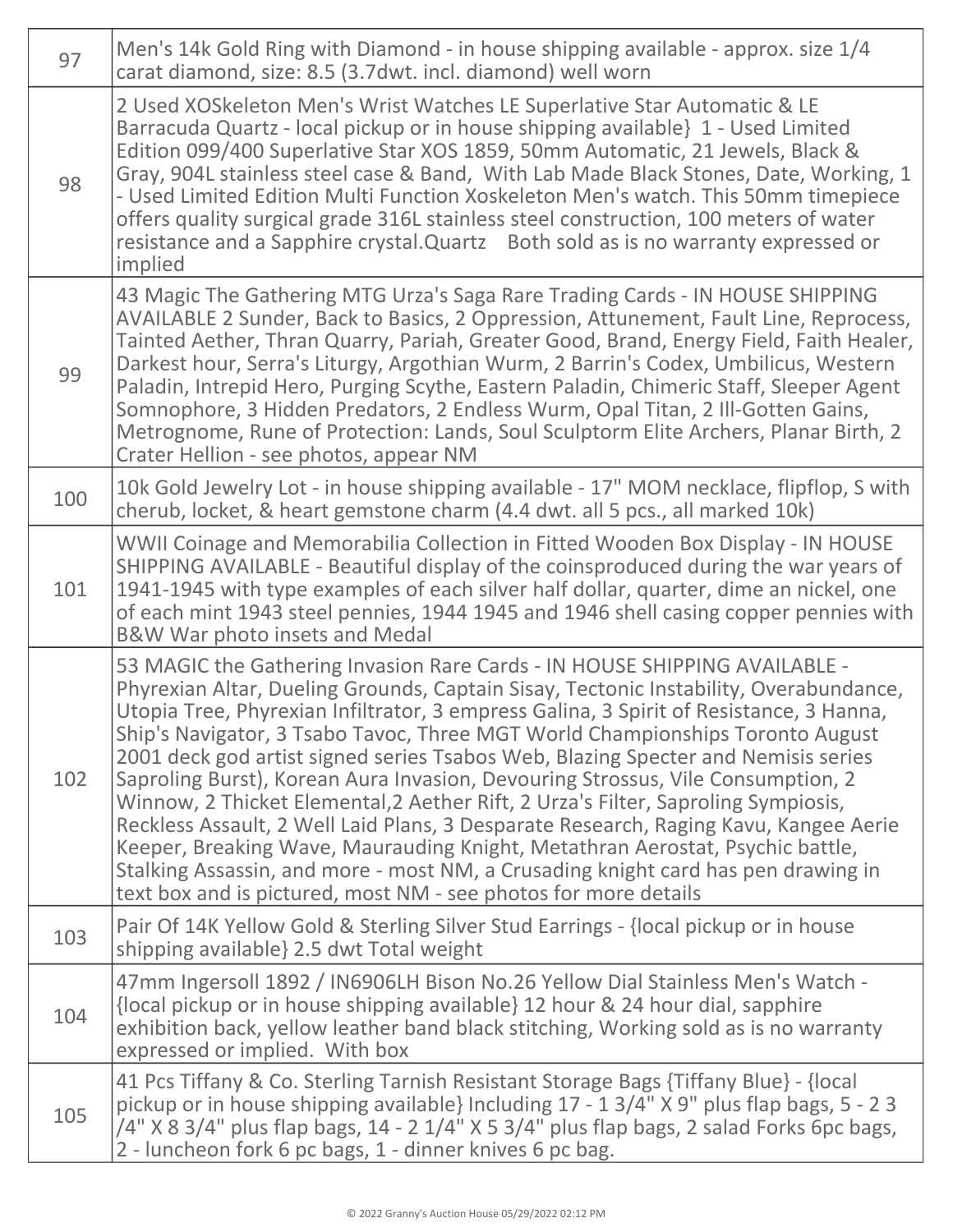| 97  | Men's 14k Gold Ring with Diamond - in house shipping available - approx. size 1/4<br>carat diamond, size: 8.5 (3.7 dwt. incl. diamond) well worn                                                                                                                                                                                                                                                                                                                                                                                                                                                                                                                                                                                                                                                                                                                                                                                             |
|-----|----------------------------------------------------------------------------------------------------------------------------------------------------------------------------------------------------------------------------------------------------------------------------------------------------------------------------------------------------------------------------------------------------------------------------------------------------------------------------------------------------------------------------------------------------------------------------------------------------------------------------------------------------------------------------------------------------------------------------------------------------------------------------------------------------------------------------------------------------------------------------------------------------------------------------------------------|
| 98  | 2 Used XOSkeleton Men's Wrist Watches LE Superlative Star Automatic & LE<br>Barracuda Quartz - local pickup or in house shipping available 1 - Used Limited<br>Edition 099/400 Superlative Star XOS 1859, 50mm Automatic, 21 Jewels, Black &<br>Gray, 904L stainless steel case & Band, With Lab Made Black Stones, Date, Working, 1<br>- Used Limited Edition Multi Function Xoskeleton Men's watch. This 50mm timepiece<br>offers quality surgical grade 316L stainless steel construction, 100 meters of water<br>resistance and a Sapphire crystal. Quartz Both sold as is no warranty expressed or<br>implied                                                                                                                                                                                                                                                                                                                           |
| 99  | 43 Magic The Gathering MTG Urza's Saga Rare Trading Cards - IN HOUSE SHIPPING<br>AVAILABLE 2 Sunder, Back to Basics, 2 Oppression, Attunement, Fault Line, Reprocess,<br>Tainted Aether, Thran Quarry, Pariah, Greater Good, Brand, Energy Field, Faith Healer,<br>Darkest hour, Serra's Liturgy, Argothian Wurm, 2 Barrin's Codex, Umbilicus, Western<br>Paladin, Intrepid Hero, Purging Scythe, Eastern Paladin, Chimeric Staff, Sleeper Agent<br>Somnophore, 3 Hidden Predators, 2 Endless Wurm, Opal Titan, 2 Ill-Gotten Gains,<br>Metrognome, Rune of Protection: Lands, Soul Sculptorm Elite Archers, Planar Birth, 2<br>Crater Hellion - see photos, appear NM                                                                                                                                                                                                                                                                        |
| 100 | 10k Gold Jewelry Lot - in house shipping available - 17" MOM necklace, flipflop, S with<br>cherub, locket, & heart gemstone charm (4.4 dwt. all 5 pcs., all marked 10k)                                                                                                                                                                                                                                                                                                                                                                                                                                                                                                                                                                                                                                                                                                                                                                      |
| 101 | WWII Coinage and Memorabilia Collection in Fitted Wooden Box Display - IN HOUSE<br>SHIPPING AVAILABLE - Beautiful display of the coinsproduced during the war years of<br>1941-1945 with type examples of each silver half dollar, quarter, dime an nickel, one<br>of each mint 1943 steel pennies, 1944 1945 and 1946 shell casing copper pennies with<br>B&W War photo insets and Medal                                                                                                                                                                                                                                                                                                                                                                                                                                                                                                                                                    |
| 102 | 53 MAGIC the Gathering Invasion Rare Cards - IN HOUSE SHIPPING AVAILABLE -<br>Phyrexian Altar, Dueling Grounds, Captain Sisay, Tectonic Instability, Overabundance,<br>Utopia Tree, Phyrexian Infiltrator, 3 empress Galina, 3 Spirit of Resistance, 3 Hanna,<br>Ship's Navigator, 3 Tsabo Tavoc, Three MGT World Championships Toronto August<br>2001 deck god artist signed series Tsabos Web, Blazing Specter and Nemisis series<br>Saproling Burst), Korean Aura Invasion, Devouring Strossus, Vile Consumption, 2<br>Winnow, 2 Thicket Elemental, 2 Aether Rift, 2 Urza's Filter, Saproling Sympiosis,<br>Reckless Assault, 2 Well Laid Plans, 3 Desparate Research, Raging Kavu, Kangee Aerie<br>Keeper, Breaking Wave, Maurauding Knight, Metathran Aerostat, Psychic battle,<br>Stalking Assassin, and more - most NM, a Crusading knight card has pen drawing in<br>text box and is pictured, most NM - see photos for more details |
| 103 | Pair Of 14K Yellow Gold & Sterling Silver Stud Earrings - {local pickup or in house<br>shipping available 2.5 dwt Total weight                                                                                                                                                                                                                                                                                                                                                                                                                                                                                                                                                                                                                                                                                                                                                                                                               |
| 104 | 47mm Ingersoll 1892 / IN6906LH Bison No.26 Yellow Dial Stainless Men's Watch -<br>{local pickup or in house shipping available} 12 hour & 24 hour dial, sapphire<br>exhibition back, yellow leather band black stitching, Working sold as is no warranty<br>expressed or implied. With box                                                                                                                                                                                                                                                                                                                                                                                                                                                                                                                                                                                                                                                   |
| 105 | 41 Pcs Tiffany & Co. Sterling Tarnish Resistant Storage Bags {Tiffany Blue} - {local<br>pickup or in house shipping available} Including 17 - 1 3/4" X 9" plus flap bags, 5 - 2 3<br>$/4"$ X 8 3/4" plus flap bags, 14 - 2 1/4" X 5 3/4" plus flap bags, 2 salad Forks 6pc bags,<br>2 - luncheon fork 6 pc bags, 1 - dinner knives 6 pc bag.                                                                                                                                                                                                                                                                                                                                                                                                                                                                                                                                                                                                 |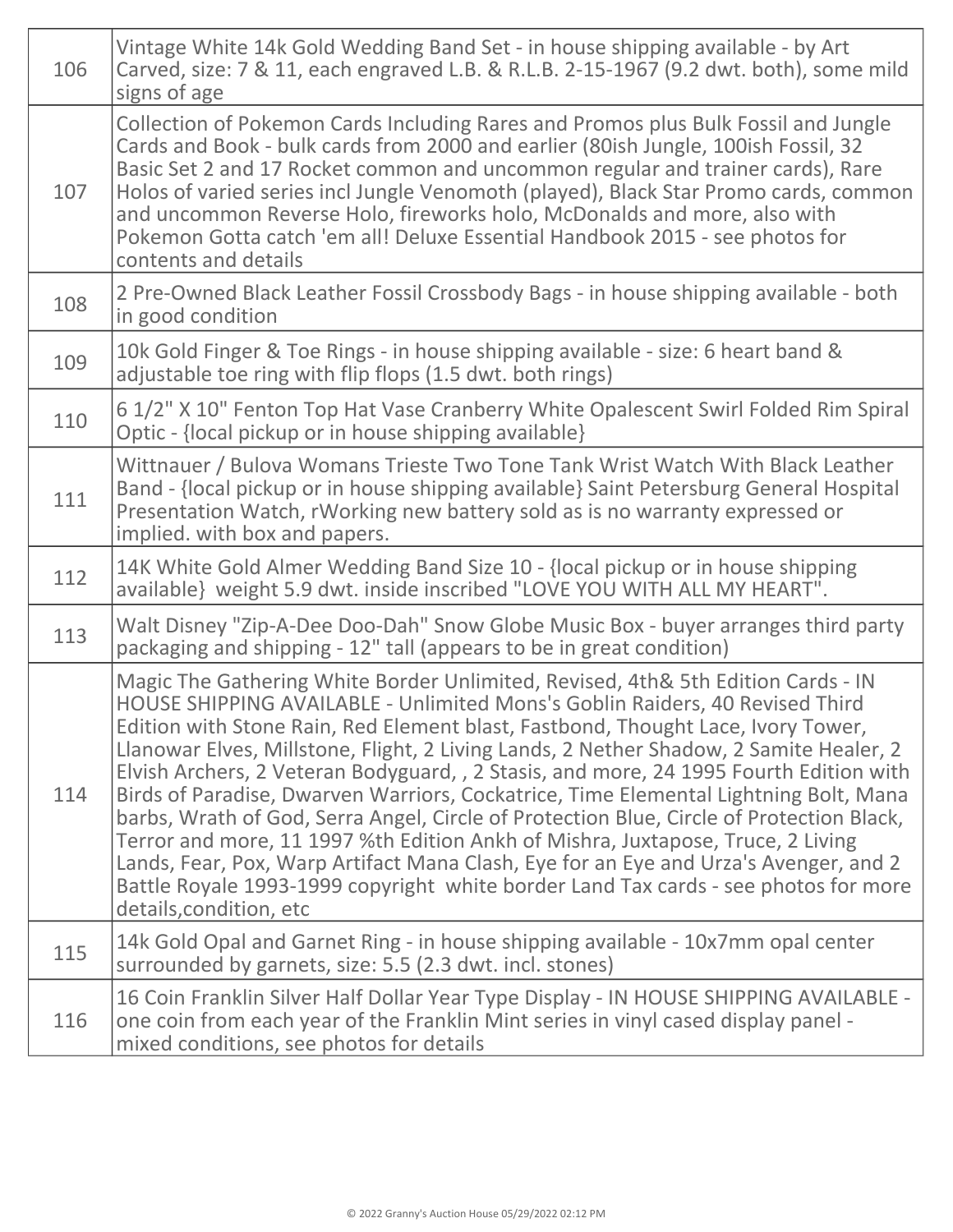| 106 | Vintage White 14k Gold Wedding Band Set - in house shipping available - by Art<br>Carved, size: 7 & 11, each engraved L.B. & R.L.B. 2-15-1967 (9.2 dwt. both), some mild<br>signs of age                                                                                                                                                                                                                                                                                                                                                                                                                                                                                                                                                                                                                                                                                                                                  |
|-----|---------------------------------------------------------------------------------------------------------------------------------------------------------------------------------------------------------------------------------------------------------------------------------------------------------------------------------------------------------------------------------------------------------------------------------------------------------------------------------------------------------------------------------------------------------------------------------------------------------------------------------------------------------------------------------------------------------------------------------------------------------------------------------------------------------------------------------------------------------------------------------------------------------------------------|
| 107 | Collection of Pokemon Cards Including Rares and Promos plus Bulk Fossil and Jungle<br>Cards and Book - bulk cards from 2000 and earlier (80ish Jungle, 100ish Fossil, 32<br>Basic Set 2 and 17 Rocket common and uncommon regular and trainer cards), Rare<br>Holos of varied series incl Jungle Venomoth (played), Black Star Promo cards, common<br>and uncommon Reverse Holo, fireworks holo, McDonalds and more, also with<br>Pokemon Gotta catch 'em all! Deluxe Essential Handbook 2015 - see photos for<br>contents and details                                                                                                                                                                                                                                                                                                                                                                                    |
| 108 | 2 Pre-Owned Black Leather Fossil Crossbody Bags - in house shipping available - both<br>in good condition                                                                                                                                                                                                                                                                                                                                                                                                                                                                                                                                                                                                                                                                                                                                                                                                                 |
| 109 | 10k Gold Finger & Toe Rings - in house shipping available - size: 6 heart band &<br>adjustable toe ring with flip flops (1.5 dwt. both rings)                                                                                                                                                                                                                                                                                                                                                                                                                                                                                                                                                                                                                                                                                                                                                                             |
| 110 | 6 1/2" X 10" Fenton Top Hat Vase Cranberry White Opalescent Swirl Folded Rim Spiral<br>Optic - {local pickup or in house shipping available}                                                                                                                                                                                                                                                                                                                                                                                                                                                                                                                                                                                                                                                                                                                                                                              |
| 111 | Wittnauer / Bulova Womans Trieste Two Tone Tank Wrist Watch With Black Leather<br>Band - {local pickup or in house shipping available} Saint Petersburg General Hospital<br>Presentation Watch, rWorking new battery sold as is no warranty expressed or<br>implied. with box and papers.                                                                                                                                                                                                                                                                                                                                                                                                                                                                                                                                                                                                                                 |
| 112 | 14K White Gold Almer Wedding Band Size 10 - {local pickup or in house shipping<br>available} weight 5.9 dwt. inside inscribed "LOVE YOU WITH ALL MY HEART".                                                                                                                                                                                                                                                                                                                                                                                                                                                                                                                                                                                                                                                                                                                                                               |
| 113 | Walt Disney "Zip-A-Dee Doo-Dah" Snow Globe Music Box - buyer arranges third party<br>packaging and shipping - 12" tall (appears to be in great condition)                                                                                                                                                                                                                                                                                                                                                                                                                                                                                                                                                                                                                                                                                                                                                                 |
| 114 | Magic The Gathering White Border Unlimited, Revised, 4th& 5th Edition Cards - IN<br>HOUSE SHIPPING AVAILABLE - Unlimited Mons's Goblin Raiders, 40 Revised Third<br>Edition with Stone Rain, Red Element blast, Fastbond, Thought Lace, Ivory Tower,<br>Llanowar Elves, Millstone, Flight, 2 Living Lands, 2 Nether Shadow, 2 Samite Healer, 2<br>Elvish Archers, 2 Veteran Bodyguard, , 2 Stasis, and more, 24 1995 Fourth Edition with<br>Birds of Paradise, Dwarven Warriors, Cockatrice, Time Elemental Lightning Bolt, Mana<br>barbs, Wrath of God, Serra Angel, Circle of Protection Blue, Circle of Protection Black,<br>Terror and more, 11 1997 %th Edition Ankh of Mishra, Juxtapose, Truce, 2 Living<br>Lands, Fear, Pox, Warp Artifact Mana Clash, Eye for an Eye and Urza's Avenger, and 2<br>Battle Royale 1993-1999 copyright white border Land Tax cards - see photos for more<br>details, condition, etc |
| 115 | 14k Gold Opal and Garnet Ring - in house shipping available - 10x7mm opal center<br>surrounded by garnets, size: 5.5 (2.3 dwt. incl. stones)                                                                                                                                                                                                                                                                                                                                                                                                                                                                                                                                                                                                                                                                                                                                                                              |
| 116 | 16 Coin Franklin Silver Half Dollar Year Type Display - IN HOUSE SHIPPING AVAILABLE -<br>one coin from each year of the Franklin Mint series in vinyl cased display panel -<br>mixed conditions, see photos for details                                                                                                                                                                                                                                                                                                                                                                                                                                                                                                                                                                                                                                                                                                   |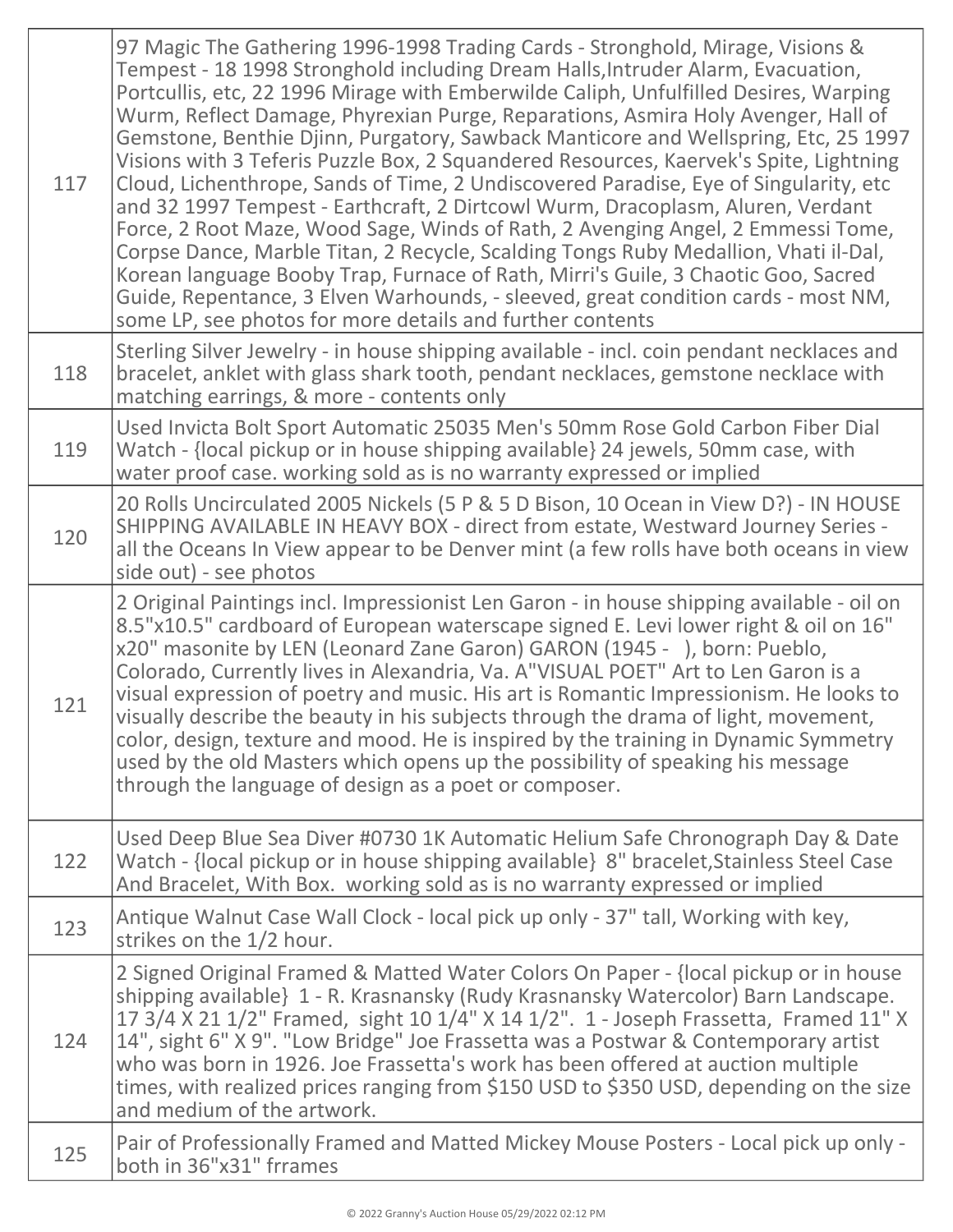| 117 | 97 Magic The Gathering 1996-1998 Trading Cards - Stronghold, Mirage, Visions &<br>Tempest - 18 1998 Stronghold including Dream Halls, Intruder Alarm, Evacuation,<br>Portcullis, etc, 22 1996 Mirage with Emberwilde Caliph, Unfulfilled Desires, Warping<br>Wurm, Reflect Damage, Phyrexian Purge, Reparations, Asmira Holy Avenger, Hall of<br>Gemstone, Benthie Djinn, Purgatory, Sawback Manticore and Wellspring, Etc, 25 1997<br>Visions with 3 Teferis Puzzle Box, 2 Squandered Resources, Kaervek's Spite, Lightning<br>Cloud, Lichenthrope, Sands of Time, 2 Undiscovered Paradise, Eye of Singularity, etc<br>and 32 1997 Tempest - Earthcraft, 2 Dirtcowl Wurm, Dracoplasm, Aluren, Verdant<br>Force, 2 Root Maze, Wood Sage, Winds of Rath, 2 Avenging Angel, 2 Emmessi Tome,<br>Corpse Dance, Marble Titan, 2 Recycle, Scalding Tongs Ruby Medallion, Vhati il-Dal,<br>Korean language Booby Trap, Furnace of Rath, Mirri's Guile, 3 Chaotic Goo, Sacred<br>Guide, Repentance, 3 Elven Warhounds, - sleeved, great condition cards - most NM,<br>some LP, see photos for more details and further contents |
|-----|-------------------------------------------------------------------------------------------------------------------------------------------------------------------------------------------------------------------------------------------------------------------------------------------------------------------------------------------------------------------------------------------------------------------------------------------------------------------------------------------------------------------------------------------------------------------------------------------------------------------------------------------------------------------------------------------------------------------------------------------------------------------------------------------------------------------------------------------------------------------------------------------------------------------------------------------------------------------------------------------------------------------------------------------------------------------------------------------------------------------------|
| 118 | Sterling Silver Jewelry - in house shipping available - incl. coin pendant necklaces and<br>bracelet, anklet with glass shark tooth, pendant necklaces, gemstone necklace with<br>matching earrings, & more - contents only                                                                                                                                                                                                                                                                                                                                                                                                                                                                                                                                                                                                                                                                                                                                                                                                                                                                                             |
| 119 | Used Invicta Bolt Sport Automatic 25035 Men's 50mm Rose Gold Carbon Fiber Dial<br>Watch - {local pickup or in house shipping available} 24 jewels, 50mm case, with<br>water proof case. working sold as is no warranty expressed or implied                                                                                                                                                                                                                                                                                                                                                                                                                                                                                                                                                                                                                                                                                                                                                                                                                                                                             |
| 120 | 20 Rolls Uncirculated 2005 Nickels (5 P & 5 D Bison, 10 Ocean in View D?) - IN HOUSE<br>SHIPPING AVAILABLE IN HEAVY BOX - direct from estate, Westward Journey Series -<br>all the Oceans In View appear to be Denver mint (a few rolls have both oceans in view<br>side out) - see photos                                                                                                                                                                                                                                                                                                                                                                                                                                                                                                                                                                                                                                                                                                                                                                                                                              |
| 121 | 2 Original Paintings incl. Impressionist Len Garon - in house shipping available - oil on<br>8.5"x10.5" cardboard of European waterscape signed E. Levi lower right & oil on 16"<br>x20" masonite by LEN (Leonard Zane Garon) GARON (1945 - ), born: Pueblo,<br>Colorado, Currently lives in Alexandria, Va. A"VISUAL POET" Art to Len Garon is a<br>visual expression of poetry and music. His art is Romantic Impressionism. He looks to<br>visually describe the beauty in his subjects through the drama of light, movement,<br>color, design, texture and mood. He is inspired by the training in Dynamic Symmetry<br>used by the old Masters which opens up the possibility of speaking his message<br>through the language of design as a poet or composer.                                                                                                                                                                                                                                                                                                                                                      |
| 122 | Used Deep Blue Sea Diver #0730 1K Automatic Helium Safe Chronograph Day & Date<br>Watch - {local pickup or in house shipping available} 8" bracelet, Stainless Steel Case<br>And Bracelet, With Box. working sold as is no warranty expressed or implied                                                                                                                                                                                                                                                                                                                                                                                                                                                                                                                                                                                                                                                                                                                                                                                                                                                                |
| 123 | Antique Walnut Case Wall Clock - local pick up only - 37" tall, Working with key,<br>strikes on the 1/2 hour.                                                                                                                                                                                                                                                                                                                                                                                                                                                                                                                                                                                                                                                                                                                                                                                                                                                                                                                                                                                                           |
| 124 | 2 Signed Original Framed & Matted Water Colors On Paper - {local pickup or in house<br>shipping available} 1 - R. Krasnansky (Rudy Krasnansky Watercolor) Barn Landscape.<br>17 3/4 X 21 1/2" Framed, sight 10 1/4" X 14 1/2". 1 - Joseph Frassetta, Framed 11" X<br>14", sight 6" X 9". "Low Bridge" Joe Frassetta was a Postwar & Contemporary artist<br>who was born in 1926. Joe Frassetta's work has been offered at auction multiple<br>times, with realized prices ranging from \$150 USD to \$350 USD, depending on the size<br>and medium of the artwork.                                                                                                                                                                                                                                                                                                                                                                                                                                                                                                                                                      |
| 125 | Pair of Professionally Framed and Matted Mickey Mouse Posters - Local pick up only -<br>both in 36"x31" frrames                                                                                                                                                                                                                                                                                                                                                                                                                                                                                                                                                                                                                                                                                                                                                                                                                                                                                                                                                                                                         |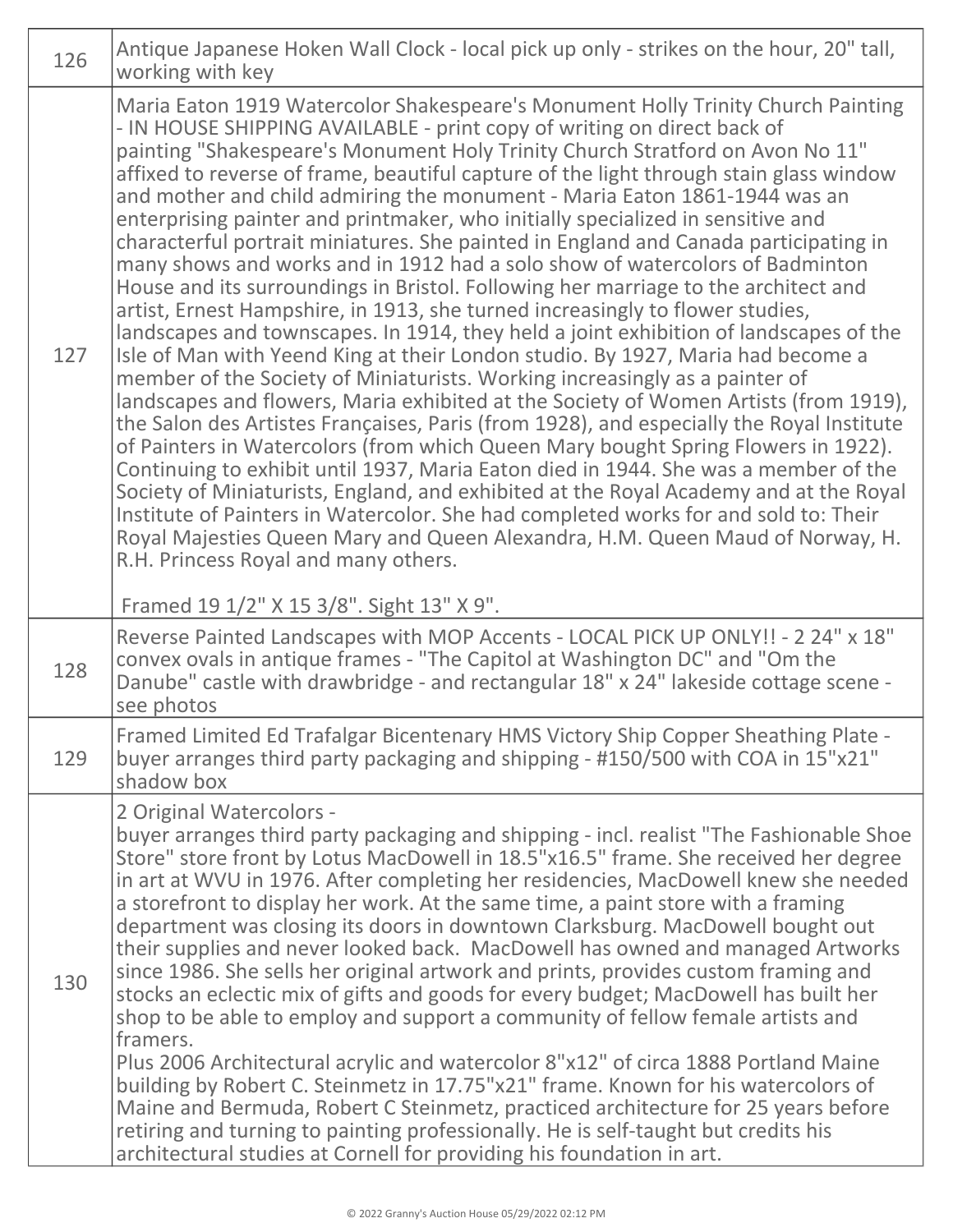| 126 | Antique Japanese Hoken Wall Clock - local pick up only - strikes on the hour, 20" tall,<br>working with key                                                                                                                                                                                                                                                                                                                                                                                                                                                                                                                                                                                                                                                                                                                                                                                                                                                                                                                                                                                                                                                                                                                                                                                                                                                                                                                                                                                                                                                                                                                                                                                                                                                                                                                            |
|-----|----------------------------------------------------------------------------------------------------------------------------------------------------------------------------------------------------------------------------------------------------------------------------------------------------------------------------------------------------------------------------------------------------------------------------------------------------------------------------------------------------------------------------------------------------------------------------------------------------------------------------------------------------------------------------------------------------------------------------------------------------------------------------------------------------------------------------------------------------------------------------------------------------------------------------------------------------------------------------------------------------------------------------------------------------------------------------------------------------------------------------------------------------------------------------------------------------------------------------------------------------------------------------------------------------------------------------------------------------------------------------------------------------------------------------------------------------------------------------------------------------------------------------------------------------------------------------------------------------------------------------------------------------------------------------------------------------------------------------------------------------------------------------------------------------------------------------------------|
| 127 | Maria Eaton 1919 Watercolor Shakespeare's Monument Holly Trinity Church Painting<br>- IN HOUSE SHIPPING AVAILABLE - print copy of writing on direct back of<br>painting "Shakespeare's Monument Holy Trinity Church Stratford on Avon No 11"<br>affixed to reverse of frame, beautiful capture of the light through stain glass window<br>and mother and child admiring the monument - Maria Eaton 1861-1944 was an<br>enterprising painter and printmaker, who initially specialized in sensitive and<br>characterful portrait miniatures. She painted in England and Canada participating in<br>many shows and works and in 1912 had a solo show of watercolors of Badminton<br>House and its surroundings in Bristol. Following her marriage to the architect and<br>artist, Ernest Hampshire, in 1913, she turned increasingly to flower studies,<br>landscapes and townscapes. In 1914, they held a joint exhibition of landscapes of the<br>Isle of Man with Yeend King at their London studio. By 1927, Maria had become a<br>member of the Society of Miniaturists. Working increasingly as a painter of<br>landscapes and flowers, Maria exhibited at the Society of Women Artists (from 1919),<br>the Salon des Artistes Françaises, Paris (from 1928), and especially the Royal Institute<br>of Painters in Watercolors (from which Queen Mary bought Spring Flowers in 1922).<br>Continuing to exhibit until 1937, Maria Eaton died in 1944. She was a member of the<br>Society of Miniaturists, England, and exhibited at the Royal Academy and at the Royal<br>Institute of Painters in Watercolor. She had completed works for and sold to: Their<br>Royal Majesties Queen Mary and Queen Alexandra, H.M. Queen Maud of Norway, H.<br>R.H. Princess Royal and many others.<br>Framed 19 1/2" X 15 3/8". Sight 13" X 9". |
| 128 | Reverse Painted Landscapes with MOP Accents - LOCAL PICK UP ONLY!! - 2 24" x 18"<br>convex ovals in antique frames - "The Capitol at Washington DC" and "Om the<br>Danube" castle with drawbridge - and rectangular 18" x 24" lakeside cottage scene -<br>see photos                                                                                                                                                                                                                                                                                                                                                                                                                                                                                                                                                                                                                                                                                                                                                                                                                                                                                                                                                                                                                                                                                                                                                                                                                                                                                                                                                                                                                                                                                                                                                                   |
| 129 | Framed Limited Ed Trafalgar Bicentenary HMS Victory Ship Copper Sheathing Plate -<br>buyer arranges third party packaging and shipping - #150/500 with COA in 15"x21"<br>shadow box                                                                                                                                                                                                                                                                                                                                                                                                                                                                                                                                                                                                                                                                                                                                                                                                                                                                                                                                                                                                                                                                                                                                                                                                                                                                                                                                                                                                                                                                                                                                                                                                                                                    |
| 130 | 2 Original Watercolors -<br>buyer arranges third party packaging and shipping - incl. realist "The Fashionable Shoe<br>Store" store front by Lotus MacDowell in 18.5"x16.5" frame. She received her degree<br>in art at WVU in 1976. After completing her residencies, MacDowell knew she needed<br>a storefront to display her work. At the same time, a paint store with a framing<br>department was closing its doors in downtown Clarksburg. MacDowell bought out<br>their supplies and never looked back. MacDowell has owned and managed Artworks<br>since 1986. She sells her original artwork and prints, provides custom framing and<br>stocks an eclectic mix of gifts and goods for every budget; MacDowell has built her<br>shop to be able to employ and support a community of fellow female artists and<br>framers.<br>Plus 2006 Architectural acrylic and watercolor 8"x12" of circa 1888 Portland Maine<br>building by Robert C. Steinmetz in 17.75"x21" frame. Known for his watercolors of<br>Maine and Bermuda, Robert C Steinmetz, practiced architecture for 25 years before<br>retiring and turning to painting professionally. He is self-taught but credits his<br>architectural studies at Cornell for providing his foundation in art.                                                                                                                                                                                                                                                                                                                                                                                                                                                                                                                                                                      |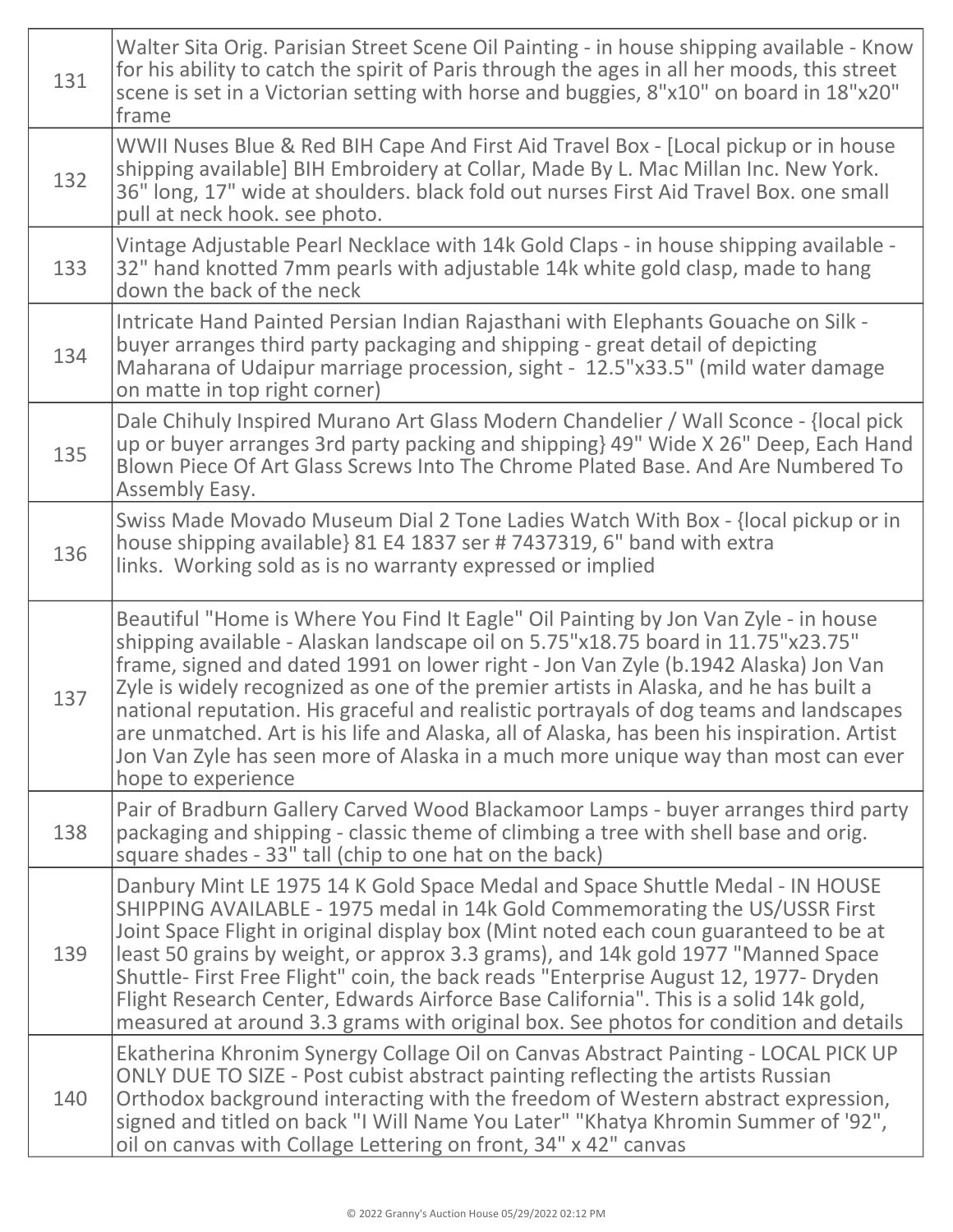| 131 | Walter Sita Orig. Parisian Street Scene Oil Painting - in house shipping available - Know<br>for his ability to catch the spirit of Paris through the ages in all her moods, this street<br>scene is set in a Victorian setting with horse and buggies, 8"x10" on board in 18"x20"<br>frame                                                                                                                                                                                                                                                                                                                                                               |
|-----|-----------------------------------------------------------------------------------------------------------------------------------------------------------------------------------------------------------------------------------------------------------------------------------------------------------------------------------------------------------------------------------------------------------------------------------------------------------------------------------------------------------------------------------------------------------------------------------------------------------------------------------------------------------|
| 132 | WWII Nuses Blue & Red BIH Cape And First Aid Travel Box - [Local pickup or in house<br>shipping available] BIH Embroidery at Collar, Made By L. Mac Millan Inc. New York.<br>36" long, 17" wide at shoulders. black fold out nurses First Aid Travel Box. one small<br>pull at neck hook. see photo.                                                                                                                                                                                                                                                                                                                                                      |
| 133 | Vintage Adjustable Pearl Necklace with 14k Gold Claps - in house shipping available -<br>32" hand knotted 7mm pearls with adjustable 14k white gold clasp, made to hang<br>down the back of the neck                                                                                                                                                                                                                                                                                                                                                                                                                                                      |
| 134 | Intricate Hand Painted Persian Indian Rajasthani with Elephants Gouache on Silk -<br>buyer arranges third party packaging and shipping - great detail of depicting<br>Maharana of Udaipur marriage procession, sight - 12.5"x33.5" (mild water damage<br>on matte in top right corner)                                                                                                                                                                                                                                                                                                                                                                    |
| 135 | Dale Chihuly Inspired Murano Art Glass Modern Chandelier / Wall Sconce - {local pick<br>up or buyer arranges 3rd party packing and shipping} 49" Wide X 26" Deep, Each Hand<br>Blown Piece Of Art Glass Screws Into The Chrome Plated Base. And Are Numbered To<br>Assembly Easy.                                                                                                                                                                                                                                                                                                                                                                         |
| 136 | Swiss Made Movado Museum Dial 2 Tone Ladies Watch With Box - {local pickup or in<br>house shipping available} 81 E4 1837 ser # 7437319, 6" band with extra<br>links. Working sold as is no warranty expressed or implied                                                                                                                                                                                                                                                                                                                                                                                                                                  |
| 137 | Beautiful "Home is Where You Find It Eagle" Oil Painting by Jon Van Zyle - in house<br>shipping available - Alaskan landscape oil on 5.75"x18.75 board in 11.75"x23.75"<br>frame, signed and dated 1991 on lower right - Jon Van Zyle (b.1942 Alaska) Jon Van<br>Zyle is widely recognized as one of the premier artists in Alaska, and he has built a<br>national reputation. His graceful and realistic portrayals of dog teams and landscapes<br>are unmatched. Art is his life and Alaska, all of Alaska, has been his inspiration. Artist<br>Jon Van Zyle has seen more of Alaska in a much more unique way than most can ever<br>hope to experience |
| 138 | Pair of Bradburn Gallery Carved Wood Blackamoor Lamps - buyer arranges third party<br>packaging and shipping - classic theme of climbing a tree with shell base and orig.<br>square shades - 33" tall (chip to one hat on the back)                                                                                                                                                                                                                                                                                                                                                                                                                       |
| 139 | Danbury Mint LE 1975 14 K Gold Space Medal and Space Shuttle Medal - IN HOUSE<br>SHIPPING AVAILABLE - 1975 medal in 14k Gold Commemorating the US/USSR First<br>Joint Space Flight in original display box (Mint noted each coun guaranteed to be at<br>least 50 grains by weight, or approx 3.3 grams), and 14k gold 1977 "Manned Space<br>Shuttle- First Free Flight" coin, the back reads "Enterprise August 12, 1977- Dryden<br>Flight Research Center, Edwards Airforce Base California". This is a solid 14k gold,<br>measured at around 3.3 grams with original box. See photos for condition and details                                          |
| 140 | Ekatherina Khronim Synergy Collage Oil on Canvas Abstract Painting - LOCAL PICK UP<br>ONLY DUE TO SIZE - Post cubist abstract painting reflecting the artists Russian<br>Orthodox background interacting with the freedom of Western abstract expression,<br>signed and titled on back "I Will Name You Later" "Khatya Khromin Summer of '92",<br>oil on canvas with Collage Lettering on front, 34" x 42" canvas                                                                                                                                                                                                                                         |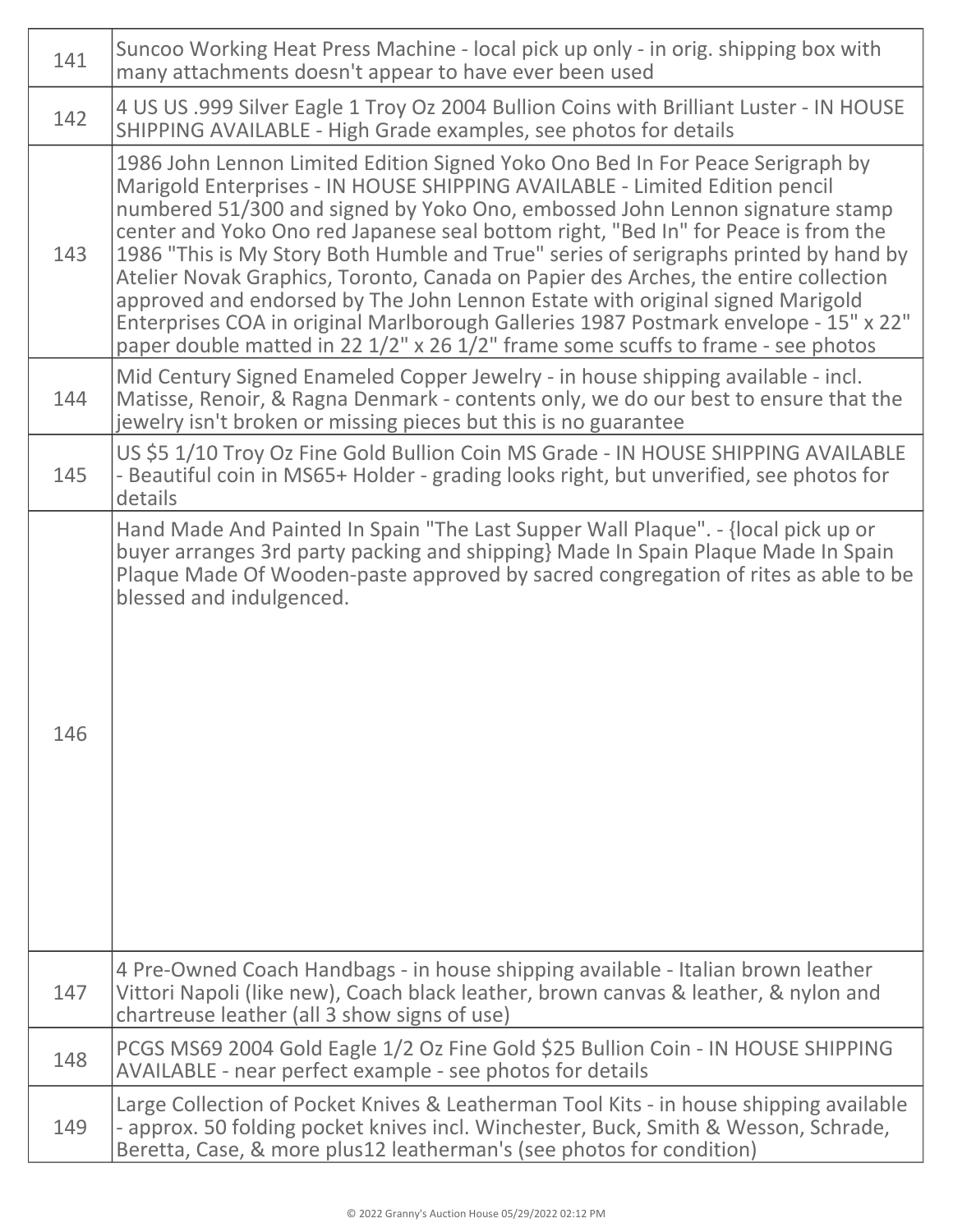| 141 | Suncoo Working Heat Press Machine - local pick up only - in orig. shipping box with<br>many attachments doesn't appear to have ever been used                                                                                                                                                                                                                                                                                                                                                                                                                                                                                                                                                                                                                                   |
|-----|---------------------------------------------------------------------------------------------------------------------------------------------------------------------------------------------------------------------------------------------------------------------------------------------------------------------------------------------------------------------------------------------------------------------------------------------------------------------------------------------------------------------------------------------------------------------------------------------------------------------------------------------------------------------------------------------------------------------------------------------------------------------------------|
| 142 | 4 US US .999 Silver Eagle 1 Troy Oz 2004 Bullion Coins with Brilliant Luster - IN HOUSE<br>SHIPPING AVAILABLE - High Grade examples, see photos for details                                                                                                                                                                                                                                                                                                                                                                                                                                                                                                                                                                                                                     |
| 143 | 1986 John Lennon Limited Edition Signed Yoko Ono Bed In For Peace Serigraph by<br>Marigold Enterprises - IN HOUSE SHIPPING AVAILABLE - Limited Edition pencil<br>numbered 51/300 and signed by Yoko Ono, embossed John Lennon signature stamp<br>center and Yoko Ono red Japanese seal bottom right, "Bed In" for Peace is from the<br>1986 "This is My Story Both Humble and True" series of serigraphs printed by hand by<br>Atelier Novak Graphics, Toronto, Canada on Papier des Arches, the entire collection<br>approved and endorsed by The John Lennon Estate with original signed Marigold<br>Enterprises COA in original Marlborough Galleries 1987 Postmark envelope - 15" x 22"<br>paper double matted in 22 1/2" x 26 1/2" frame some scuffs to frame - see photos |
| 144 | Mid Century Signed Enameled Copper Jewelry - in house shipping available - incl.<br>Matisse, Renoir, & Ragna Denmark - contents only, we do our best to ensure that the<br>jewelry isn't broken or missing pieces but this is no guarantee                                                                                                                                                                                                                                                                                                                                                                                                                                                                                                                                      |
| 145 | US \$5 1/10 Troy Oz Fine Gold Bullion Coin MS Grade - IN HOUSE SHIPPING AVAILABLE<br>- Beautiful coin in MS65+ Holder - grading looks right, but unverified, see photos for<br>details                                                                                                                                                                                                                                                                                                                                                                                                                                                                                                                                                                                          |
| 146 | Hand Made And Painted In Spain "The Last Supper Wall Plaque". - {local pick up or<br>buyer arranges 3rd party packing and shipping} Made In Spain Plaque Made In Spain<br>Plaque Made Of Wooden-paste approved by sacred congregation of rites as able to be<br>blessed and indulgenced.                                                                                                                                                                                                                                                                                                                                                                                                                                                                                        |
| 147 | 4 Pre-Owned Coach Handbags - in house shipping available - Italian brown leather<br>Vittori Napoli (like new), Coach black leather, brown canvas & leather, & nylon and<br>chartreuse leather (all 3 show signs of use)                                                                                                                                                                                                                                                                                                                                                                                                                                                                                                                                                         |
| 148 | PCGS MS69 2004 Gold Eagle 1/2 Oz Fine Gold \$25 Bullion Coin - IN HOUSE SHIPPING<br>AVAILABLE - near perfect example - see photos for details                                                                                                                                                                                                                                                                                                                                                                                                                                                                                                                                                                                                                                   |
| 149 | Large Collection of Pocket Knives & Leatherman Tool Kits - in house shipping available<br>- approx. 50 folding pocket knives incl. Winchester, Buck, Smith & Wesson, Schrade,<br>Beretta, Case, & more plus12 leatherman's (see photos for condition)                                                                                                                                                                                                                                                                                                                                                                                                                                                                                                                           |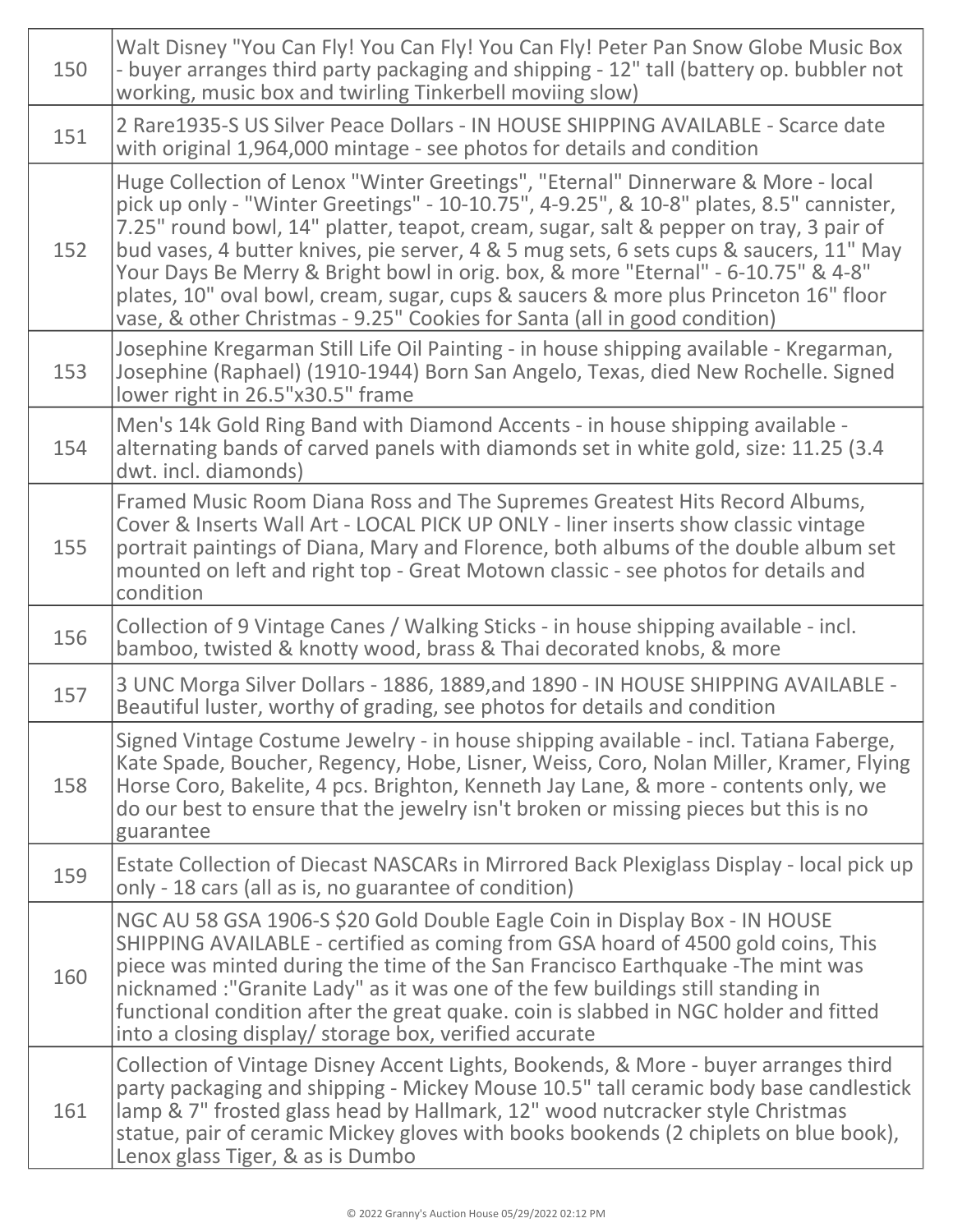| 150 | Walt Disney "You Can Fly! You Can Fly! You Can Fly! Peter Pan Snow Globe Music Box<br>- buyer arranges third party packaging and shipping - 12" tall (battery op. bubbler not<br>working, music box and twirling Tinkerbell moviing slow)                                                                                                                                                                                                                                                                                                                                                                               |
|-----|-------------------------------------------------------------------------------------------------------------------------------------------------------------------------------------------------------------------------------------------------------------------------------------------------------------------------------------------------------------------------------------------------------------------------------------------------------------------------------------------------------------------------------------------------------------------------------------------------------------------------|
| 151 | 2 Rare1935-S US Silver Peace Dollars - IN HOUSE SHIPPING AVAILABLE - Scarce date<br>with original 1,964,000 mintage - see photos for details and condition                                                                                                                                                                                                                                                                                                                                                                                                                                                              |
| 152 | Huge Collection of Lenox "Winter Greetings", "Eternal" Dinnerware & More - local<br>pick up only - "Winter Greetings" - 10-10.75", 4-9.25", & 10-8" plates, 8.5" cannister,<br>7.25" round bowl, 14" platter, teapot, cream, sugar, salt & pepper on tray, 3 pair of<br>bud vases, 4 butter knives, pie server, 4 & 5 mug sets, 6 sets cups & saucers, 11" May<br>Your Days Be Merry & Bright bowl in orig. box, & more "Eternal" - 6-10.75" & 4-8"<br>plates, 10" oval bowl, cream, sugar, cups & saucers & more plus Princeton 16" floor<br>vase, & other Christmas - 9.25" Cookies for Santa (all in good condition) |
| 153 | Josephine Kregarman Still Life Oil Painting - in house shipping available - Kregarman,<br>Josephine (Raphael) (1910-1944) Born San Angelo, Texas, died New Rochelle. Signed<br>lower right in 26.5"x30.5" frame                                                                                                                                                                                                                                                                                                                                                                                                         |
| 154 | Men's 14k Gold Ring Band with Diamond Accents - in house shipping available -<br>alternating bands of carved panels with diamonds set in white gold, size: 11.25 (3.4<br>dwt. incl. diamonds)                                                                                                                                                                                                                                                                                                                                                                                                                           |
| 155 | Framed Music Room Diana Ross and The Supremes Greatest Hits Record Albums,<br>Cover & Inserts Wall Art - LOCAL PICK UP ONLY - liner inserts show classic vintage<br>portrait paintings of Diana, Mary and Florence, both albums of the double album set<br>mounted on left and right top - Great Motown classic - see photos for details and<br>condition                                                                                                                                                                                                                                                               |
| 156 | Collection of 9 Vintage Canes / Walking Sticks - in house shipping available - incl.<br>bamboo, twisted & knotty wood, brass & Thai decorated knobs, & more                                                                                                                                                                                                                                                                                                                                                                                                                                                             |
| 157 | 3 UNC Morga Silver Dollars - 1886, 1889, and 1890 - IN HOUSE SHIPPING AVAILABLE -<br>Beautiful luster, worthy of grading, see photos for details and condition                                                                                                                                                                                                                                                                                                                                                                                                                                                          |
| 158 | Signed Vintage Costume Jewelry - in house shipping available - incl. Tatiana Faberge,<br>Kate Spade, Boucher, Regency, Hobe, Lisner, Weiss, Coro, Nolan Miller, Kramer, Flying<br>Horse Coro, Bakelite, 4 pcs. Brighton, Kenneth Jay Lane, & more - contents only, we<br>do our best to ensure that the jewelry isn't broken or missing pieces but this is no<br>guarantee                                                                                                                                                                                                                                              |
| 159 | Estate Collection of Diecast NASCARs in Mirrored Back Plexiglass Display - local pick up<br>only - 18 cars (all as is, no guarantee of condition)                                                                                                                                                                                                                                                                                                                                                                                                                                                                       |
| 160 | NGC AU 58 GSA 1906-S \$20 Gold Double Eagle Coin in Display Box - IN HOUSE<br>SHIPPING AVAILABLE - certified as coming from GSA hoard of 4500 gold coins, This<br>piece was minted during the time of the San Francisco Earthquake -The mint was<br>nicknamed:"Granite Lady" as it was one of the few buildings still standing in<br>functional condition after the great quake. coin is slabbed in NGC holder and fitted<br>into a closing display/ storage box, verified accurate                                                                                                                                     |
| 161 | Collection of Vintage Disney Accent Lights, Bookends, & More - buyer arranges third<br>party packaging and shipping - Mickey Mouse 10.5" tall ceramic body base candlestick<br>lamp & 7" frosted glass head by Hallmark, 12" wood nutcracker style Christmas<br>statue, pair of ceramic Mickey gloves with books bookends (2 chiplets on blue book),<br>Lenox glass Tiger, & as is Dumbo                                                                                                                                                                                                                                |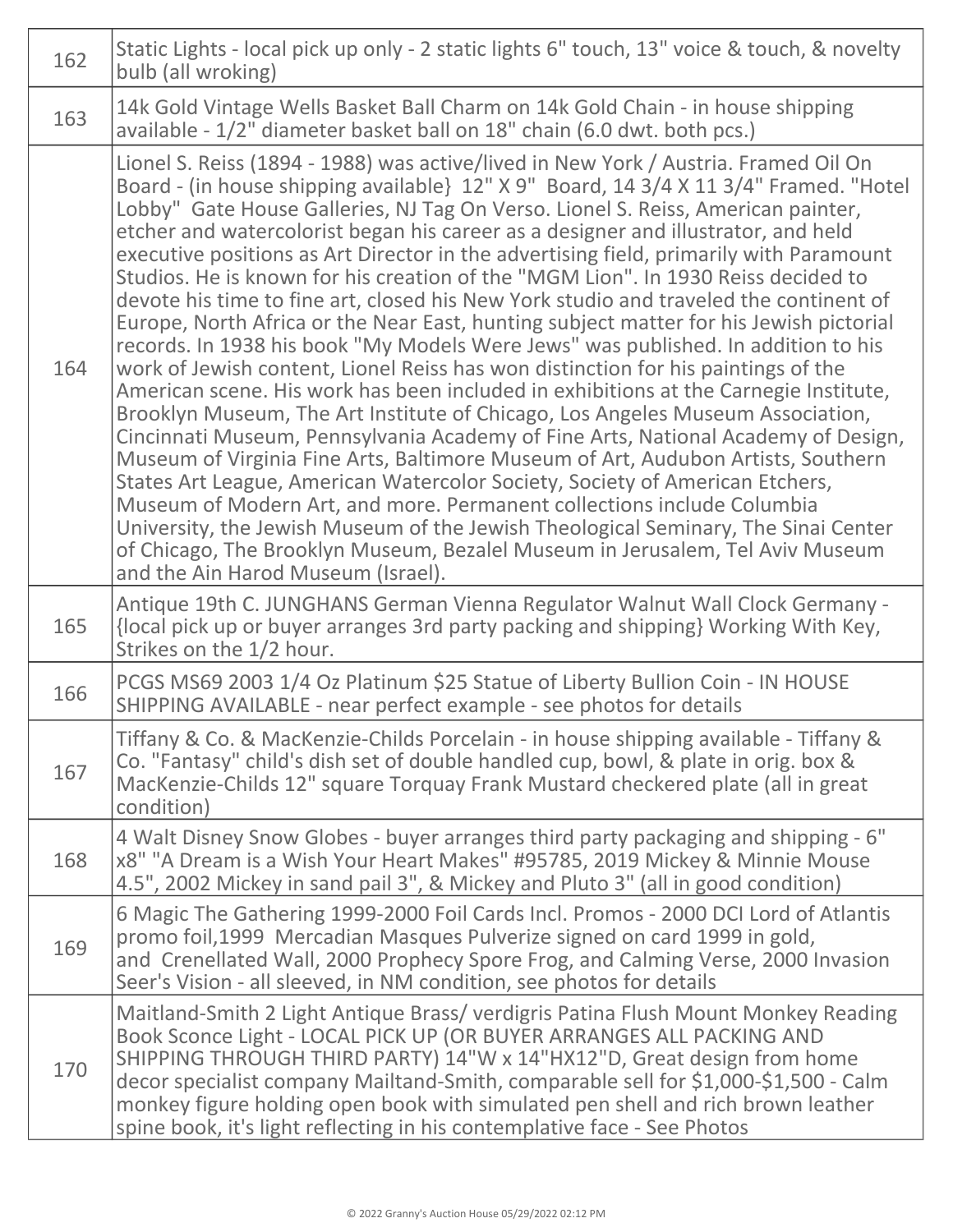| 162 | Static Lights - local pick up only - 2 static lights 6" touch, 13" voice & touch, & novelty<br>bulb (all wroking)                                                                                                                                                                                                                                                                                                                                                                                                                                                                                                                                                                                                                                                                                                                                                                                                                                                                                                                                                                                                                                                                                                                                                                                                                                                                                                                                                                                                                                                                                                           |
|-----|-----------------------------------------------------------------------------------------------------------------------------------------------------------------------------------------------------------------------------------------------------------------------------------------------------------------------------------------------------------------------------------------------------------------------------------------------------------------------------------------------------------------------------------------------------------------------------------------------------------------------------------------------------------------------------------------------------------------------------------------------------------------------------------------------------------------------------------------------------------------------------------------------------------------------------------------------------------------------------------------------------------------------------------------------------------------------------------------------------------------------------------------------------------------------------------------------------------------------------------------------------------------------------------------------------------------------------------------------------------------------------------------------------------------------------------------------------------------------------------------------------------------------------------------------------------------------------------------------------------------------------|
| 163 | 14k Gold Vintage Wells Basket Ball Charm on 14k Gold Chain - in house shipping<br>available - 1/2" diameter basket ball on 18" chain (6.0 dwt. both pcs.)                                                                                                                                                                                                                                                                                                                                                                                                                                                                                                                                                                                                                                                                                                                                                                                                                                                                                                                                                                                                                                                                                                                                                                                                                                                                                                                                                                                                                                                                   |
| 164 | Lionel S. Reiss (1894 - 1988) was active/lived in New York / Austria. Framed Oil On<br>Board - (in house shipping available} 12" X 9" Board, 14 3/4 X 11 3/4" Framed. "Hotel<br>Lobby" Gate House Galleries, NJ Tag On Verso. Lionel S. Reiss, American painter,<br>etcher and watercolorist began his career as a designer and illustrator, and held<br>executive positions as Art Director in the advertising field, primarily with Paramount<br>Studios. He is known for his creation of the "MGM Lion". In 1930 Reiss decided to<br>devote his time to fine art, closed his New York studio and traveled the continent of<br>Europe, North Africa or the Near East, hunting subject matter for his Jewish pictorial<br>records. In 1938 his book "My Models Were Jews" was published. In addition to his<br>work of Jewish content, Lionel Reiss has won distinction for his paintings of the<br>American scene. His work has been included in exhibitions at the Carnegie Institute,<br>Brooklyn Museum, The Art Institute of Chicago, Los Angeles Museum Association,<br>Cincinnati Museum, Pennsylvania Academy of Fine Arts, National Academy of Design,<br>Museum of Virginia Fine Arts, Baltimore Museum of Art, Audubon Artists, Southern<br>States Art League, American Watercolor Society, Society of American Etchers,<br>Museum of Modern Art, and more. Permanent collections include Columbia<br>University, the Jewish Museum of the Jewish Theological Seminary, The Sinai Center<br>of Chicago, The Brooklyn Museum, Bezalel Museum in Jerusalem, Tel Aviv Museum<br>and the Ain Harod Museum (Israel). |
| 165 | Antique 19th C. JUNGHANS German Vienna Regulator Walnut Wall Clock Germany -<br>{local pick up or buyer arranges 3rd party packing and shipping} Working With Key,<br>Strikes on the 1/2 hour.                                                                                                                                                                                                                                                                                                                                                                                                                                                                                                                                                                                                                                                                                                                                                                                                                                                                                                                                                                                                                                                                                                                                                                                                                                                                                                                                                                                                                              |
| 166 | PCGS MS69 2003 1/4 Oz Platinum \$25 Statue of Liberty Bullion Coin - IN HOUSE<br>SHIPPING AVAILABLE - near perfect example - see photos for details                                                                                                                                                                                                                                                                                                                                                                                                                                                                                                                                                                                                                                                                                                                                                                                                                                                                                                                                                                                                                                                                                                                                                                                                                                                                                                                                                                                                                                                                         |
| 167 | Tiffany & Co. & MacKenzie-Childs Porcelain - in house shipping available - Tiffany &<br>Co. "Fantasy" child's dish set of double handled cup, bowl, & plate in orig. box &<br>MacKenzie-Childs 12" square Torquay Frank Mustard checkered plate (all in great<br>condition)                                                                                                                                                                                                                                                                                                                                                                                                                                                                                                                                                                                                                                                                                                                                                                                                                                                                                                                                                                                                                                                                                                                                                                                                                                                                                                                                                 |
| 168 | 4 Walt Disney Snow Globes - buyer arranges third party packaging and shipping - 6"<br>x8" "A Dream is a Wish Your Heart Makes" #95785, 2019 Mickey & Minnie Mouse<br>4.5", 2002 Mickey in sand pail 3", & Mickey and Pluto 3" (all in good condition)                                                                                                                                                                                                                                                                                                                                                                                                                                                                                                                                                                                                                                                                                                                                                                                                                                                                                                                                                                                                                                                                                                                                                                                                                                                                                                                                                                       |
| 169 | 6 Magic The Gathering 1999-2000 Foil Cards Incl. Promos - 2000 DCI Lord of Atlantis<br>promo foil, 1999 Mercadian Masques Pulverize signed on card 1999 in gold,<br>and Crenellated Wall, 2000 Prophecy Spore Frog, and Calming Verse, 2000 Invasion<br>Seer's Vision - all sleeved, in NM condition, see photos for details                                                                                                                                                                                                                                                                                                                                                                                                                                                                                                                                                                                                                                                                                                                                                                                                                                                                                                                                                                                                                                                                                                                                                                                                                                                                                                |
| 170 | Maitland-Smith 2 Light Antique Brass/ verdigris Patina Flush Mount Monkey Reading<br>Book Sconce Light - LOCAL PICK UP (OR BUYER ARRANGES ALL PACKING AND<br>SHIPPING THROUGH THIRD PARTY) 14"W x 14"HX12"D, Great design from home<br>decor specialist company Mailtand-Smith, comparable sell for \$1,000-\$1,500 - Calm<br>monkey figure holding open book with simulated pen shell and rich brown leather<br>spine book, it's light reflecting in his contemplative face - See Photos                                                                                                                                                                                                                                                                                                                                                                                                                                                                                                                                                                                                                                                                                                                                                                                                                                                                                                                                                                                                                                                                                                                                   |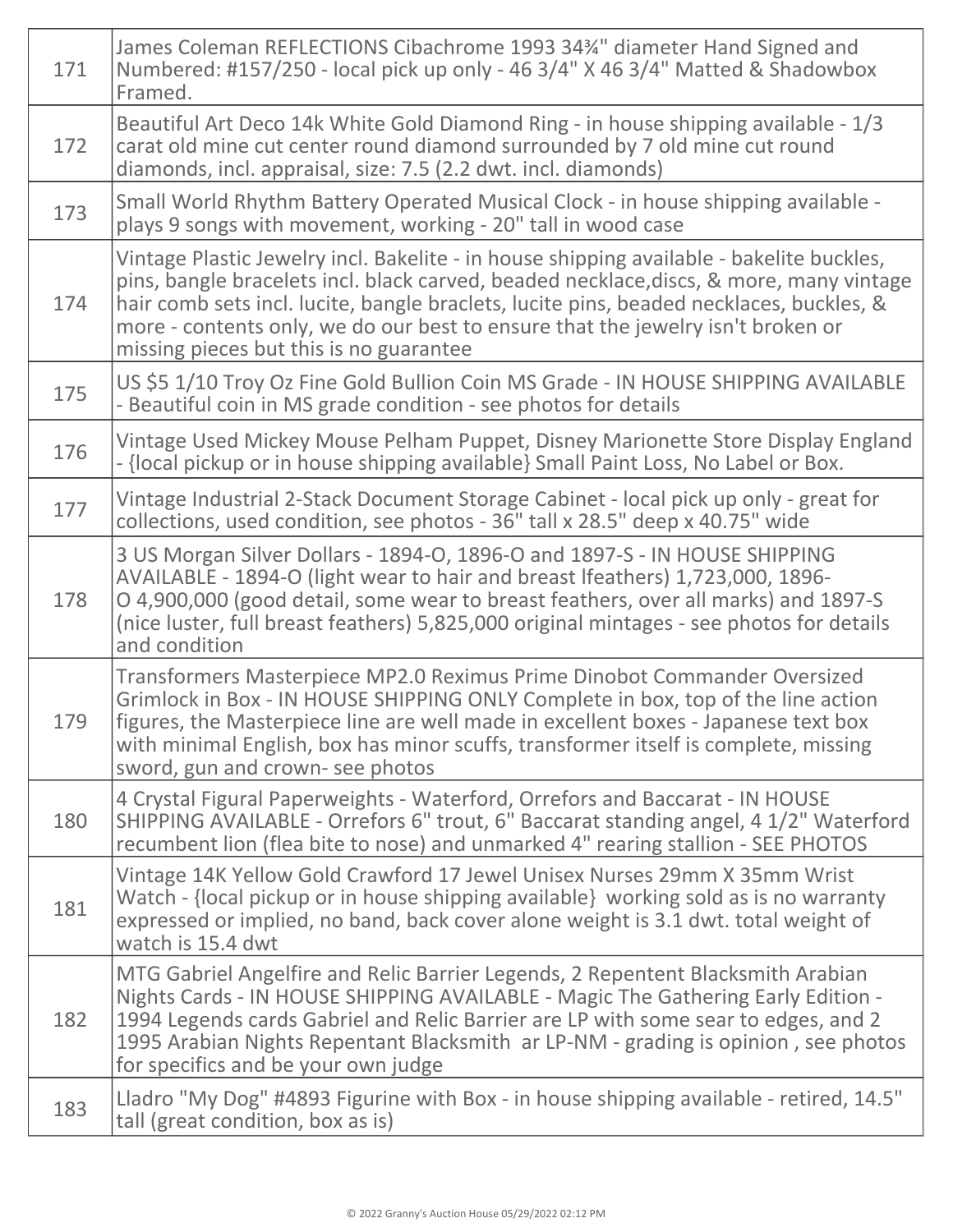| 171 | James Coleman REFLECTIONS Cibachrome 1993 34 <sup>3</sup> /4" diameter Hand Signed and<br>Numbered: #157/250 - local pick up only - 46 3/4" X 46 3/4" Matted & Shadowbox<br>Framed.                                                                                                                                                                                                                          |
|-----|--------------------------------------------------------------------------------------------------------------------------------------------------------------------------------------------------------------------------------------------------------------------------------------------------------------------------------------------------------------------------------------------------------------|
| 172 | Beautiful Art Deco 14k White Gold Diamond Ring - in house shipping available - 1/3<br>carat old mine cut center round diamond surrounded by 7 old mine cut round<br>diamonds, incl. appraisal, size: 7.5 (2.2 dwt. incl. diamonds)                                                                                                                                                                           |
| 173 | Small World Rhythm Battery Operated Musical Clock - in house shipping available -<br>plays 9 songs with movement, working - 20" tall in wood case                                                                                                                                                                                                                                                            |
| 174 | Vintage Plastic Jewelry incl. Bakelite - in house shipping available - bakelite buckles,<br>pins, bangle bracelets incl. black carved, beaded necklace, discs, & more, many vintage<br>hair comb sets incl. lucite, bangle braclets, lucite pins, beaded necklaces, buckles, &<br>more - contents only, we do our best to ensure that the jewelry isn't broken or<br>missing pieces but this is no guarantee |
| 175 | US \$5 1/10 Troy Oz Fine Gold Bullion Coin MS Grade - IN HOUSE SHIPPING AVAILABLE<br>- Beautiful coin in MS grade condition - see photos for details                                                                                                                                                                                                                                                         |
| 176 | Vintage Used Mickey Mouse Pelham Puppet, Disney Marionette Store Display England<br>- {local pickup or in house shipping available} Small Paint Loss, No Label or Box.                                                                                                                                                                                                                                       |
| 177 | Vintage Industrial 2-Stack Document Storage Cabinet - local pick up only - great for<br>collections, used condition, see photos - 36" tall x 28.5" deep x 40.75" wide                                                                                                                                                                                                                                        |
| 178 | 3 US Morgan Silver Dollars - 1894-O, 1896-O and 1897-S - IN HOUSE SHIPPING<br>AVAILABLE - 1894-O (light wear to hair and breast Ifeathers) 1,723,000, 1896-<br>O 4,900,000 (good detail, some wear to breast feathers, over all marks) and 1897-S<br>(nice luster, full breast feathers) 5,825,000 original mintages - see photos for details<br>and condition                                               |
| 179 | Transformers Masterpiece MP2.0 Reximus Prime Dinobot Commander Oversized<br>Grimlock in Box - IN HOUSE SHIPPING ONLY Complete in box, top of the line action<br>figures, the Masterpiece line are well made in excellent boxes - Japanese text box<br>with minimal English, box has minor scuffs, transformer itself is complete, missing<br>sword, gun and crown- see photos                                |
| 180 | 4 Crystal Figural Paperweights - Waterford, Orrefors and Baccarat - IN HOUSE<br>SHIPPING AVAILABLE - Orrefors 6" trout, 6" Baccarat standing angel, 4 1/2" Waterford<br>recumbent lion (flea bite to nose) and unmarked 4" rearing stallion - SEE PHOTOS                                                                                                                                                     |
| 181 | Vintage 14K Yellow Gold Crawford 17 Jewel Unisex Nurses 29mm X 35mm Wrist<br>Watch - {local pickup or in house shipping available} working sold as is no warranty<br>expressed or implied, no band, back cover alone weight is 3.1 dwt. total weight of<br>watch is 15.4 dwt                                                                                                                                 |
| 182 | MTG Gabriel Angelfire and Relic Barrier Legends, 2 Repentent Blacksmith Arabian<br>Nights Cards - IN HOUSE SHIPPING AVAILABLE - Magic The Gathering Early Edition -<br>1994 Legends cards Gabriel and Relic Barrier are LP with some sear to edges, and 2<br>1995 Arabian Nights Repentant Blacksmith ar LP-NM - grading is opinion, see photos<br>for specifics and be your own judge                       |
| 183 | Lladro "My Dog" #4893 Figurine with Box - in house shipping available - retired, 14.5"<br>tall (great condition, box as is)                                                                                                                                                                                                                                                                                  |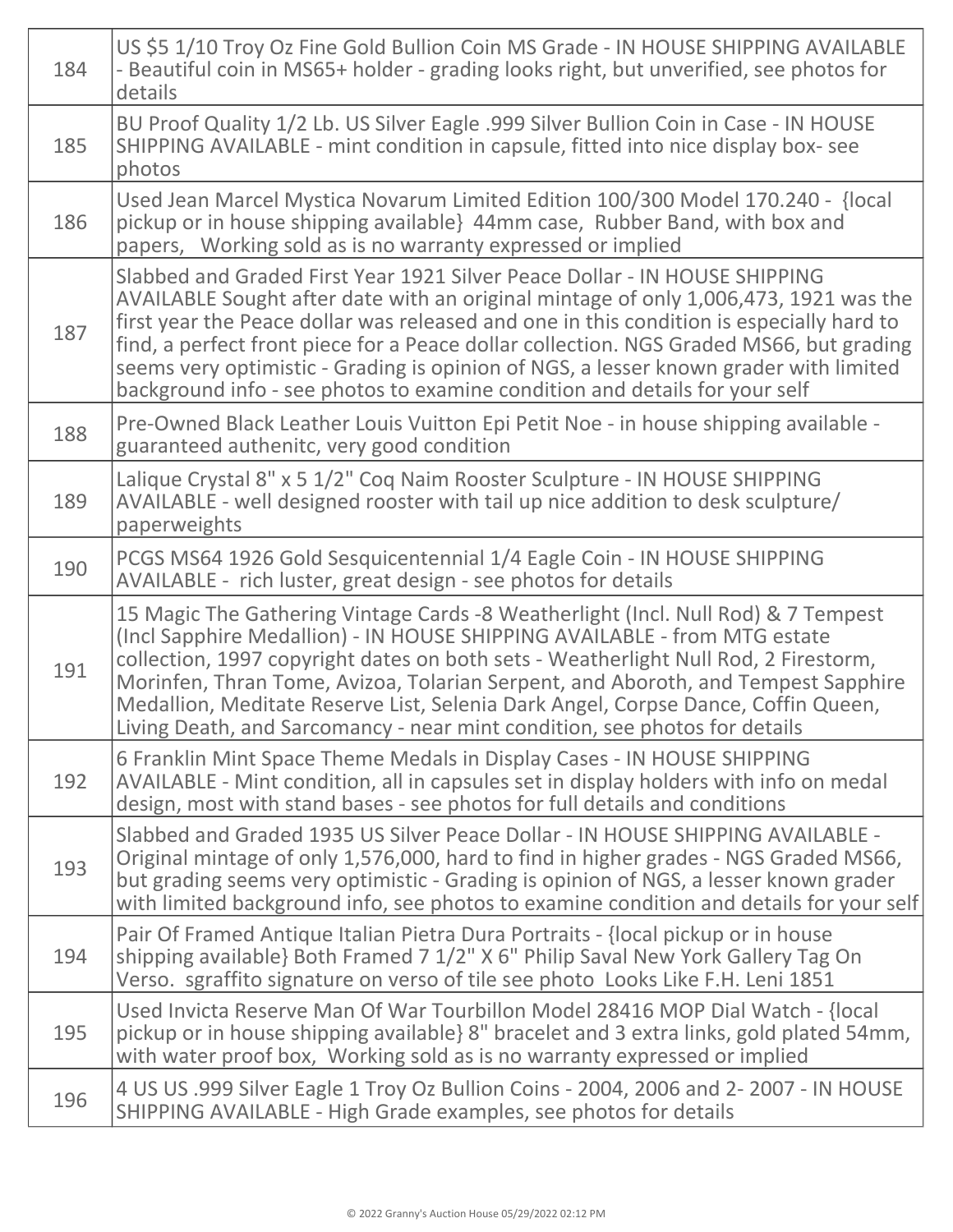| 184 | US \$5 1/10 Troy Oz Fine Gold Bullion Coin MS Grade - IN HOUSE SHIPPING AVAILABLE<br>- Beautiful coin in MS65+ holder - grading looks right, but unverified, see photos for<br>details                                                                                                                                                                                                                                                                                                                                            |
|-----|-----------------------------------------------------------------------------------------------------------------------------------------------------------------------------------------------------------------------------------------------------------------------------------------------------------------------------------------------------------------------------------------------------------------------------------------------------------------------------------------------------------------------------------|
| 185 | BU Proof Quality 1/2 Lb. US Silver Eagle .999 Silver Bullion Coin in Case - IN HOUSE<br>SHIPPING AVAILABLE - mint condition in capsule, fitted into nice display box-see<br>photos                                                                                                                                                                                                                                                                                                                                                |
| 186 | Used Jean Marcel Mystica Novarum Limited Edition 100/300 Model 170.240 - {local<br>pickup or in house shipping available} 44mm case, Rubber Band, with box and<br>papers, Working sold as is no warranty expressed or implied                                                                                                                                                                                                                                                                                                     |
| 187 | Slabbed and Graded First Year 1921 Silver Peace Dollar - IN HOUSE SHIPPING<br>AVAILABLE Sought after date with an original mintage of only 1,006,473, 1921 was the<br>first year the Peace dollar was released and one in this condition is especially hard to<br>find, a perfect front piece for a Peace dollar collection. NGS Graded MS66, but grading<br>seems very optimistic - Grading is opinion of NGS, a lesser known grader with limited<br>background info - see photos to examine condition and details for your self |
| 188 | Pre-Owned Black Leather Louis Vuitton Epi Petit Noe - in house shipping available -<br>guaranteed authenitc, very good condition                                                                                                                                                                                                                                                                                                                                                                                                  |
| 189 | Lalique Crystal 8" x 5 1/2" Coq Naim Rooster Sculpture - IN HOUSE SHIPPING<br>AVAILABLE - well designed rooster with tail up nice addition to desk sculpture/<br>paperweights                                                                                                                                                                                                                                                                                                                                                     |
| 190 | PCGS MS64 1926 Gold Sesquicentennial 1/4 Eagle Coin - IN HOUSE SHIPPING<br>AVAILABLE - rich luster, great design - see photos for details                                                                                                                                                                                                                                                                                                                                                                                         |
| 191 | 15 Magic The Gathering Vintage Cards -8 Weatherlight (Incl. Null Rod) & 7 Tempest<br>(Incl Sapphire Medallion) - IN HOUSE SHIPPING AVAILABLE - from MTG estate<br>collection, 1997 copyright dates on both sets - Weatherlight Null Rod, 2 Firestorm,<br>Morinfen, Thran Tome, Avizoa, Tolarian Serpent, and Aboroth, and Tempest Sapphire<br>Medallion, Meditate Reserve List, Selenia Dark Angel, Corpse Dance, Coffin Queen,<br>Living Death, and Sarcomancy - near mint condition, see photos for details                     |
| 192 | 6 Franklin Mint Space Theme Medals in Display Cases - IN HOUSE SHIPPING<br>AVAILABLE - Mint condition, all in capsules set in display holders with info on medal<br>design, most with stand bases - see photos for full details and conditions                                                                                                                                                                                                                                                                                    |
| 193 | Slabbed and Graded 1935 US Silver Peace Dollar - IN HOUSE SHIPPING AVAILABLE -<br>Original mintage of only 1,576,000, hard to find in higher grades - NGS Graded MS66,<br>but grading seems very optimistic - Grading is opinion of NGS, a lesser known grader<br>with limited background info, see photos to examine condition and details for your self                                                                                                                                                                         |
| 194 | Pair Of Framed Antique Italian Pietra Dura Portraits - {local pickup or in house<br>shipping available} Both Framed 7 1/2" X 6" Philip Saval New York Gallery Tag On<br>Verso. sgraffito signature on verso of tile see photo Looks Like F.H. Leni 1851                                                                                                                                                                                                                                                                           |
| 195 | Used Invicta Reserve Man Of War Tourbillon Model 28416 MOP Dial Watch - {local<br>pickup or in house shipping available} 8" bracelet and 3 extra links, gold plated 54mm,<br>with water proof box, Working sold as is no warranty expressed or implied                                                                                                                                                                                                                                                                            |
| 196 | 4 US US .999 Silver Eagle 1 Troy Oz Bullion Coins - 2004, 2006 and 2-2007 - IN HOUSE<br>SHIPPING AVAILABLE - High Grade examples, see photos for details                                                                                                                                                                                                                                                                                                                                                                          |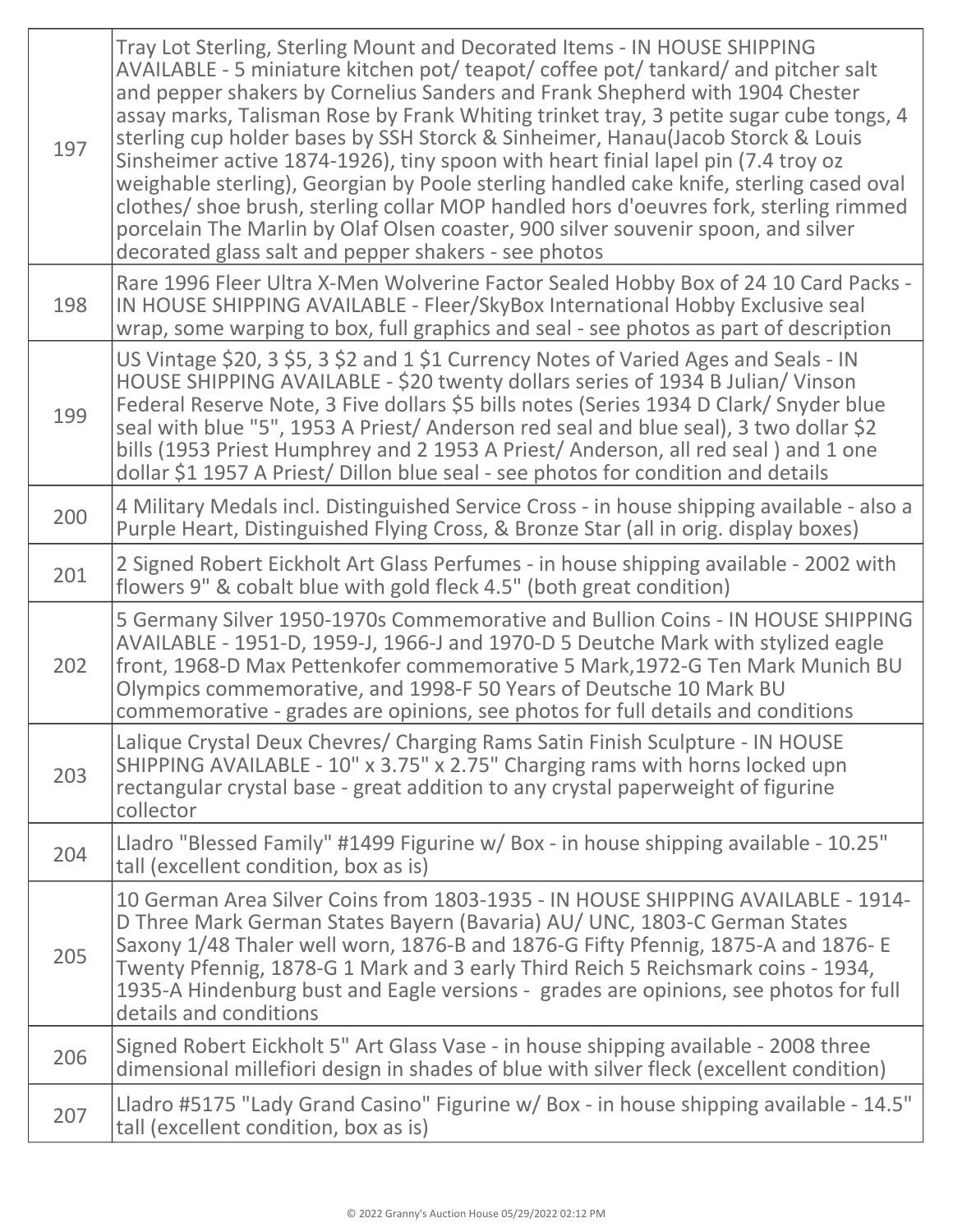| 197 | Tray Lot Sterling, Sterling Mount and Decorated Items - IN HOUSE SHIPPING<br>AVAILABLE - 5 miniature kitchen pot/ teapot/ coffee pot/ tankard/ and pitcher salt<br>and pepper shakers by Cornelius Sanders and Frank Shepherd with 1904 Chester<br>assay marks, Talisman Rose by Frank Whiting trinket tray, 3 petite sugar cube tongs, 4<br>sterling cup holder bases by SSH Storck & Sinheimer, Hanau(Jacob Storck & Louis<br>Sinsheimer active 1874-1926), tiny spoon with heart finial lapel pin (7.4 troy oz<br>weighable sterling), Georgian by Poole sterling handled cake knife, sterling cased oval<br>clothes/ shoe brush, sterling collar MOP handled hors d'oeuvres fork, sterling rimmed<br>porcelain The Marlin by Olaf Olsen coaster, 900 silver souvenir spoon, and silver<br>decorated glass salt and pepper shakers - see photos |
|-----|----------------------------------------------------------------------------------------------------------------------------------------------------------------------------------------------------------------------------------------------------------------------------------------------------------------------------------------------------------------------------------------------------------------------------------------------------------------------------------------------------------------------------------------------------------------------------------------------------------------------------------------------------------------------------------------------------------------------------------------------------------------------------------------------------------------------------------------------------|
| 198 | Rare 1996 Fleer Ultra X-Men Wolverine Factor Sealed Hobby Box of 24 10 Card Packs -<br>IN HOUSE SHIPPING AVAILABLE - Fleer/SkyBox International Hobby Exclusive seal<br>wrap, some warping to box, full graphics and seal - see photos as part of description                                                                                                                                                                                                                                                                                                                                                                                                                                                                                                                                                                                      |
| 199 | US Vintage \$20, 3 \$5, 3 \$2 and 1 \$1 Currency Notes of Varied Ages and Seals - IN<br>HOUSE SHIPPING AVAILABLE - \$20 twenty dollars series of 1934 B Julian/ Vinson<br>Federal Reserve Note, 3 Five dollars \$5 bills notes (Series 1934 D Clark/ Snyder blue<br>seal with blue "5", 1953 A Priest/ Anderson red seal and blue seal), 3 two dollar \$2<br>bills (1953 Priest Humphrey and 2 1953 A Priest/ Anderson, all red seal) and 1 one<br>dollar \$1 1957 A Priest/ Dillon blue seal - see photos for condition and details                                                                                                                                                                                                                                                                                                               |
| 200 | 4 Military Medals incl. Distinguished Service Cross - in house shipping available - also a<br>Purple Heart, Distinguished Flying Cross, & Bronze Star (all in orig. display boxes)                                                                                                                                                                                                                                                                                                                                                                                                                                                                                                                                                                                                                                                                 |
| 201 | 2 Signed Robert Eickholt Art Glass Perfumes - in house shipping available - 2002 with<br>flowers 9" & cobalt blue with gold fleck 4.5" (both great condition)                                                                                                                                                                                                                                                                                                                                                                                                                                                                                                                                                                                                                                                                                      |
| 202 | 5 Germany Silver 1950-1970s Commemorative and Bullion Coins - IN HOUSE SHIPPING<br>AVAILABLE - 1951-D, 1959-J, 1966-J and 1970-D 5 Deutche Mark with stylized eagle<br>front, 1968-D Max Pettenkofer commemorative 5 Mark, 1972-G Ten Mark Munich BU<br>Olympics commemorative, and 1998-F 50 Years of Deutsche 10 Mark BU<br>commemorative - grades are opinions, see photos for full details and conditions                                                                                                                                                                                                                                                                                                                                                                                                                                      |
| 203 | Lalique Crystal Deux Chevres/ Charging Rams Satin Finish Sculpture - IN HOUSE<br>SHIPPING AVAILABLE - 10" x 3.75" x 2.75" Charging rams with horns locked upn<br>rectangular crystal base - great addition to any crystal paperweight of figurine<br>collector                                                                                                                                                                                                                                                                                                                                                                                                                                                                                                                                                                                     |
| 204 | Lladro "Blessed Family" #1499 Figurine w/ Box - in house shipping available - 10.25"<br>tall (excellent condition, box as is)                                                                                                                                                                                                                                                                                                                                                                                                                                                                                                                                                                                                                                                                                                                      |
| 205 | 10 German Area Silver Coins from 1803-1935 - IN HOUSE SHIPPING AVAILABLE - 1914-<br>D Three Mark German States Bayern (Bavaria) AU/ UNC, 1803-C German States<br>Saxony 1/48 Thaler well worn, 1876-B and 1876-G Fifty Pfennig, 1875-A and 1876-E<br>Twenty Pfennig, 1878-G 1 Mark and 3 early Third Reich 5 Reichsmark coins - 1934,<br>1935-A Hindenburg bust and Eagle versions - grades are opinions, see photos for full<br>details and conditions                                                                                                                                                                                                                                                                                                                                                                                            |
| 206 | Signed Robert Eickholt 5" Art Glass Vase - in house shipping available - 2008 three<br>dimensional millefiori design in shades of blue with silver fleck (excellent condition)                                                                                                                                                                                                                                                                                                                                                                                                                                                                                                                                                                                                                                                                     |
| 207 | Lladro #5175 "Lady Grand Casino" Figurine w/ Box - in house shipping available - 14.5"<br>tall (excellent condition, box as is)                                                                                                                                                                                                                                                                                                                                                                                                                                                                                                                                                                                                                                                                                                                    |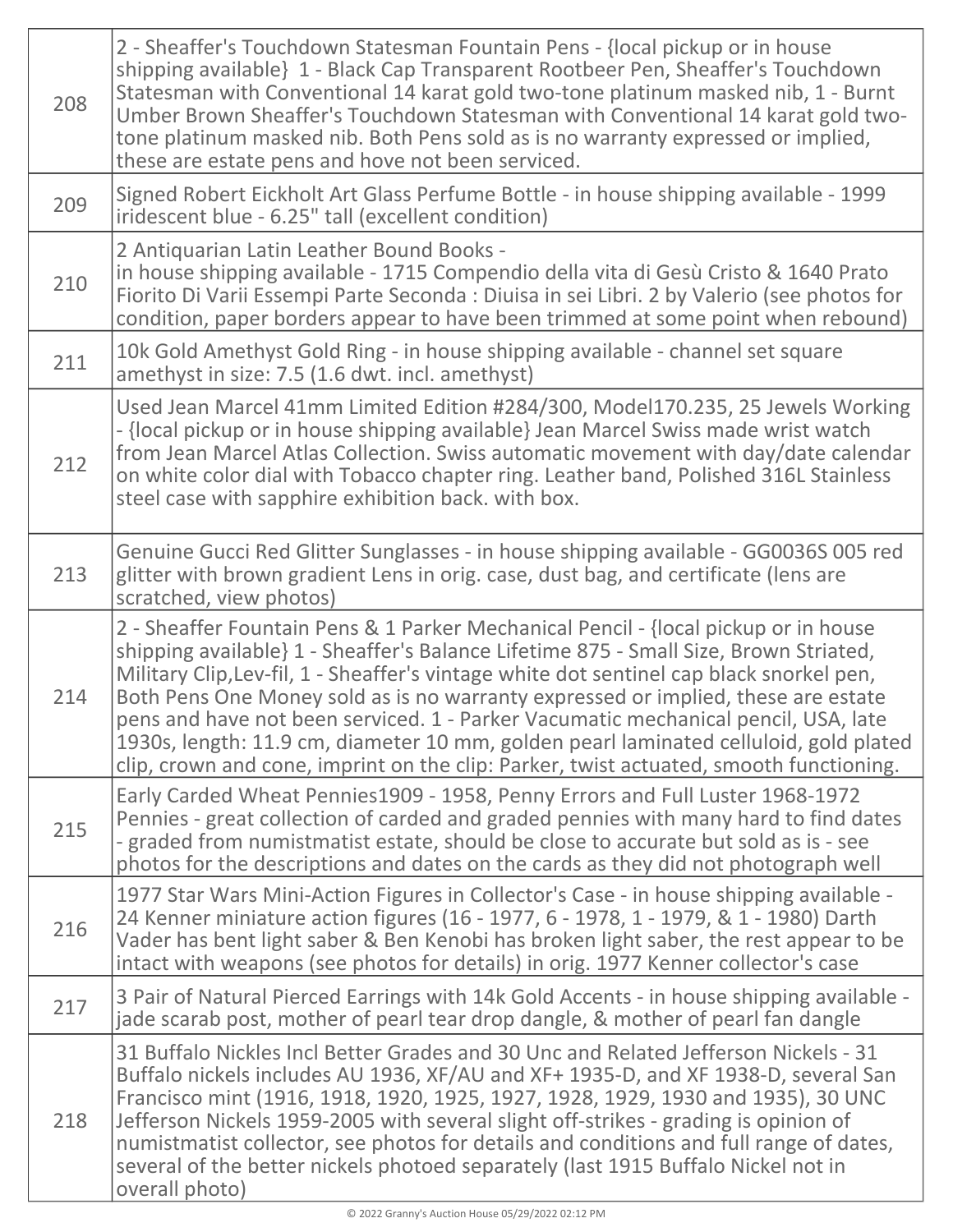| 208 | 2 - Sheaffer's Touchdown Statesman Fountain Pens - {local pickup or in house<br>shipping available} 1 - Black Cap Transparent Rootbeer Pen, Sheaffer's Touchdown<br>Statesman with Conventional 14 karat gold two-tone platinum masked nib, 1 - Burnt<br>Umber Brown Sheaffer's Touchdown Statesman with Conventional 14 karat gold two-<br>tone platinum masked nib. Both Pens sold as is no warranty expressed or implied,<br>these are estate pens and hove not been serviced.                                                                                                                                                      |
|-----|----------------------------------------------------------------------------------------------------------------------------------------------------------------------------------------------------------------------------------------------------------------------------------------------------------------------------------------------------------------------------------------------------------------------------------------------------------------------------------------------------------------------------------------------------------------------------------------------------------------------------------------|
| 209 | Signed Robert Eickholt Art Glass Perfume Bottle - in house shipping available - 1999<br>iridescent blue - 6.25" tall (excellent condition)                                                                                                                                                                                                                                                                                                                                                                                                                                                                                             |
| 210 | 2 Antiquarian Latin Leather Bound Books -<br>in house shipping available - 1715 Compendio della vita di Gesù Cristo & 1640 Prato<br>Fiorito Di Varii Essempi Parte Seconda : Diuisa in sei Libri. 2 by Valerio (see photos for<br>condition, paper borders appear to have been trimmed at some point when rebound)                                                                                                                                                                                                                                                                                                                     |
| 211 | 10k Gold Amethyst Gold Ring - in house shipping available - channel set square<br>amethyst in size: 7.5 (1.6 dwt. incl. amethyst)                                                                                                                                                                                                                                                                                                                                                                                                                                                                                                      |
| 212 | Used Jean Marcel 41mm Limited Edition #284/300, Model170.235, 25 Jewels Working<br>- {local pickup or in house shipping available} Jean Marcel Swiss made wrist watch<br>from Jean Marcel Atlas Collection. Swiss automatic movement with day/date calendar<br>on white color dial with Tobacco chapter ring. Leather band, Polished 316L Stainless<br>steel case with sapphire exhibition back. with box.                                                                                                                                                                                                                             |
| 213 | Genuine Gucci Red Glitter Sunglasses - in house shipping available - GG0036S 005 red<br>glitter with brown gradient Lens in orig. case, dust bag, and certificate (lens are<br>scratched, view photos)                                                                                                                                                                                                                                                                                                                                                                                                                                 |
| 214 | 2 - Sheaffer Fountain Pens & 1 Parker Mechanical Pencil - {local pickup or in house<br>shipping available} 1 - Sheaffer's Balance Lifetime 875 - Small Size, Brown Striated,<br>Military Clip, Lev-fil, 1 - Sheaffer's vintage white dot sentinel cap black snorkel pen,<br>Both Pens One Money sold as is no warranty expressed or implied, these are estate<br>pens and have not been serviced. 1 - Parker Vacumatic mechanical pencil, USA, late<br>1930s, length: 11.9 cm, diameter 10 mm, golden pearl laminated celluloid, gold plated<br>clip, crown and cone, imprint on the clip: Parker, twist actuated, smooth functioning. |
| 215 | Early Carded Wheat Pennies1909 - 1958, Penny Errors and Full Luster 1968-1972<br>Pennies - great collection of carded and graded pennies with many hard to find dates<br>- graded from numistmatist estate, should be close to accurate but sold as is - see<br>photos for the descriptions and dates on the cards as they did not photograph well                                                                                                                                                                                                                                                                                     |
| 216 | 1977 Star Wars Mini-Action Figures in Collector's Case - in house shipping available -<br>24 Kenner miniature action figures (16 - 1977, 6 - 1978, 1 - 1979, & 1 - 1980) Darth<br>Vader has bent light saber & Ben Kenobi has broken light saber, the rest appear to be<br>intact with weapons (see photos for details) in orig. 1977 Kenner collector's case                                                                                                                                                                                                                                                                          |
| 217 | 3 Pair of Natural Pierced Earrings with 14k Gold Accents - in house shipping available -<br>jade scarab post, mother of pearl tear drop dangle, & mother of pearl fan dangle                                                                                                                                                                                                                                                                                                                                                                                                                                                           |
| 218 | 31 Buffalo Nickles Incl Better Grades and 30 Unc and Related Jefferson Nickels - 31<br>Buffalo nickels includes AU 1936, XF/AU and XF+ 1935-D, and XF 1938-D, several San<br>Francisco mint (1916, 1918, 1920, 1925, 1927, 1928, 1929, 1930 and 1935), 30 UNC<br>Jefferson Nickels 1959-2005 with several slight off-strikes - grading is opinion of<br>numistmatist collector, see photos for details and conditions and full range of dates,<br>several of the better nickels photoed separately (last 1915 Buffalo Nickel not in<br>overall photo)                                                                                  |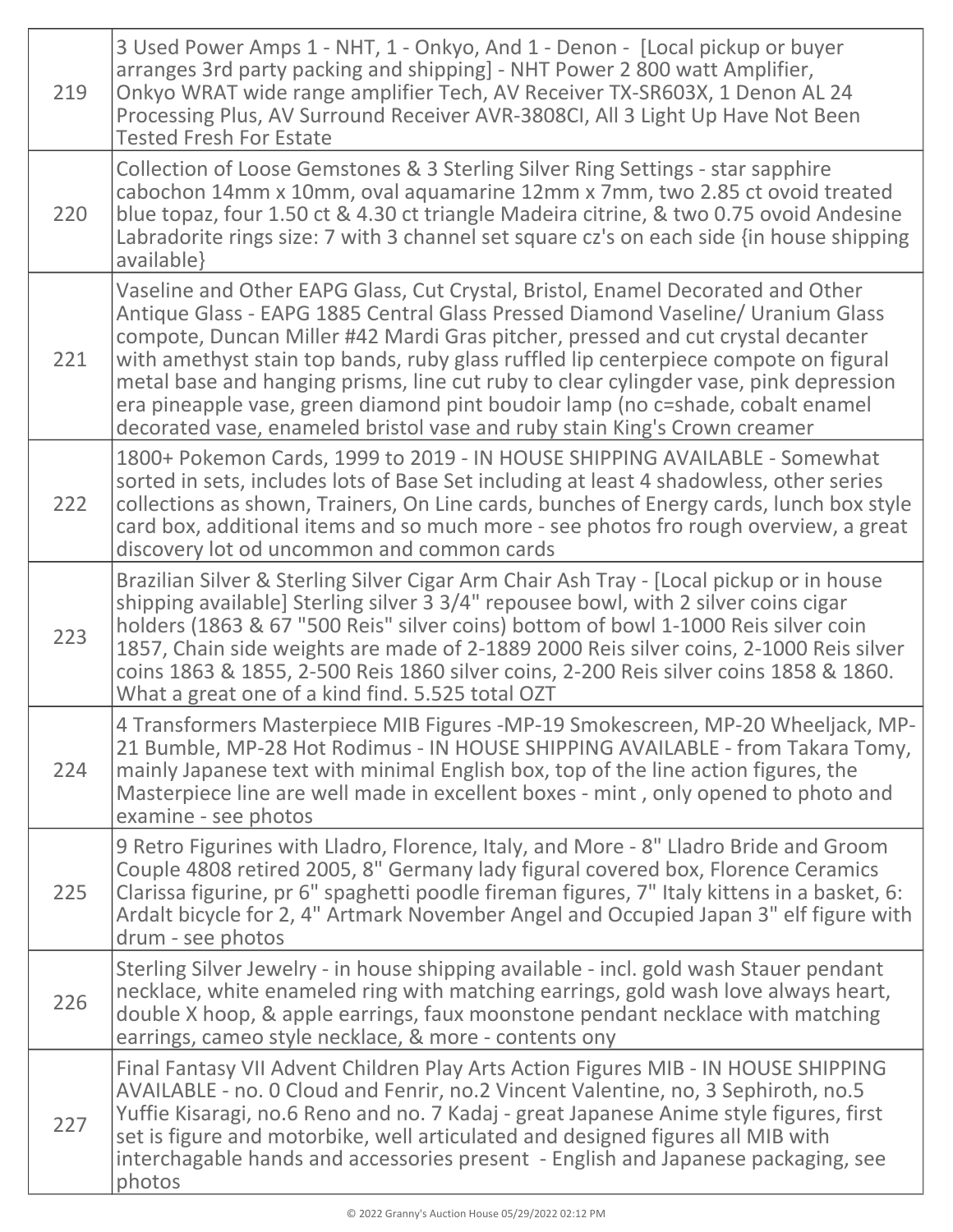| 219 | 3 Used Power Amps 1 - NHT, 1 - Onkyo, And 1 - Denon - [Local pickup or buyer<br>arranges 3rd party packing and shipping] - NHT Power 2 800 watt Amplifier,<br>Onkyo WRAT wide range amplifier Tech, AV Receiver TX-SR603X, 1 Denon AL 24<br>Processing Plus, AV Surround Receiver AVR-3808CI, All 3 Light Up Have Not Been<br><b>Tested Fresh For Estate</b>                                                                                                                                                                                                                                          |
|-----|-------------------------------------------------------------------------------------------------------------------------------------------------------------------------------------------------------------------------------------------------------------------------------------------------------------------------------------------------------------------------------------------------------------------------------------------------------------------------------------------------------------------------------------------------------------------------------------------------------|
| 220 | Collection of Loose Gemstones & 3 Sterling Silver Ring Settings - star sapphire<br>cabochon 14mm x 10mm, oval aquamarine 12mm x 7mm, two 2.85 ct ovoid treated<br>blue topaz, four 1.50 ct & 4.30 ct triangle Madeira citrine, & two 0.75 ovoid Andesine<br>Labradorite rings size: 7 with 3 channel set square cz's on each side {in house shipping<br>available}                                                                                                                                                                                                                                    |
| 221 | Vaseline and Other EAPG Glass, Cut Crystal, Bristol, Enamel Decorated and Other<br>Antique Glass - EAPG 1885 Central Glass Pressed Diamond Vaseline/ Uranium Glass<br>compote, Duncan Miller #42 Mardi Gras pitcher, pressed and cut crystal decanter<br>with amethyst stain top bands, ruby glass ruffled lip centerpiece compote on figural<br>metal base and hanging prisms, line cut ruby to clear cylingder vase, pink depression<br>era pineapple vase, green diamond pint boudoir lamp (no c=shade, cobalt enamel<br>decorated vase, enameled bristol vase and ruby stain King's Crown creamer |
| 222 | 1800+ Pokemon Cards, 1999 to 2019 - IN HOUSE SHIPPING AVAILABLE - Somewhat<br>sorted in sets, includes lots of Base Set including at least 4 shadowless, other series<br>collections as shown, Trainers, On Line cards, bunches of Energy cards, lunch box style<br>card box, additional items and so much more - see photos fro rough overview, a great<br>discovery lot od uncommon and common cards                                                                                                                                                                                                |
| 223 | Brazilian Silver & Sterling Silver Cigar Arm Chair Ash Tray - [Local pickup or in house<br>shipping available] Sterling silver 3 3/4" repousee bowl, with 2 silver coins cigar<br>holders (1863 & 67 "500 Reis" silver coins) bottom of bowl 1-1000 Reis silver coin<br>1857, Chain side weights are made of 2-1889 2000 Reis silver coins, 2-1000 Reis silver<br>coins 1863 & 1855, 2-500 Reis 1860 silver coins, 2-200 Reis silver coins 1858 & 1860.<br>What a great one of a kind find. 5.525 total OZT                                                                                           |
| 224 | 4 Transformers Masterpiece MIB Figures -MP-19 Smokescreen, MP-20 Wheeljack, MP-<br>21 Bumble, MP-28 Hot Rodimus - IN HOUSE SHIPPING AVAILABLE - from Takara Tomy,<br>mainly Japanese text with minimal English box, top of the line action figures, the<br>Masterpiece line are well made in excellent boxes - mint, only opened to photo and<br>examine - see photos                                                                                                                                                                                                                                 |
| 225 | 9 Retro Figurines with Lladro, Florence, Italy, and More - 8" Lladro Bride and Groom<br>Couple 4808 retired 2005, 8" Germany lady figural covered box, Florence Ceramics<br>Clarissa figurine, pr 6" spaghetti poodle fireman figures, 7" Italy kittens in a basket, 6:<br>Ardalt bicycle for 2, 4" Artmark November Angel and Occupied Japan 3" elf figure with<br>drum - see photos                                                                                                                                                                                                                 |
| 226 | Sterling Silver Jewelry - in house shipping available - incl. gold wash Stauer pendant<br>necklace, white enameled ring with matching earrings, gold wash love always heart,<br>double X hoop, & apple earrings, faux moonstone pendant necklace with matching<br>earrings, cameo style necklace, & more - contents ony                                                                                                                                                                                                                                                                               |
| 227 | Final Fantasy VII Advent Children Play Arts Action Figures MIB - IN HOUSE SHIPPING<br>AVAILABLE - no. 0 Cloud and Fenrir, no.2 Vincent Valentine, no, 3 Sephiroth, no.5<br>Yuffie Kisaragi, no.6 Reno and no. 7 Kadaj - great Japanese Anime style figures, first<br>set is figure and motorbike, well articulated and designed figures all MIB with<br>interchagable hands and accessories present - English and Japanese packaging, see<br>photos                                                                                                                                                   |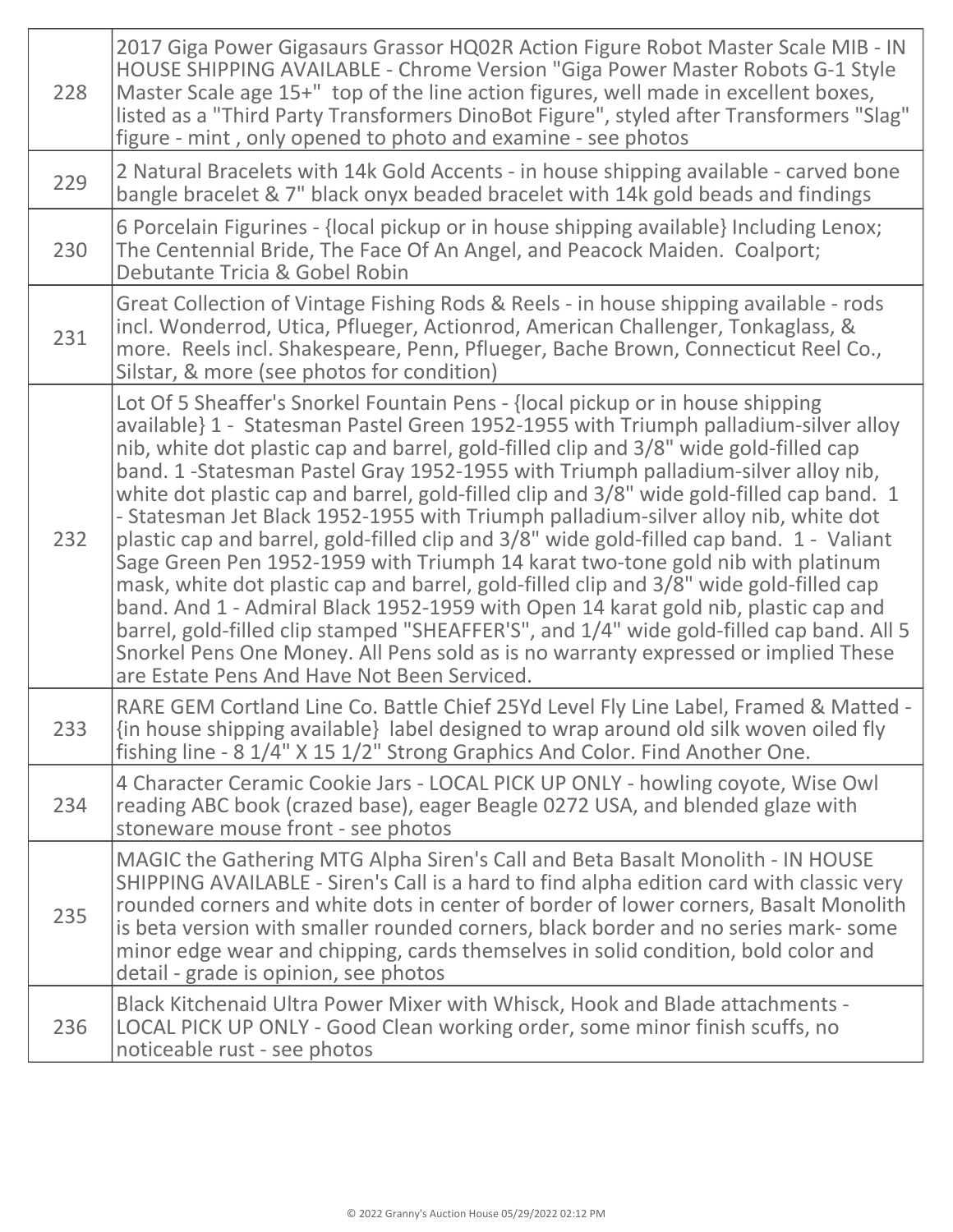| 228 | 2017 Giga Power Gigasaurs Grassor HQ02R Action Figure Robot Master Scale MIB - IN<br>HOUSE SHIPPING AVAILABLE - Chrome Version "Giga Power Master Robots G-1 Style<br>Master Scale age 15+" top of the line action figures, well made in excellent boxes,<br>listed as a "Third Party Transformers DinoBot Figure", styled after Transformers "Slag"<br>figure - mint, only opened to photo and examine - see photos                                                                                                                                                                                                                                                                                                                                                                                                                                                                                                                                                                                                                                                                                                                  |
|-----|---------------------------------------------------------------------------------------------------------------------------------------------------------------------------------------------------------------------------------------------------------------------------------------------------------------------------------------------------------------------------------------------------------------------------------------------------------------------------------------------------------------------------------------------------------------------------------------------------------------------------------------------------------------------------------------------------------------------------------------------------------------------------------------------------------------------------------------------------------------------------------------------------------------------------------------------------------------------------------------------------------------------------------------------------------------------------------------------------------------------------------------|
| 229 | 2 Natural Bracelets with 14k Gold Accents - in house shipping available - carved bone<br>bangle bracelet & 7" black onyx beaded bracelet with 14k gold beads and findings                                                                                                                                                                                                                                                                                                                                                                                                                                                                                                                                                                                                                                                                                                                                                                                                                                                                                                                                                             |
| 230 | 6 Porcelain Figurines - {local pickup or in house shipping available} Including Lenox;<br>The Centennial Bride, The Face Of An Angel, and Peacock Maiden. Coalport;<br>Debutante Tricia & Gobel Robin                                                                                                                                                                                                                                                                                                                                                                                                                                                                                                                                                                                                                                                                                                                                                                                                                                                                                                                                 |
| 231 | Great Collection of Vintage Fishing Rods & Reels - in house shipping available - rods<br>incl. Wonderrod, Utica, Pflueger, Actionrod, American Challenger, Tonkaglass, &<br>more. Reels incl. Shakespeare, Penn, Pflueger, Bache Brown, Connecticut Reel Co.,<br>Silstar, & more (see photos for condition)                                                                                                                                                                                                                                                                                                                                                                                                                                                                                                                                                                                                                                                                                                                                                                                                                           |
| 232 | Lot Of 5 Sheaffer's Snorkel Fountain Pens - {local pickup or in house shipping<br>available} 1 - Statesman Pastel Green 1952-1955 with Triumph palladium-silver alloy<br>nib, white dot plastic cap and barrel, gold-filled clip and 3/8" wide gold-filled cap<br>band. 1 - Statesman Pastel Gray 1952-1955 with Triumph palladium-silver alloy nib,<br>white dot plastic cap and barrel, gold-filled clip and 3/8" wide gold-filled cap band. 1<br>- Statesman Jet Black 1952-1955 with Triumph palladium-silver alloy nib, white dot<br>plastic cap and barrel, gold-filled clip and 3/8" wide gold-filled cap band. 1 - Valiant<br>Sage Green Pen 1952-1959 with Triumph 14 karat two-tone gold nib with platinum<br>mask, white dot plastic cap and barrel, gold-filled clip and 3/8" wide gold-filled cap<br>band. And 1 - Admiral Black 1952-1959 with Open 14 karat gold nib, plastic cap and<br>barrel, gold-filled clip stamped "SHEAFFER'S", and 1/4" wide gold-filled cap band. All 5<br>Snorkel Pens One Money. All Pens sold as is no warranty expressed or implied These<br>are Estate Pens And Have Not Been Serviced. |
| 233 | RARE GEM Cortland Line Co. Battle Chief 25Yd Level Fly Line Label, Framed & Matted -<br>{in house shipping available} label designed to wrap around old silk woven oiled fly<br>fishing line - 8 1/4" X 15 1/2" Strong Graphics And Color. Find Another One.                                                                                                                                                                                                                                                                                                                                                                                                                                                                                                                                                                                                                                                                                                                                                                                                                                                                          |
| 234 | 4 Character Ceramic Cookie Jars - LOCAL PICK UP ONLY - howling coyote, Wise Owl<br>reading ABC book (crazed base), eager Beagle 0272 USA, and blended glaze with<br>stoneware mouse front - see photos                                                                                                                                                                                                                                                                                                                                                                                                                                                                                                                                                                                                                                                                                                                                                                                                                                                                                                                                |
| 235 | MAGIC the Gathering MTG Alpha Siren's Call and Beta Basalt Monolith - IN HOUSE<br>SHIPPING AVAILABLE - Siren's Call is a hard to find alpha edition card with classic very<br>rounded corners and white dots in center of border of lower corners, Basalt Monolith<br>is beta version with smaller rounded corners, black border and no series mark-some<br>minor edge wear and chipping, cards themselves in solid condition, bold color and<br>detail - grade is opinion, see photos                                                                                                                                                                                                                                                                                                                                                                                                                                                                                                                                                                                                                                                |
| 236 | Black Kitchenaid Ultra Power Mixer with Whisck, Hook and Blade attachments -<br>LOCAL PICK UP ONLY - Good Clean working order, some minor finish scuffs, no<br>noticeable rust - see photos                                                                                                                                                                                                                                                                                                                                                                                                                                                                                                                                                                                                                                                                                                                                                                                                                                                                                                                                           |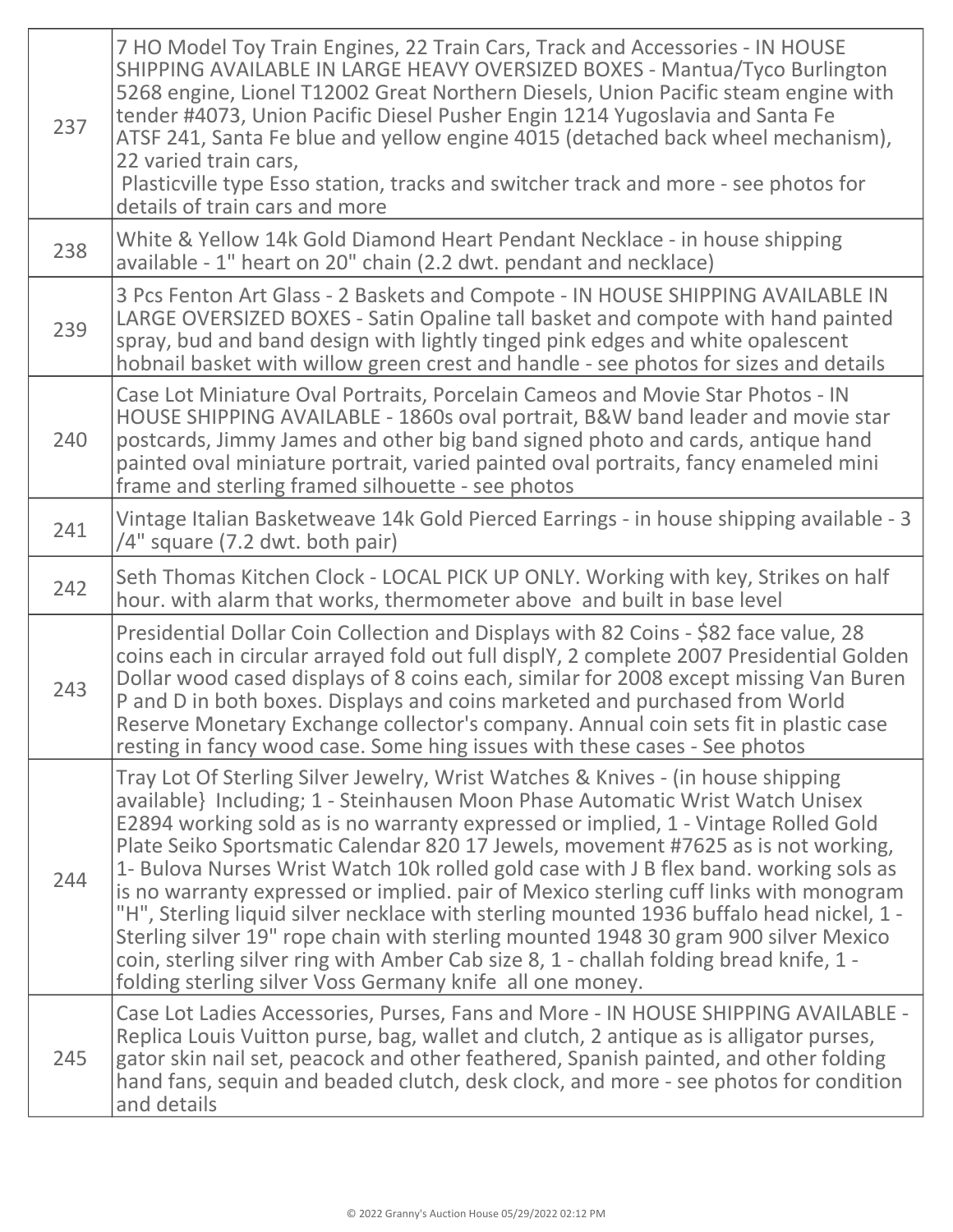| 237 | 7 HO Model Toy Train Engines, 22 Train Cars, Track and Accessories - IN HOUSE<br>SHIPPING AVAILABLE IN LARGE HEAVY OVERSIZED BOXES - Mantua/Tyco Burlington<br>5268 engine, Lionel T12002 Great Northern Diesels, Union Pacific steam engine with<br>tender #4073, Union Pacific Diesel Pusher Engin 1214 Yugoslavia and Santa Fe<br>ATSF 241, Santa Fe blue and yellow engine 4015 (detached back wheel mechanism),<br>22 varied train cars,<br>Plasticville type Esso station, tracks and switcher track and more - see photos for<br>details of train cars and more                                                                                                                                                                                                                                                                                                   |
|-----|--------------------------------------------------------------------------------------------------------------------------------------------------------------------------------------------------------------------------------------------------------------------------------------------------------------------------------------------------------------------------------------------------------------------------------------------------------------------------------------------------------------------------------------------------------------------------------------------------------------------------------------------------------------------------------------------------------------------------------------------------------------------------------------------------------------------------------------------------------------------------|
| 238 | White & Yellow 14k Gold Diamond Heart Pendant Necklace - in house shipping<br>available - 1" heart on 20" chain (2.2 dwt. pendant and necklace)                                                                                                                                                                                                                                                                                                                                                                                                                                                                                                                                                                                                                                                                                                                          |
| 239 | 3 Pcs Fenton Art Glass - 2 Baskets and Compote - IN HOUSE SHIPPING AVAILABLE IN<br>LARGE OVERSIZED BOXES - Satin Opaline tall basket and compote with hand painted<br>spray, bud and band design with lightly tinged pink edges and white opalescent<br>hobnail basket with willow green crest and handle - see photos for sizes and details                                                                                                                                                                                                                                                                                                                                                                                                                                                                                                                             |
| 240 | Case Lot Miniature Oval Portraits, Porcelain Cameos and Movie Star Photos - IN<br>HOUSE SHIPPING AVAILABLE - 1860s oval portrait, B&W band leader and movie star<br>postcards, Jimmy James and other big band signed photo and cards, antique hand<br>painted oval miniature portrait, varied painted oval portraits, fancy enameled mini<br>frame and sterling framed silhouette - see photos                                                                                                                                                                                                                                                                                                                                                                                                                                                                           |
| 241 | Vintage Italian Basketweave 14k Gold Pierced Earrings - in house shipping available - 3<br>/4" square (7.2 dwt. both pair)                                                                                                                                                                                                                                                                                                                                                                                                                                                                                                                                                                                                                                                                                                                                               |
| 242 | Seth Thomas Kitchen Clock - LOCAL PICK UP ONLY. Working with key, Strikes on half<br>hour. with alarm that works, thermometer above and built in base level                                                                                                                                                                                                                                                                                                                                                                                                                                                                                                                                                                                                                                                                                                              |
| 243 | Presidential Dollar Coin Collection and Displays with 82 Coins - \$82 face value, 28<br>coins each in circular arrayed fold out full displY, 2 complete 2007 Presidential Golden<br>Dollar wood cased displays of 8 coins each, similar for 2008 except missing Van Buren<br>P and D in both boxes. Displays and coins marketed and purchased from World<br>Reserve Monetary Exchange collector's company. Annual coin sets fit in plastic case<br>resting in fancy wood case. Some hing issues with these cases - See photos                                                                                                                                                                                                                                                                                                                                            |
| 244 | Tray Lot Of Sterling Silver Jewelry, Wrist Watches & Knives - (in house shipping<br>available} Including; 1 - Steinhausen Moon Phase Automatic Wrist Watch Unisex<br>E2894 working sold as is no warranty expressed or implied, 1 - Vintage Rolled Gold<br>Plate Seiko Sportsmatic Calendar 820 17 Jewels, movement #7625 as is not working,<br>1- Bulova Nurses Wrist Watch 10k rolled gold case with J B flex band. working sols as<br>is no warranty expressed or implied. pair of Mexico sterling cuff links with monogram<br>"H", Sterling liquid silver necklace with sterling mounted 1936 buffalo head nickel, 1 -<br>Sterling silver 19" rope chain with sterling mounted 1948 30 gram 900 silver Mexico<br>coin, sterling silver ring with Amber Cab size 8, 1 - challah folding bread knife, 1 -<br>folding sterling silver Voss Germany knife all one money. |
| 245 | Case Lot Ladies Accessories, Purses, Fans and More - IN HOUSE SHIPPING AVAILABLE -<br>Replica Louis Vuitton purse, bag, wallet and clutch, 2 antique as is alligator purses,<br>gator skin nail set, peacock and other feathered, Spanish painted, and other folding<br>hand fans, sequin and beaded clutch, desk clock, and more - see photos for condition<br>and details                                                                                                                                                                                                                                                                                                                                                                                                                                                                                              |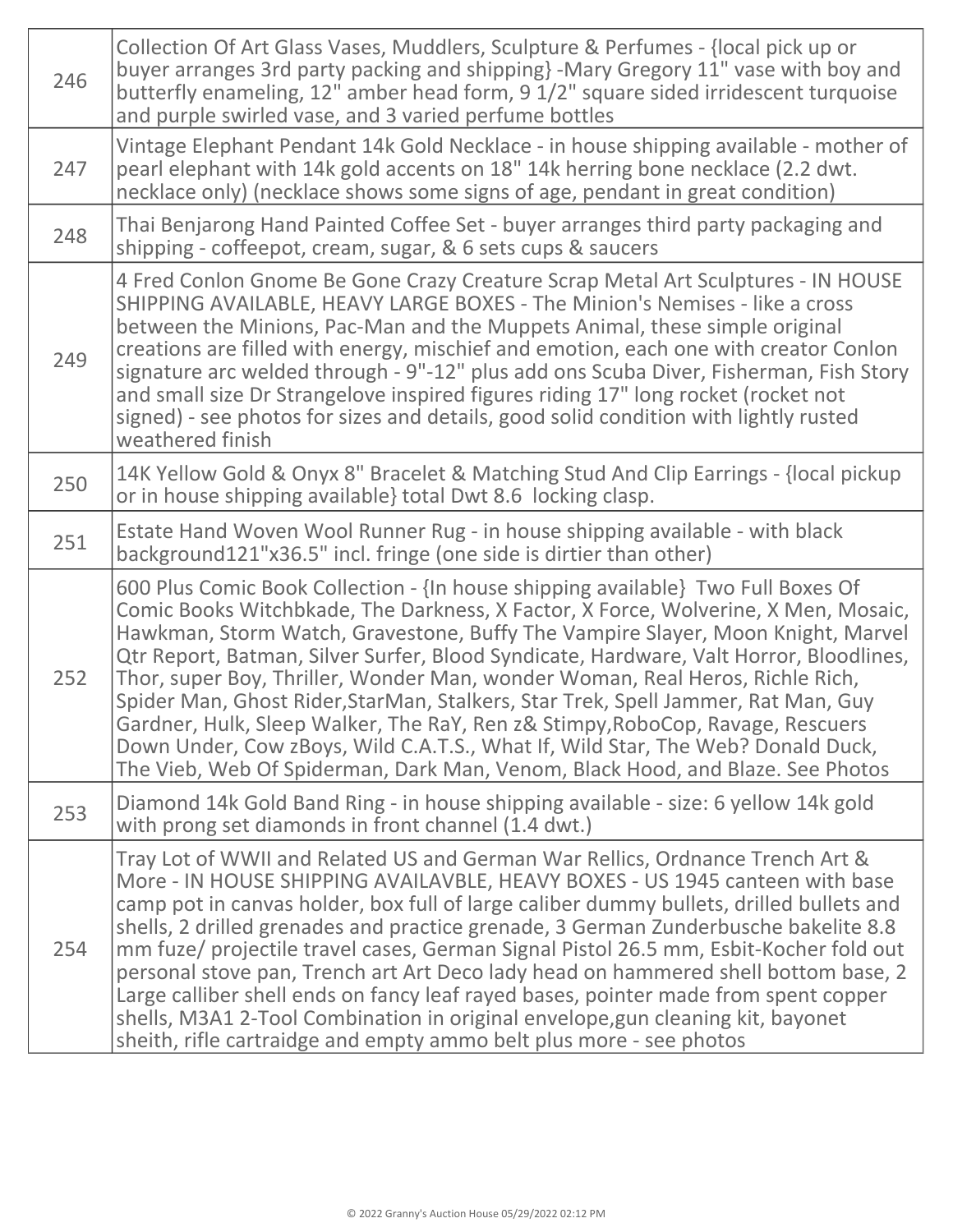| 246 | Collection Of Art Glass Vases, Muddlers, Sculpture & Perfumes - {local pick up or<br>buyer arranges 3rd party packing and shipping} -Mary Gregory 11" vase with boy and<br>butterfly enameling, 12" amber head form, 9 1/2" square sided irridescent turquoise<br>and purple swirled vase, and 3 varied perfume bottles                                                                                                                                                                                                                                                                                                                                                                                                                                                          |
|-----|----------------------------------------------------------------------------------------------------------------------------------------------------------------------------------------------------------------------------------------------------------------------------------------------------------------------------------------------------------------------------------------------------------------------------------------------------------------------------------------------------------------------------------------------------------------------------------------------------------------------------------------------------------------------------------------------------------------------------------------------------------------------------------|
| 247 | Vintage Elephant Pendant 14k Gold Necklace - in house shipping available - mother of<br>pearl elephant with 14k gold accents on 18" 14k herring bone necklace (2.2 dwt.<br>necklace only) (necklace shows some signs of age, pendant in great condition)                                                                                                                                                                                                                                                                                                                                                                                                                                                                                                                         |
| 248 | Thai Benjarong Hand Painted Coffee Set - buyer arranges third party packaging and<br>shipping - coffeepot, cream, sugar, & 6 sets cups & saucers                                                                                                                                                                                                                                                                                                                                                                                                                                                                                                                                                                                                                                 |
| 249 | 4 Fred Conlon Gnome Be Gone Crazy Creature Scrap Metal Art Sculptures - IN HOUSE<br>SHIPPING AVAILABLE, HEAVY LARGE BOXES - The Minion's Nemises - like a cross<br>between the Minions, Pac-Man and the Muppets Animal, these simple original<br>creations are filled with energy, mischief and emotion, each one with creator Conlon<br>signature arc welded through - 9"-12" plus add ons Scuba Diver, Fisherman, Fish Story<br>and small size Dr Strangelove inspired figures riding 17" long rocket (rocket not<br>signed) - see photos for sizes and details, good solid condition with lightly rusted<br>weathered finish                                                                                                                                                  |
| 250 | 14K Yellow Gold & Onyx 8" Bracelet & Matching Stud And Clip Earrings - {local pickup<br>or in house shipping available total Dwt 8.6 locking clasp.                                                                                                                                                                                                                                                                                                                                                                                                                                                                                                                                                                                                                              |
| 251 | Estate Hand Woven Wool Runner Rug - in house shipping available - with black<br>background121"x36.5" incl. fringe (one side is dirtier than other)                                                                                                                                                                                                                                                                                                                                                                                                                                                                                                                                                                                                                               |
| 252 | 600 Plus Comic Book Collection - {In house shipping available} Two Full Boxes Of<br>Comic Books Witchbkade, The Darkness, X Factor, X Force, Wolverine, X Men, Mosaic,<br>Hawkman, Storm Watch, Gravestone, Buffy The Vampire Slayer, Moon Knight, Marvel<br>Qtr Report, Batman, Silver Surfer, Blood Syndicate, Hardware, Valt Horror, Bloodlines,<br>Thor, super Boy, Thriller, Wonder Man, wonder Woman, Real Heros, Richle Rich,<br>Spider Man, Ghost Rider, StarMan, Stalkers, Star Trek, Spell Jammer, Rat Man, Guy<br>Gardner, Hulk, Sleep Walker, The RaY, Ren z& Stimpy, RoboCop, Ravage, Rescuers<br>Down Under, Cow zBoys, Wild C.A.T.S., What If, Wild Star, The Web? Donald Duck,<br>The Vieb, Web Of Spiderman, Dark Man, Venom, Black Hood, and Blaze. See Photos |
| 253 | Diamond 14k Gold Band Ring - in house shipping available - size: 6 yellow 14k gold<br>with prong set diamonds in front channel (1.4 dwt.)                                                                                                                                                                                                                                                                                                                                                                                                                                                                                                                                                                                                                                        |
| 254 | Tray Lot of WWII and Related US and German War Rellics, Ordnance Trench Art &<br>More - IN HOUSE SHIPPING AVAILAVBLE, HEAVY BOXES - US 1945 canteen with base<br>camp pot in canvas holder, box full of large caliber dummy bullets, drilled bullets and<br>shells, 2 drilled grenades and practice grenade, 3 German Zunderbusche bakelite 8.8<br>mm fuze/ projectile travel cases, German Signal Pistol 26.5 mm, Esbit-Kocher fold out<br>personal stove pan, Trench art Art Deco lady head on hammered shell bottom base, 2<br>Large calliber shell ends on fancy leaf rayed bases, pointer made from spent copper<br>shells, M3A1 2-Tool Combination in original envelope, gun cleaning kit, bayonet<br>sheith, rifle cartraidge and empty ammo belt plus more - see photos  |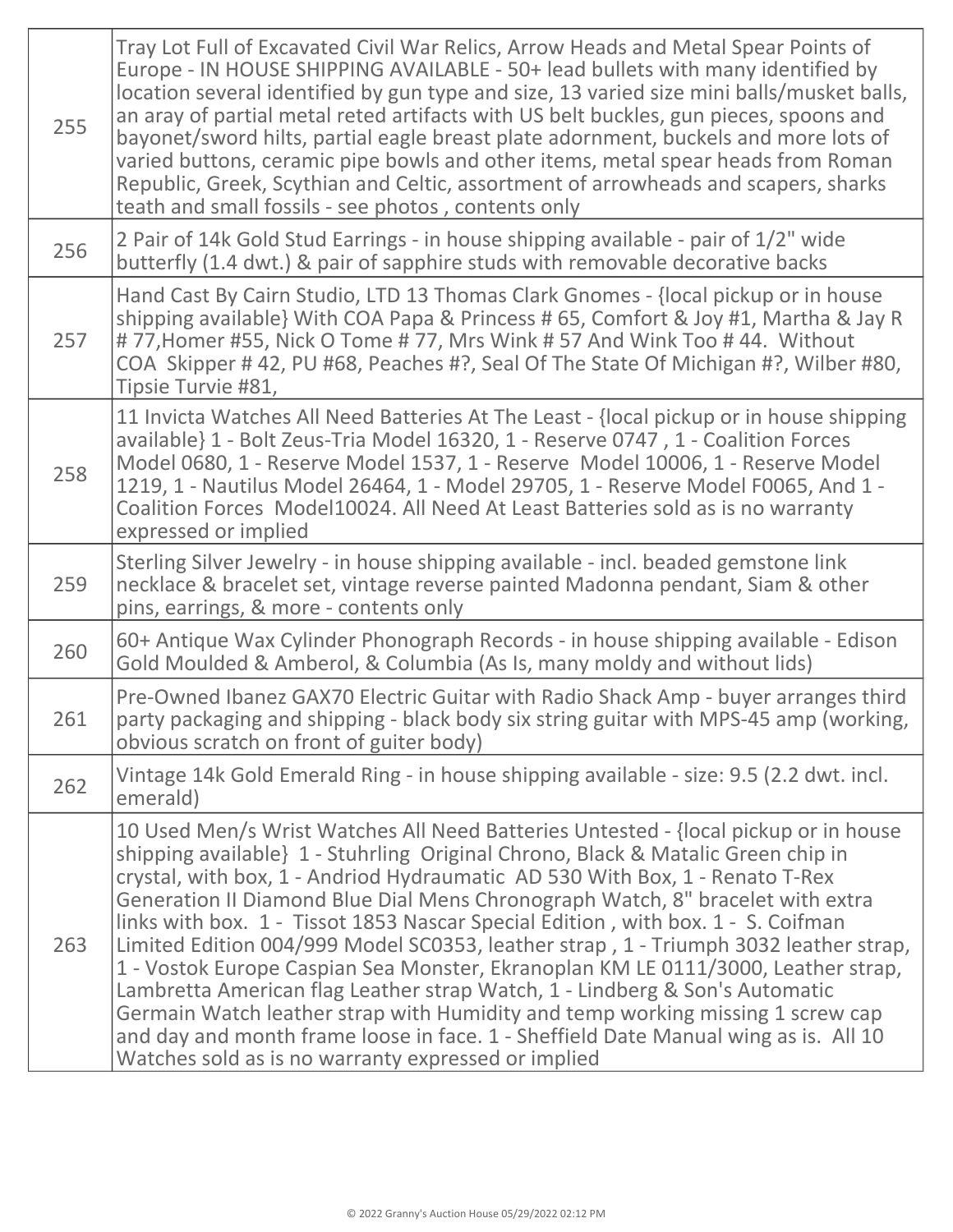| 255 | Tray Lot Full of Excavated Civil War Relics, Arrow Heads and Metal Spear Points of<br>Europe - IN HOUSE SHIPPING AVAILABLE - 50+ lead bullets with many identified by<br>location several identified by gun type and size, 13 varied size mini balls/musket balls,<br>an aray of partial metal reted artifacts with US belt buckles, gun pieces, spoons and<br>bayonet/sword hilts, partial eagle breast plate adornment, buckels and more lots of<br>varied buttons, ceramic pipe bowls and other items, metal spear heads from Roman<br>Republic, Greek, Scythian and Celtic, assortment of arrowheads and scapers, sharks<br>teath and small fossils - see photos, contents only                                                                                                                                                                                                                                       |
|-----|---------------------------------------------------------------------------------------------------------------------------------------------------------------------------------------------------------------------------------------------------------------------------------------------------------------------------------------------------------------------------------------------------------------------------------------------------------------------------------------------------------------------------------------------------------------------------------------------------------------------------------------------------------------------------------------------------------------------------------------------------------------------------------------------------------------------------------------------------------------------------------------------------------------------------|
| 256 | 2 Pair of 14k Gold Stud Earrings - in house shipping available - pair of 1/2" wide<br>butterfly (1.4 dwt.) & pair of sapphire studs with removable decorative backs                                                                                                                                                                                                                                                                                                                                                                                                                                                                                                                                                                                                                                                                                                                                                       |
| 257 | Hand Cast By Cairn Studio, LTD 13 Thomas Clark Gnomes - {local pickup or in house<br>shipping available} With COA Papa & Princess # 65, Comfort & Joy #1, Martha & Jay R<br>#77, Homer #55, Nick O Tome #77, Mrs Wink #57 And Wink Too #44. Without<br>COA Skipper #42, PU #68, Peaches #?, Seal Of The State Of Michigan #?, Wilber #80,<br>Tipsie Turvie #81,                                                                                                                                                                                                                                                                                                                                                                                                                                                                                                                                                           |
| 258 | 11 Invicta Watches All Need Batteries At The Least - {local pickup or in house shipping<br>available} 1 - Bolt Zeus-Tria Model 16320, 1 - Reserve 0747, 1 - Coalition Forces<br>Model 0680, 1 - Reserve Model 1537, 1 - Reserve Model 10006, 1 - Reserve Model<br>1219, 1 - Nautilus Model 26464, 1 - Model 29705, 1 - Reserve Model F0065, And 1 -<br>Coalition Forces Model10024. All Need At Least Batteries sold as is no warranty<br>expressed or implied                                                                                                                                                                                                                                                                                                                                                                                                                                                            |
| 259 | Sterling Silver Jewelry - in house shipping available - incl. beaded gemstone link<br>necklace & bracelet set, vintage reverse painted Madonna pendant, Siam & other<br>pins, earrings, & more - contents only                                                                                                                                                                                                                                                                                                                                                                                                                                                                                                                                                                                                                                                                                                            |
| 260 | 60+ Antique Wax Cylinder Phonograph Records - in house shipping available - Edison<br>Gold Moulded & Amberol, & Columbia (As Is, many moldy and without lids)                                                                                                                                                                                                                                                                                                                                                                                                                                                                                                                                                                                                                                                                                                                                                             |
| 261 | Pre-Owned Ibanez GAX70 Electric Guitar with Radio Shack Amp - buyer arranges third<br>party packaging and shipping - black body six string guitar with MPS-45 amp (working,<br>obvious scratch on front of guiter body)                                                                                                                                                                                                                                                                                                                                                                                                                                                                                                                                                                                                                                                                                                   |
| 262 | Vintage 14k Gold Emerald Ring - in house shipping available - size: 9.5 (2.2 dwt. incl.<br>emerald)                                                                                                                                                                                                                                                                                                                                                                                                                                                                                                                                                                                                                                                                                                                                                                                                                       |
| 263 | 10 Used Men/s Wrist Watches All Need Batteries Untested - {local pickup or in house<br>shipping available} 1 - Stuhrling Original Chrono, Black & Matalic Green chip in<br>crystal, with box, 1 - Andriod Hydraumatic AD 530 With Box, 1 - Renato T-Rex<br>Generation II Diamond Blue Dial Mens Chronograph Watch, 8" bracelet with extra<br>links with box. 1 - Tissot 1853 Nascar Special Edition, with box. 1 - S. Coifman<br>Limited Edition 004/999 Model SC0353, leather strap, 1 - Triumph 3032 leather strap,<br>1 - Vostok Europe Caspian Sea Monster, Ekranoplan KM LE 0111/3000, Leather strap,<br>Lambretta American flag Leather strap Watch, 1 - Lindberg & Son's Automatic<br>Germain Watch leather strap with Humidity and temp working missing 1 screw cap<br>and day and month frame loose in face. 1 - Sheffield Date Manual wing as is. All 10<br>Watches sold as is no warranty expressed or implied |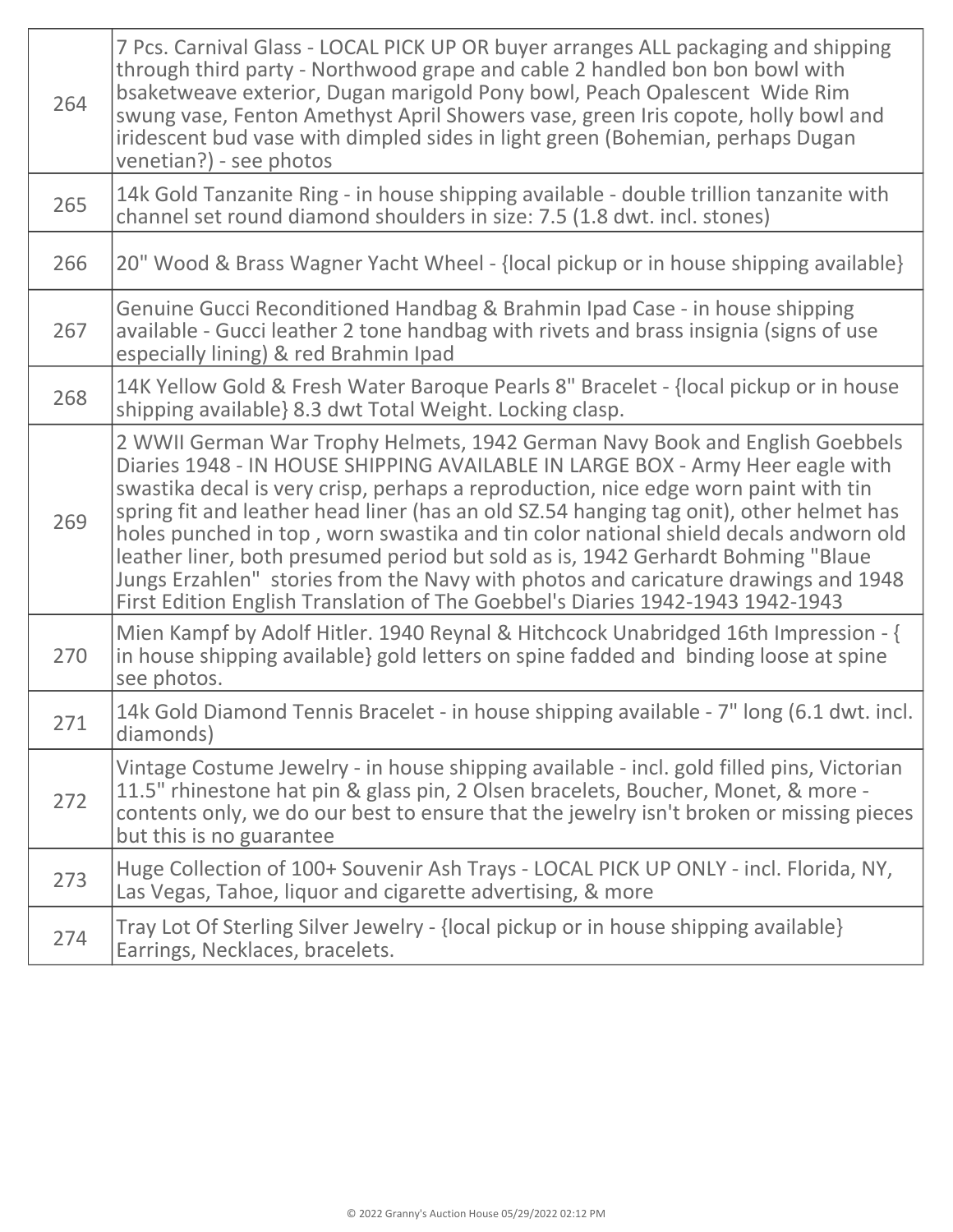| 264 | 7 Pcs. Carnival Glass - LOCAL PICK UP OR buyer arranges ALL packaging and shipping<br>through third party - Northwood grape and cable 2 handled bon bon bowl with<br>bsaketweave exterior, Dugan marigold Pony bowl, Peach Opalescent Wide Rim<br>swung vase, Fenton Amethyst April Showers vase, green Iris copote, holly bowl and<br>iridescent bud vase with dimpled sides in light green (Bohemian, perhaps Dugan<br>venetian?) - see photos                                                                                                                                                                                                                                                     |
|-----|------------------------------------------------------------------------------------------------------------------------------------------------------------------------------------------------------------------------------------------------------------------------------------------------------------------------------------------------------------------------------------------------------------------------------------------------------------------------------------------------------------------------------------------------------------------------------------------------------------------------------------------------------------------------------------------------------|
| 265 | 14k Gold Tanzanite Ring - in house shipping available - double trillion tanzanite with<br>channel set round diamond shoulders in size: 7.5 (1.8 dwt. incl. stones)                                                                                                                                                                                                                                                                                                                                                                                                                                                                                                                                   |
| 266 | 20" Wood & Brass Wagner Yacht Wheel - {local pickup or in house shipping available}                                                                                                                                                                                                                                                                                                                                                                                                                                                                                                                                                                                                                  |
| 267 | Genuine Gucci Reconditioned Handbag & Brahmin Ipad Case - in house shipping<br>available - Gucci leather 2 tone handbag with rivets and brass insignia (signs of use<br>especially lining) & red Brahmin Ipad                                                                                                                                                                                                                                                                                                                                                                                                                                                                                        |
| 268 | 14K Yellow Gold & Fresh Water Baroque Pearls 8" Bracelet - {local pickup or in house<br>shipping available 8.3 dwt Total Weight. Locking clasp.                                                                                                                                                                                                                                                                                                                                                                                                                                                                                                                                                      |
| 269 | 2 WWII German War Trophy Helmets, 1942 German Navy Book and English Goebbels<br>Diaries 1948 - IN HOUSE SHIPPING AVAILABLE IN LARGE BOX - Army Heer eagle with<br>swastika decal is very crisp, perhaps a reproduction, nice edge worn paint with tin<br>spring fit and leather head liner (has an old SZ.54 hanging tag onit), other helmet has<br>holes punched in top, worn swastika and tin color national shield decals andworn old<br>leather liner, both presumed period but sold as is, 1942 Gerhardt Bohming "Blaue<br>Jungs Erzahlen" stories from the Navy with photos and caricature drawings and 1948<br>First Edition English Translation of The Goebbel's Diaries 1942-1943 1942-1943 |
| 270 | Mien Kampf by Adolf Hitler. 1940 Reynal & Hitchcock Unabridged 16th Impression - {<br>in house shipping available} gold letters on spine fadded and binding loose at spine<br>see photos.                                                                                                                                                                                                                                                                                                                                                                                                                                                                                                            |
| 271 | 14k Gold Diamond Tennis Bracelet - in house shipping available - 7" long (6.1 dwt. incl.<br>diamonds)                                                                                                                                                                                                                                                                                                                                                                                                                                                                                                                                                                                                |
| 272 | Vintage Costume Jewelry - in house shipping available - incl. gold filled pins, Victorian<br>11.5" rhinestone hat pin & glass pin, 2 Olsen bracelets, Boucher, Monet, & more -<br>contents only, we do our best to ensure that the jewelry isn't broken or missing pieces<br>but this is no guarantee                                                                                                                                                                                                                                                                                                                                                                                                |
| 273 | Huge Collection of 100+ Souvenir Ash Trays - LOCAL PICK UP ONLY - incl. Florida, NY,<br>Las Vegas, Tahoe, liquor and cigarette advertising, & more                                                                                                                                                                                                                                                                                                                                                                                                                                                                                                                                                   |
| 274 | Tray Lot Of Sterling Silver Jewelry - {local pickup or in house shipping available}<br>Earrings, Necklaces, bracelets.                                                                                                                                                                                                                                                                                                                                                                                                                                                                                                                                                                               |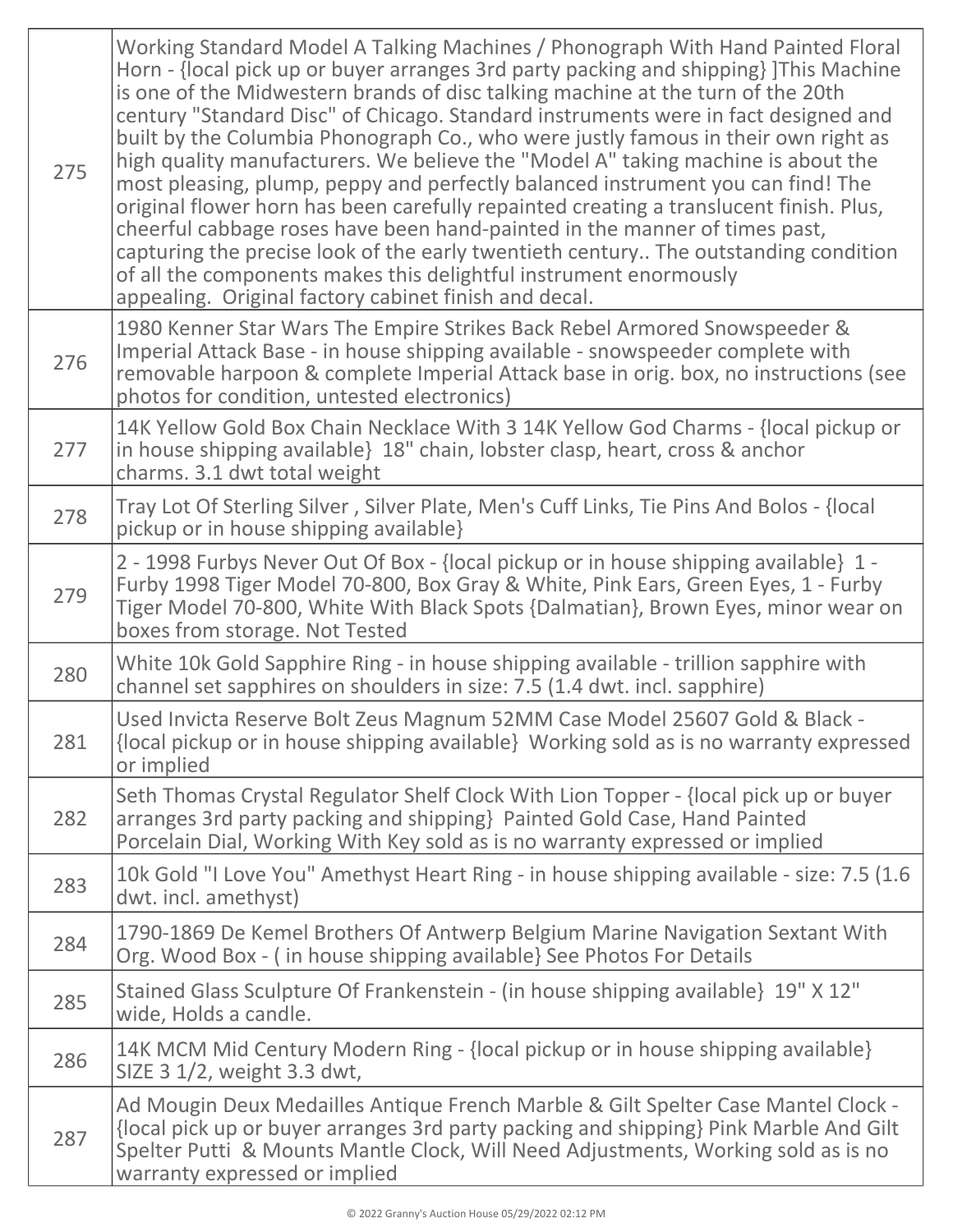| 275 | Working Standard Model A Talking Machines / Phonograph With Hand Painted Floral<br>Horn - {local pick up or buyer arranges 3rd party packing and shipping} ]This Machine<br>is one of the Midwestern brands of disc talking machine at the turn of the 20th<br>century "Standard Disc" of Chicago. Standard instruments were in fact designed and<br>built by the Columbia Phonograph Co., who were justly famous in their own right as<br>high quality manufacturers. We believe the "Model A" taking machine is about the<br>most pleasing, plump, peppy and perfectly balanced instrument you can find! The<br>original flower horn has been carefully repainted creating a translucent finish. Plus,<br>cheerful cabbage roses have been hand-painted in the manner of times past,<br>capturing the precise look of the early twentieth century The outstanding condition<br>of all the components makes this delightful instrument enormously<br>appealing. Original factory cabinet finish and decal. |
|-----|-------------------------------------------------------------------------------------------------------------------------------------------------------------------------------------------------------------------------------------------------------------------------------------------------------------------------------------------------------------------------------------------------------------------------------------------------------------------------------------------------------------------------------------------------------------------------------------------------------------------------------------------------------------------------------------------------------------------------------------------------------------------------------------------------------------------------------------------------------------------------------------------------------------------------------------------------------------------------------------------------------------|
| 276 | 1980 Kenner Star Wars The Empire Strikes Back Rebel Armored Snowspeeder &<br>Imperial Attack Base - in house shipping available - snowspeeder complete with<br>removable harpoon & complete Imperial Attack base in orig. box, no instructions (see<br>photos for condition, untested electronics)                                                                                                                                                                                                                                                                                                                                                                                                                                                                                                                                                                                                                                                                                                          |
| 277 | 14K Yellow Gold Box Chain Necklace With 3 14K Yellow God Charms - {local pickup or<br>in house shipping available} 18" chain, lobster clasp, heart, cross & anchor<br>charms. 3.1 dwt total weight                                                                                                                                                                                                                                                                                                                                                                                                                                                                                                                                                                                                                                                                                                                                                                                                          |
| 278 | Tray Lot Of Sterling Silver, Silver Plate, Men's Cuff Links, Tie Pins And Bolos - {local<br>pickup or in house shipping available}                                                                                                                                                                                                                                                                                                                                                                                                                                                                                                                                                                                                                                                                                                                                                                                                                                                                          |
| 279 | 2 - 1998 Furbys Never Out Of Box - {local pickup or in house shipping available} 1 -<br>Furby 1998 Tiger Model 70-800, Box Gray & White, Pink Ears, Green Eyes, 1 - Furby<br>Tiger Model 70-800, White With Black Spots {Dalmatian}, Brown Eyes, minor wear on<br>boxes from storage. Not Tested                                                                                                                                                                                                                                                                                                                                                                                                                                                                                                                                                                                                                                                                                                            |
| 280 | White 10k Gold Sapphire Ring - in house shipping available - trillion sapphire with<br>channel set sapphires on shoulders in size: 7.5 (1.4 dwt. incl. sapphire)                                                                                                                                                                                                                                                                                                                                                                                                                                                                                                                                                                                                                                                                                                                                                                                                                                            |
| 281 | Used Invicta Reserve Bolt Zeus Magnum 52MM Case Model 25607 Gold & Black -<br>{local pickup or in house shipping available} Working sold as is no warranty expressed<br>or implied                                                                                                                                                                                                                                                                                                                                                                                                                                                                                                                                                                                                                                                                                                                                                                                                                          |
| 282 | Seth Thomas Crystal Regulator Shelf Clock With Lion Topper - {local pick up or buyer<br>arranges 3rd party packing and shipping} Painted Gold Case, Hand Painted<br>Porcelain Dial, Working With Key sold as is no warranty expressed or implied                                                                                                                                                                                                                                                                                                                                                                                                                                                                                                                                                                                                                                                                                                                                                            |
| 283 | 10k Gold "I Love You" Amethyst Heart Ring - in house shipping available - size: 7.5 (1.6)<br>dwt. incl. amethyst)                                                                                                                                                                                                                                                                                                                                                                                                                                                                                                                                                                                                                                                                                                                                                                                                                                                                                           |
| 284 | 1790-1869 De Kemel Brothers Of Antwerp Belgium Marine Navigation Sextant With<br>Org. Wood Box - (in house shipping available) See Photos For Details                                                                                                                                                                                                                                                                                                                                                                                                                                                                                                                                                                                                                                                                                                                                                                                                                                                       |
| 285 | Stained Glass Sculpture Of Frankenstein - (in house shipping available} 19" X 12"<br>wide, Holds a candle.                                                                                                                                                                                                                                                                                                                                                                                                                                                                                                                                                                                                                                                                                                                                                                                                                                                                                                  |
| 286 | 14K MCM Mid Century Modern Ring - {local pickup or in house shipping available}<br>SIZE 3 1/2, weight 3.3 dwt,                                                                                                                                                                                                                                                                                                                                                                                                                                                                                                                                                                                                                                                                                                                                                                                                                                                                                              |
| 287 | Ad Mougin Deux Medailles Antique French Marble & Gilt Spelter Case Mantel Clock -<br>{local pick up or buyer arranges 3rd party packing and shipping} Pink Marble And Gilt<br>Spelter Putti & Mounts Mantle Clock, Will Need Adjustments, Working sold as is no<br>warranty expressed or implied                                                                                                                                                                                                                                                                                                                                                                                                                                                                                                                                                                                                                                                                                                            |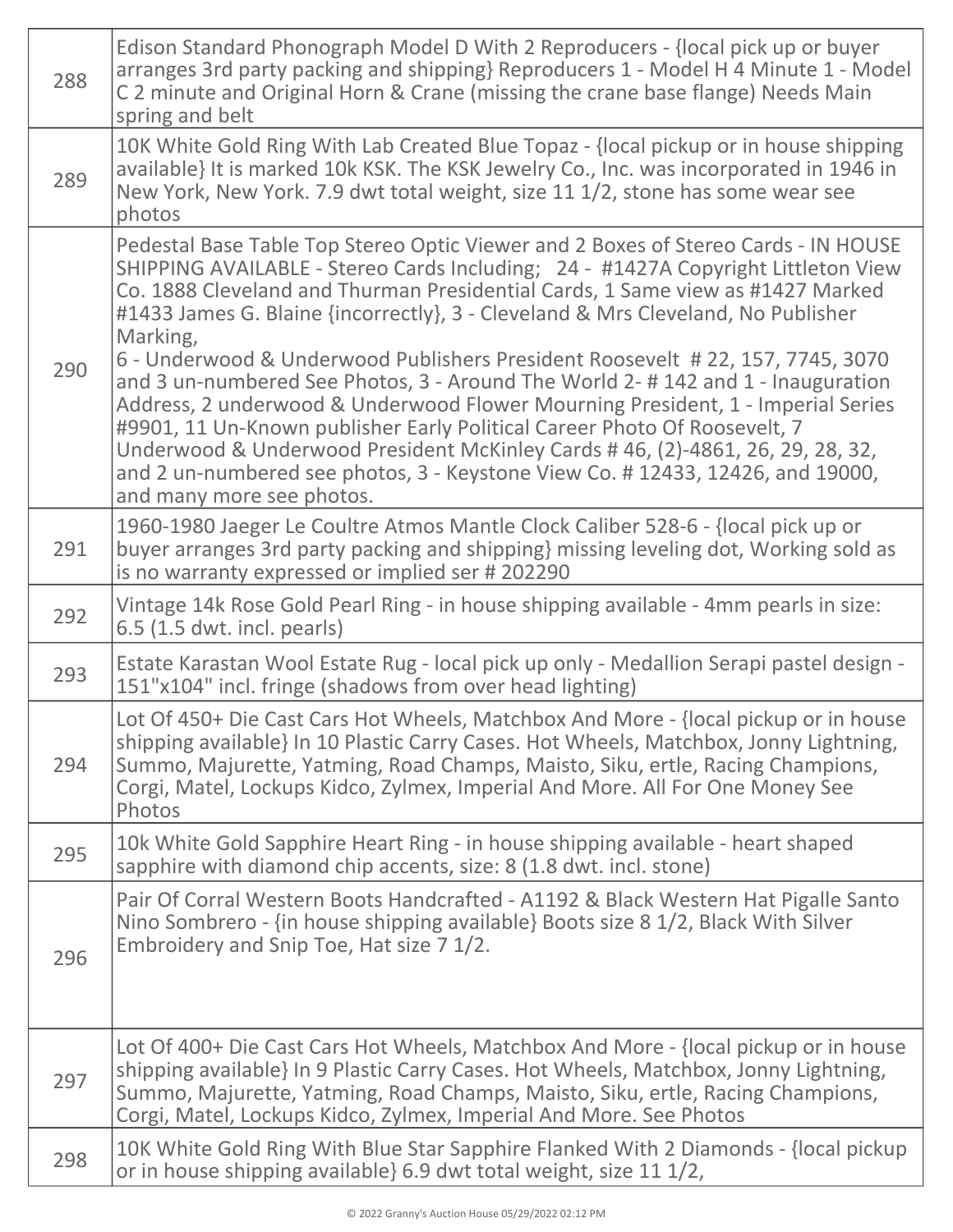| 288 | Edison Standard Phonograph Model D With 2 Reproducers - {local pick up or buyer<br>arranges 3rd party packing and shipping} Reproducers 1 - Model H 4 Minute 1 - Model<br>C 2 minute and Original Horn & Crane (missing the crane base flange) Needs Main<br>spring and belt                                                                                                                                                                                                                                                                                                                                                                                                                                                                                                                                                                                                                 |
|-----|----------------------------------------------------------------------------------------------------------------------------------------------------------------------------------------------------------------------------------------------------------------------------------------------------------------------------------------------------------------------------------------------------------------------------------------------------------------------------------------------------------------------------------------------------------------------------------------------------------------------------------------------------------------------------------------------------------------------------------------------------------------------------------------------------------------------------------------------------------------------------------------------|
| 289 | 10K White Gold Ring With Lab Created Blue Topaz - {local pickup or in house shipping<br>available} It is marked 10k KSK. The KSK Jewelry Co., Inc. was incorporated in 1946 in<br>New York, New York. 7.9 dwt total weight, size 11 1/2, stone has some wear see<br>photos                                                                                                                                                                                                                                                                                                                                                                                                                                                                                                                                                                                                                   |
| 290 | Pedestal Base Table Top Stereo Optic Viewer and 2 Boxes of Stereo Cards - IN HOUSE<br>SHIPPING AVAILABLE - Stereo Cards Including; 24 - #1427A Copyright Littleton View<br>Co. 1888 Cleveland and Thurman Presidential Cards, 1 Same view as #1427 Marked<br>#1433 James G. Blaine {incorrectly}, 3 - Cleveland & Mrs Cleveland, No Publisher<br>Marking,<br>6 - Underwood & Underwood Publishers President Roosevelt # 22, 157, 7745, 3070<br>and 3 un-numbered See Photos, 3 - Around The World 2-#142 and 1 - Inauguration<br>Address, 2 underwood & Underwood Flower Mourning President, 1 - Imperial Series<br>#9901, 11 Un-Known publisher Early Political Career Photo Of Roosevelt, 7<br>Underwood & Underwood President McKinley Cards #46, (2)-4861, 26, 29, 28, 32,<br>and 2 un-numbered see photos, 3 - Keystone View Co. #12433, 12426, and 19000,<br>and many more see photos. |
| 291 | 1960-1980 Jaeger Le Coultre Atmos Mantle Clock Caliber 528-6 - {local pick up or<br>buyer arranges 3rd party packing and shipping} missing leveling dot, Working sold as<br>is no warranty expressed or implied ser # 202290                                                                                                                                                                                                                                                                                                                                                                                                                                                                                                                                                                                                                                                                 |
| 292 | Vintage 14k Rose Gold Pearl Ring - in house shipping available - 4mm pearls in size:<br>6.5 (1.5 dwt. incl. pearls)                                                                                                                                                                                                                                                                                                                                                                                                                                                                                                                                                                                                                                                                                                                                                                          |
| 293 | Estate Karastan Wool Estate Rug - local pick up only - Medallion Serapi pastel design -<br>151"x104" incl. fringe (shadows from over head lighting)                                                                                                                                                                                                                                                                                                                                                                                                                                                                                                                                                                                                                                                                                                                                          |
| 294 | Lot Of 450+ Die Cast Cars Hot Wheels, Matchbox And More - {local pickup or in house<br>shipping available} In 10 Plastic Carry Cases. Hot Wheels, Matchbox, Jonny Lightning,<br>Summo, Majurette, Yatming, Road Champs, Maisto, Siku, ertle, Racing Champions,<br>Corgi, Matel, Lockups Kidco, Zylmex, Imperial And More. All For One Money See<br>Photos                                                                                                                                                                                                                                                                                                                                                                                                                                                                                                                                    |
| 295 | 10k White Gold Sapphire Heart Ring - in house shipping available - heart shaped<br>sapphire with diamond chip accents, size: 8 (1.8 dwt. incl. stone)                                                                                                                                                                                                                                                                                                                                                                                                                                                                                                                                                                                                                                                                                                                                        |
| 296 | Pair Of Corral Western Boots Handcrafted - A1192 & Black Western Hat Pigalle Santo<br>Nino Sombrero - {in house shipping available} Boots size 8 1/2, Black With Silver<br>Embroidery and Snip Toe, Hat size 7 1/2.                                                                                                                                                                                                                                                                                                                                                                                                                                                                                                                                                                                                                                                                          |
| 297 | Lot Of 400+ Die Cast Cars Hot Wheels, Matchbox And More - {local pickup or in house<br>shipping available} In 9 Plastic Carry Cases. Hot Wheels, Matchbox, Jonny Lightning,<br>Summo, Majurette, Yatming, Road Champs, Maisto, Siku, ertle, Racing Champions,<br>Corgi, Matel, Lockups Kidco, Zylmex, Imperial And More. See Photos                                                                                                                                                                                                                                                                                                                                                                                                                                                                                                                                                          |
| 298 | 10K White Gold Ring With Blue Star Sapphire Flanked With 2 Diamonds - {local pickup<br>or in house shipping available} 6.9 dwt total weight, size 11 1/2,                                                                                                                                                                                                                                                                                                                                                                                                                                                                                                                                                                                                                                                                                                                                    |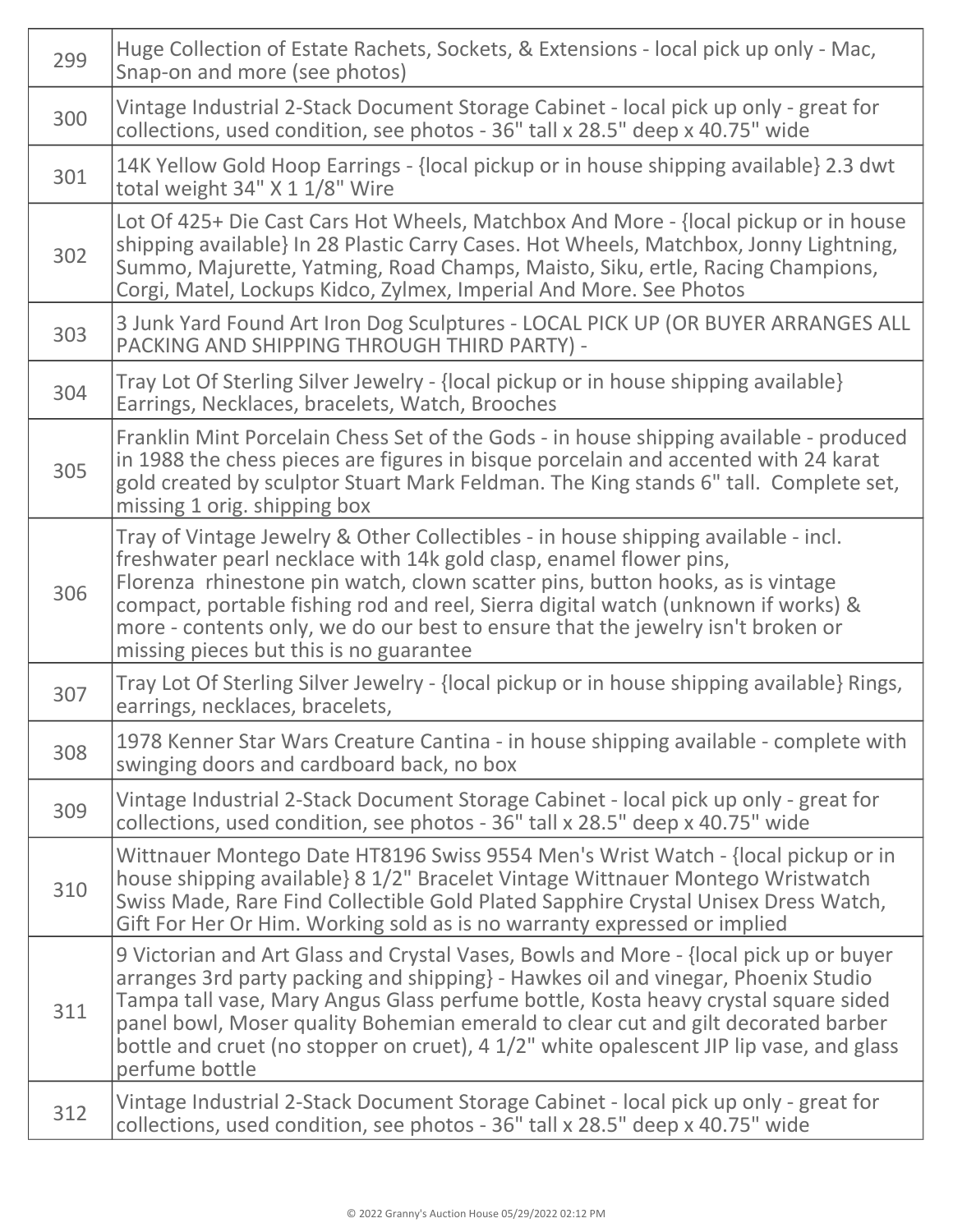| 299 | Huge Collection of Estate Rachets, Sockets, & Extensions - local pick up only - Mac,<br>Snap-on and more (see photos)                                                                                                                                                                                                                                                                                                                                              |
|-----|--------------------------------------------------------------------------------------------------------------------------------------------------------------------------------------------------------------------------------------------------------------------------------------------------------------------------------------------------------------------------------------------------------------------------------------------------------------------|
| 300 | Vintage Industrial 2-Stack Document Storage Cabinet - local pick up only - great for<br>collections, used condition, see photos - 36" tall x 28.5" deep x 40.75" wide                                                                                                                                                                                                                                                                                              |
| 301 | 14K Yellow Gold Hoop Earrings - {local pickup or in house shipping available} 2.3 dwt<br>total weight 34" X 1 1/8" Wire                                                                                                                                                                                                                                                                                                                                            |
| 302 | Lot Of 425+ Die Cast Cars Hot Wheels, Matchbox And More - {local pickup or in house<br>shipping available} In 28 Plastic Carry Cases. Hot Wheels, Matchbox, Jonny Lightning,<br>Summo, Majurette, Yatming, Road Champs, Maisto, Siku, ertle, Racing Champions,<br>Corgi, Matel, Lockups Kidco, Zylmex, Imperial And More. See Photos                                                                                                                               |
| 303 | 3 Junk Yard Found Art Iron Dog Sculptures - LOCAL PICK UP (OR BUYER ARRANGES ALL<br>PACKING AND SHIPPING THROUGH THIRD PARTY) -                                                                                                                                                                                                                                                                                                                                    |
| 304 | Tray Lot Of Sterling Silver Jewelry - {local pickup or in house shipping available}<br>Earrings, Necklaces, bracelets, Watch, Brooches                                                                                                                                                                                                                                                                                                                             |
| 305 | Franklin Mint Porcelain Chess Set of the Gods - in house shipping available - produced<br>in 1988 the chess pieces are figures in bisque porcelain and accented with 24 karat<br>gold created by sculptor Stuart Mark Feldman. The King stands 6" tall. Complete set,<br>missing 1 orig. shipping box                                                                                                                                                              |
| 306 | Tray of Vintage Jewelry & Other Collectibles - in house shipping available - incl.<br>freshwater pearl necklace with 14k gold clasp, enamel flower pins,<br>Florenza rhinestone pin watch, clown scatter pins, button hooks, as is vintage<br>compact, portable fishing rod and reel, Sierra digital watch (unknown if works) &<br>more - contents only, we do our best to ensure that the jewelry isn't broken or<br>missing pieces but this is no guarantee      |
| 307 | Tray Lot Of Sterling Silver Jewelry - {local pickup or in house shipping available} Rings,<br>earrings, necklaces, bracelets,                                                                                                                                                                                                                                                                                                                                      |
| 308 | 1978 Kenner Star Wars Creature Cantina - in house shipping available - complete with<br>swinging doors and cardboard back, no box                                                                                                                                                                                                                                                                                                                                  |
| 309 | Vintage Industrial 2-Stack Document Storage Cabinet - local pick up only - great for<br>collections, used condition, see photos - 36" tall x 28.5" deep x 40.75" wide                                                                                                                                                                                                                                                                                              |
| 310 | Wittnauer Montego Date HT8196 Swiss 9554 Men's Wrist Watch - {local pickup or in<br>house shipping available} 8 1/2" Bracelet Vintage Wittnauer Montego Wristwatch<br>Swiss Made, Rare Find Collectible Gold Plated Sapphire Crystal Unisex Dress Watch,<br>Gift For Her Or Him. Working sold as is no warranty expressed or implied                                                                                                                               |
| 311 | 9 Victorian and Art Glass and Crystal Vases, Bowls and More - {local pick up or buyer<br>arranges 3rd party packing and shipping} - Hawkes oil and vinegar, Phoenix Studio<br>Tampa tall vase, Mary Angus Glass perfume bottle, Kosta heavy crystal square sided<br>panel bowl, Moser quality Bohemian emerald to clear cut and gilt decorated barber<br>bottle and cruet (no stopper on cruet), 4 1/2" white opalescent JIP lip vase, and glass<br>perfume bottle |
| 312 | Vintage Industrial 2-Stack Document Storage Cabinet - local pick up only - great for<br>collections, used condition, see photos - 36" tall x 28.5" deep x 40.75" wide                                                                                                                                                                                                                                                                                              |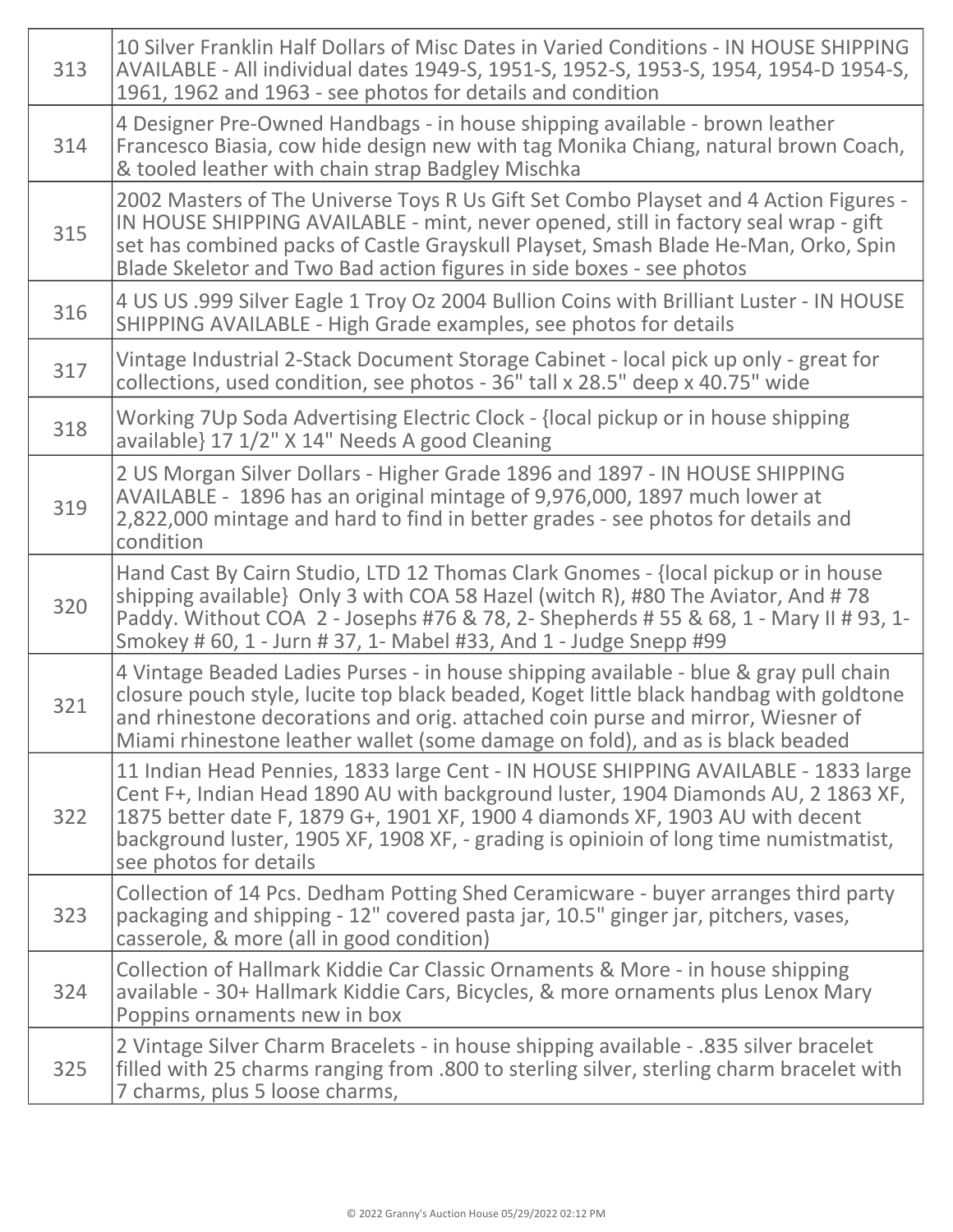| 313 | 10 Silver Franklin Half Dollars of Misc Dates in Varied Conditions - IN HOUSE SHIPPING<br>AVAILABLE - All individual dates 1949-S, 1951-S, 1952-S, 1953-S, 1954, 1954-D 1954-S,<br>1961, 1962 and 1963 - see photos for details and condition                                                                                                                               |
|-----|-----------------------------------------------------------------------------------------------------------------------------------------------------------------------------------------------------------------------------------------------------------------------------------------------------------------------------------------------------------------------------|
| 314 | 4 Designer Pre-Owned Handbags - in house shipping available - brown leather<br>Francesco Biasia, cow hide design new with tag Monika Chiang, natural brown Coach,<br>& tooled leather with chain strap Badgley Mischka                                                                                                                                                      |
| 315 | 2002 Masters of The Universe Toys R Us Gift Set Combo Playset and 4 Action Figures -<br>IN HOUSE SHIPPING AVAILABLE - mint, never opened, still in factory seal wrap - gift<br>set has combined packs of Castle Grayskull Playset, Smash Blade He-Man, Orko, Spin<br>Blade Skeletor and Two Bad action figures in side boxes - see photos                                   |
| 316 | 4 US US .999 Silver Eagle 1 Troy Oz 2004 Bullion Coins with Brilliant Luster - IN HOUSE<br>SHIPPING AVAILABLE - High Grade examples, see photos for details                                                                                                                                                                                                                 |
| 317 | Vintage Industrial 2-Stack Document Storage Cabinet - local pick up only - great for<br>collections, used condition, see photos - 36" tall x 28.5" deep x 40.75" wide                                                                                                                                                                                                       |
| 318 | Working 7Up Soda Advertising Electric Clock - {local pickup or in house shipping<br>available} 17 1/2" X 14" Needs A good Cleaning                                                                                                                                                                                                                                          |
| 319 | 2 US Morgan Silver Dollars - Higher Grade 1896 and 1897 - IN HOUSE SHIPPING<br>AVAILABLE - 1896 has an original mintage of 9,976,000, 1897 much lower at<br>2,822,000 mintage and hard to find in better grades - see photos for details and<br>condition                                                                                                                   |
| 320 | Hand Cast By Cairn Studio, LTD 12 Thomas Clark Gnomes - {local pickup or in house<br>shipping available} Only 3 with COA 58 Hazel (witch R), #80 The Aviator, And #78<br>Paddy. Without COA 2 - Josephs #76 & 78, 2- Shepherds # 55 & 68, 1 - Mary II # 93, 1-<br>Smokey # 60, 1 - Jurn # 37, 1- Mabel #33, And 1 - Judge Snepp #99                                         |
| 321 | 4 Vintage Beaded Ladies Purses - in house shipping available - blue & gray pull chain<br>closure pouch style, lucite top black beaded, Koget little black handbag with goldtone<br>and rhinestone decorations and orig. attached coin purse and mirror, Wiesner of<br>Miami rhinestone leather wallet (some damage on fold), and as is black beaded                         |
| 322 | 11 Indian Head Pennies, 1833 large Cent - IN HOUSE SHIPPING AVAILABLE - 1833 large<br>Cent F+, Indian Head 1890 AU with background luster, 1904 Diamonds AU, 2 1863 XF,<br>1875 better date F, 1879 G+, 1901 XF, 1900 4 diamonds XF, 1903 AU with decent<br>background luster, 1905 XF, 1908 XF, - grading is opinioin of long time numistmatist,<br>see photos for details |
| 323 | Collection of 14 Pcs. Dedham Potting Shed Ceramicware - buyer arranges third party<br>packaging and shipping - 12" covered pasta jar, 10.5" ginger jar, pitchers, vases,<br>casserole, & more (all in good condition)                                                                                                                                                       |
| 324 | Collection of Hallmark Kiddie Car Classic Ornaments & More - in house shipping<br>available - 30+ Hallmark Kiddie Cars, Bicycles, & more ornaments plus Lenox Mary<br>Poppins ornaments new in box                                                                                                                                                                          |
| 325 | 2 Vintage Silver Charm Bracelets - in house shipping available - .835 silver bracelet<br>filled with 25 charms ranging from .800 to sterling silver, sterling charm bracelet with<br>7 charms, plus 5 loose charms,                                                                                                                                                         |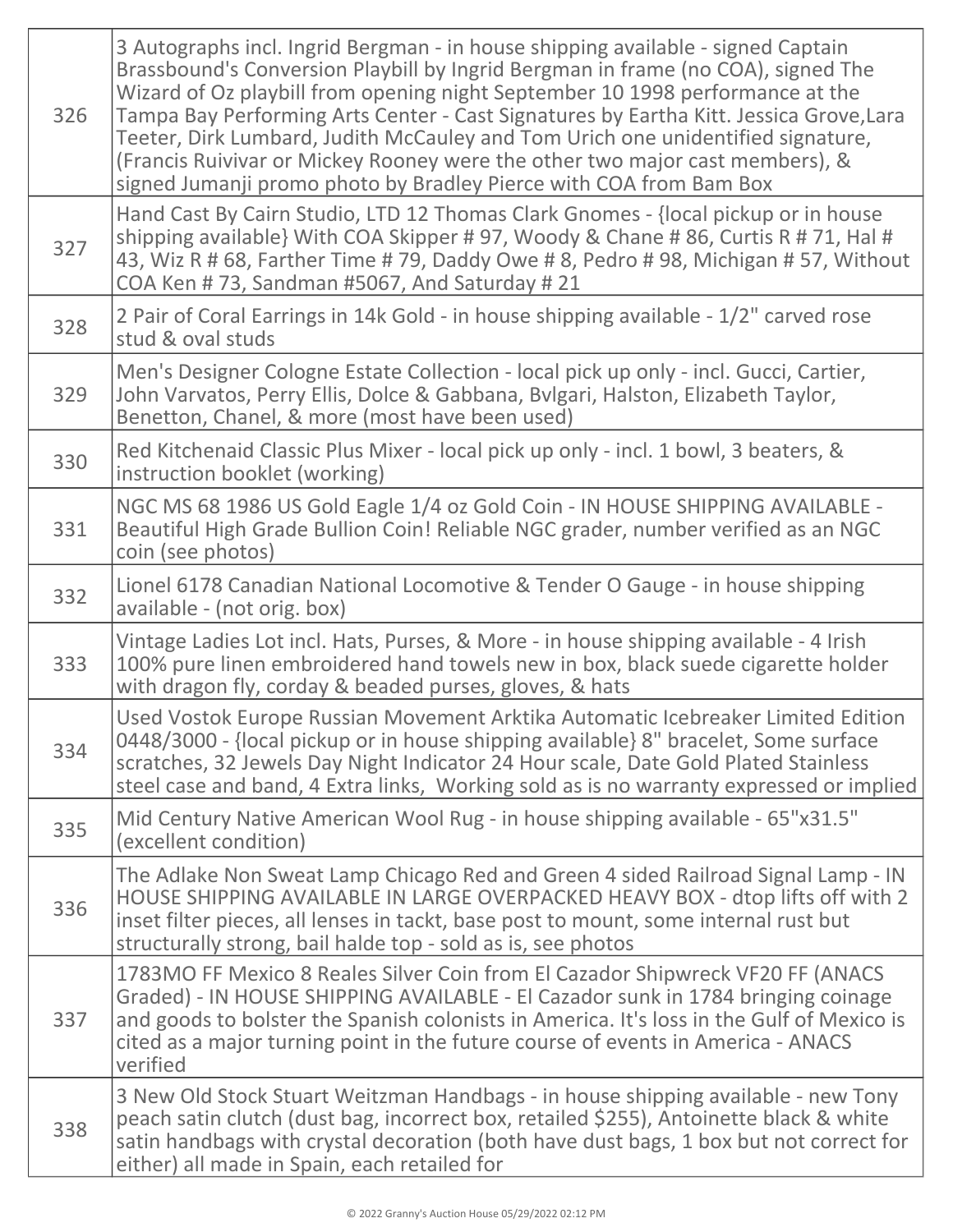| 326 | 3 Autographs incl. Ingrid Bergman - in house shipping available - signed Captain<br>Brassbound's Conversion Playbill by Ingrid Bergman in frame (no COA), signed The<br>Wizard of Oz playbill from opening night September 10 1998 performance at the<br>Tampa Bay Performing Arts Center - Cast Signatures by Eartha Kitt. Jessica Grove, Lara<br>Teeter, Dirk Lumbard, Judith McCauley and Tom Urich one unidentified signature,<br>(Francis Ruivivar or Mickey Rooney were the other two major cast members), &<br>signed Jumanji promo photo by Bradley Pierce with COA from Bam Box |
|-----|------------------------------------------------------------------------------------------------------------------------------------------------------------------------------------------------------------------------------------------------------------------------------------------------------------------------------------------------------------------------------------------------------------------------------------------------------------------------------------------------------------------------------------------------------------------------------------------|
| 327 | Hand Cast By Cairn Studio, LTD 12 Thomas Clark Gnomes - {local pickup or in house<br>shipping available} With COA Skipper #97, Woody & Chane #86, Curtis R #71, Hal #<br>43, Wiz R # 68, Farther Time # 79, Daddy Owe # 8, Pedro # 98, Michigan # 57, Without<br>COA Ken #73, Sandman #5067, And Saturday #21                                                                                                                                                                                                                                                                            |
| 328 | 2 Pair of Coral Earrings in 14k Gold - in house shipping available - 1/2" carved rose<br>stud & oval studs                                                                                                                                                                                                                                                                                                                                                                                                                                                                               |
| 329 | Men's Designer Cologne Estate Collection - local pick up only - incl. Gucci, Cartier,<br>John Varvatos, Perry Ellis, Dolce & Gabbana, Bvlgari, Halston, Elizabeth Taylor,<br>Benetton, Chanel, & more (most have been used)                                                                                                                                                                                                                                                                                                                                                              |
| 330 | Red Kitchenaid Classic Plus Mixer - local pick up only - incl. 1 bowl, 3 beaters, &<br>instruction booklet (working)                                                                                                                                                                                                                                                                                                                                                                                                                                                                     |
| 331 | NGC MS 68 1986 US Gold Eagle 1/4 oz Gold Coin - IN HOUSE SHIPPING AVAILABLE -<br>Beautiful High Grade Bullion Coin! Reliable NGC grader, number verified as an NGC<br>coin (see photos)                                                                                                                                                                                                                                                                                                                                                                                                  |
| 332 | Lionel 6178 Canadian National Locomotive & Tender O Gauge - in house shipping<br>available - (not orig. box)                                                                                                                                                                                                                                                                                                                                                                                                                                                                             |
| 333 | Vintage Ladies Lot incl. Hats, Purses, & More - in house shipping available - 4 Irish<br>100% pure linen embroidered hand towels new in box, black suede cigarette holder<br>with dragon fly, corday & beaded purses, gloves, & hats                                                                                                                                                                                                                                                                                                                                                     |
| 334 | Used Vostok Europe Russian Movement Arktika Automatic Icebreaker Limited Edition<br>0448/3000 - {local pickup or in house shipping available} 8" bracelet, Some surface<br>scratches, 32 Jewels Day Night Indicator 24 Hour scale, Date Gold Plated Stainless<br>steel case and band, 4 Extra links, Working sold as is no warranty expressed or implied                                                                                                                                                                                                                                 |
| 335 | Mid Century Native American Wool Rug - in house shipping available - 65"x31.5"<br>(excellent condition)                                                                                                                                                                                                                                                                                                                                                                                                                                                                                  |
| 336 | The Adlake Non Sweat Lamp Chicago Red and Green 4 sided Railroad Signal Lamp - IN<br>HOUSE SHIPPING AVAILABLE IN LARGE OVERPACKED HEAVY BOX - dtop lifts off with 2<br>inset filter pieces, all lenses in tackt, base post to mount, some internal rust but<br>structurally strong, bail halde top - sold as is, see photos                                                                                                                                                                                                                                                              |
| 337 | 1783MO FF Mexico 8 Reales Silver Coin from El Cazador Shipwreck VF20 FF (ANACS<br>Graded) - IN HOUSE SHIPPING AVAILABLE - El Cazador sunk in 1784 bringing coinage<br>and goods to bolster the Spanish colonists in America. It's loss in the Gulf of Mexico is<br>cited as a major turning point in the future course of events in America - ANACS<br>verified                                                                                                                                                                                                                          |
| 338 | 3 New Old Stock Stuart Weitzman Handbags - in house shipping available - new Tony<br>peach satin clutch (dust bag, incorrect box, retailed \$255), Antoinette black & white<br>satin handbags with crystal decoration (both have dust bags, 1 box but not correct for<br>either) all made in Spain, each retailed for                                                                                                                                                                                                                                                                    |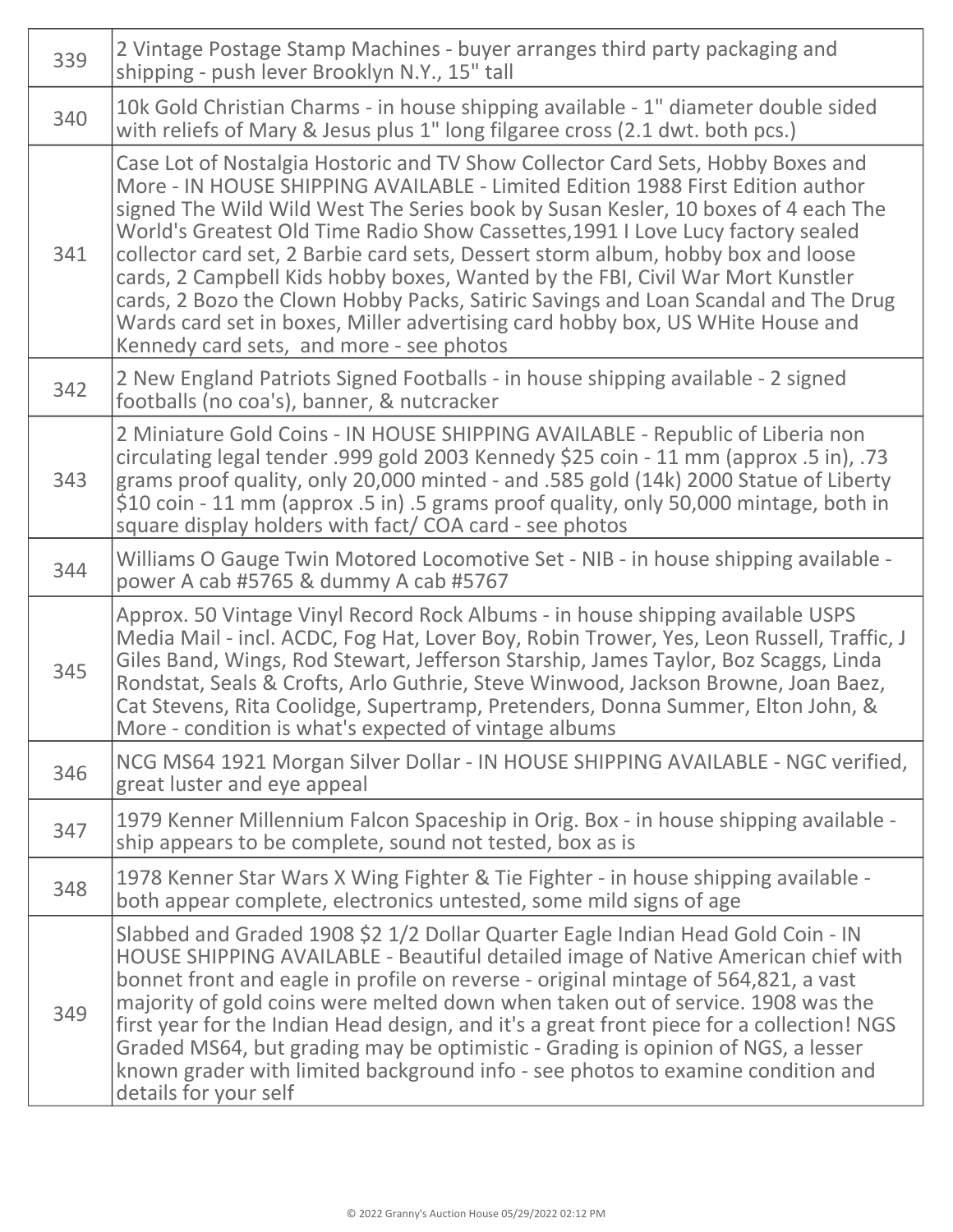| 339 | 2 Vintage Postage Stamp Machines - buyer arranges third party packaging and<br>shipping - push lever Brooklyn N.Y., 15" tall                                                                                                                                                                                                                                                                                                                                                                                                                                                                                                                                                                                                        |
|-----|-------------------------------------------------------------------------------------------------------------------------------------------------------------------------------------------------------------------------------------------------------------------------------------------------------------------------------------------------------------------------------------------------------------------------------------------------------------------------------------------------------------------------------------------------------------------------------------------------------------------------------------------------------------------------------------------------------------------------------------|
| 340 | 10k Gold Christian Charms - in house shipping available - 1" diameter double sided<br>with reliefs of Mary & Jesus plus 1" long filgaree cross (2.1 dwt. both pcs.)                                                                                                                                                                                                                                                                                                                                                                                                                                                                                                                                                                 |
| 341 | Case Lot of Nostalgia Hostoric and TV Show Collector Card Sets, Hobby Boxes and<br>More - IN HOUSE SHIPPING AVAILABLE - Limited Edition 1988 First Edition author<br>signed The Wild Wild West The Series book by Susan Kesler, 10 boxes of 4 each The<br>World's Greatest Old Time Radio Show Cassettes, 1991 I Love Lucy factory sealed<br>collector card set, 2 Barbie card sets, Dessert storm album, hobby box and loose<br>cards, 2 Campbell Kids hobby boxes, Wanted by the FBI, Civil War Mort Kunstler<br>cards, 2 Bozo the Clown Hobby Packs, Satiric Savings and Loan Scandal and The Drug<br>Wards card set in boxes, Miller advertising card hobby box, US WHite House and<br>Kennedy card sets, and more - see photos |
| 342 | 2 New England Patriots Signed Footballs - in house shipping available - 2 signed<br>footballs (no coa's), banner, & nutcracker                                                                                                                                                                                                                                                                                                                                                                                                                                                                                                                                                                                                      |
| 343 | 2 Miniature Gold Coins - IN HOUSE SHIPPING AVAILABLE - Republic of Liberia non<br>circulating legal tender .999 gold 2003 Kennedy \$25 coin - 11 mm (approx .5 in), .73<br>grams proof quality, only 20,000 minted - and .585 gold (14k) 2000 Statue of Liberty<br>\$10 coin - 11 mm (approx .5 in) .5 grams proof quality, only 50,000 mintage, both in<br>square display holders with fact/COA card - see photos                                                                                                                                                                                                                                                                                                                  |
| 344 | Williams O Gauge Twin Motored Locomotive Set - NIB - in house shipping available -<br>power A cab #5765 & dummy A cab #5767                                                                                                                                                                                                                                                                                                                                                                                                                                                                                                                                                                                                         |
| 345 | Approx. 50 Vintage Vinyl Record Rock Albums - in house shipping available USPS<br>Media Mail - incl. ACDC, Fog Hat, Lover Boy, Robin Trower, Yes, Leon Russell, Traffic, J<br>Giles Band, Wings, Rod Stewart, Jefferson Starship, James Taylor, Boz Scaggs, Linda<br>Rondstat, Seals & Crofts, Arlo Guthrie, Steve Winwood, Jackson Browne, Joan Baez,<br>Cat Stevens, Rita Coolidge, Supertramp, Pretenders, Donna Summer, Elton John, &<br>More - condition is what's expected of vintage albums                                                                                                                                                                                                                                  |
| 346 | NCG MS64 1921 Morgan Silver Dollar - IN HOUSE SHIPPING AVAILABLE - NGC verified,<br>great luster and eye appeal                                                                                                                                                                                                                                                                                                                                                                                                                                                                                                                                                                                                                     |
| 347 | 1979 Kenner Millennium Falcon Spaceship in Orig. Box - in house shipping available -<br>ship appears to be complete, sound not tested, box as is                                                                                                                                                                                                                                                                                                                                                                                                                                                                                                                                                                                    |
| 348 | 1978 Kenner Star Wars X Wing Fighter & Tie Fighter - in house shipping available -<br>both appear complete, electronics untested, some mild signs of age                                                                                                                                                                                                                                                                                                                                                                                                                                                                                                                                                                            |
| 349 | Slabbed and Graded 1908 \$2 1/2 Dollar Quarter Eagle Indian Head Gold Coin - IN<br>HOUSE SHIPPING AVAILABLE - Beautiful detailed image of Native American chief with<br>bonnet front and eagle in profile on reverse - original mintage of 564,821, a vast<br>majority of gold coins were melted down when taken out of service. 1908 was the<br>first year for the Indian Head design, and it's a great front piece for a collection! NGS<br>Graded MS64, but grading may be optimistic - Grading is opinion of NGS, a lesser<br>known grader with limited background info - see photos to examine condition and<br>details for your self                                                                                          |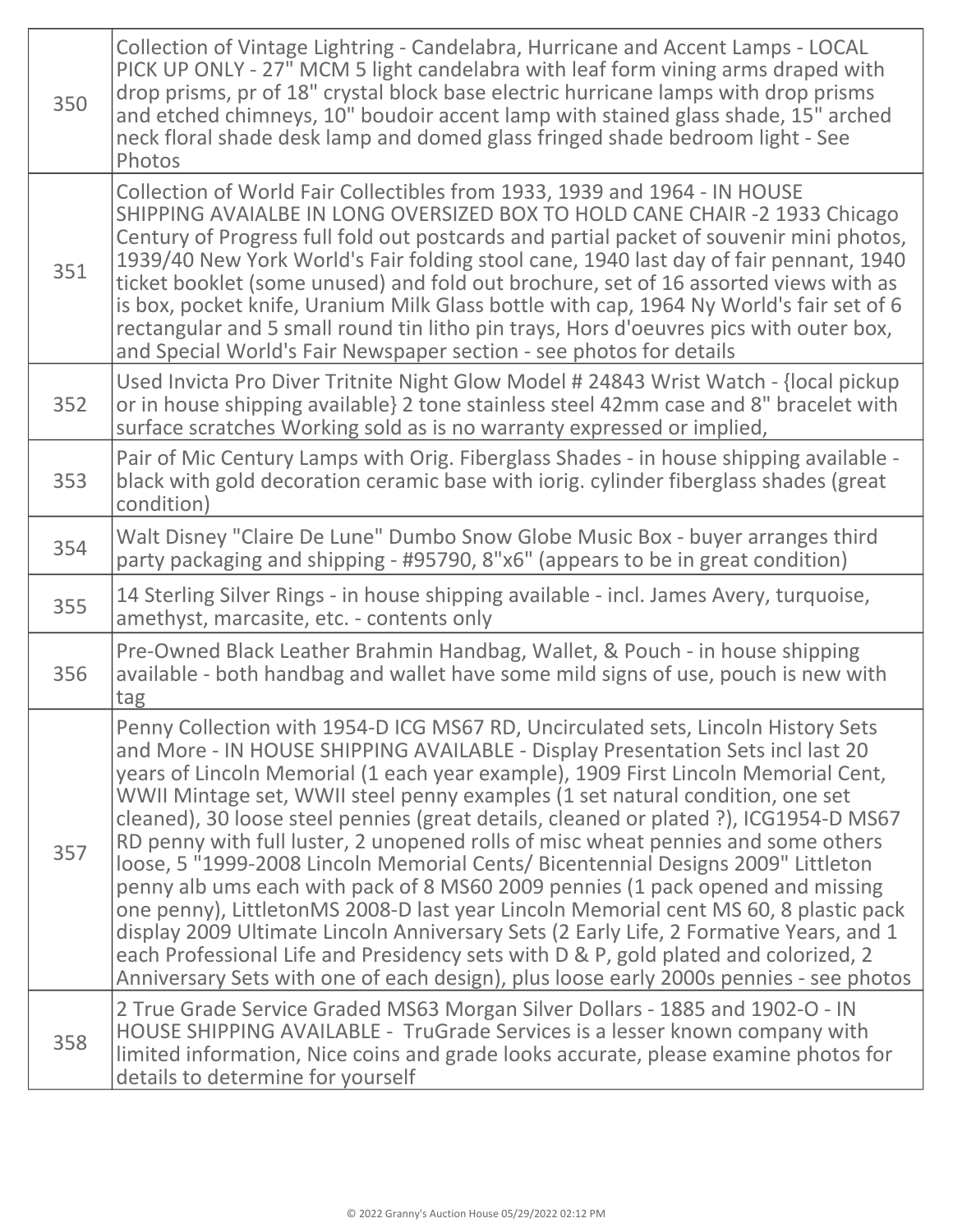| 350 | Collection of Vintage Lightring - Candelabra, Hurricane and Accent Lamps - LOCAL<br>PICK UP ONLY - 27" MCM 5 light candelabra with leaf form vining arms draped with<br>drop prisms, pr of 18" crystal block base electric hurricane lamps with drop prisms<br>and etched chimneys, 10" boudoir accent lamp with stained glass shade, 15" arched<br>neck floral shade desk lamp and domed glass fringed shade bedroom light - See<br>Photos                                                                                                                                                                                                                                                                                                                                                                                                                                                                                                                                                                                                                        |
|-----|--------------------------------------------------------------------------------------------------------------------------------------------------------------------------------------------------------------------------------------------------------------------------------------------------------------------------------------------------------------------------------------------------------------------------------------------------------------------------------------------------------------------------------------------------------------------------------------------------------------------------------------------------------------------------------------------------------------------------------------------------------------------------------------------------------------------------------------------------------------------------------------------------------------------------------------------------------------------------------------------------------------------------------------------------------------------|
| 351 | Collection of World Fair Collectibles from 1933, 1939 and 1964 - IN HOUSE<br>SHIPPING AVAIALBE IN LONG OVERSIZED BOX TO HOLD CANE CHAIR -2 1933 Chicago<br>Century of Progress full fold out postcards and partial packet of souvenir mini photos,<br>1939/40 New York World's Fair folding stool cane, 1940 last day of fair pennant, 1940<br>ticket booklet (some unused) and fold out brochure, set of 16 assorted views with as<br>is box, pocket knife, Uranium Milk Glass bottle with cap, 1964 Ny World's fair set of 6<br>rectangular and 5 small round tin litho pin trays, Hors d'oeuvres pics with outer box,<br>and Special World's Fair Newspaper section - see photos for details                                                                                                                                                                                                                                                                                                                                                                    |
| 352 | Used Invicta Pro Diver Tritnite Night Glow Model # 24843 Wrist Watch - {local pickup<br>or in house shipping available} 2 tone stainless steel 42mm case and 8" bracelet with<br>surface scratches Working sold as is no warranty expressed or implied,                                                                                                                                                                                                                                                                                                                                                                                                                                                                                                                                                                                                                                                                                                                                                                                                            |
| 353 | Pair of Mic Century Lamps with Orig. Fiberglass Shades - in house shipping available -<br>black with gold decoration ceramic base with iorig. cylinder fiberglass shades (great<br>condition)                                                                                                                                                                                                                                                                                                                                                                                                                                                                                                                                                                                                                                                                                                                                                                                                                                                                      |
| 354 | Walt Disney "Claire De Lune" Dumbo Snow Globe Music Box - buyer arranges third<br>party packaging and shipping - #95790, 8"x6" (appears to be in great condition)                                                                                                                                                                                                                                                                                                                                                                                                                                                                                                                                                                                                                                                                                                                                                                                                                                                                                                  |
| 355 | 14 Sterling Silver Rings - in house shipping available - incl. James Avery, turquoise,<br>amethyst, marcasite, etc. - contents only                                                                                                                                                                                                                                                                                                                                                                                                                                                                                                                                                                                                                                                                                                                                                                                                                                                                                                                                |
| 356 | Pre-Owned Black Leather Brahmin Handbag, Wallet, & Pouch - in house shipping<br>available - both handbag and wallet have some mild signs of use, pouch is new with<br>tag                                                                                                                                                                                                                                                                                                                                                                                                                                                                                                                                                                                                                                                                                                                                                                                                                                                                                          |
| 357 | Penny Collection with 1954-D ICG MS67 RD, Uncirculated sets, Lincoln History Sets<br>and More - IN HOUSE SHIPPING AVAILABLE - Display Presentation Sets incl last 20<br>years of Lincoln Memorial (1 each year example), 1909 First Lincoln Memorial Cent,<br>WWII Mintage set, WWII steel penny examples (1 set natural condition, one set<br>cleaned), 30 loose steel pennies (great details, cleaned or plated ?), ICG1954-D MS67<br>RD penny with full luster, 2 unopened rolls of misc wheat pennies and some others<br>loose, 5 "1999-2008 Lincoln Memorial Cents/ Bicentennial Designs 2009" Littleton<br>penny alb ums each with pack of 8 MS60 2009 pennies (1 pack opened and missing<br>one penny), LittletonMS 2008-D last year Lincoln Memorial cent MS 60, 8 plastic pack<br>display 2009 Ultimate Lincoln Anniversary Sets (2 Early Life, 2 Formative Years, and 1<br>each Professional Life and Presidency sets with D & P, gold plated and colorized, 2<br>Anniversary Sets with one of each design), plus loose early 2000s pennies - see photos |
| 358 | 2 True Grade Service Graded MS63 Morgan Silver Dollars - 1885 and 1902-O - IN<br>HOUSE SHIPPING AVAILABLE - TruGrade Services is a lesser known company with<br>limited information, Nice coins and grade looks accurate, please examine photos for<br>details to determine for yourself                                                                                                                                                                                                                                                                                                                                                                                                                                                                                                                                                                                                                                                                                                                                                                           |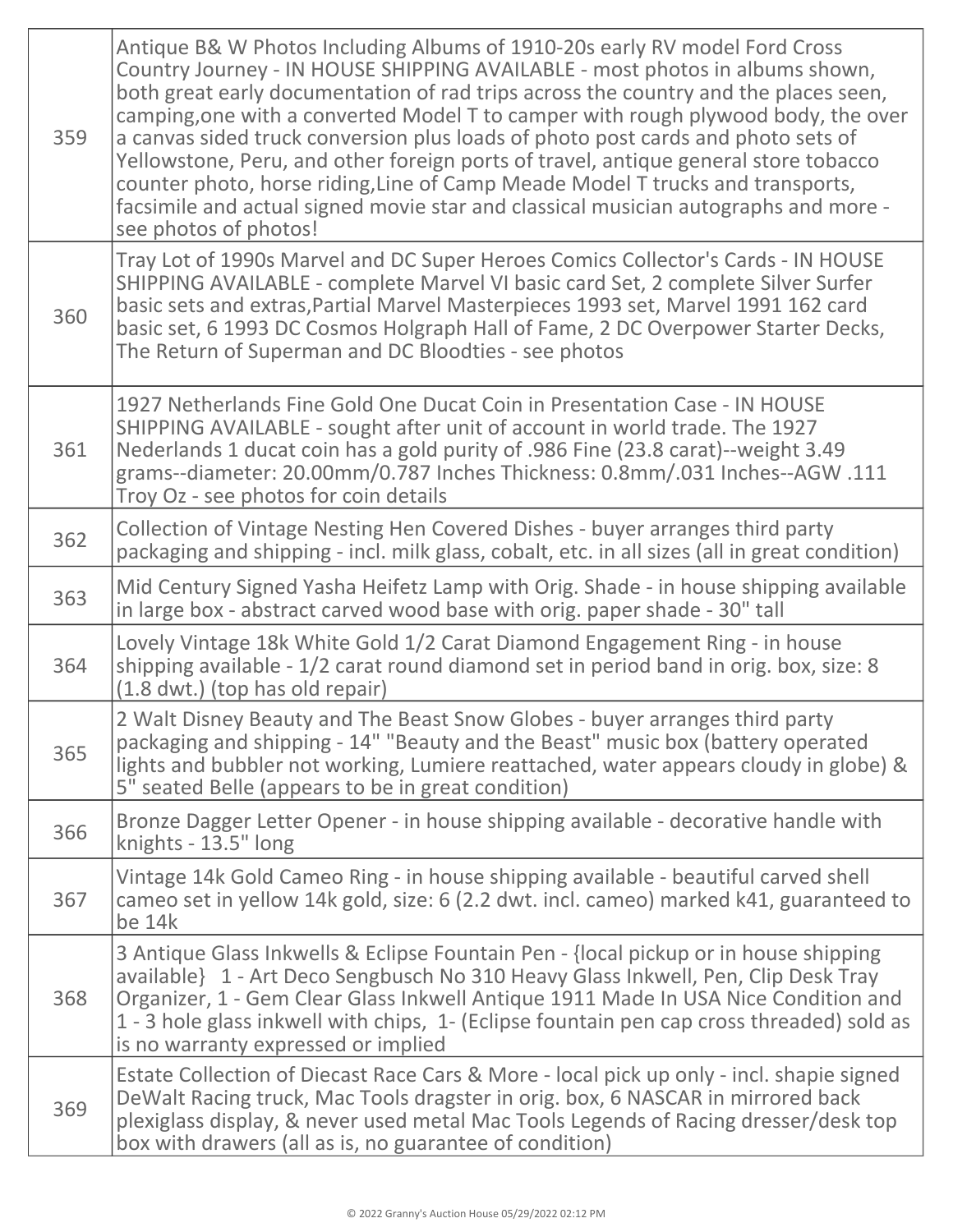| 359 | Antique B& W Photos Including Albums of 1910-20s early RV model Ford Cross<br>Country Journey - IN HOUSE SHIPPING AVAILABLE - most photos in albums shown,<br>both great early documentation of rad trips across the country and the places seen,<br>camping, one with a converted Model T to camper with rough plywood body, the over<br>a canvas sided truck conversion plus loads of photo post cards and photo sets of<br>Yellowstone, Peru, and other foreign ports of travel, antique general store tobacco<br>counter photo, horse riding, Line of Camp Meade Model T trucks and transports,<br>facsimile and actual signed movie star and classical musician autographs and more -<br>see photos of photos! |
|-----|---------------------------------------------------------------------------------------------------------------------------------------------------------------------------------------------------------------------------------------------------------------------------------------------------------------------------------------------------------------------------------------------------------------------------------------------------------------------------------------------------------------------------------------------------------------------------------------------------------------------------------------------------------------------------------------------------------------------|
| 360 | Tray Lot of 1990s Marvel and DC Super Heroes Comics Collector's Cards - IN HOUSE<br>SHIPPING AVAILABLE - complete Marvel VI basic card Set, 2 complete Silver Surfer<br>basic sets and extras, Partial Marvel Masterpieces 1993 set, Marvel 1991 162 card<br>basic set, 6 1993 DC Cosmos Holgraph Hall of Fame, 2 DC Overpower Starter Decks,<br>The Return of Superman and DC Bloodties - see photos                                                                                                                                                                                                                                                                                                               |
| 361 | 1927 Netherlands Fine Gold One Ducat Coin in Presentation Case - IN HOUSE<br>SHIPPING AVAILABLE - sought after unit of account in world trade. The 1927<br>Nederlands 1 ducat coin has a gold purity of .986 Fine (23.8 carat)--weight 3.49<br>grams--diameter: 20.00mm/0.787 Inches Thickness: 0.8mm/.031 Inches--AGW.111<br>Troy Oz - see photos for coin details                                                                                                                                                                                                                                                                                                                                                 |
| 362 | Collection of Vintage Nesting Hen Covered Dishes - buyer arranges third party<br>packaging and shipping - incl. milk glass, cobalt, etc. in all sizes (all in great condition)                                                                                                                                                                                                                                                                                                                                                                                                                                                                                                                                      |
| 363 | Mid Century Signed Yasha Heifetz Lamp with Orig. Shade - in house shipping available<br>in large box - abstract carved wood base with orig. paper shade - 30" tall                                                                                                                                                                                                                                                                                                                                                                                                                                                                                                                                                  |
| 364 | Lovely Vintage 18k White Gold 1/2 Carat Diamond Engagement Ring - in house<br>shipping available - 1/2 carat round diamond set in period band in orig. box, size: 8<br>(1.8 dwt.) (top has old repair)                                                                                                                                                                                                                                                                                                                                                                                                                                                                                                              |
| 365 | 2 Walt Disney Beauty and The Beast Snow Globes - buyer arranges third party<br>packaging and shipping - 14" "Beauty and the Beast" music box (battery operated<br>lights and bubbler not working, Lumiere reattached, water appears cloudy in globe) &<br>5" seated Belle (appears to be in great condition)                                                                                                                                                                                                                                                                                                                                                                                                        |
| 366 | Bronze Dagger Letter Opener - in house shipping available - decorative handle with<br>knights - 13.5" long                                                                                                                                                                                                                                                                                                                                                                                                                                                                                                                                                                                                          |
| 367 | Vintage 14k Gold Cameo Ring - in house shipping available - beautiful carved shell<br>cameo set in yellow 14k gold, size: 6 (2.2 dwt. incl. cameo) marked k41, guaranteed to<br>be 14k                                                                                                                                                                                                                                                                                                                                                                                                                                                                                                                              |
| 368 | 3 Antique Glass Inkwells & Eclipse Fountain Pen - {local pickup or in house shipping<br>available} 1 - Art Deco Sengbusch No 310 Heavy Glass Inkwell, Pen, Clip Desk Tray<br>Organizer, 1 - Gem Clear Glass Inkwell Antique 1911 Made In USA Nice Condition and<br>1 - 3 hole glass inkwell with chips, 1- (Eclipse fountain pen cap cross threaded) sold as<br>is no warranty expressed or implied                                                                                                                                                                                                                                                                                                                 |
| 369 | Estate Collection of Diecast Race Cars & More - local pick up only - incl. shapie signed<br>DeWalt Racing truck, Mac Tools dragster in orig. box, 6 NASCAR in mirrored back<br>plexiglass display, & never used metal Mac Tools Legends of Racing dresser/desk top<br>box with drawers (all as is, no guarantee of condition)                                                                                                                                                                                                                                                                                                                                                                                       |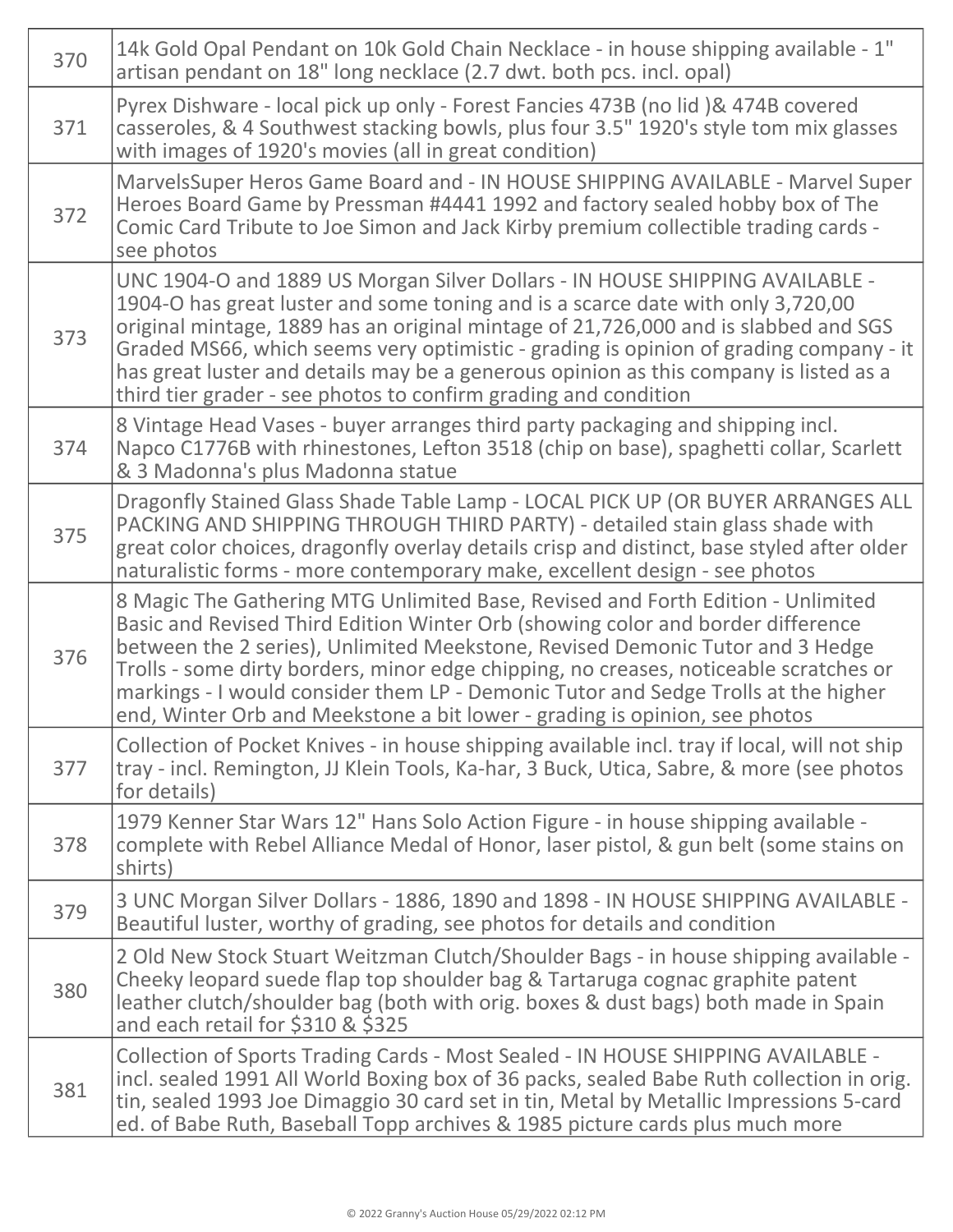| 370 | 14k Gold Opal Pendant on 10k Gold Chain Necklace - in house shipping available - 1"<br>artisan pendant on 18" long necklace (2.7 dwt. both pcs. incl. opal)                                                                                                                                                                                                                                                                                                                                                      |
|-----|------------------------------------------------------------------------------------------------------------------------------------------------------------------------------------------------------------------------------------------------------------------------------------------------------------------------------------------------------------------------------------------------------------------------------------------------------------------------------------------------------------------|
| 371 | Pyrex Dishware - local pick up only - Forest Fancies 473B (no lid) & 474B covered<br>casseroles, & 4 Southwest stacking bowls, plus four 3.5" 1920's style tom mix glasses<br>with images of 1920's movies (all in great condition)                                                                                                                                                                                                                                                                              |
| 372 | MarvelsSuper Heros Game Board and - IN HOUSE SHIPPING AVAILABLE - Marvel Super<br>Heroes Board Game by Pressman #4441 1992 and factory sealed hobby box of The<br>Comic Card Tribute to Joe Simon and Jack Kirby premium collectible trading cards -<br>see photos                                                                                                                                                                                                                                               |
| 373 | UNC 1904-O and 1889 US Morgan Silver Dollars - IN HOUSE SHIPPING AVAILABLE -<br>1904-O has great luster and some toning and is a scarce date with only 3,720,00<br>original mintage, 1889 has an original mintage of 21,726,000 and is slabbed and SGS<br>Graded MS66, which seems very optimistic - grading is opinion of grading company - it<br>has great luster and details may be a generous opinion as this company is listed as a<br>third tier grader - see photos to confirm grading and condition      |
| 374 | 8 Vintage Head Vases - buyer arranges third party packaging and shipping incl.<br>Napco C1776B with rhinestones, Lefton 3518 (chip on base), spaghetti collar, Scarlett<br>& 3 Madonna's plus Madonna statue                                                                                                                                                                                                                                                                                                     |
| 375 | Dragonfly Stained Glass Shade Table Lamp - LOCAL PICK UP (OR BUYER ARRANGES ALL<br>PACKING AND SHIPPING THROUGH THIRD PARTY) - detailed stain glass shade with<br>great color choices, dragonfly overlay details crisp and distinct, base styled after older<br>naturalistic forms - more contemporary make, excellent design - see photos                                                                                                                                                                       |
| 376 | 8 Magic The Gathering MTG Unlimited Base, Revised and Forth Edition - Unlimited<br>Basic and Revised Third Edition Winter Orb (showing color and border difference<br>between the 2 series), Unlimited Meekstone, Revised Demonic Tutor and 3 Hedge<br>Trolls - some dirty borders, minor edge chipping, no creases, noticeable scratches or<br>markings - I would consider them LP - Demonic Tutor and Sedge Trolls at the higher<br>end, Winter Orb and Meekstone a bit lower - grading is opinion, see photos |
| 377 | Collection of Pocket Knives - in house shipping available incl. tray if local, will not ship<br>tray - incl. Remington, JJ Klein Tools, Ka-har, 3 Buck, Utica, Sabre, & more (see photos<br>for details)                                                                                                                                                                                                                                                                                                         |
| 378 | 1979 Kenner Star Wars 12" Hans Solo Action Figure - in house shipping available -<br>complete with Rebel Alliance Medal of Honor, laser pistol, & gun belt (some stains on<br>shirts)                                                                                                                                                                                                                                                                                                                            |
| 379 | 3 UNC Morgan Silver Dollars - 1886, 1890 and 1898 - IN HOUSE SHIPPING AVAILABLE -<br>Beautiful luster, worthy of grading, see photos for details and condition                                                                                                                                                                                                                                                                                                                                                   |
| 380 | 2 Old New Stock Stuart Weitzman Clutch/Shoulder Bags - in house shipping available -<br>Cheeky leopard suede flap top shoulder bag & Tartaruga cognac graphite patent<br>leather clutch/shoulder bag (both with orig. boxes & dust bags) both made in Spain<br>and each retail for \$310 & \$325                                                                                                                                                                                                                 |
| 381 | Collection of Sports Trading Cards - Most Sealed - IN HOUSE SHIPPING AVAILABLE -<br>incl. sealed 1991 All World Boxing box of 36 packs, sealed Babe Ruth collection in orig.<br>tin, sealed 1993 Joe Dimaggio 30 card set in tin, Metal by Metallic Impressions 5-card<br>ed. of Babe Ruth, Baseball Topp archives & 1985 picture cards plus much more                                                                                                                                                           |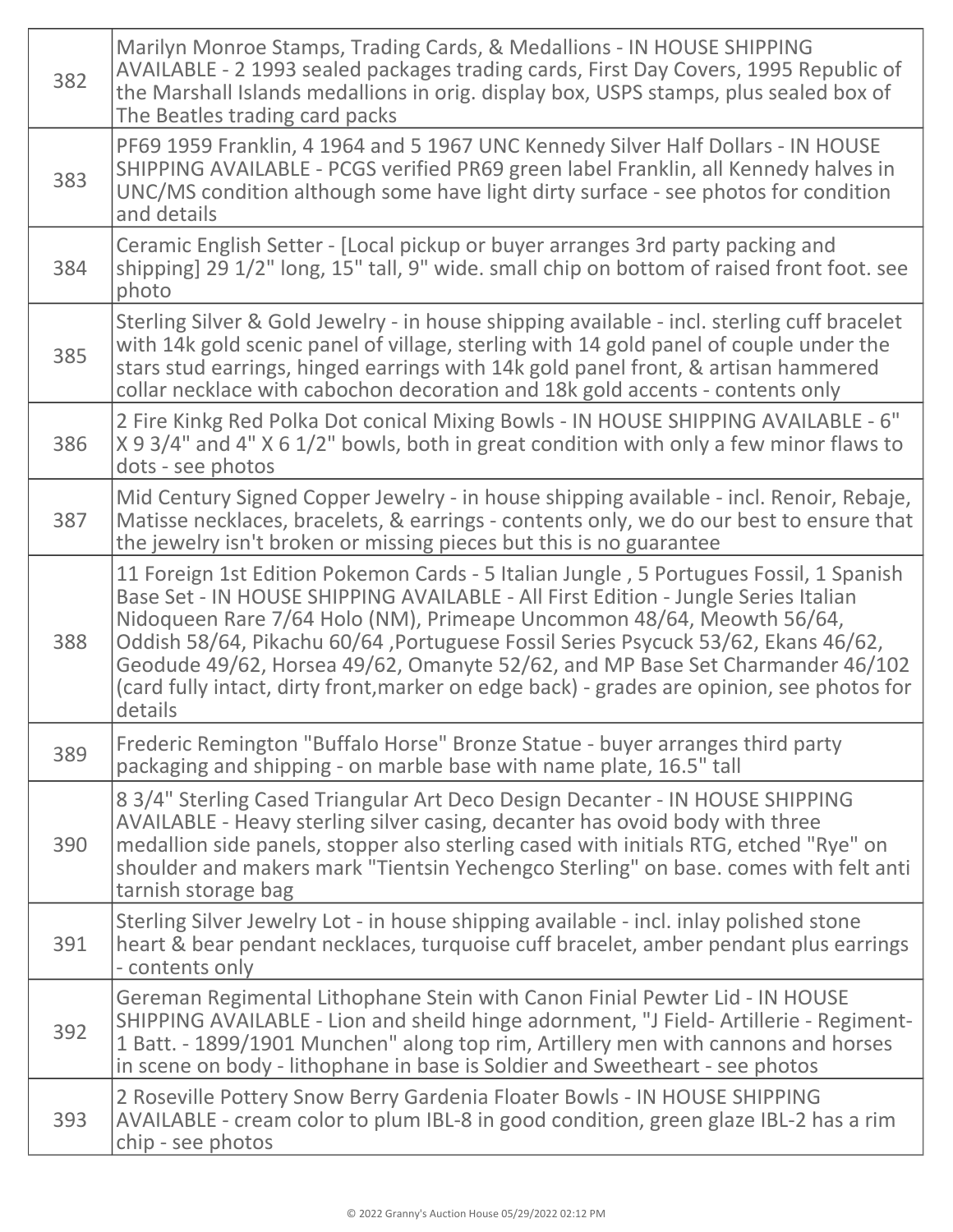| 382 | Marilyn Monroe Stamps, Trading Cards, & Medallions - IN HOUSE SHIPPING<br>AVAILABLE - 2 1993 sealed packages trading cards, First Day Covers, 1995 Republic of<br>the Marshall Islands medallions in orig. display box, USPS stamps, plus sealed box of<br>The Beatles trading card packs                                                                                                                                                                                                                                            |
|-----|--------------------------------------------------------------------------------------------------------------------------------------------------------------------------------------------------------------------------------------------------------------------------------------------------------------------------------------------------------------------------------------------------------------------------------------------------------------------------------------------------------------------------------------|
| 383 | PF69 1959 Franklin, 4 1964 and 5 1967 UNC Kennedy Silver Half Dollars - IN HOUSE<br>SHIPPING AVAILABLE - PCGS verified PR69 green label Franklin, all Kennedy halves in<br>UNC/MS condition although some have light dirty surface - see photos for condition<br>and details                                                                                                                                                                                                                                                         |
| 384 | Ceramic English Setter - [Local pickup or buyer arranges 3rd party packing and<br>shipping] 29 1/2" long, 15" tall, 9" wide. small chip on bottom of raised front foot. see<br>photo                                                                                                                                                                                                                                                                                                                                                 |
| 385 | Sterling Silver & Gold Jewelry - in house shipping available - incl. sterling cuff bracelet<br>with 14k gold scenic panel of village, sterling with 14 gold panel of couple under the<br>stars stud earrings, hinged earrings with 14k gold panel front, & artisan hammered<br>collar necklace with cabochon decoration and 18k gold accents - contents only                                                                                                                                                                         |
| 386 | 2 Fire Kinkg Red Polka Dot conical Mixing Bowls - IN HOUSE SHIPPING AVAILABLE - 6"<br>X 9 3/4" and 4" X 6 1/2" bowls, both in great condition with only a few minor flaws to<br>dots - see photos                                                                                                                                                                                                                                                                                                                                    |
| 387 | Mid Century Signed Copper Jewelry - in house shipping available - incl. Renoir, Rebaje,<br>Matisse necklaces, bracelets, & earrings - contents only, we do our best to ensure that<br>the jewelry isn't broken or missing pieces but this is no guarantee                                                                                                                                                                                                                                                                            |
| 388 | 11 Foreign 1st Edition Pokemon Cards - 5 Italian Jungle, 5 Portugues Fossil, 1 Spanish<br>Base Set - IN HOUSE SHIPPING AVAILABLE - All First Edition - Jungle Series Italian<br>Nidoqueen Rare 7/64 Holo (NM), Primeape Uncommon 48/64, Meowth 56/64,<br>Oddish 58/64, Pikachu 60/64, Portuguese Fossil Series Psycuck 53/62, Ekans 46/62,<br>Geodude 49/62, Horsea 49/62, Omanyte 52/62, and MP Base Set Charmander 46/102<br>(card fully intact, dirty front, marker on edge back) - grades are opinion, see photos for<br>details |
| 389 | Frederic Remington "Buffalo Horse" Bronze Statue - buyer arranges third party<br>packaging and shipping - on marble base with name plate, 16.5" tall                                                                                                                                                                                                                                                                                                                                                                                 |
| 390 | 8 3/4" Sterling Cased Triangular Art Deco Design Decanter - IN HOUSE SHIPPING<br>AVAILABLE - Heavy sterling silver casing, decanter has ovoid body with three<br>medallion side panels, stopper also sterling cased with initials RTG, etched "Rye" on<br>shoulder and makers mark "Tientsin Yechengco Sterling" on base. comes with felt anti<br>tarnish storage bag                                                                                                                                                                |
| 391 | Sterling Silver Jewelry Lot - in house shipping available - incl. inlay polished stone<br>heart & bear pendant necklaces, turquoise cuff bracelet, amber pendant plus earrings<br>- contents only                                                                                                                                                                                                                                                                                                                                    |
| 392 | Gereman Regimental Lithophane Stein with Canon Finial Pewter Lid - IN HOUSE<br>SHIPPING AVAILABLE - Lion and sheild hinge adornment, "J Field-Artillerie - Regiment-<br>1 Batt. - 1899/1901 Munchen" along top rim, Artillery men with cannons and horses<br>in scene on body - lithophane in base is Soldier and Sweetheart - see photos                                                                                                                                                                                            |
| 393 | 2 Roseville Pottery Snow Berry Gardenia Floater Bowls - IN HOUSE SHIPPING<br>AVAILABLE - cream color to plum IBL-8 in good condition, green glaze IBL-2 has a rim<br>chip - see photos                                                                                                                                                                                                                                                                                                                                               |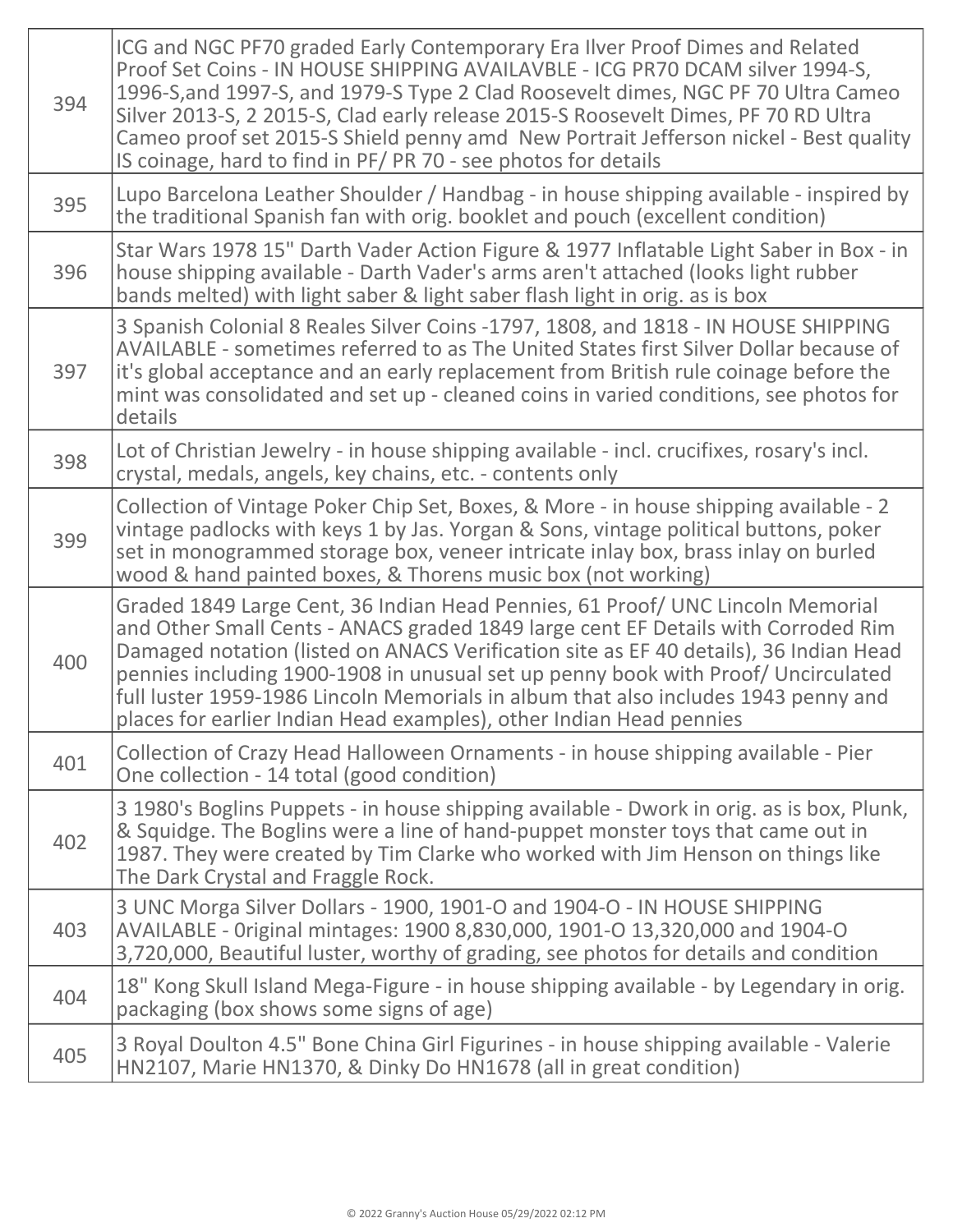| 394 | ICG and NGC PF70 graded Early Contemporary Era Ilver Proof Dimes and Related<br>Proof Set Coins - IN HOUSE SHIPPING AVAILAVBLE - ICG PR70 DCAM silver 1994-S,<br>1996-S, and 1997-S, and 1979-S Type 2 Clad Roosevelt dimes, NGC PF 70 Ultra Cameo<br>Silver 2013-S, 2 2015-S, Clad early release 2015-S Roosevelt Dimes, PF 70 RD Ultra<br>Cameo proof set 2015-S Shield penny amd New Portrait Jefferson nickel - Best quality<br>IS coinage, hard to find in PF/PR 70 - see photos for details              |
|-----|----------------------------------------------------------------------------------------------------------------------------------------------------------------------------------------------------------------------------------------------------------------------------------------------------------------------------------------------------------------------------------------------------------------------------------------------------------------------------------------------------------------|
| 395 | Lupo Barcelona Leather Shoulder / Handbag - in house shipping available - inspired by<br>the traditional Spanish fan with orig. booklet and pouch (excellent condition)                                                                                                                                                                                                                                                                                                                                        |
| 396 | Star Wars 1978 15" Darth Vader Action Figure & 1977 Inflatable Light Saber in Box - in<br>house shipping available - Darth Vader's arms aren't attached (looks light rubber<br>bands melted) with light saber & light saber flash light in orig. as is box                                                                                                                                                                                                                                                     |
| 397 | 3 Spanish Colonial 8 Reales Silver Coins -1797, 1808, and 1818 - IN HOUSE SHIPPING<br>AVAILABLE - sometimes referred to as The United States first Silver Dollar because of<br>it's global acceptance and an early replacement from British rule coinage before the<br>mint was consolidated and set up - cleaned coins in varied conditions, see photos for<br>details                                                                                                                                        |
| 398 | Lot of Christian Jewelry - in house shipping available - incl. crucifixes, rosary's incl.<br>crystal, medals, angels, key chains, etc. - contents only                                                                                                                                                                                                                                                                                                                                                         |
| 399 | Collection of Vintage Poker Chip Set, Boxes, & More - in house shipping available - 2<br>vintage padlocks with keys 1 by Jas. Yorgan & Sons, vintage political buttons, poker<br>set in monogrammed storage box, veneer intricate inlay box, brass inlay on burled<br>wood & hand painted boxes, & Thorens music box (not working)                                                                                                                                                                             |
| 400 | Graded 1849 Large Cent, 36 Indian Head Pennies, 61 Proof/ UNC Lincoln Memorial<br>and Other Small Cents - ANACS graded 1849 large cent EF Details with Corroded Rim<br>Damaged notation (listed on ANACS Verification site as EF 40 details), 36 Indian Head<br>pennies including 1900-1908 in unusual set up penny book with Proof/ Uncirculated<br>full luster 1959-1986 Lincoln Memorials in album that also includes 1943 penny and<br>places for earlier Indian Head examples), other Indian Head pennies |
| 401 | Collection of Crazy Head Halloween Ornaments - in house shipping available - Pier<br>One collection - 14 total (good condition)                                                                                                                                                                                                                                                                                                                                                                                |
| 402 | 3 1980's Boglins Puppets - in house shipping available - Dwork in orig. as is box, Plunk,<br>& Squidge. The Boglins were a line of hand-puppet monster toys that came out in<br>1987. They were created by Tim Clarke who worked with Jim Henson on things like<br>The Dark Crystal and Fraggle Rock.                                                                                                                                                                                                          |
| 403 | 3 UNC Morga Silver Dollars - 1900, 1901-O and 1904-O - IN HOUSE SHIPPING<br>AVAILABLE - Original mintages: 1900 8,830,000, 1901-O 13,320,000 and 1904-O<br>3,720,000, Beautiful luster, worthy of grading, see photos for details and condition                                                                                                                                                                                                                                                                |
| 404 | 18" Kong Skull Island Mega-Figure - in house shipping available - by Legendary in orig.<br>packaging (box shows some signs of age)                                                                                                                                                                                                                                                                                                                                                                             |
| 405 | 3 Royal Doulton 4.5" Bone China Girl Figurines - in house shipping available - Valerie<br>HN2107, Marie HN1370, & Dinky Do HN1678 (all in great condition)                                                                                                                                                                                                                                                                                                                                                     |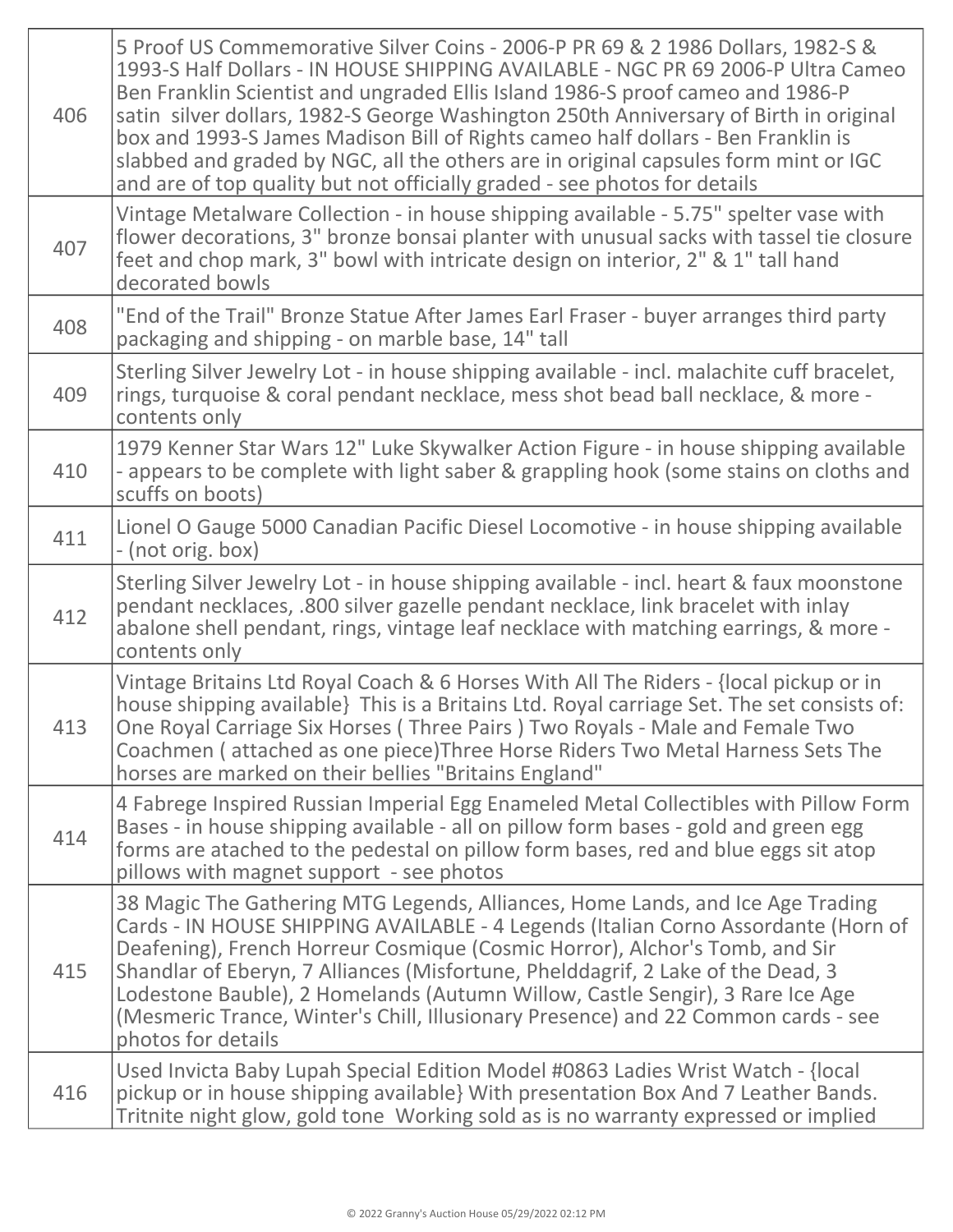| 406 | 5 Proof US Commemorative Silver Coins - 2006-P PR 69 & 2 1986 Dollars, 1982-S &<br>1993-S Half Dollars - IN HOUSE SHIPPING AVAILABLE - NGC PR 69 2006-P Ultra Cameo<br>Ben Franklin Scientist and ungraded Ellis Island 1986-S proof cameo and 1986-P<br>satin silver dollars, 1982-S George Washington 250th Anniversary of Birth in original<br>box and 1993-S James Madison Bill of Rights cameo half dollars - Ben Franklin is<br>slabbed and graded by NGC, all the others are in original capsules form mint or IGC<br>and are of top quality but not officially graded - see photos for details |
|-----|--------------------------------------------------------------------------------------------------------------------------------------------------------------------------------------------------------------------------------------------------------------------------------------------------------------------------------------------------------------------------------------------------------------------------------------------------------------------------------------------------------------------------------------------------------------------------------------------------------|
| 407 | Vintage Metalware Collection - in house shipping available - 5.75" spelter vase with<br>flower decorations, 3" bronze bonsai planter with unusual sacks with tassel tie closure<br>feet and chop mark, 3" bowl with intricate design on interior, 2" & 1" tall hand<br>decorated bowls                                                                                                                                                                                                                                                                                                                 |
| 408 | "End of the Trail" Bronze Statue After James Earl Fraser - buyer arranges third party<br>packaging and shipping - on marble base, 14" tall                                                                                                                                                                                                                                                                                                                                                                                                                                                             |
| 409 | Sterling Silver Jewelry Lot - in house shipping available - incl. malachite cuff bracelet,<br>rings, turquoise & coral pendant necklace, mess shot bead ball necklace, & more -<br>contents only                                                                                                                                                                                                                                                                                                                                                                                                       |
| 410 | 1979 Kenner Star Wars 12" Luke Skywalker Action Figure - in house shipping available<br>- appears to be complete with light saber & grappling hook (some stains on cloths and<br>scuffs on boots)                                                                                                                                                                                                                                                                                                                                                                                                      |
| 411 | Lionel O Gauge 5000 Canadian Pacific Diesel Locomotive - in house shipping available<br>- (not orig. box)                                                                                                                                                                                                                                                                                                                                                                                                                                                                                              |
| 412 | Sterling Silver Jewelry Lot - in house shipping available - incl. heart & faux moonstone<br>pendant necklaces, .800 silver gazelle pendant necklace, link bracelet with inlay<br>abalone shell pendant, rings, vintage leaf necklace with matching earrings, & more -<br>contents only                                                                                                                                                                                                                                                                                                                 |
| 413 | Vintage Britains Ltd Royal Coach & 6 Horses With All The Riders - {local pickup or in<br>house shipping available} This is a Britains Ltd. Royal carriage Set. The set consists of:<br>One Royal Carriage Six Horses (Three Pairs) Two Royals - Male and Female Two<br>Coachmen (attached as one piece) Three Horse Riders Two Metal Harness Sets The<br>horses are marked on their bellies "Britains England"                                                                                                                                                                                         |
| 414 | 4 Fabrege Inspired Russian Imperial Egg Enameled Metal Collectibles with Pillow Form<br>Bases - in house shipping available - all on pillow form bases - gold and green egg<br>forms are atached to the pedestal on pillow form bases, red and blue eggs sit atop<br>pillows with magnet support - see photos                                                                                                                                                                                                                                                                                          |
| 415 | 38 Magic The Gathering MTG Legends, Alliances, Home Lands, and Ice Age Trading<br>Cards - IN HOUSE SHIPPING AVAILABLE - 4 Legends (Italian Corno Assordante (Horn of<br>Deafening), French Horreur Cosmique (Cosmic Horror), Alchor's Tomb, and Sir<br>Shandlar of Eberyn, 7 Alliances (Misfortune, Phelddagrif, 2 Lake of the Dead, 3<br>Lodestone Bauble), 2 Homelands (Autumn Willow, Castle Sengir), 3 Rare Ice Age<br>(Mesmeric Trance, Winter's Chill, Illusionary Presence) and 22 Common cards - see<br>photos for details                                                                     |
| 416 | Used Invicta Baby Lupah Special Edition Model #0863 Ladies Wrist Watch - {local<br>pickup or in house shipping available} With presentation Box And 7 Leather Bands.<br>Tritnite night glow, gold tone Working sold as is no warranty expressed or implied                                                                                                                                                                                                                                                                                                                                             |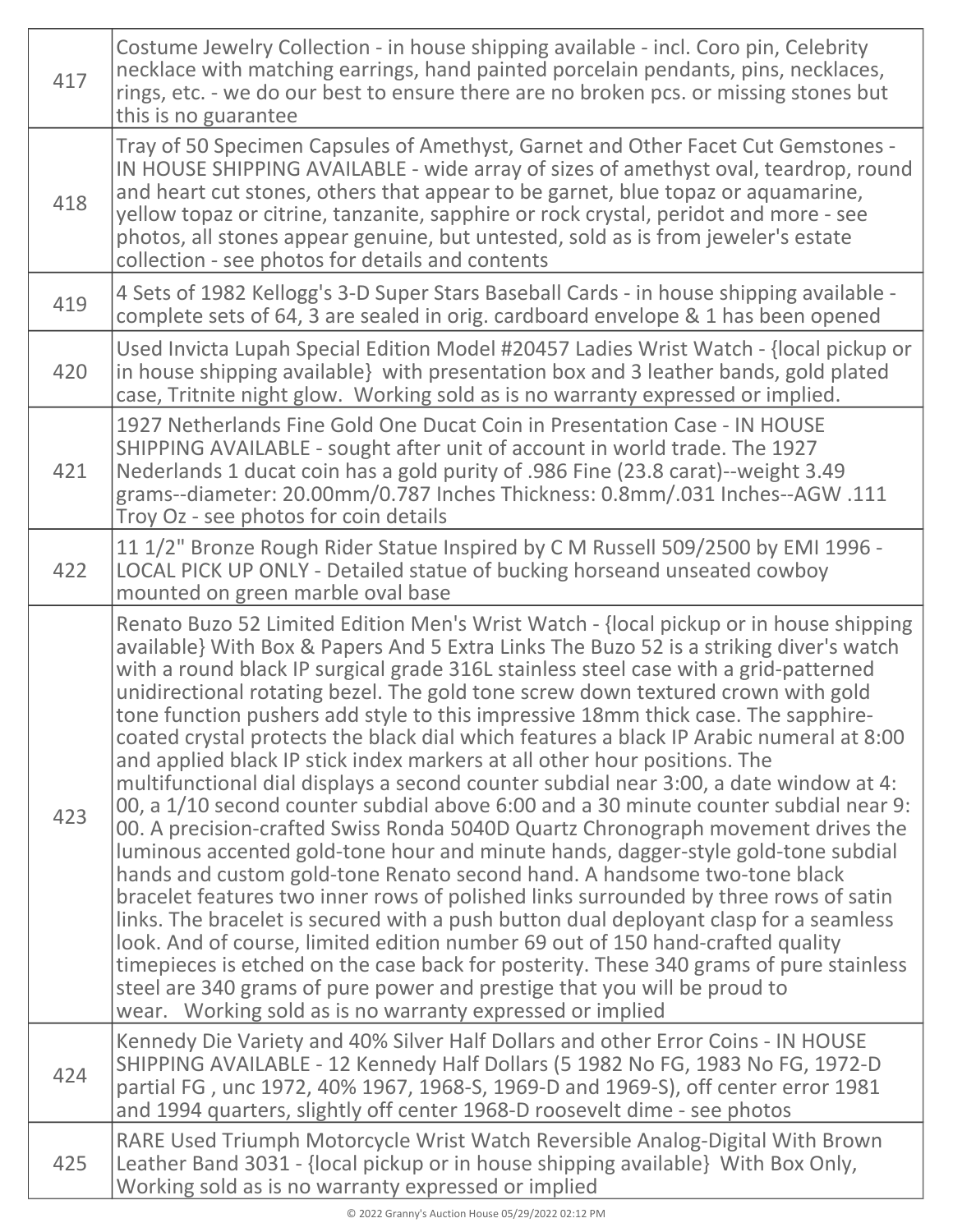| 417 | Costume Jewelry Collection - in house shipping available - incl. Coro pin, Celebrity<br>necklace with matching earrings, hand painted porcelain pendants, pins, necklaces,<br>rings, etc. - we do our best to ensure there are no broken pcs. or missing stones but<br>this is no guarantee                                                                                                                                                                                                                                                                                                                                                                                                                                                                                                                                                                                                                                                                                                                                                                                                                                                                                                                                                                                                                                                                                                                                                                                                                                                                          |
|-----|----------------------------------------------------------------------------------------------------------------------------------------------------------------------------------------------------------------------------------------------------------------------------------------------------------------------------------------------------------------------------------------------------------------------------------------------------------------------------------------------------------------------------------------------------------------------------------------------------------------------------------------------------------------------------------------------------------------------------------------------------------------------------------------------------------------------------------------------------------------------------------------------------------------------------------------------------------------------------------------------------------------------------------------------------------------------------------------------------------------------------------------------------------------------------------------------------------------------------------------------------------------------------------------------------------------------------------------------------------------------------------------------------------------------------------------------------------------------------------------------------------------------------------------------------------------------|
| 418 | Tray of 50 Specimen Capsules of Amethyst, Garnet and Other Facet Cut Gemstones -<br>IN HOUSE SHIPPING AVAILABLE - wide array of sizes of amethyst oval, teardrop, round<br>and heart cut stones, others that appear to be garnet, blue topaz or aquamarine,<br>yellow topaz or citrine, tanzanite, sapphire or rock crystal, peridot and more - see<br>photos, all stones appear genuine, but untested, sold as is from jeweler's estate<br>collection - see photos for details and contents                                                                                                                                                                                                                                                                                                                                                                                                                                                                                                                                                                                                                                                                                                                                                                                                                                                                                                                                                                                                                                                                         |
| 419 | 4 Sets of 1982 Kellogg's 3-D Super Stars Baseball Cards - in house shipping available -<br>complete sets of 64, 3 are sealed in orig. cardboard envelope & 1 has been opened                                                                                                                                                                                                                                                                                                                                                                                                                                                                                                                                                                                                                                                                                                                                                                                                                                                                                                                                                                                                                                                                                                                                                                                                                                                                                                                                                                                         |
| 420 | Used Invicta Lupah Special Edition Model #20457 Ladies Wrist Watch - {local pickup or<br>in house shipping available} with presentation box and 3 leather bands, gold plated<br>case, Tritnite night glow. Working sold as is no warranty expressed or implied.                                                                                                                                                                                                                                                                                                                                                                                                                                                                                                                                                                                                                                                                                                                                                                                                                                                                                                                                                                                                                                                                                                                                                                                                                                                                                                      |
| 421 | 1927 Netherlands Fine Gold One Ducat Coin in Presentation Case - IN HOUSE<br>SHIPPING AVAILABLE - sought after unit of account in world trade. The 1927<br>Nederlands 1 ducat coin has a gold purity of .986 Fine (23.8 carat)--weight 3.49<br>grams--diameter: 20.00mm/0.787 Inches Thickness: 0.8mm/.031 Inches--AGW.111<br>Troy Oz - see photos for coin details                                                                                                                                                                                                                                                                                                                                                                                                                                                                                                                                                                                                                                                                                                                                                                                                                                                                                                                                                                                                                                                                                                                                                                                                  |
| 422 | 11 1/2" Bronze Rough Rider Statue Inspired by C M Russell 509/2500 by EMI 1996 -<br>LOCAL PICK UP ONLY - Detailed statue of bucking horseand unseated cowboy<br>mounted on green marble oval base                                                                                                                                                                                                                                                                                                                                                                                                                                                                                                                                                                                                                                                                                                                                                                                                                                                                                                                                                                                                                                                                                                                                                                                                                                                                                                                                                                    |
| 423 | Renato Buzo 52 Limited Edition Men's Wrist Watch - {local pickup or in house shipping<br>available} With Box & Papers And 5 Extra Links The Buzo 52 is a striking diver's watch<br>with a round black IP surgical grade 316L stainless steel case with a grid-patterned<br>unidirectional rotating bezel. The gold tone screw down textured crown with gold<br>tone function pushers add style to this impressive 18mm thick case. The sapphire-<br>coated crystal protects the black dial which features a black IP Arabic numeral at 8:00<br>and applied black IP stick index markers at all other hour positions. The<br>multifunctional dial displays a second counter subdial near 3:00, a date window at 4:<br>00, a 1/10 second counter subdial above 6:00 and a 30 minute counter subdial near 9:<br>00. A precision-crafted Swiss Ronda 5040D Quartz Chronograph movement drives the<br>luminous accented gold-tone hour and minute hands, dagger-style gold-tone subdial<br>hands and custom gold-tone Renato second hand. A handsome two-tone black<br>bracelet features two inner rows of polished links surrounded by three rows of satin<br>links. The bracelet is secured with a push button dual deployant clasp for a seamless<br>look. And of course, limited edition number 69 out of 150 hand-crafted quality<br>timepieces is etched on the case back for posterity. These 340 grams of pure stainless<br>steel are 340 grams of pure power and prestige that you will be proud to<br>wear. Working sold as is no warranty expressed or implied |
| 424 | Kennedy Die Variety and 40% Silver Half Dollars and other Error Coins - IN HOUSE<br>SHIPPING AVAILABLE - 12 Kennedy Half Dollars (5 1982 No FG, 1983 No FG, 1972-D<br>partial FG, unc 1972, 40% 1967, 1968-S, 1969-D and 1969-S), off center error 1981<br>and 1994 quarters, slightly off center 1968-D roosevelt dime - see photos                                                                                                                                                                                                                                                                                                                                                                                                                                                                                                                                                                                                                                                                                                                                                                                                                                                                                                                                                                                                                                                                                                                                                                                                                                 |
| 425 | RARE Used Triumph Motorcycle Wrist Watch Reversible Analog-Digital With Brown<br>Leather Band 3031 - {local pickup or in house shipping available} With Box Only,<br>Working sold as is no warranty expressed or implied                                                                                                                                                                                                                                                                                                                                                                                                                                                                                                                                                                                                                                                                                                                                                                                                                                                                                                                                                                                                                                                                                                                                                                                                                                                                                                                                             |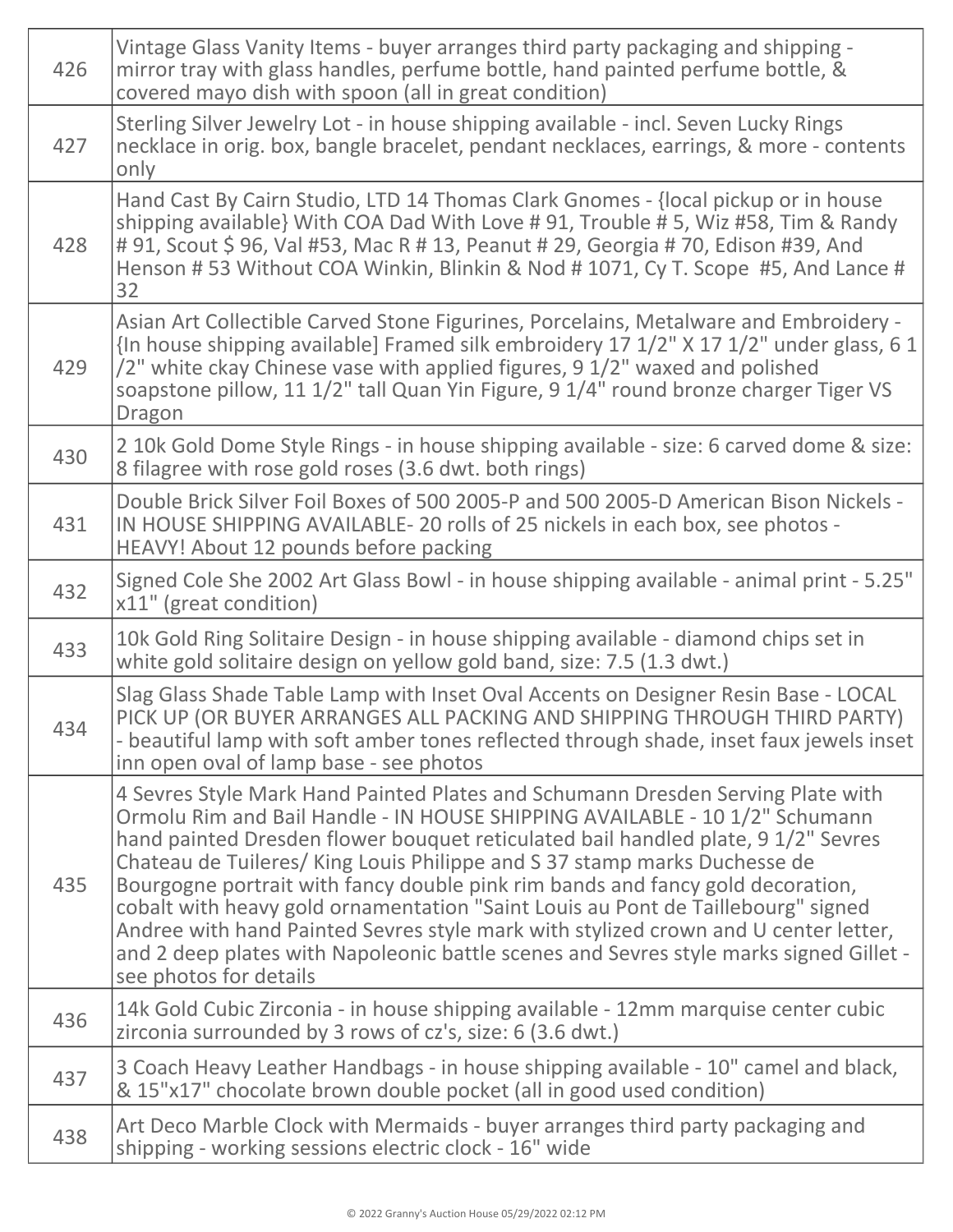| 426 | Vintage Glass Vanity Items - buyer arranges third party packaging and shipping -<br>mirror tray with glass handles, perfume bottle, hand painted perfume bottle, &<br>covered mayo dish with spoon (all in great condition)                                                                                                                                                                                                                                                                                                                                                                                                                                                                                       |
|-----|-------------------------------------------------------------------------------------------------------------------------------------------------------------------------------------------------------------------------------------------------------------------------------------------------------------------------------------------------------------------------------------------------------------------------------------------------------------------------------------------------------------------------------------------------------------------------------------------------------------------------------------------------------------------------------------------------------------------|
| 427 | Sterling Silver Jewelry Lot - in house shipping available - incl. Seven Lucky Rings<br>necklace in orig. box, bangle bracelet, pendant necklaces, earrings, & more - contents<br>only                                                                                                                                                                                                                                                                                                                                                                                                                                                                                                                             |
| 428 | Hand Cast By Cairn Studio, LTD 14 Thomas Clark Gnomes - {local pickup or in house<br>shipping available} With COA Dad With Love #91, Trouble #5, Wiz #58, Tim & Randy<br># 91, Scout \$ 96, Val #53, Mac R # 13, Peanut # 29, Georgia # 70, Edison #39, And<br>Henson #53 Without COA Winkin, Blinkin & Nod #1071, Cy T. Scope #5, And Lance #<br>32                                                                                                                                                                                                                                                                                                                                                              |
| 429 | Asian Art Collectible Carved Stone Figurines, Porcelains, Metalware and Embroidery -<br>{In house shipping available] Framed silk embroidery 17 1/2" X 17 1/2" under glass, 6 1<br>/2" white ckay Chinese vase with applied figures, 9 1/2" waxed and polished<br>soapstone pillow, 11 1/2" tall Quan Yin Figure, 9 1/4" round bronze charger Tiger VS<br>Dragon                                                                                                                                                                                                                                                                                                                                                  |
| 430 | 2 10k Gold Dome Style Rings - in house shipping available - size: 6 carved dome & size:<br>8 filagree with rose gold roses (3.6 dwt. both rings)                                                                                                                                                                                                                                                                                                                                                                                                                                                                                                                                                                  |
| 431 | Double Brick Silver Foil Boxes of 500 2005-P and 500 2005-D American Bison Nickels -<br>IN HOUSE SHIPPING AVAILABLE- 20 rolls of 25 nickels in each box, see photos -<br>HEAVY! About 12 pounds before packing                                                                                                                                                                                                                                                                                                                                                                                                                                                                                                    |
| 432 | Signed Cole She 2002 Art Glass Bowl - in house shipping available - animal print - 5.25"<br>x11" (great condition)                                                                                                                                                                                                                                                                                                                                                                                                                                                                                                                                                                                                |
| 433 | 10k Gold Ring Solitaire Design - in house shipping available - diamond chips set in<br>white gold solitaire design on yellow gold band, size: 7.5 (1.3 dwt.)                                                                                                                                                                                                                                                                                                                                                                                                                                                                                                                                                      |
| 434 | Slag Glass Shade Table Lamp with Inset Oval Accents on Designer Resin Base - LOCAL<br>PICK UP (OR BUYER ARRANGES ALL PACKING AND SHIPPING THROUGH THIRD PARTY)<br>- beautiful lamp with soft amber tones reflected through shade, inset faux jewels inset<br>inn open oval of lamp base - see photos                                                                                                                                                                                                                                                                                                                                                                                                              |
| 435 | 4 Sevres Style Mark Hand Painted Plates and Schumann Dresden Serving Plate with<br>Ormolu Rim and Bail Handle - IN HOUSE SHIPPING AVAILABLE - 10 1/2" Schumann<br>hand painted Dresden flower bouquet reticulated bail handled plate, 9 1/2" Sevres<br>Chateau de Tuileres/ King Louis Philippe and S 37 stamp marks Duchesse de<br>Bourgogne portrait with fancy double pink rim bands and fancy gold decoration,<br>cobalt with heavy gold ornamentation "Saint Louis au Pont de Taillebourg" signed<br>Andree with hand Painted Sevres style mark with stylized crown and U center letter,<br>and 2 deep plates with Napoleonic battle scenes and Sevres style marks signed Gillet -<br>see photos for details |
| 436 | 14k Gold Cubic Zirconia - in house shipping available - 12mm marquise center cubic<br>zirconia surrounded by 3 rows of cz's, size: 6 (3.6 dwt.)                                                                                                                                                                                                                                                                                                                                                                                                                                                                                                                                                                   |
| 437 | 3 Coach Heavy Leather Handbags - in house shipping available - 10" camel and black,<br>& 15"x17" chocolate brown double pocket (all in good used condition)                                                                                                                                                                                                                                                                                                                                                                                                                                                                                                                                                       |
| 438 | Art Deco Marble Clock with Mermaids - buyer arranges third party packaging and<br>shipping - working sessions electric clock - 16" wide                                                                                                                                                                                                                                                                                                                                                                                                                                                                                                                                                                           |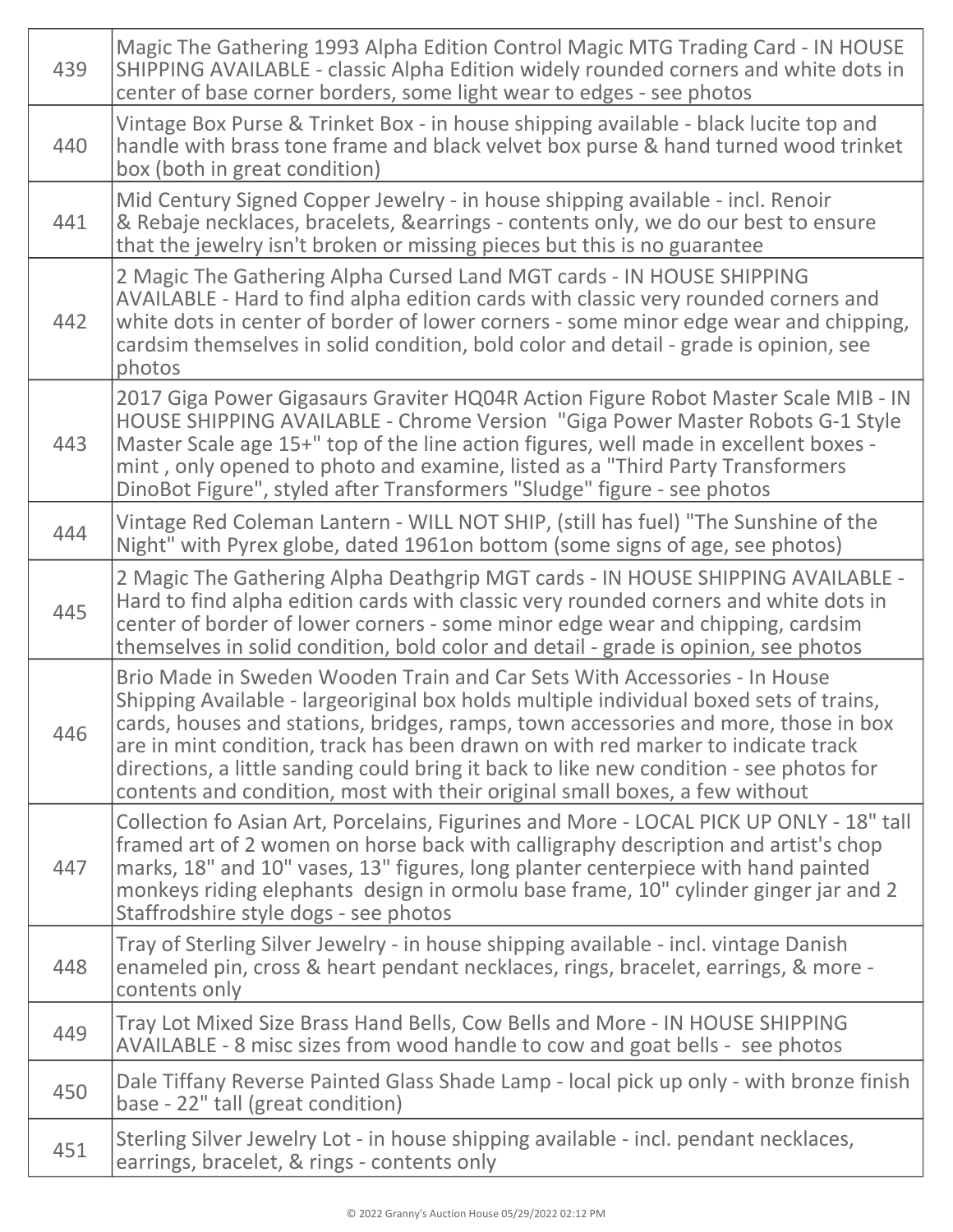| 439 | Magic The Gathering 1993 Alpha Edition Control Magic MTG Trading Card - IN HOUSE<br>SHIPPING AVAILABLE - classic Alpha Edition widely rounded corners and white dots in<br>center of base corner borders, some light wear to edges - see photos                                                                                                                                                                                                                                                                          |
|-----|--------------------------------------------------------------------------------------------------------------------------------------------------------------------------------------------------------------------------------------------------------------------------------------------------------------------------------------------------------------------------------------------------------------------------------------------------------------------------------------------------------------------------|
| 440 | Vintage Box Purse & Trinket Box - in house shipping available - black lucite top and<br>handle with brass tone frame and black velvet box purse & hand turned wood trinket<br>box (both in great condition)                                                                                                                                                                                                                                                                                                              |
| 441 | Mid Century Signed Copper Jewelry - in house shipping available - incl. Renoir<br>& Rebaje necklaces, bracelets, & earrings - contents only, we do our best to ensure<br>that the jewelry isn't broken or missing pieces but this is no guarantee                                                                                                                                                                                                                                                                        |
| 442 | 2 Magic The Gathering Alpha Cursed Land MGT cards - IN HOUSE SHIPPING<br>AVAILABLE - Hard to find alpha edition cards with classic very rounded corners and<br>white dots in center of border of lower corners - some minor edge wear and chipping,<br>cardsim themselves in solid condition, bold color and detail - grade is opinion, see<br>photos                                                                                                                                                                    |
| 443 | 2017 Giga Power Gigasaurs Graviter HQ04R Action Figure Robot Master Scale MIB - IN<br>HOUSE SHIPPING AVAILABLE - Chrome Version "Giga Power Master Robots G-1 Style<br>Master Scale age 15+" top of the line action figures, well made in excellent boxes -<br>mint, only opened to photo and examine, listed as a "Third Party Transformers<br>DinoBot Figure", styled after Transformers "Sludge" figure - see photos                                                                                                  |
| 444 | Vintage Red Coleman Lantern - WILL NOT SHIP, (still has fuel) "The Sunshine of the<br>Night" with Pyrex globe, dated 1961on bottom (some signs of age, see photos)                                                                                                                                                                                                                                                                                                                                                       |
| 445 | 2 Magic The Gathering Alpha Deathgrip MGT cards - IN HOUSE SHIPPING AVAILABLE -<br>Hard to find alpha edition cards with classic very rounded corners and white dots in<br>center of border of lower corners - some minor edge wear and chipping, cardsim<br>themselves in solid condition, bold color and detail - grade is opinion, see photos                                                                                                                                                                         |
| 446 | Brio Made in Sweden Wooden Train and Car Sets With Accessories - In House<br>Shipping Available - largeoriginal box holds multiple individual boxed sets of trains,<br>cards, houses and stations, bridges, ramps, town accessories and more, those in box<br>are in mint condition, track has been drawn on with red marker to indicate track<br>directions, a little sanding could bring it back to like new condition - see photos for<br>contents and condition, most with their original small boxes, a few without |
| 447 | Collection fo Asian Art, Porcelains, Figurines and More - LOCAL PICK UP ONLY - 18" tall<br>framed art of 2 women on horse back with calligraphy description and artist's chop<br>marks, 18" and 10" vases, 13" figures, long planter centerpiece with hand painted<br>monkeys riding elephants design in ormolu base frame, 10" cylinder ginger jar and 2<br>Staffrodshire style dogs - see photos                                                                                                                       |
| 448 | Tray of Sterling Silver Jewelry - in house shipping available - incl. vintage Danish<br>enameled pin, cross & heart pendant necklaces, rings, bracelet, earrings, & more -<br>contents only                                                                                                                                                                                                                                                                                                                              |
| 449 | Tray Lot Mixed Size Brass Hand Bells, Cow Bells and More - IN HOUSE SHIPPING<br>AVAILABLE - 8 misc sizes from wood handle to cow and goat bells - see photos                                                                                                                                                                                                                                                                                                                                                             |
| 450 | Dale Tiffany Reverse Painted Glass Shade Lamp - local pick up only - with bronze finish<br>base - 22" tall (great condition)                                                                                                                                                                                                                                                                                                                                                                                             |
| 451 | Sterling Silver Jewelry Lot - in house shipping available - incl. pendant necklaces,<br>earrings, bracelet, & rings - contents only                                                                                                                                                                                                                                                                                                                                                                                      |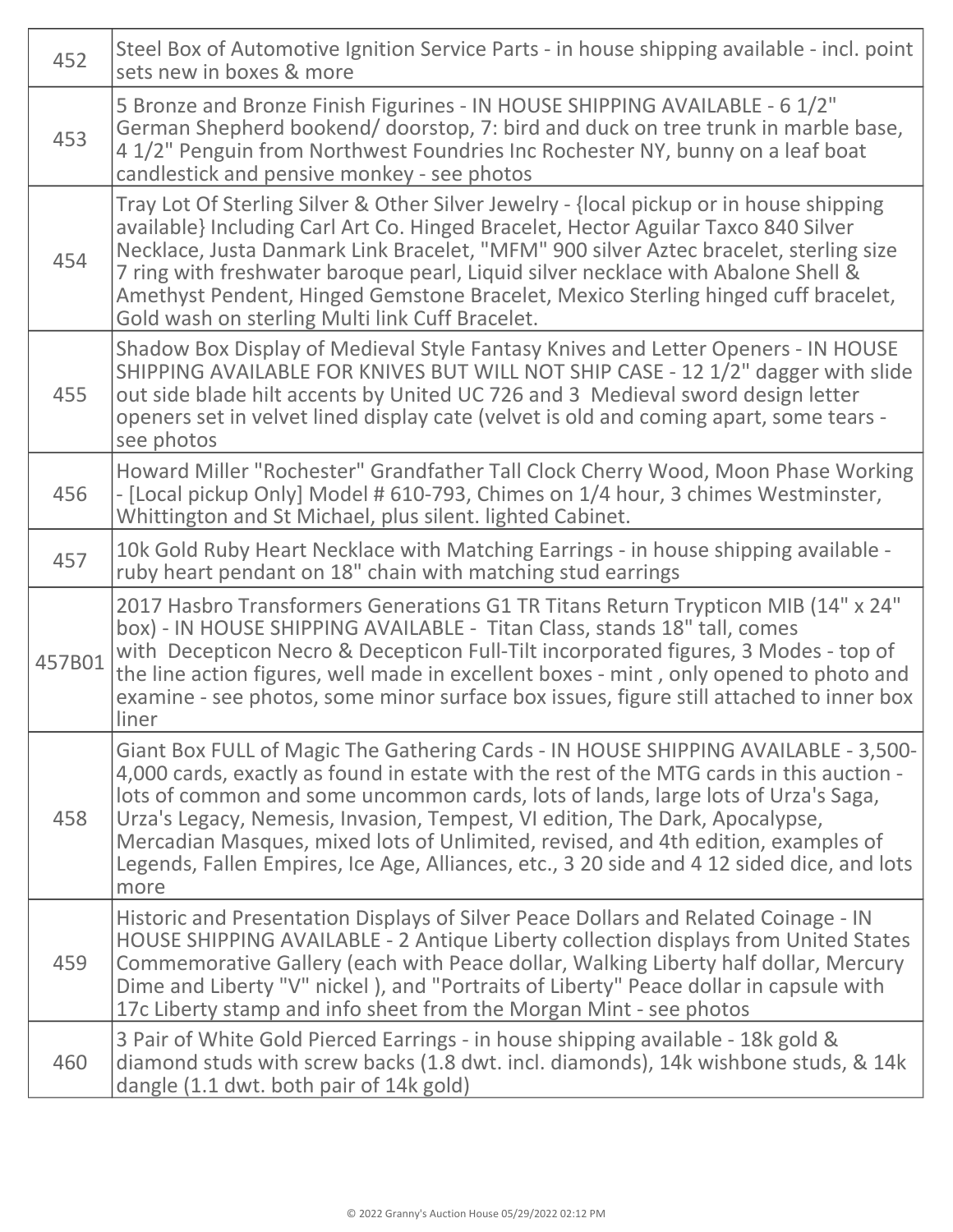| 452    | Steel Box of Automotive Ignition Service Parts - in house shipping available - incl. point<br>sets new in boxes & more                                                                                                                                                                                                                                                                                                                                                                                                                         |
|--------|------------------------------------------------------------------------------------------------------------------------------------------------------------------------------------------------------------------------------------------------------------------------------------------------------------------------------------------------------------------------------------------------------------------------------------------------------------------------------------------------------------------------------------------------|
| 453    | 5 Bronze and Bronze Finish Figurines - IN HOUSE SHIPPING AVAILABLE - 6 1/2"<br>German Shepherd bookend/ doorstop, 7: bird and duck on tree trunk in marble base,<br>4 1/2" Penguin from Northwest Foundries Inc Rochester NY, bunny on a leaf boat<br>candlestick and pensive monkey - see photos                                                                                                                                                                                                                                              |
| 454    | Tray Lot Of Sterling Silver & Other Silver Jewelry - {local pickup or in house shipping<br>available} Including Carl Art Co. Hinged Bracelet, Hector Aguilar Taxco 840 Silver<br>Necklace, Justa Danmark Link Bracelet, "MFM" 900 silver Aztec bracelet, sterling size<br>7 ring with freshwater baroque pearl, Liquid silver necklace with Abalone Shell &<br>Amethyst Pendent, Hinged Gemstone Bracelet, Mexico Sterling hinged cuff bracelet,<br>Gold wash on sterling Multi link Cuff Bracelet.                                            |
| 455    | Shadow Box Display of Medieval Style Fantasy Knives and Letter Openers - IN HOUSE<br>SHIPPING AVAILABLE FOR KNIVES BUT WILL NOT SHIP CASE - 12 1/2" dagger with slide<br>out side blade hilt accents by United UC 726 and 3 Medieval sword design letter<br>openers set in velvet lined display cate (velvet is old and coming apart, some tears -<br>see photos                                                                                                                                                                               |
| 456    | Howard Miller "Rochester" Grandfather Tall Clock Cherry Wood, Moon Phase Working<br>- [Local pickup Only] Model # 610-793, Chimes on 1/4 hour, 3 chimes Westminster,<br>Whittington and St Michael, plus silent. lighted Cabinet.                                                                                                                                                                                                                                                                                                              |
| 457    | 10k Gold Ruby Heart Necklace with Matching Earrings - in house shipping available -<br>ruby heart pendant on 18" chain with matching stud earrings                                                                                                                                                                                                                                                                                                                                                                                             |
| 457B01 | 2017 Hasbro Transformers Generations G1 TR Titans Return Trypticon MIB (14" x 24"<br>box) - IN HOUSE SHIPPING AVAILABLE - Titan Class, stands 18" tall, comes<br>with Decepticon Necro & Decepticon Full-Tilt incorporated figures, 3 Modes - top of<br>the line action figures, well made in excellent boxes - mint, only opened to photo and<br>examine - see photos, some minor surface box issues, figure still attached to inner box<br>liner                                                                                             |
| 458    | Giant Box FULL of Magic The Gathering Cards - IN HOUSE SHIPPING AVAILABLE - 3,500-<br>4,000 cards, exactly as found in estate with the rest of the MTG cards in this auction -<br>lots of common and some uncommon cards, lots of lands, large lots of Urza's Saga,<br>Urza's Legacy, Nemesis, Invasion, Tempest, VI edition, The Dark, Apocalypse,<br>Mercadian Masques, mixed lots of Unlimited, revised, and 4th edition, examples of<br>Legends, Fallen Empires, Ice Age, Alliances, etc., 3 20 side and 4 12 sided dice, and lots<br>more |
| 459    | Historic and Presentation Displays of Silver Peace Dollars and Related Coinage - IN<br>HOUSE SHIPPING AVAILABLE - 2 Antique Liberty collection displays from United States<br>Commemorative Gallery (each with Peace dollar, Walking Liberty half dollar, Mercury<br>Dime and Liberty "V" nickel), and "Portraits of Liberty" Peace dollar in capsule with<br>17c Liberty stamp and info sheet from the Morgan Mint - see photos                                                                                                               |
| 460    | 3 Pair of White Gold Pierced Earrings - in house shipping available - 18k gold &<br>diamond studs with screw backs (1.8 dwt. incl. diamonds), 14k wishbone studs, & 14k<br>dangle (1.1 dwt. both pair of 14k gold)                                                                                                                                                                                                                                                                                                                             |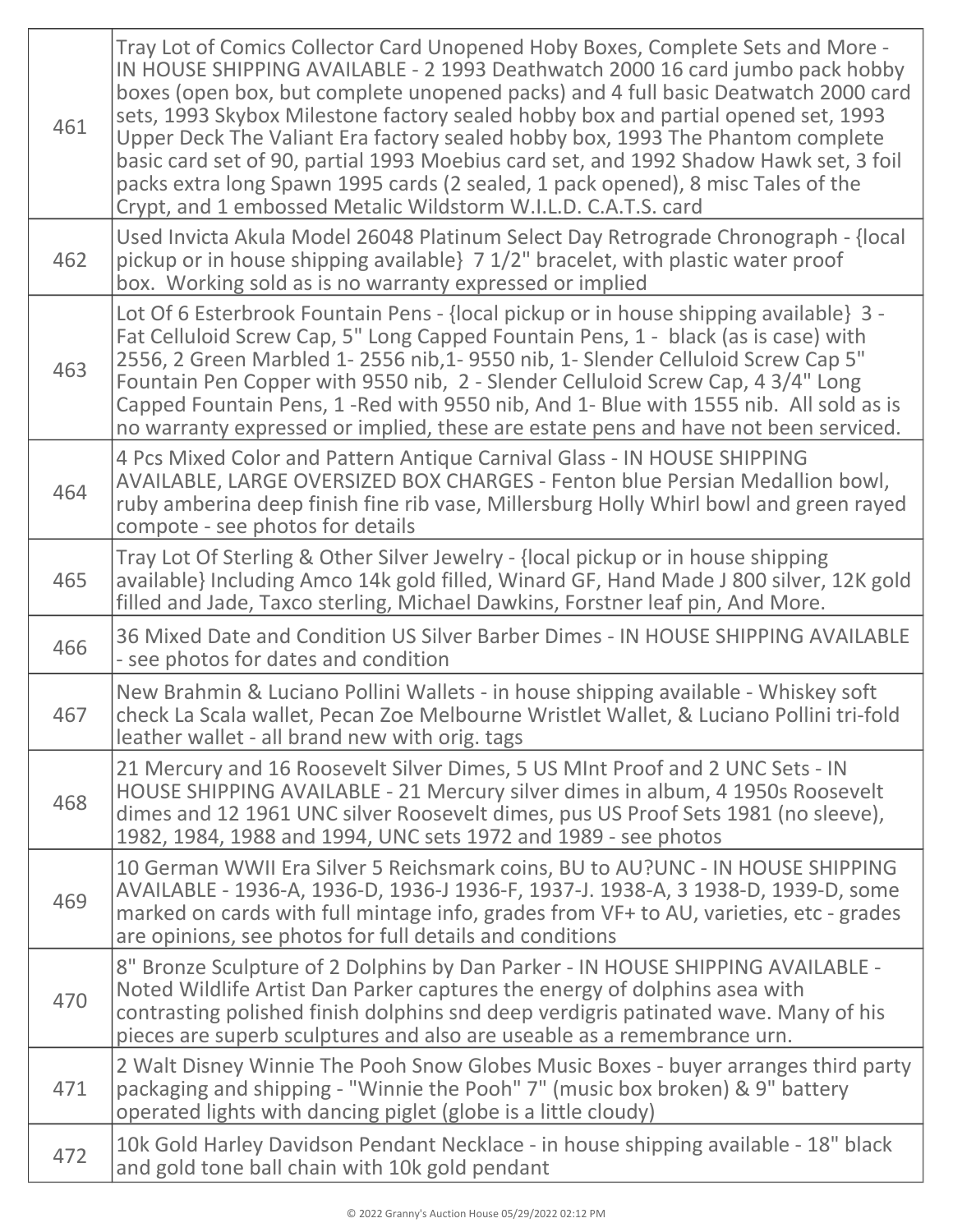| 461 | Tray Lot of Comics Collector Card Unopened Hoby Boxes, Complete Sets and More -<br>IN HOUSE SHIPPING AVAILABLE - 2 1993 Deathwatch 2000 16 card jumbo pack hobby<br>boxes (open box, but complete unopened packs) and 4 full basic Deatwatch 2000 card<br>sets, 1993 Skybox Milestone factory sealed hobby box and partial opened set, 1993<br>Upper Deck The Valiant Era factory sealed hobby box, 1993 The Phantom complete<br>basic card set of 90, partial 1993 Moebius card set, and 1992 Shadow Hawk set, 3 foil<br>packs extra long Spawn 1995 cards (2 sealed, 1 pack opened), 8 misc Tales of the<br>Crypt, and 1 embossed Metalic Wildstorm W.I.L.D. C.A.T.S. card |
|-----|------------------------------------------------------------------------------------------------------------------------------------------------------------------------------------------------------------------------------------------------------------------------------------------------------------------------------------------------------------------------------------------------------------------------------------------------------------------------------------------------------------------------------------------------------------------------------------------------------------------------------------------------------------------------------|
| 462 | Used Invicta Akula Model 26048 Platinum Select Day Retrograde Chronograph - {local<br>pickup or in house shipping available} 7 1/2" bracelet, with plastic water proof<br>box. Working sold as is no warranty expressed or implied                                                                                                                                                                                                                                                                                                                                                                                                                                           |
| 463 | Lot Of 6 Esterbrook Fountain Pens - {local pickup or in house shipping available} 3 -<br>Fat Celluloid Screw Cap, 5" Long Capped Fountain Pens, 1 - black (as is case) with<br>2556, 2 Green Marbled 1-2556 nib, 1-9550 nib, 1- Slender Celluloid Screw Cap 5"<br>Fountain Pen Copper with 9550 nib, 2 - Slender Celluloid Screw Cap, 4 3/4" Long<br>Capped Fountain Pens, 1-Red with 9550 nib, And 1- Blue with 1555 nib. All sold as is<br>no warranty expressed or implied, these are estate pens and have not been serviced.                                                                                                                                             |
| 464 | 4 Pcs Mixed Color and Pattern Antique Carnival Glass - IN HOUSE SHIPPING<br>AVAILABLE, LARGE OVERSIZED BOX CHARGES - Fenton blue Persian Medallion bowl,<br>ruby amberina deep finish fine rib vase, Millersburg Holly Whirl bowl and green rayed<br>compote - see photos for details                                                                                                                                                                                                                                                                                                                                                                                        |
| 465 | Tray Lot Of Sterling & Other Silver Jewelry - {local pickup or in house shipping<br>available} Including Amco 14k gold filled, Winard GF, Hand Made J 800 silver, 12K gold<br>filled and Jade, Taxco sterling, Michael Dawkins, Forstner leaf pin, And More.                                                                                                                                                                                                                                                                                                                                                                                                                 |
| 466 | 36 Mixed Date and Condition US Silver Barber Dimes - IN HOUSE SHIPPING AVAILABLE<br>- see photos for dates and condition                                                                                                                                                                                                                                                                                                                                                                                                                                                                                                                                                     |
| 467 | New Brahmin & Luciano Pollini Wallets - in house shipping available - Whiskey soft<br>check La Scala wallet, Pecan Zoe Melbourne Wristlet Wallet, & Luciano Pollini tri-fold<br>leather wallet - all brand new with orig. tags                                                                                                                                                                                                                                                                                                                                                                                                                                               |
| 468 | 21 Mercury and 16 Roosevelt Silver Dimes, 5 US MInt Proof and 2 UNC Sets - IN<br>HOUSE SHIPPING AVAILABLE - 21 Mercury silver dimes in album, 4 1950s Roosevelt<br>dimes and 12 1961 UNC silver Roosevelt dimes, pus US Proof Sets 1981 (no sleeve),<br>1982, 1984, 1988 and 1994, UNC sets 1972 and 1989 - see photos                                                                                                                                                                                                                                                                                                                                                       |
| 469 | 10 German WWII Era Silver 5 Reichsmark coins, BU to AU?UNC - IN HOUSE SHIPPING<br>AVAILABLE - 1936-A, 1936-D, 1936-J 1936-F, 1937-J. 1938-A, 3 1938-D, 1939-D, some<br>marked on cards with full mintage info, grades from VF+ to AU, varieties, etc - grades<br>are opinions, see photos for full details and conditions                                                                                                                                                                                                                                                                                                                                                    |
| 470 | 8" Bronze Sculpture of 2 Dolphins by Dan Parker - IN HOUSE SHIPPING AVAILABLE -<br>Noted Wildlife Artist Dan Parker captures the energy of dolphins asea with<br>contrasting polished finish dolphins snd deep verdigris patinated wave. Many of his<br>pieces are superb sculptures and also are useable as a remembrance urn.                                                                                                                                                                                                                                                                                                                                              |
| 471 | 2 Walt Disney Winnie The Pooh Snow Globes Music Boxes - buyer arranges third party<br>packaging and shipping - "Winnie the Pooh" 7" (music box broken) & 9" battery<br>operated lights with dancing piglet (globe is a little cloudy)                                                                                                                                                                                                                                                                                                                                                                                                                                        |
| 472 | 10k Gold Harley Davidson Pendant Necklace - in house shipping available - 18" black<br>and gold tone ball chain with 10k gold pendant                                                                                                                                                                                                                                                                                                                                                                                                                                                                                                                                        |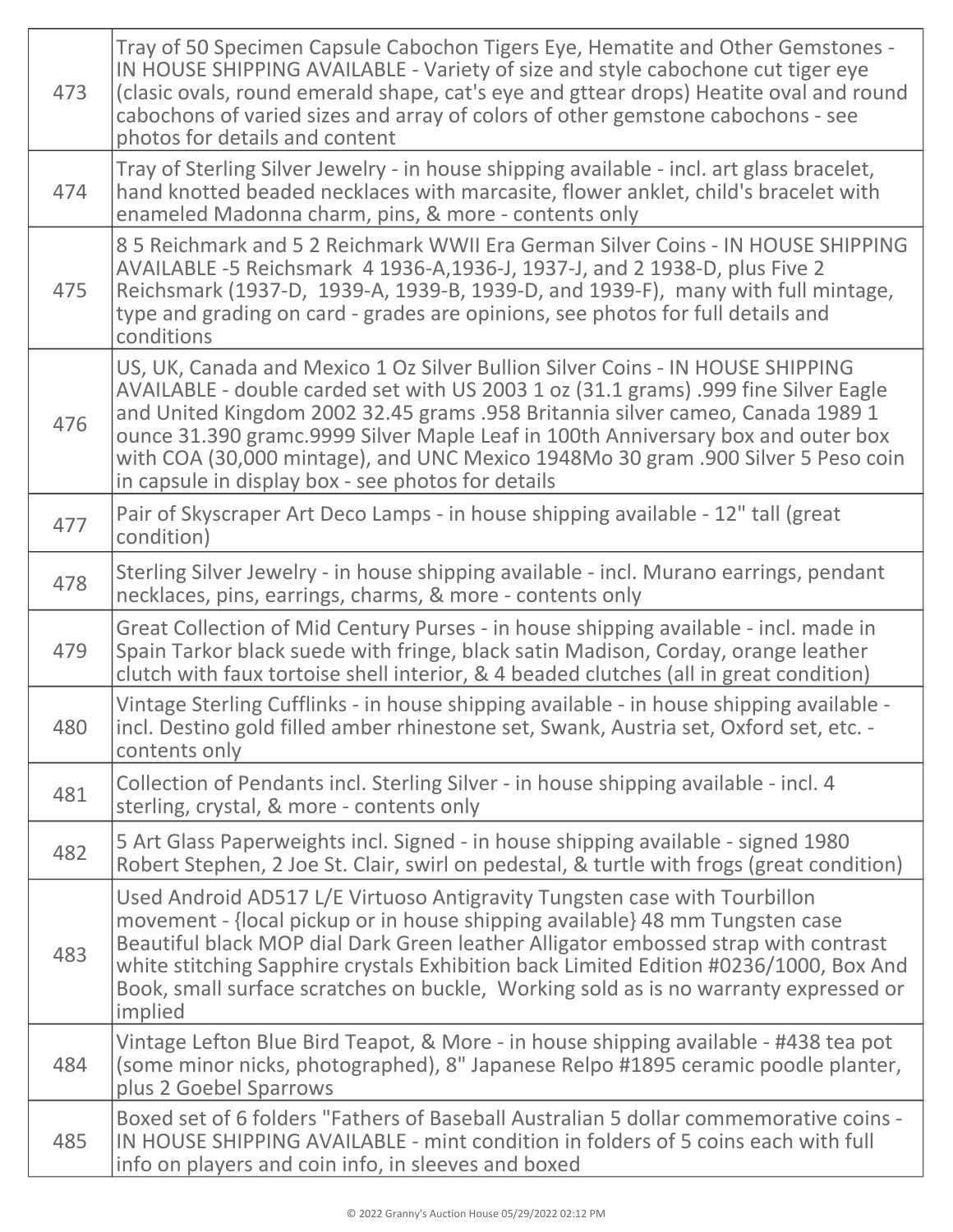| 473 | Tray of 50 Specimen Capsule Cabochon Tigers Eye, Hematite and Other Gemstones -<br>IN HOUSE SHIPPING AVAILABLE - Variety of size and style cabochone cut tiger eye<br>(clasic ovals, round emerald shape, cat's eye and gttear drops) Heatite oval and round<br>cabochons of varied sizes and array of colors of other gemstone cabochons - see<br>photos for details and content                                                                                                     |
|-----|---------------------------------------------------------------------------------------------------------------------------------------------------------------------------------------------------------------------------------------------------------------------------------------------------------------------------------------------------------------------------------------------------------------------------------------------------------------------------------------|
| 474 | Tray of Sterling Silver Jewelry - in house shipping available - incl. art glass bracelet,<br>hand knotted beaded necklaces with marcasite, flower anklet, child's bracelet with<br>enameled Madonna charm, pins, & more - contents only                                                                                                                                                                                                                                               |
| 475 | 85 Reichmark and 52 Reichmark WWII Era German Silver Coins - IN HOUSE SHIPPING<br>AVAILABLE -5 Reichsmark 4 1936-A, 1936-J, 1937-J, and 2 1938-D, plus Five 2<br>Reichsmark (1937-D, 1939-A, 1939-B, 1939-D, and 1939-F), many with full mintage,<br>type and grading on card - grades are opinions, see photos for full details and<br>conditions                                                                                                                                    |
| 476 | US, UK, Canada and Mexico 1 Oz Silver Bullion Silver Coins - IN HOUSE SHIPPING<br>AVAILABLE - double carded set with US 2003 1 oz (31.1 grams) .999 fine Silver Eagle<br>and United Kingdom 2002 32.45 grams .958 Britannia silver cameo, Canada 1989 1<br>ounce 31.390 gramc.9999 Silver Maple Leaf in 100th Anniversary box and outer box<br>with COA (30,000 mintage), and UNC Mexico 1948Mo 30 gram .900 Silver 5 Peso coin<br>in capsule in display box - see photos for details |
| 477 | Pair of Skyscraper Art Deco Lamps - in house shipping available - 12" tall (great<br>condition)                                                                                                                                                                                                                                                                                                                                                                                       |
| 478 | Sterling Silver Jewelry - in house shipping available - incl. Murano earrings, pendant<br>necklaces, pins, earrings, charms, & more - contents only                                                                                                                                                                                                                                                                                                                                   |
| 479 | Great Collection of Mid Century Purses - in house shipping available - incl. made in<br>Spain Tarkor black suede with fringe, black satin Madison, Corday, orange leather<br>clutch with faux tortoise shell interior, & 4 beaded clutches (all in great condition)                                                                                                                                                                                                                   |
| 480 | Vintage Sterling Cufflinks - in house shipping available - in house shipping available -<br>incl. Destino gold filled amber rhinestone set, Swank, Austria set, Oxford set, etc. -<br>contents only                                                                                                                                                                                                                                                                                   |
| 481 | Collection of Pendants incl. Sterling Silver - in house shipping available - incl. 4<br>sterling, crystal, & more - contents only                                                                                                                                                                                                                                                                                                                                                     |
| 482 | 5 Art Glass Paperweights incl. Signed - in house shipping available - signed 1980<br>Robert Stephen, 2 Joe St. Clair, swirl on pedestal, & turtle with frogs (great condition)                                                                                                                                                                                                                                                                                                        |
| 483 | Used Android AD517 L/E Virtuoso Antigravity Tungsten case with Tourbillon<br>movement - {local pickup or in house shipping available} 48 mm Tungsten case<br>Beautiful black MOP dial Dark Green leather Alligator embossed strap with contrast<br>white stitching Sapphire crystals Exhibition back Limited Edition #0236/1000, Box And<br>Book, small surface scratches on buckle, Working sold as is no warranty expressed or<br>implied                                           |
| 484 | Vintage Lefton Blue Bird Teapot, & More - in house shipping available - #438 tea pot<br>(some minor nicks, photographed), 8" Japanese Relpo #1895 ceramic poodle planter,<br>plus 2 Goebel Sparrows                                                                                                                                                                                                                                                                                   |
| 485 | Boxed set of 6 folders "Fathers of Baseball Australian 5 dollar commemorative coins -<br>IN HOUSE SHIPPING AVAILABLE - mint condition in folders of 5 coins each with full<br>info on players and coin info, in sleeves and boxed                                                                                                                                                                                                                                                     |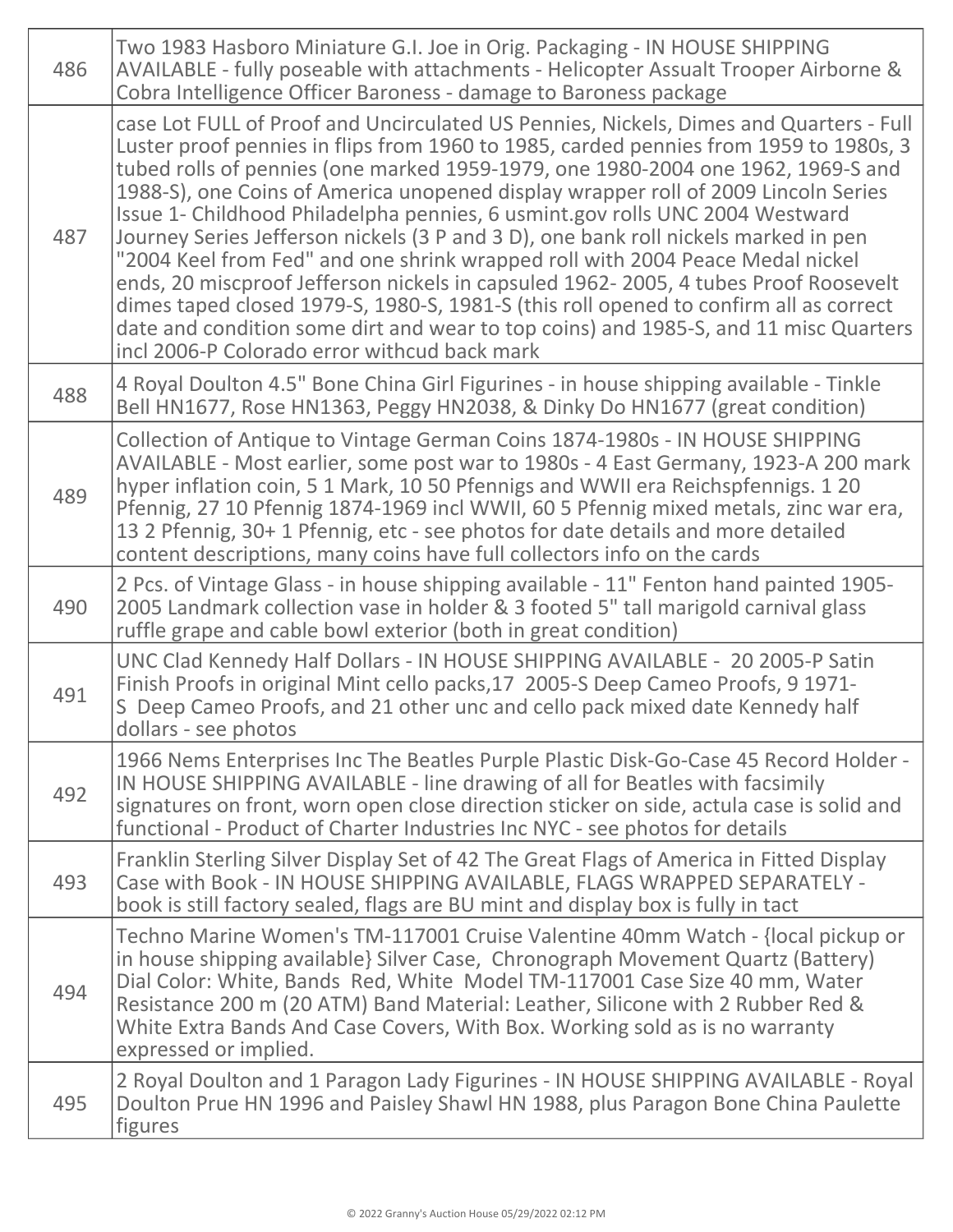| 486 | Two 1983 Hasboro Miniature G.I. Joe in Orig. Packaging - IN HOUSE SHIPPING<br>AVAILABLE - fully poseable with attachments - Helicopter Assualt Trooper Airborne &<br>Cobra Intelligence Officer Baroness - damage to Baroness package                                                                                                                                                                                                                                                                                                                                                                                                                                                                                                                                                                                                                                                                                                     |
|-----|-------------------------------------------------------------------------------------------------------------------------------------------------------------------------------------------------------------------------------------------------------------------------------------------------------------------------------------------------------------------------------------------------------------------------------------------------------------------------------------------------------------------------------------------------------------------------------------------------------------------------------------------------------------------------------------------------------------------------------------------------------------------------------------------------------------------------------------------------------------------------------------------------------------------------------------------|
| 487 | case Lot FULL of Proof and Uncirculated US Pennies, Nickels, Dimes and Quarters - Full<br>Luster proof pennies in flips from 1960 to 1985, carded pennies from 1959 to 1980s, 3<br>tubed rolls of pennies (one marked 1959-1979, one 1980-2004 one 1962, 1969-S and<br>1988-S), one Coins of America unopened display wrapper roll of 2009 Lincoln Series<br>Issue 1- Childhood Philadelpha pennies, 6 usmint.gov rolls UNC 2004 Westward<br>Journey Series Jefferson nickels (3 P and 3 D), one bank roll nickels marked in pen<br>"2004 Keel from Fed" and one shrink wrapped roll with 2004 Peace Medal nickel<br>ends, 20 miscproof Jefferson nickels in capsuled 1962-2005, 4 tubes Proof Roosevelt<br>dimes taped closed 1979-S, 1980-S, 1981-S (this roll opened to confirm all as correct<br>date and condition some dirt and wear to top coins) and 1985-S, and 11 misc Quarters<br>incl 2006-P Colorado error withcud back mark |
| 488 | 4 Royal Doulton 4.5" Bone China Girl Figurines - in house shipping available - Tinkle<br>Bell HN1677, Rose HN1363, Peggy HN2038, & Dinky Do HN1677 (great condition)                                                                                                                                                                                                                                                                                                                                                                                                                                                                                                                                                                                                                                                                                                                                                                      |
| 489 | Collection of Antique to Vintage German Coins 1874-1980s - IN HOUSE SHIPPING<br>AVAILABLE - Most earlier, some post war to 1980s - 4 East Germany, 1923-A 200 mark<br>hyper inflation coin, 5 1 Mark, 10 50 Pfennigs and WWII era Reichspfennigs. 1 20<br>Pfennig, 27 10 Pfennig 1874-1969 incl WWII, 60 5 Pfennig mixed metals, zinc war era,<br>13 2 Pfennig, 30+ 1 Pfennig, etc - see photos for date details and more detailed<br>content descriptions, many coins have full collectors info on the cards                                                                                                                                                                                                                                                                                                                                                                                                                             |
| 490 | 2 Pcs. of Vintage Glass - in house shipping available - 11" Fenton hand painted 1905-<br>2005 Landmark collection vase in holder & 3 footed 5" tall marigold carnival glass<br>ruffle grape and cable bowl exterior (both in great condition)                                                                                                                                                                                                                                                                                                                                                                                                                                                                                                                                                                                                                                                                                             |
| 491 | UNC Clad Kennedy Half Dollars - IN HOUSE SHIPPING AVAILABLE - 20 2005-P Satin<br>Finish Proofs in original Mint cello packs, 17 2005-S Deep Cameo Proofs, 9 1971-<br>S Deep Cameo Proofs, and 21 other unc and cello pack mixed date Kennedy half<br>dollars - see photos                                                                                                                                                                                                                                                                                                                                                                                                                                                                                                                                                                                                                                                                 |
| 492 | 1966 Nems Enterprises Inc The Beatles Purple Plastic Disk-Go-Case 45 Record Holder -<br>IN HOUSE SHIPPING AVAILABLE - line drawing of all for Beatles with facsimily<br>signatures on front, worn open close direction sticker on side, actula case is solid and<br>functional - Product of Charter Industries Inc NYC - see photos for details                                                                                                                                                                                                                                                                                                                                                                                                                                                                                                                                                                                           |
| 493 | Franklin Sterling Silver Display Set of 42 The Great Flags of America in Fitted Display<br>Case with Book - IN HOUSE SHIPPING AVAILABLE, FLAGS WRAPPED SEPARATELY -<br>book is still factory sealed, flags are BU mint and display box is fully in tact                                                                                                                                                                                                                                                                                                                                                                                                                                                                                                                                                                                                                                                                                   |
| 494 | Techno Marine Women's TM-117001 Cruise Valentine 40mm Watch - {local pickup or<br>in house shipping available} Silver Case, Chronograph Movement Quartz (Battery)<br>Dial Color: White, Bands Red, White Model TM-117001 Case Size 40 mm, Water<br>Resistance 200 m (20 ATM) Band Material: Leather, Silicone with 2 Rubber Red &<br>White Extra Bands And Case Covers, With Box. Working sold as is no warranty<br>expressed or implied.                                                                                                                                                                                                                                                                                                                                                                                                                                                                                                 |
| 495 | 2 Royal Doulton and 1 Paragon Lady Figurines - IN HOUSE SHIPPING AVAILABLE - Royal<br>Doulton Prue HN 1996 and Paisley Shawl HN 1988, plus Paragon Bone China Paulette<br>figures                                                                                                                                                                                                                                                                                                                                                                                                                                                                                                                                                                                                                                                                                                                                                         |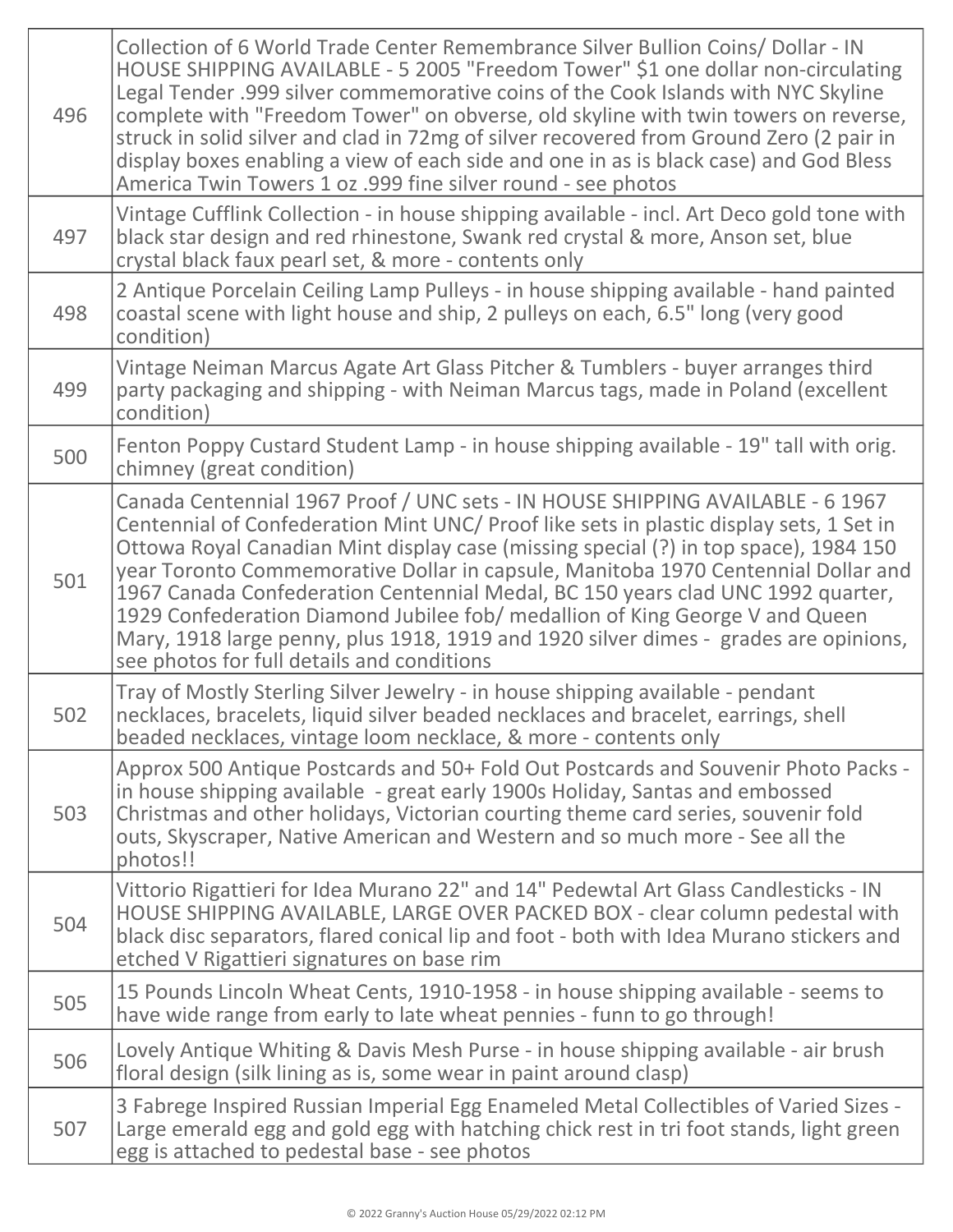| 496 | Collection of 6 World Trade Center Remembrance Silver Bullion Coins/ Dollar - IN<br>HOUSE SHIPPING AVAILABLE - 5 2005 "Freedom Tower" \$1 one dollar non-circulating<br>Legal Tender .999 silver commemorative coins of the Cook Islands with NYC Skyline<br>complete with "Freedom Tower" on obverse, old skyline with twin towers on reverse,<br>struck in solid silver and clad in 72mg of silver recovered from Ground Zero (2 pair in<br>display boxes enabling a view of each side and one in as is black case) and God Bless<br>America Twin Towers 1 oz .999 fine silver round - see photos                                                             |
|-----|-----------------------------------------------------------------------------------------------------------------------------------------------------------------------------------------------------------------------------------------------------------------------------------------------------------------------------------------------------------------------------------------------------------------------------------------------------------------------------------------------------------------------------------------------------------------------------------------------------------------------------------------------------------------|
| 497 | Vintage Cufflink Collection - in house shipping available - incl. Art Deco gold tone with<br>black star design and red rhinestone, Swank red crystal & more, Anson set, blue<br>crystal black faux pearl set, & more - contents only                                                                                                                                                                                                                                                                                                                                                                                                                            |
| 498 | 2 Antique Porcelain Ceiling Lamp Pulleys - in house shipping available - hand painted<br>coastal scene with light house and ship, 2 pulleys on each, 6.5" long (very good<br>condition)                                                                                                                                                                                                                                                                                                                                                                                                                                                                         |
| 499 | Vintage Neiman Marcus Agate Art Glass Pitcher & Tumblers - buyer arranges third<br>party packaging and shipping - with Neiman Marcus tags, made in Poland (excellent<br>condition)                                                                                                                                                                                                                                                                                                                                                                                                                                                                              |
| 500 | Fenton Poppy Custard Student Lamp - in house shipping available - 19" tall with orig.<br>chimney (great condition)                                                                                                                                                                                                                                                                                                                                                                                                                                                                                                                                              |
| 501 | Canada Centennial 1967 Proof / UNC sets - IN HOUSE SHIPPING AVAILABLE - 6 1967<br>Centennial of Confederation Mint UNC/ Proof like sets in plastic display sets, 1 Set in<br>Ottowa Royal Canadian Mint display case (missing special (?) in top space), 1984 150<br>year Toronto Commemorative Dollar in capsule, Manitoba 1970 Centennial Dollar and<br>1967 Canada Confederation Centennial Medal, BC 150 years clad UNC 1992 quarter,<br>1929 Confederation Diamond Jubilee fob/ medallion of King George V and Queen<br>Mary, 1918 large penny, plus 1918, 1919 and 1920 silver dimes - grades are opinions,<br>see photos for full details and conditions |
| 502 | Tray of Mostly Sterling Silver Jewelry - in house shipping available - pendant<br>necklaces, bracelets, liquid silver beaded necklaces and bracelet, earrings, shell<br>beaded necklaces, vintage loom necklace, & more - contents only                                                                                                                                                                                                                                                                                                                                                                                                                         |
| 503 | Approx 500 Antique Postcards and 50+ Fold Out Postcards and Souvenir Photo Packs -<br>in house shipping available - great early 1900s Holiday, Santas and embossed<br>Christmas and other holidays, Victorian courting theme card series, souvenir fold<br>outs, Skyscraper, Native American and Western and so much more - See all the<br>photos!!                                                                                                                                                                                                                                                                                                             |
| 504 | Vittorio Rigattieri for Idea Murano 22" and 14" Pedewtal Art Glass Candlesticks - IN<br>HOUSE SHIPPING AVAILABLE, LARGE OVER PACKED BOX - clear column pedestal with<br>black disc separators, flared conical lip and foot - both with Idea Murano stickers and<br>etched V Rigattieri signatures on base rim                                                                                                                                                                                                                                                                                                                                                   |
| 505 | 15 Pounds Lincoln Wheat Cents, 1910-1958 - in house shipping available - seems to<br>have wide range from early to late wheat pennies - funn to go through!                                                                                                                                                                                                                                                                                                                                                                                                                                                                                                     |
| 506 | Lovely Antique Whiting & Davis Mesh Purse - in house shipping available - air brush<br>floral design (silk lining as is, some wear in paint around clasp)                                                                                                                                                                                                                                                                                                                                                                                                                                                                                                       |
| 507 | 3 Fabrege Inspired Russian Imperial Egg Enameled Metal Collectibles of Varied Sizes -<br>Large emerald egg and gold egg with hatching chick rest in tri foot stands, light green<br>egg is attached to pedestal base - see photos                                                                                                                                                                                                                                                                                                                                                                                                                               |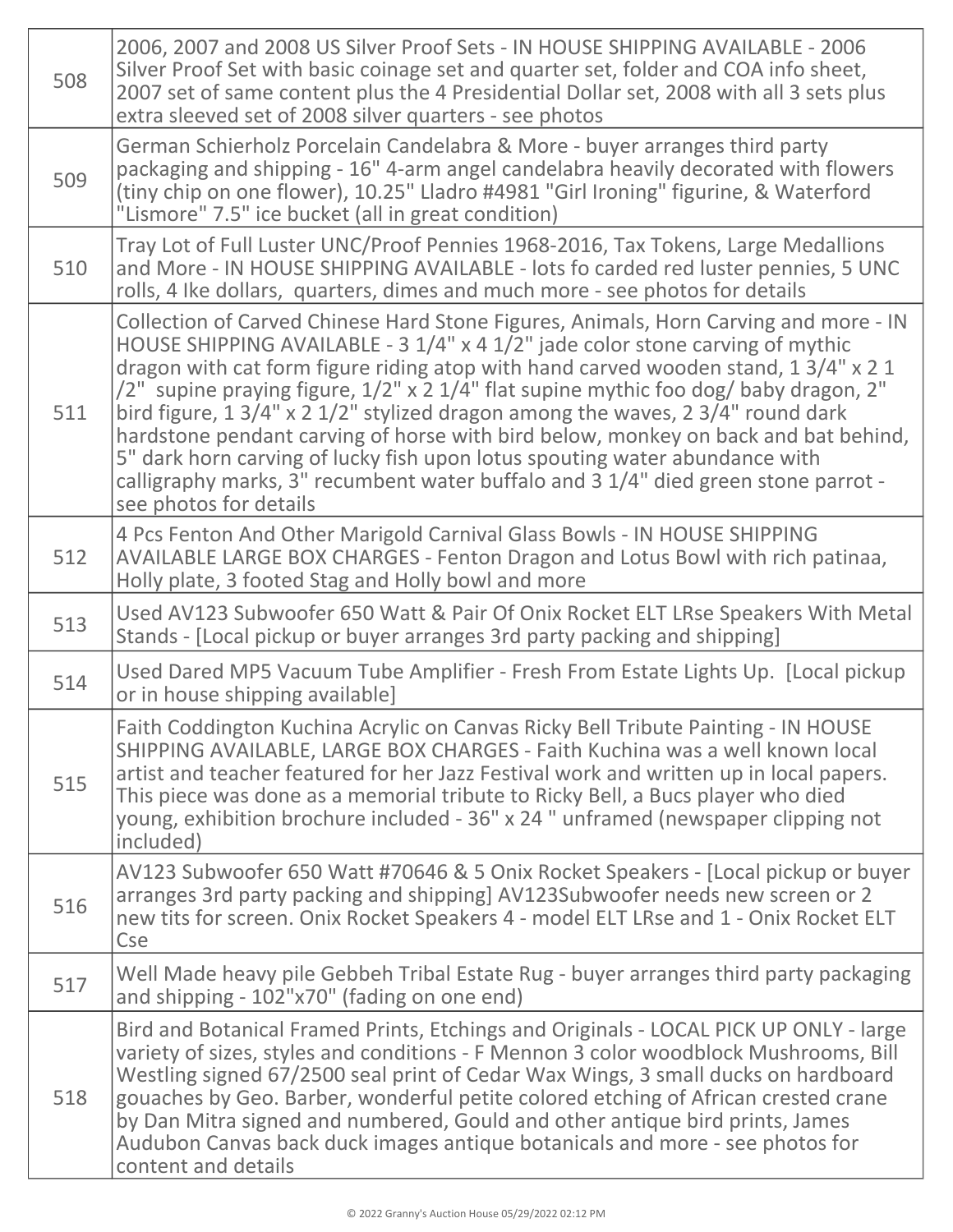| 508 | 2006, 2007 and 2008 US Silver Proof Sets - IN HOUSE SHIPPING AVAILABLE - 2006<br>Silver Proof Set with basic coinage set and quarter set, folder and COA info sheet,<br>2007 set of same content plus the 4 Presidential Dollar set, 2008 with all 3 sets plus<br>extra sleeved set of 2008 silver quarters - see photos                                                                                                                                                                                                                                                                                                                                                                                                                                      |
|-----|---------------------------------------------------------------------------------------------------------------------------------------------------------------------------------------------------------------------------------------------------------------------------------------------------------------------------------------------------------------------------------------------------------------------------------------------------------------------------------------------------------------------------------------------------------------------------------------------------------------------------------------------------------------------------------------------------------------------------------------------------------------|
| 509 | German Schierholz Porcelain Candelabra & More - buyer arranges third party<br>packaging and shipping - 16" 4-arm angel candelabra heavily decorated with flowers<br>(tiny chip on one flower), 10.25" Lladro #4981 "Girl Ironing" figurine, & Waterford<br>"Lismore" 7.5" ice bucket (all in great condition)                                                                                                                                                                                                                                                                                                                                                                                                                                                 |
| 510 | Tray Lot of Full Luster UNC/Proof Pennies 1968-2016, Tax Tokens, Large Medallions<br>and More - IN HOUSE SHIPPING AVAILABLE - lots fo carded red luster pennies, 5 UNC<br>rolls, 4 Ike dollars, quarters, dimes and much more - see photos for details                                                                                                                                                                                                                                                                                                                                                                                                                                                                                                        |
| 511 | Collection of Carved Chinese Hard Stone Figures, Animals, Horn Carving and more - IN<br>HOUSE SHIPPING AVAILABLE - 3 1/4" x 4 1/2" jade color stone carving of mythic<br>dragon with cat form figure riding atop with hand carved wooden stand, 1 3/4" x 2 1<br>/2" supine praying figure, 1/2" x 2 1/4" flat supine mythic foo dog/ baby dragon, 2"<br>bird figure, $1 \frac{3}{4}$ " x 2 $\frac{1}{2}$ " stylized dragon among the waves, 2 $\frac{3}{4}$ " round dark<br>hardstone pendant carving of horse with bird below, monkey on back and bat behind,<br>5" dark horn carving of lucky fish upon lotus spouting water abundance with<br>calligraphy marks, 3" recumbent water buffalo and 3 1/4" died green stone parrot -<br>see photos for details |
| 512 | 4 Pcs Fenton And Other Marigold Carnival Glass Bowls - IN HOUSE SHIPPING<br>AVAILABLE LARGE BOX CHARGES - Fenton Dragon and Lotus Bowl with rich patinaa,<br>Holly plate, 3 footed Stag and Holly bowl and more                                                                                                                                                                                                                                                                                                                                                                                                                                                                                                                                               |
| 513 | Used AV123 Subwoofer 650 Watt & Pair Of Onix Rocket ELT LRse Speakers With Metal<br>Stands - [Local pickup or buyer arranges 3rd party packing and shipping]                                                                                                                                                                                                                                                                                                                                                                                                                                                                                                                                                                                                  |
| 514 | Used Dared MP5 Vacuum Tube Amplifier - Fresh From Estate Lights Up. [Local pickup<br>or in house shipping available]                                                                                                                                                                                                                                                                                                                                                                                                                                                                                                                                                                                                                                          |
| 515 | Faith Coddington Kuchina Acrylic on Canvas Ricky Bell Tribute Painting - IN HOUSE<br>SHIPPING AVAILABLE, LARGE BOX CHARGES - Faith Kuchina was a well known local<br>artist and teacher featured for her Jazz Festival work and written up in local papers.<br>This piece was done as a memorial tribute to Ricky Bell, a Bucs player who died<br>young, exhibition brochure included - 36" x 24" unframed (newspaper clipping not<br>included)                                                                                                                                                                                                                                                                                                               |
| 516 | AV123 Subwoofer 650 Watt #70646 & 5 Onix Rocket Speakers - [Local pickup or buyer<br>arranges 3rd party packing and shipping] AV123Subwoofer needs new screen or 2<br>new tits for screen. Onix Rocket Speakers 4 - model ELT LRse and 1 - Onix Rocket ELT<br><b>Cse</b>                                                                                                                                                                                                                                                                                                                                                                                                                                                                                      |
| 517 | Well Made heavy pile Gebbeh Tribal Estate Rug - buyer arranges third party packaging<br>and shipping - 102"x70" (fading on one end)                                                                                                                                                                                                                                                                                                                                                                                                                                                                                                                                                                                                                           |
| 518 | Bird and Botanical Framed Prints, Etchings and Originals - LOCAL PICK UP ONLY - large<br>variety of sizes, styles and conditions - F Mennon 3 color woodblock Mushrooms, Bill<br>Westling signed 67/2500 seal print of Cedar Wax Wings, 3 small ducks on hardboard<br>gouaches by Geo. Barber, wonderful petite colored etching of African crested crane<br>by Dan Mitra signed and numbered, Gould and other antique bird prints, James<br>Audubon Canvas back duck images antique botanicals and more - see photos for<br>content and details                                                                                                                                                                                                               |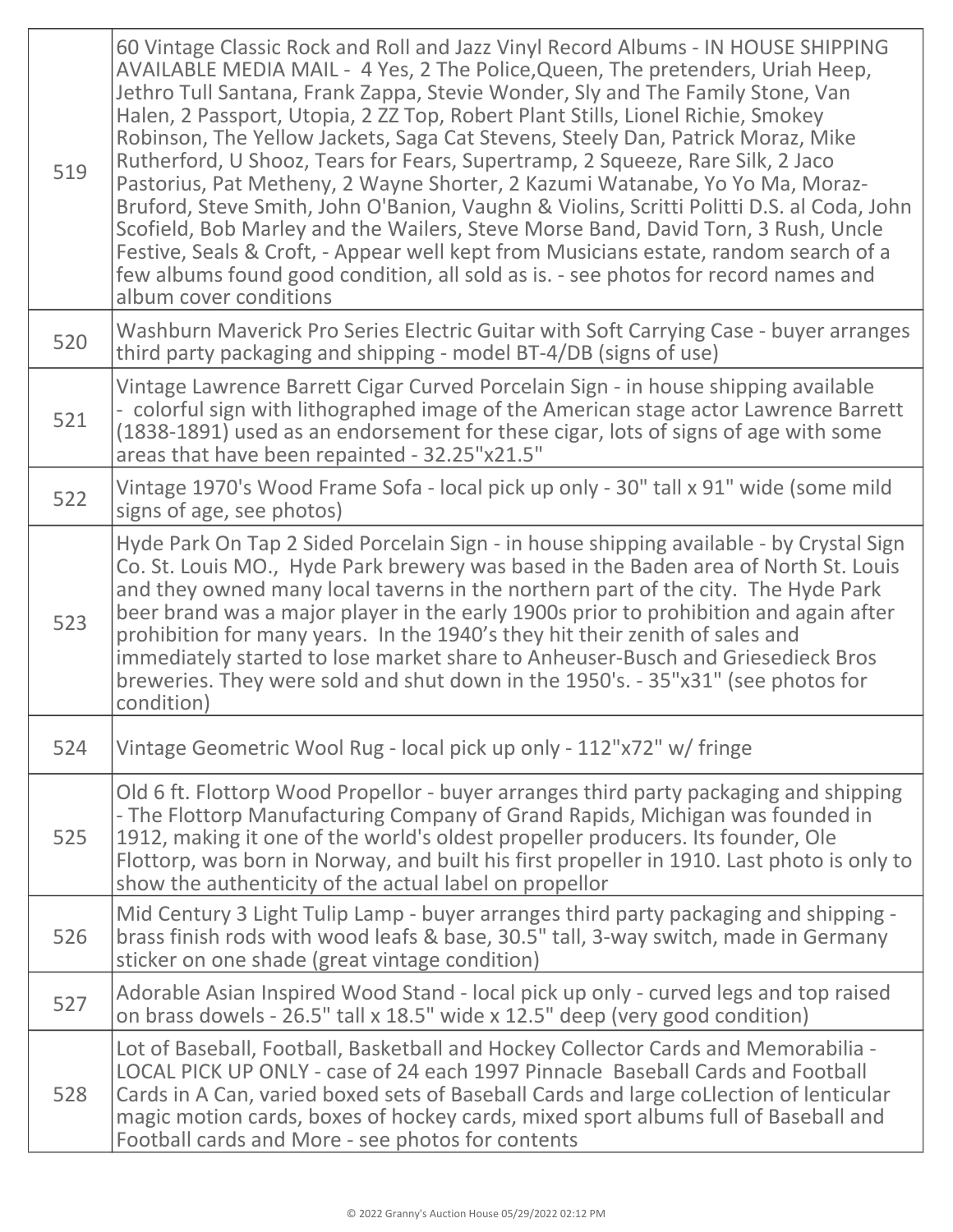| 519 | 60 Vintage Classic Rock and Roll and Jazz Vinyl Record Albums - IN HOUSE SHIPPING<br>AVAILABLE MEDIA MAIL - 4 Yes, 2 The Police, Queen, The pretenders, Uriah Heep,<br>Jethro Tull Santana, Frank Zappa, Stevie Wonder, Sly and The Family Stone, Van<br>Halen, 2 Passport, Utopia, 2 ZZ Top, Robert Plant Stills, Lionel Richie, Smokey<br>Robinson, The Yellow Jackets, Saga Cat Stevens, Steely Dan, Patrick Moraz, Mike<br>Rutherford, U Shooz, Tears for Fears, Supertramp, 2 Squeeze, Rare Silk, 2 Jaco<br>Pastorius, Pat Metheny, 2 Wayne Shorter, 2 Kazumi Watanabe, Yo Yo Ma, Moraz-<br>Bruford, Steve Smith, John O'Banion, Vaughn & Violins, Scritti Politti D.S. al Coda, John<br>Scofield, Bob Marley and the Wailers, Steve Morse Band, David Torn, 3 Rush, Uncle<br>Festive, Seals & Croft, - Appear well kept from Musicians estate, random search of a<br>few albums found good condition, all sold as is. - see photos for record names and<br>album cover conditions |
|-----|-----------------------------------------------------------------------------------------------------------------------------------------------------------------------------------------------------------------------------------------------------------------------------------------------------------------------------------------------------------------------------------------------------------------------------------------------------------------------------------------------------------------------------------------------------------------------------------------------------------------------------------------------------------------------------------------------------------------------------------------------------------------------------------------------------------------------------------------------------------------------------------------------------------------------------------------------------------------------------------------|
| 520 | Washburn Maverick Pro Series Electric Guitar with Soft Carrying Case - buyer arranges<br>third party packaging and shipping - model BT-4/DB (signs of use)                                                                                                                                                                                                                                                                                                                                                                                                                                                                                                                                                                                                                                                                                                                                                                                                                              |
| 521 | Vintage Lawrence Barrett Cigar Curved Porcelain Sign - in house shipping available<br>- colorful sign with lithographed image of the American stage actor Lawrence Barrett<br>(1838-1891) used as an endorsement for these cigar, lots of signs of age with some<br>areas that have been repainted - 32.25"x21.5"                                                                                                                                                                                                                                                                                                                                                                                                                                                                                                                                                                                                                                                                       |
| 522 | Vintage 1970's Wood Frame Sofa - local pick up only - 30" tall x 91" wide (some mild<br>signs of age, see photos)                                                                                                                                                                                                                                                                                                                                                                                                                                                                                                                                                                                                                                                                                                                                                                                                                                                                       |
| 523 | Hyde Park On Tap 2 Sided Porcelain Sign - in house shipping available - by Crystal Sign<br>Co. St. Louis MO., Hyde Park brewery was based in the Baden area of North St. Louis<br>and they owned many local taverns in the northern part of the city. The Hyde Park<br>beer brand was a major player in the early 1900s prior to prohibition and again after<br>prohibition for many years. In the 1940's they hit their zenith of sales and<br>immediately started to lose market share to Anheuser-Busch and Griesedieck Bros<br>breweries. They were sold and shut down in the 1950's. - 35"x31" (see photos for<br>condition)                                                                                                                                                                                                                                                                                                                                                       |
| 524 | Vintage Geometric Wool Rug - local pick up only - 112"x72" w/ fringe                                                                                                                                                                                                                                                                                                                                                                                                                                                                                                                                                                                                                                                                                                                                                                                                                                                                                                                    |
| 525 | Old 6 ft. Flottorp Wood Propellor - buyer arranges third party packaging and shipping<br>- The Flottorp Manufacturing Company of Grand Rapids, Michigan was founded in<br>1912, making it one of the world's oldest propeller producers. Its founder, Ole<br>Flottorp, was born in Norway, and built his first propeller in 1910. Last photo is only to<br>show the authenticity of the actual label on propellor                                                                                                                                                                                                                                                                                                                                                                                                                                                                                                                                                                       |
| 526 | Mid Century 3 Light Tulip Lamp - buyer arranges third party packaging and shipping -<br>brass finish rods with wood leafs & base, 30.5" tall, 3-way switch, made in Germany<br>sticker on one shade (great vintage condition)                                                                                                                                                                                                                                                                                                                                                                                                                                                                                                                                                                                                                                                                                                                                                           |
| 527 | Adorable Asian Inspired Wood Stand - local pick up only - curved legs and top raised<br>on brass dowels - 26.5" tall x 18.5" wide x 12.5" deep (very good condition)                                                                                                                                                                                                                                                                                                                                                                                                                                                                                                                                                                                                                                                                                                                                                                                                                    |
| 528 | Lot of Baseball, Football, Basketball and Hockey Collector Cards and Memorabilia -<br>LOCAL PICK UP ONLY - case of 24 each 1997 Pinnacle Baseball Cards and Football<br>Cards in A Can, varied boxed sets of Baseball Cards and large coLlection of lenticular<br>magic motion cards, boxes of hockey cards, mixed sport albums full of Baseball and<br>Football cards and More - see photos for contents                                                                                                                                                                                                                                                                                                                                                                                                                                                                                                                                                                               |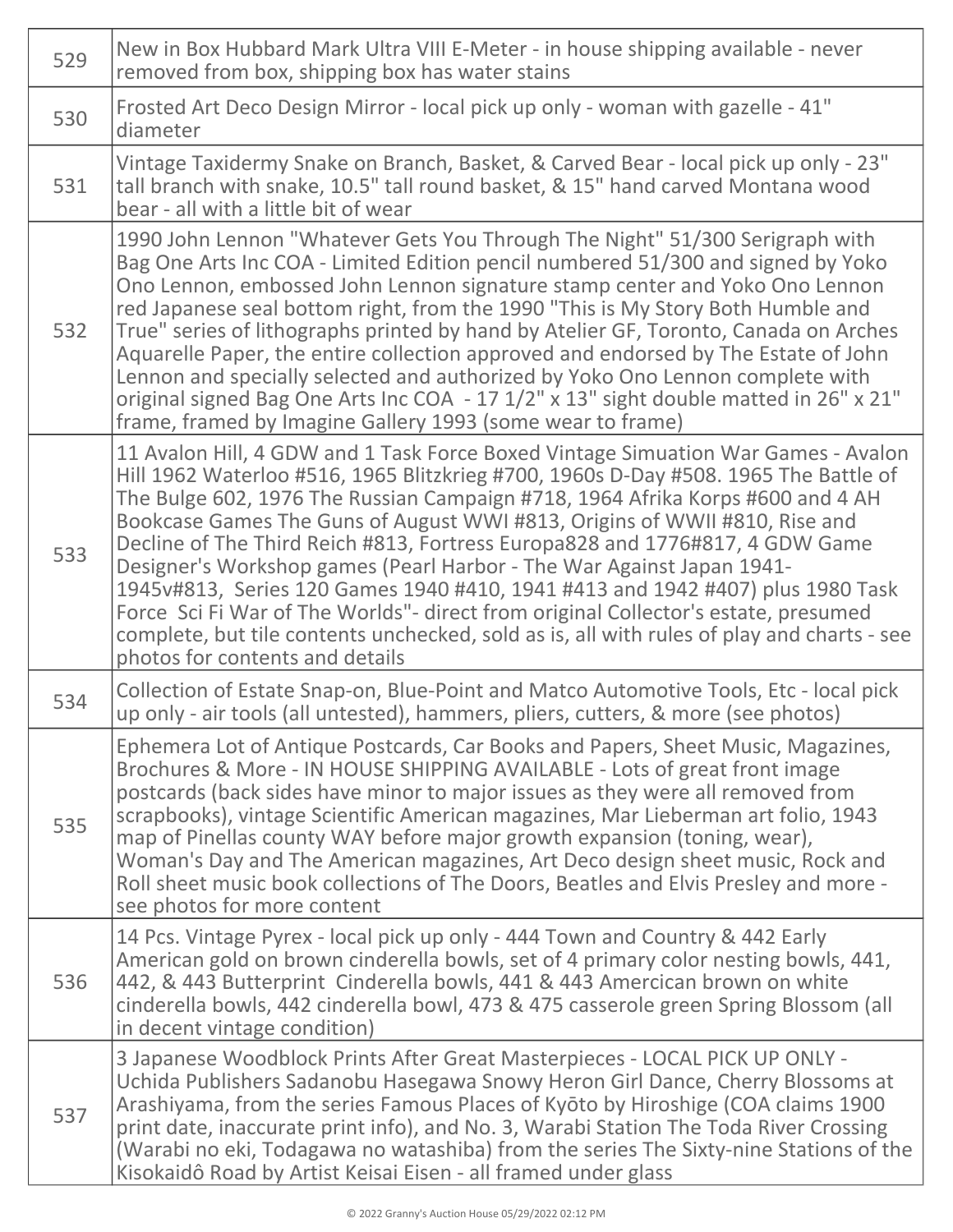| 529 | New in Box Hubbard Mark Ultra VIII E-Meter - in house shipping available - never<br>removed from box, shipping box has water stains                                                                                                                                                                                                                                                                                                                                                                                                                                                                                                                                                                                                                                                                        |
|-----|------------------------------------------------------------------------------------------------------------------------------------------------------------------------------------------------------------------------------------------------------------------------------------------------------------------------------------------------------------------------------------------------------------------------------------------------------------------------------------------------------------------------------------------------------------------------------------------------------------------------------------------------------------------------------------------------------------------------------------------------------------------------------------------------------------|
| 530 | Frosted Art Deco Design Mirror - local pick up only - woman with gazelle - 41"<br>diameter                                                                                                                                                                                                                                                                                                                                                                                                                                                                                                                                                                                                                                                                                                                 |
| 531 | Vintage Taxidermy Snake on Branch, Basket, & Carved Bear - local pick up only - 23"<br>tall branch with snake, 10.5" tall round basket, & 15" hand carved Montana wood<br>bear - all with a little bit of wear                                                                                                                                                                                                                                                                                                                                                                                                                                                                                                                                                                                             |
| 532 | 1990 John Lennon "Whatever Gets You Through The Night" 51/300 Serigraph with<br>Bag One Arts Inc COA - Limited Edition pencil numbered 51/300 and signed by Yoko<br>Ono Lennon, embossed John Lennon signature stamp center and Yoko Ono Lennon<br>red Japanese seal bottom right, from the 1990 "This is My Story Both Humble and<br>True" series of lithographs printed by hand by Atelier GF, Toronto, Canada on Arches<br>Aquarelle Paper, the entire collection approved and endorsed by The Estate of John<br>Lennon and specially selected and authorized by Yoko Ono Lennon complete with<br>original signed Bag One Arts Inc COA - 17 1/2" x 13" sight double matted in 26" x 21"<br>frame, framed by Imagine Gallery 1993 (some wear to frame)                                                   |
| 533 | 11 Avalon Hill, 4 GDW and 1 Task Force Boxed Vintage Simuation War Games - Avalon<br>Hill 1962 Waterloo #516, 1965 Blitzkrieg #700, 1960s D-Day #508. 1965 The Battle of<br>The Bulge 602, 1976 The Russian Campaign #718, 1964 Afrika Korps #600 and 4 AH<br>Bookcase Games The Guns of August WWI #813, Origins of WWII #810, Rise and<br>Decline of The Third Reich #813, Fortress Europa828 and 1776#817, 4 GDW Game<br>Designer's Workshop games (Pearl Harbor - The War Against Japan 1941-<br>1945v#813, Series 120 Games 1940 #410, 1941 #413 and 1942 #407) plus 1980 Task<br>Force Sci Fi War of The Worlds"- direct from original Collector's estate, presumed<br>complete, but tile contents unchecked, sold as is, all with rules of play and charts - see<br>photos for contents and details |
| 534 | Collection of Estate Snap-on, Blue-Point and Matco Automotive Tools, Etc - local pick<br>up only - air tools (all untested), hammers, pliers, cutters, & more (see photos)                                                                                                                                                                                                                                                                                                                                                                                                                                                                                                                                                                                                                                 |
| 535 | Ephemera Lot of Antique Postcards, Car Books and Papers, Sheet Music, Magazines,<br>Brochures & More - IN HOUSE SHIPPING AVAILABLE - Lots of great front image<br>postcards (back sides have minor to major issues as they were all removed from<br>scrapbooks), vintage Scientific American magazines, Mar Lieberman art folio, 1943<br>map of Pinellas county WAY before major growth expansion (toning, wear),<br>Woman's Day and The American magazines, Art Deco design sheet music, Rock and<br>Roll sheet music book collections of The Doors, Beatles and Elvis Presley and more -<br>see photos for more content                                                                                                                                                                                  |
| 536 | 14 Pcs. Vintage Pyrex - local pick up only - 444 Town and Country & 442 Early<br>American gold on brown cinderella bowls, set of 4 primary color nesting bowls, 441,<br>442, & 443 Butterprint Cinderella bowls, 441 & 443 Amercican brown on white<br>cinderella bowls, 442 cinderella bowl, 473 & 475 casserole green Spring Blossom (all<br>in decent vintage condition)                                                                                                                                                                                                                                                                                                                                                                                                                                |
| 537 | 3 Japanese Woodblock Prints After Great Masterpieces - LOCAL PICK UP ONLY -<br>Uchida Publishers Sadanobu Hasegawa Snowy Heron Girl Dance, Cherry Blossoms at<br>Arashiyama, from the series Famous Places of Kyōto by Hiroshige (COA claims 1900<br>print date, inaccurate print info), and No. 3, Warabi Station The Toda River Crossing<br>(Warabi no eki, Todagawa no watashiba) from the series The Sixty-nine Stations of the<br>Kisokaidô Road by Artist Keisai Eisen - all framed under glass                                                                                                                                                                                                                                                                                                      |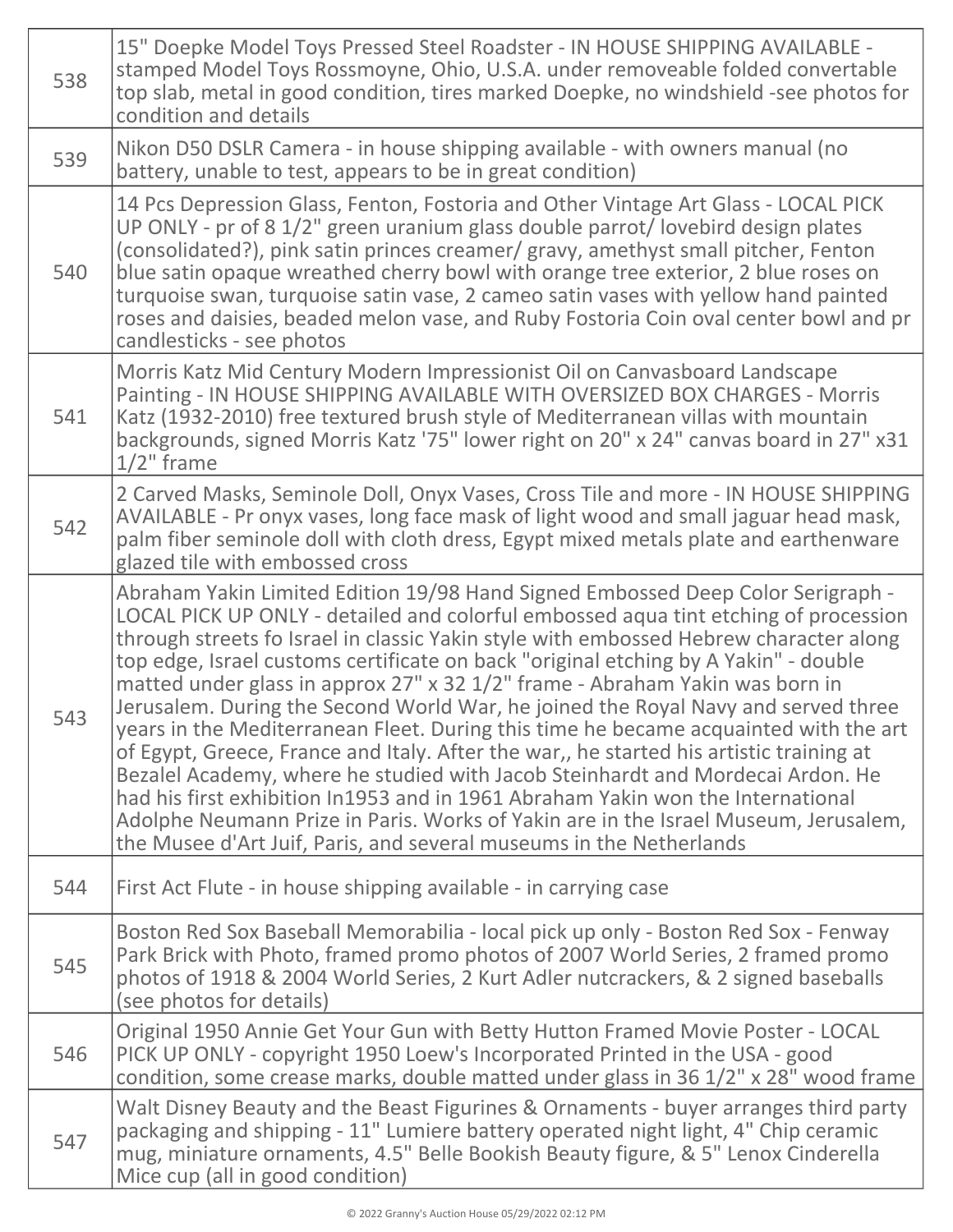| 538 | 15" Doepke Model Toys Pressed Steel Roadster - IN HOUSE SHIPPING AVAILABLE -<br>stamped Model Toys Rossmoyne, Ohio, U.S.A. under removeable folded convertable<br>top slab, metal in good condition, tires marked Doepke, no windshield -see photos for<br>condition and details                                                                                                                                                                                                                                                                                                                                                                                                                                                                                                                                                                                                                                                                                                                                                                  |
|-----|---------------------------------------------------------------------------------------------------------------------------------------------------------------------------------------------------------------------------------------------------------------------------------------------------------------------------------------------------------------------------------------------------------------------------------------------------------------------------------------------------------------------------------------------------------------------------------------------------------------------------------------------------------------------------------------------------------------------------------------------------------------------------------------------------------------------------------------------------------------------------------------------------------------------------------------------------------------------------------------------------------------------------------------------------|
| 539 | Nikon D50 DSLR Camera - in house shipping available - with owners manual (no<br>battery, unable to test, appears to be in great condition)                                                                                                                                                                                                                                                                                                                                                                                                                                                                                                                                                                                                                                                                                                                                                                                                                                                                                                        |
| 540 | 14 Pcs Depression Glass, Fenton, Fostoria and Other Vintage Art Glass - LOCAL PICK<br>UP ONLY - pr of 8 1/2" green uranium glass double parrot/ lovebird design plates<br>(consolidated?), pink satin princes creamer/ gravy, amethyst small pitcher, Fenton<br>blue satin opaque wreathed cherry bowl with orange tree exterior, 2 blue roses on<br>turquoise swan, turquoise satin vase, 2 cameo satin vases with yellow hand painted<br>roses and daisies, beaded melon vase, and Ruby Fostoria Coin oval center bowl and pr<br>candlesticks - see photos                                                                                                                                                                                                                                                                                                                                                                                                                                                                                      |
| 541 | Morris Katz Mid Century Modern Impressionist Oil on Canvasboard Landscape<br>Painting - IN HOUSE SHIPPING AVAILABLE WITH OVERSIZED BOX CHARGES - Morris<br>Katz (1932-2010) free textured brush style of Mediterranean villas with mountain<br>backgrounds, signed Morris Katz '75" lower right on 20" x 24" canvas board in 27" x31<br>$1/2$ " frame                                                                                                                                                                                                                                                                                                                                                                                                                                                                                                                                                                                                                                                                                             |
| 542 | 2 Carved Masks, Seminole Doll, Onyx Vases, Cross Tile and more - IN HOUSE SHIPPING<br>AVAILABLE - Pr onyx vases, long face mask of light wood and small jaguar head mask,<br>palm fiber seminole doll with cloth dress, Egypt mixed metals plate and earthenware<br>glazed tile with embossed cross                                                                                                                                                                                                                                                                                                                                                                                                                                                                                                                                                                                                                                                                                                                                               |
| 543 | Abraham Yakin Limited Edition 19/98 Hand Signed Embossed Deep Color Serigraph -<br>LOCAL PICK UP ONLY - detailed and colorful embossed aqua tint etching of procession<br>through streets fo Israel in classic Yakin style with embossed Hebrew character along<br>top edge, Israel customs certificate on back "original etching by A Yakin" - double<br>matted under glass in approx 27" x 32 1/2" frame - Abraham Yakin was born in<br>Jerusalem. During the Second World War, he joined the Royal Navy and served three<br>years in the Mediterranean Fleet. During this time he became acquainted with the art<br>of Egypt, Greece, France and Italy. After the war,, he started his artistic training at<br>Bezalel Academy, where he studied with Jacob Steinhardt and Mordecai Ardon. He<br>had his first exhibition In1953 and in 1961 Abraham Yakin won the International<br>Adolphe Neumann Prize in Paris. Works of Yakin are in the Israel Museum, Jerusalem,<br>the Musee d'Art Juif, Paris, and several museums in the Netherlands |
| 544 | First Act Flute - in house shipping available - in carrying case                                                                                                                                                                                                                                                                                                                                                                                                                                                                                                                                                                                                                                                                                                                                                                                                                                                                                                                                                                                  |
| 545 | Boston Red Sox Baseball Memorabilia - local pick up only - Boston Red Sox - Fenway<br>Park Brick with Photo, framed promo photos of 2007 World Series, 2 framed promo<br>photos of 1918 & 2004 World Series, 2 Kurt Adler nutcrackers, & 2 signed baseballs<br>(see photos for details)                                                                                                                                                                                                                                                                                                                                                                                                                                                                                                                                                                                                                                                                                                                                                           |
| 546 | Original 1950 Annie Get Your Gun with Betty Hutton Framed Movie Poster - LOCAL<br>PICK UP ONLY - copyright 1950 Loew's Incorporated Printed in the USA - good<br>condition, some crease marks, double matted under glass in 36 1/2" x 28" wood frame                                                                                                                                                                                                                                                                                                                                                                                                                                                                                                                                                                                                                                                                                                                                                                                              |
| 547 | Walt Disney Beauty and the Beast Figurines & Ornaments - buyer arranges third party<br>packaging and shipping - 11" Lumiere battery operated night light, 4" Chip ceramic<br>mug, miniature ornaments, 4.5" Belle Bookish Beauty figure, & 5" Lenox Cinderella<br>Mice cup (all in good condition)                                                                                                                                                                                                                                                                                                                                                                                                                                                                                                                                                                                                                                                                                                                                                |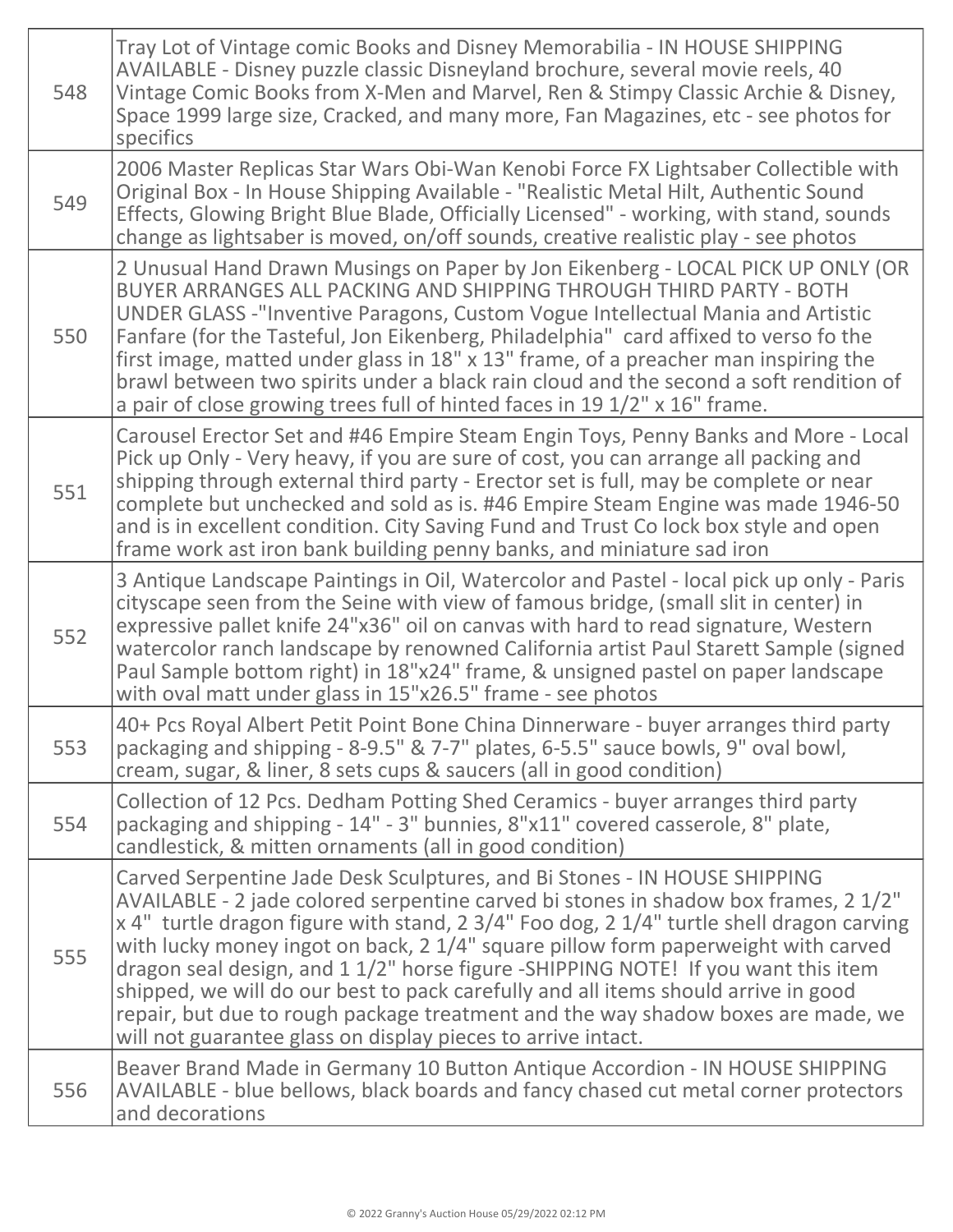| 548 | Tray Lot of Vintage comic Books and Disney Memorabilia - IN HOUSE SHIPPING<br>AVAILABLE - Disney puzzle classic Disneyland brochure, several movie reels, 40<br>Vintage Comic Books from X-Men and Marvel, Ren & Stimpy Classic Archie & Disney,<br>Space 1999 large size, Cracked, and many more, Fan Magazines, etc - see photos for<br>specifics                                                                                                                                                                                                                                                                                                                              |
|-----|----------------------------------------------------------------------------------------------------------------------------------------------------------------------------------------------------------------------------------------------------------------------------------------------------------------------------------------------------------------------------------------------------------------------------------------------------------------------------------------------------------------------------------------------------------------------------------------------------------------------------------------------------------------------------------|
| 549 | 2006 Master Replicas Star Wars Obi-Wan Kenobi Force FX Lightsaber Collectible with<br>Original Box - In House Shipping Available - "Realistic Metal Hilt, Authentic Sound<br>Effects, Glowing Bright Blue Blade, Officially Licensed" - working, with stand, sounds<br>change as lightsaber is moved, on/off sounds, creative realistic play - see photos                                                                                                                                                                                                                                                                                                                        |
| 550 | 2 Unusual Hand Drawn Musings on Paper by Jon Eikenberg - LOCAL PICK UP ONLY (OR<br>BUYER ARRANGES ALL PACKING AND SHIPPING THROUGH THIRD PARTY - BOTH<br>UNDER GLASS -"Inventive Paragons, Custom Vogue Intellectual Mania and Artistic<br>Fanfare (for the Tasteful, Jon Eikenberg, Philadelphia" card affixed to verso fo the<br>first image, matted under glass in 18" x 13" frame, of a preacher man inspiring the<br>brawl between two spirits under a black rain cloud and the second a soft rendition of<br>a pair of close growing trees full of hinted faces in 19 1/2" x 16" frame.                                                                                    |
| 551 | Carousel Erector Set and #46 Empire Steam Engin Toys, Penny Banks and More - Local<br>Pick up Only - Very heavy, if you are sure of cost, you can arrange all packing and<br>shipping through external third party - Erector set is full, may be complete or near<br>complete but unchecked and sold as is. #46 Empire Steam Engine was made 1946-50<br>and is in excellent condition. City Saving Fund and Trust Co lock box style and open<br>frame work ast iron bank building penny banks, and miniature sad iron                                                                                                                                                            |
| 552 | 3 Antique Landscape Paintings in Oil, Watercolor and Pastel - local pick up only - Paris<br>cityscape seen from the Seine with view of famous bridge, (small slit in center) in<br>expressive pallet knife 24"x36" oil on canvas with hard to read signature, Western<br>watercolor ranch landscape by renowned California artist Paul Starett Sample (signed<br>Paul Sample bottom right) in 18"x24" frame, & unsigned pastel on paper landscape<br>with oval matt under glass in 15"x26.5" frame - see photos                                                                                                                                                                  |
| 553 | 40+ Pcs Royal Albert Petit Point Bone China Dinnerware - buyer arranges third party<br>packaging and shipping - 8-9.5" & 7-7" plates, 6-5.5" sauce bowls, 9" oval bowl,<br>cream, sugar, & liner, 8 sets cups & saucers (all in good condition)                                                                                                                                                                                                                                                                                                                                                                                                                                  |
| 554 | Collection of 12 Pcs. Dedham Potting Shed Ceramics - buyer arranges third party<br>packaging and shipping - 14" - 3" bunnies, 8"x11" covered casserole, 8" plate,<br>candlestick, & mitten ornaments (all in good condition)                                                                                                                                                                                                                                                                                                                                                                                                                                                     |
| 555 | Carved Serpentine Jade Desk Sculptures, and Bi Stones - IN HOUSE SHIPPING<br>AVAILABLE - 2 jade colored serpentine carved bi stones in shadow box frames, 2 1/2"<br>x 4" turtle dragon figure with stand, 2 3/4" Foo dog, 2 1/4" turtle shell dragon carving<br>with lucky money ingot on back, 2 1/4" square pillow form paperweight with carved<br>dragon seal design, and 1 1/2" horse figure -SHIPPING NOTE! If you want this item<br>shipped, we will do our best to pack carefully and all items should arrive in good<br>repair, but due to rough package treatment and the way shadow boxes are made, we<br>will not guarantee glass on display pieces to arrive intact. |
| 556 | Beaver Brand Made in Germany 10 Button Antique Accordion - IN HOUSE SHIPPING<br>AVAILABLE - blue bellows, black boards and fancy chased cut metal corner protectors<br>and decorations                                                                                                                                                                                                                                                                                                                                                                                                                                                                                           |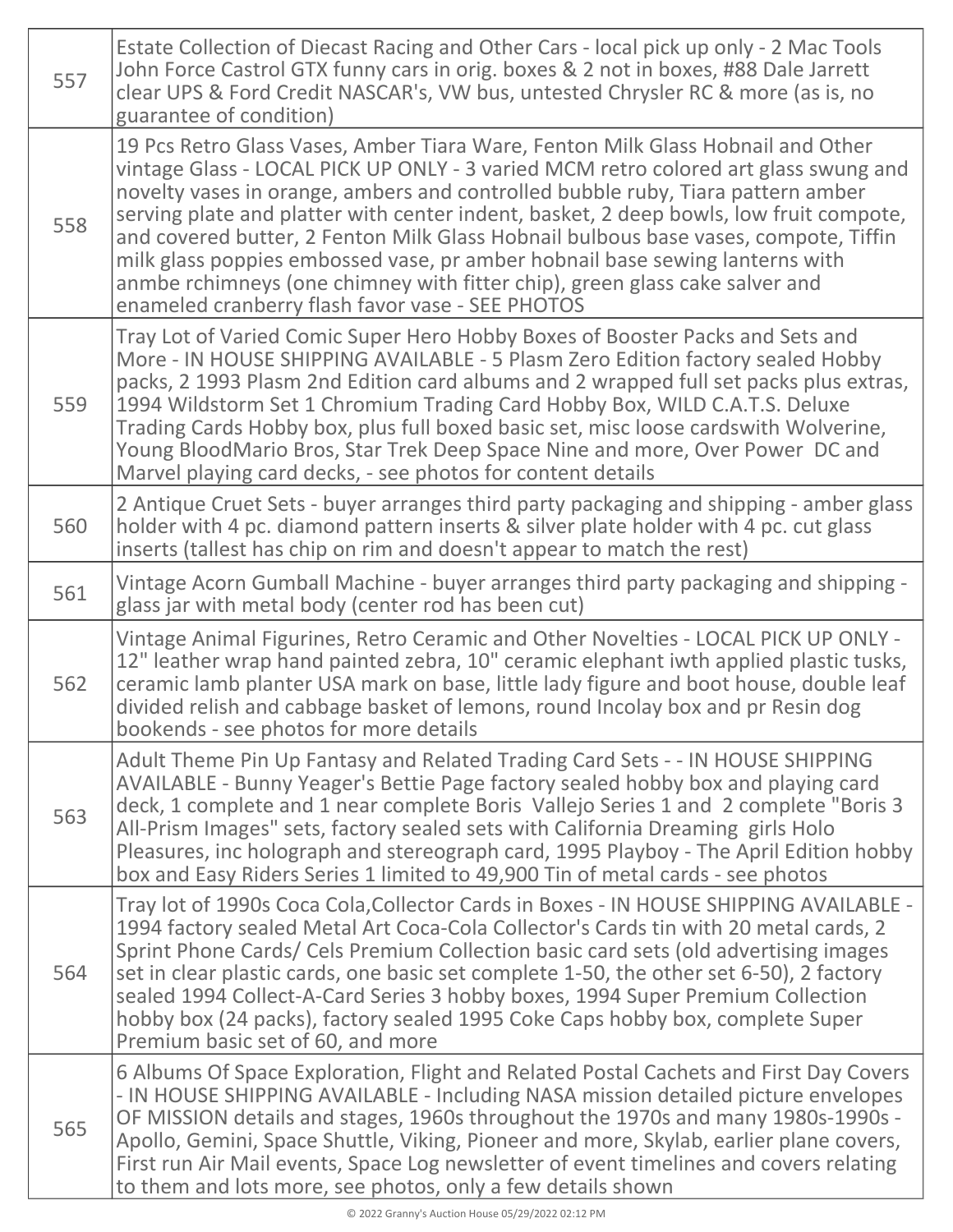| 557 | Estate Collection of Diecast Racing and Other Cars - local pick up only - 2 Mac Tools<br>John Force Castrol GTX funny cars in orig. boxes & 2 not in boxes, #88 Dale Jarrett<br>clear UPS & Ford Credit NASCAR's, VW bus, untested Chrysler RC & more (as is, no<br>guarantee of condition)                                                                                                                                                                                                                                                                                                                                                                   |
|-----|---------------------------------------------------------------------------------------------------------------------------------------------------------------------------------------------------------------------------------------------------------------------------------------------------------------------------------------------------------------------------------------------------------------------------------------------------------------------------------------------------------------------------------------------------------------------------------------------------------------------------------------------------------------|
| 558 | 19 Pcs Retro Glass Vases, Amber Tiara Ware, Fenton Milk Glass Hobnail and Other<br>vintage Glass - LOCAL PICK UP ONLY - 3 varied MCM retro colored art glass swung and<br>novelty vases in orange, ambers and controlled bubble ruby, Tiara pattern amber<br>serving plate and platter with center indent, basket, 2 deep bowls, low fruit compote,<br>and covered butter, 2 Fenton Milk Glass Hobnail bulbous base vases, compote, Tiffin<br>milk glass poppies embossed vase, pr amber hobnail base sewing lanterns with<br>anmbe rchimneys (one chimney with fitter chip), green glass cake salver and<br>enameled cranberry flash favor vase - SEE PHOTOS |
| 559 | Tray Lot of Varied Comic Super Hero Hobby Boxes of Booster Packs and Sets and<br>More - IN HOUSE SHIPPING AVAILABLE - 5 Plasm Zero Edition factory sealed Hobby<br>packs, 2 1993 Plasm 2nd Edition card albums and 2 wrapped full set packs plus extras,<br>1994 Wildstorm Set 1 Chromium Trading Card Hobby Box, WILD C.A.T.S. Deluxe<br>Trading Cards Hobby box, plus full boxed basic set, misc loose cardswith Wolverine,<br>Young BloodMario Bros, Star Trek Deep Space Nine and more, Over Power DC and<br>Marvel playing card decks, - see photos for content details                                                                                  |
| 560 | 2 Antique Cruet Sets - buyer arranges third party packaging and shipping - amber glass<br>holder with 4 pc. diamond pattern inserts & silver plate holder with 4 pc. cut glass<br>inserts (tallest has chip on rim and doesn't appear to match the rest)                                                                                                                                                                                                                                                                                                                                                                                                      |
| 561 | Vintage Acorn Gumball Machine - buyer arranges third party packaging and shipping -<br>glass jar with metal body (center rod has been cut)                                                                                                                                                                                                                                                                                                                                                                                                                                                                                                                    |
| 562 | Vintage Animal Figurines, Retro Ceramic and Other Novelties - LOCAL PICK UP ONLY -<br>12" leather wrap hand painted zebra, 10" ceramic elephant iwth applied plastic tusks,<br>ceramic lamb planter USA mark on base, little lady figure and boot house, double leaf<br>divided relish and cabbage basket of lemons, round Incolay box and pr Resin dog<br>bookends - see photos for more details                                                                                                                                                                                                                                                             |
| 563 | Adult Theme Pin Up Fantasy and Related Trading Card Sets - - IN HOUSE SHIPPING<br>AVAILABLE - Bunny Yeager's Bettie Page factory sealed hobby box and playing card<br>deck, 1 complete and 1 near complete Boris Vallejo Series 1 and 2 complete "Boris 3<br>All-Prism Images" sets, factory sealed sets with California Dreaming girls Holo<br>Pleasures, inc holograph and stereograph card, 1995 Playboy - The April Edition hobby<br>box and Easy Riders Series 1 limited to 49,900 Tin of metal cards - see photos                                                                                                                                       |
| 564 | Tray lot of 1990s Coca Cola, Collector Cards in Boxes - IN HOUSE SHIPPING AVAILABLE -<br>1994 factory sealed Metal Art Coca-Cola Collector's Cards tin with 20 metal cards, 2<br>Sprint Phone Cards/ Cels Premium Collection basic card sets (old advertising images<br>set in clear plastic cards, one basic set complete 1-50, the other set 6-50), 2 factory<br>sealed 1994 Collect-A-Card Series 3 hobby boxes, 1994 Super Premium Collection<br>hobby box (24 packs), factory sealed 1995 Coke Caps hobby box, complete Super<br>Premium basic set of 60, and more                                                                                       |
| 565 | 6 Albums Of Space Exploration, Flight and Related Postal Cachets and First Day Covers<br>- IN HOUSE SHIPPING AVAILABLE - Including NASA mission detailed picture envelopes<br>OF MISSION details and stages, 1960s throughout the 1970s and many 1980s-1990s -<br>Apollo, Gemini, Space Shuttle, Viking, Pioneer and more, Skylab, earlier plane covers,<br>First run Air Mail events, Space Log newsletter of event timelines and covers relating<br>to them and lots more, see photos, only a few details shown                                                                                                                                             |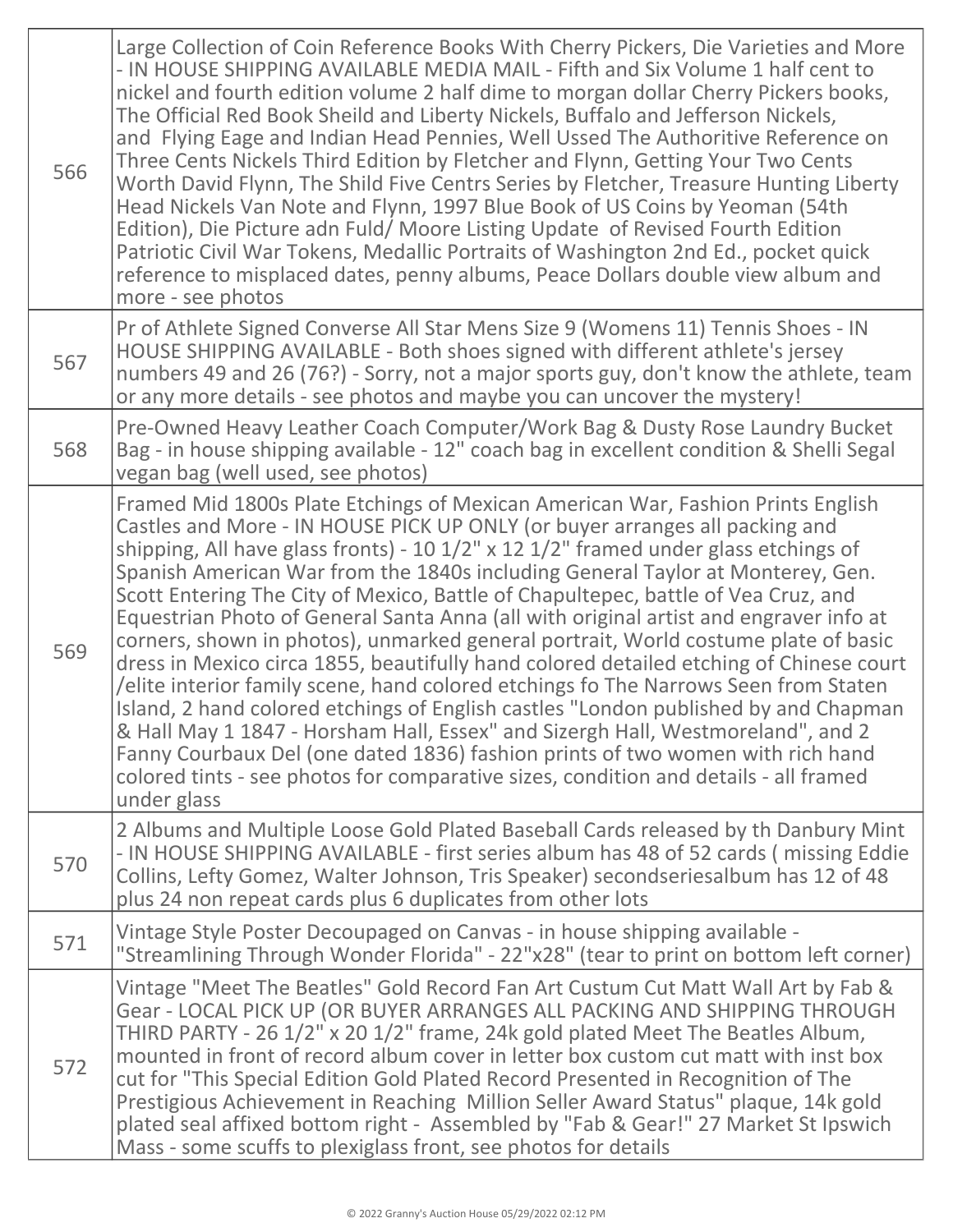| 566 | Large Collection of Coin Reference Books With Cherry Pickers, Die Varieties and More<br>- IN HOUSE SHIPPING AVAILABLE MEDIA MAIL - Fifth and Six Volume 1 half cent to<br>nickel and fourth edition volume 2 half dime to morgan dollar Cherry Pickers books,<br>The Official Red Book Sheild and Liberty Nickels, Buffalo and Jefferson Nickels,<br>and Flying Eage and Indian Head Pennies, Well Ussed The Authoritive Reference on<br>Three Cents Nickels Third Edition by Fletcher and Flynn, Getting Your Two Cents<br>Worth David Flynn, The Shild Five Centrs Series by Fletcher, Treasure Hunting Liberty<br>Head Nickels Van Note and Flynn, 1997 Blue Book of US Coins by Yeoman (54th<br>Edition), Die Picture adn Fuld/Moore Listing Update of Revised Fourth Edition<br>Patriotic Civil War Tokens, Medallic Portraits of Washington 2nd Ed., pocket quick<br>reference to misplaced dates, penny albums, Peace Dollars double view album and<br>more - see photos                                                                                                                                                                                       |
|-----|-----------------------------------------------------------------------------------------------------------------------------------------------------------------------------------------------------------------------------------------------------------------------------------------------------------------------------------------------------------------------------------------------------------------------------------------------------------------------------------------------------------------------------------------------------------------------------------------------------------------------------------------------------------------------------------------------------------------------------------------------------------------------------------------------------------------------------------------------------------------------------------------------------------------------------------------------------------------------------------------------------------------------------------------------------------------------------------------------------------------------------------------------------------------------|
| 567 | Pr of Athlete Signed Converse All Star Mens Size 9 (Womens 11) Tennis Shoes - IN<br>HOUSE SHIPPING AVAILABLE - Both shoes signed with different athlete's jersey<br>numbers 49 and 26 (76?) - Sorry, not a major sports guy, don't know the athlete, team<br>or any more details - see photos and maybe you can uncover the mystery!                                                                                                                                                                                                                                                                                                                                                                                                                                                                                                                                                                                                                                                                                                                                                                                                                                  |
| 568 | Pre-Owned Heavy Leather Coach Computer/Work Bag & Dusty Rose Laundry Bucket<br>Bag - in house shipping available - 12" coach bag in excellent condition & Shelli Segal<br>vegan bag (well used, see photos)                                                                                                                                                                                                                                                                                                                                                                                                                                                                                                                                                                                                                                                                                                                                                                                                                                                                                                                                                           |
| 569 | Framed Mid 1800s Plate Etchings of Mexican American War, Fashion Prints English<br>Castles and More - IN HOUSE PICK UP ONLY (or buyer arranges all packing and<br>shipping, All have glass fronts) - 10 $1/2$ " x 12 $1/2$ " framed under glass etchings of<br>Spanish American War from the 1840s including General Taylor at Monterey, Gen.<br>Scott Entering The City of Mexico, Battle of Chapultepec, battle of Vea Cruz, and<br>Equestrian Photo of General Santa Anna (all with original artist and engraver info at<br>corners, shown in photos), unmarked general portrait, World costume plate of basic<br>dress in Mexico circa 1855, beautifully hand colored detailed etching of Chinese court<br>/elite interior family scene, hand colored etchings fo The Narrows Seen from Staten<br>Island, 2 hand colored etchings of English castles "London published by and Chapman<br>& Hall May 1 1847 - Horsham Hall, Essex" and Sizergh Hall, Westmoreland", and 2<br>Fanny Courbaux Del (one dated 1836) fashion prints of two women with rich hand<br>colored tints - see photos for comparative sizes, condition and details - all framed<br>under glass |
| 570 | 2 Albums and Multiple Loose Gold Plated Baseball Cards released by th Danbury Mint<br>- IN HOUSE SHIPPING AVAILABLE - first series album has 48 of 52 cards (missing Eddie<br>Collins, Lefty Gomez, Walter Johnson, Tris Speaker) secondseriesalbum has 12 of 48<br>plus 24 non repeat cards plus 6 duplicates from other lots                                                                                                                                                                                                                                                                                                                                                                                                                                                                                                                                                                                                                                                                                                                                                                                                                                        |
| 571 | Vintage Style Poster Decoupaged on Canvas - in house shipping available -<br>"Streamlining Through Wonder Florida" - 22"x28" (tear to print on bottom left corner)                                                                                                                                                                                                                                                                                                                                                                                                                                                                                                                                                                                                                                                                                                                                                                                                                                                                                                                                                                                                    |
| 572 | Vintage "Meet The Beatles" Gold Record Fan Art Custum Cut Matt Wall Art by Fab &<br>Gear - LOCAL PICK UP (OR BUYER ARRANGES ALL PACKING AND SHIPPING THROUGH<br>THIRD PARTY - 26 1/2" x 20 1/2" frame, 24k gold plated Meet The Beatles Album,<br>mounted in front of record album cover in letter box custom cut matt with inst box<br>cut for "This Special Edition Gold Plated Record Presented in Recognition of The<br>Prestigious Achievement in Reaching Million Seller Award Status" plaque, 14k gold<br>plated seal affixed bottom right - Assembled by "Fab & Gear!" 27 Market St Ipswich<br>Mass - some scuffs to plexiglass front, see photos for details                                                                                                                                                                                                                                                                                                                                                                                                                                                                                                 |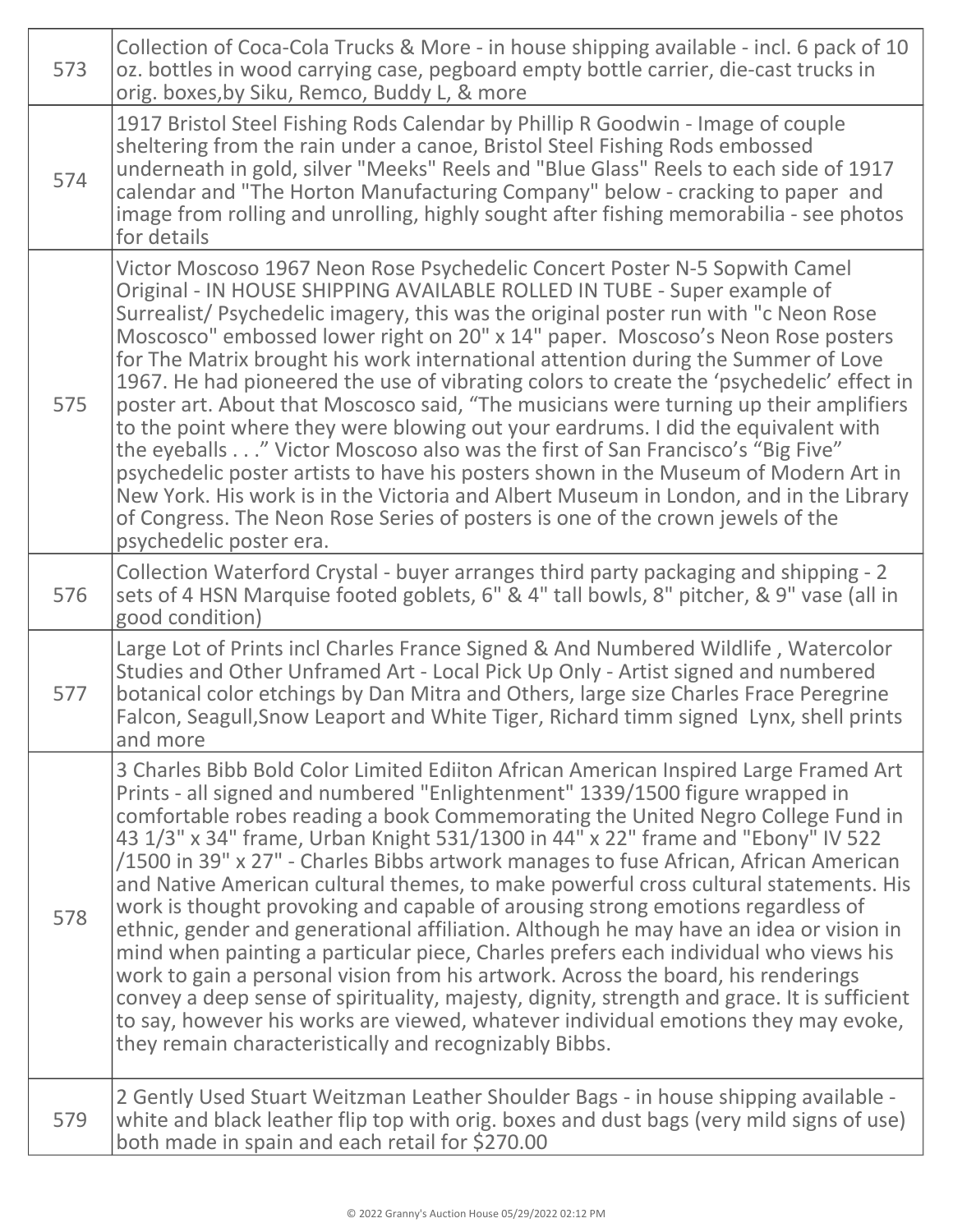| 573 | Collection of Coca-Cola Trucks & More - in house shipping available - incl. 6 pack of 10<br>oz. bottles in wood carrying case, pegboard empty bottle carrier, die-cast trucks in<br>orig. boxes, by Siku, Remco, Buddy L, & more                                                                                                                                                                                                                                                                                                                                                                                                                                                                                                                                                                                                                                                                                                                                                                                                                                                                                                     |
|-----|--------------------------------------------------------------------------------------------------------------------------------------------------------------------------------------------------------------------------------------------------------------------------------------------------------------------------------------------------------------------------------------------------------------------------------------------------------------------------------------------------------------------------------------------------------------------------------------------------------------------------------------------------------------------------------------------------------------------------------------------------------------------------------------------------------------------------------------------------------------------------------------------------------------------------------------------------------------------------------------------------------------------------------------------------------------------------------------------------------------------------------------|
| 574 | 1917 Bristol Steel Fishing Rods Calendar by Phillip R Goodwin - Image of couple<br>sheltering from the rain under a canoe, Bristol Steel Fishing Rods embossed<br>underneath in gold, silver "Meeks" Reels and "Blue Glass" Reels to each side of 1917<br>calendar and "The Horton Manufacturing Company" below - cracking to paper and<br>image from rolling and unrolling, highly sought after fishing memorabilia - see photos<br>for details                                                                                                                                                                                                                                                                                                                                                                                                                                                                                                                                                                                                                                                                                     |
| 575 | Victor Moscoso 1967 Neon Rose Psychedelic Concert Poster N-5 Sopwith Camel<br>Original - IN HOUSE SHIPPING AVAILABLE ROLLED IN TUBE - Super example of<br>Surrealist/ Psychedelic imagery, this was the original poster run with "c Neon Rose<br>Moscosco" embossed lower right on 20" x 14" paper. Moscoso's Neon Rose posters<br>for The Matrix brought his work international attention during the Summer of Love<br>1967. He had pioneered the use of vibrating colors to create the 'psychedelic' effect in<br>poster art. About that Moscosco said, "The musicians were turning up their amplifiers<br>to the point where they were blowing out your eardrums. I did the equivalent with<br>the eyeballs" Victor Moscoso also was the first of San Francisco's "Big Five"<br>psychedelic poster artists to have his posters shown in the Museum of Modern Art in<br>New York. His work is in the Victoria and Albert Museum in London, and in the Library<br>of Congress. The Neon Rose Series of posters is one of the crown jewels of the<br>psychedelic poster era.                                                         |
| 576 | Collection Waterford Crystal - buyer arranges third party packaging and shipping - 2<br>sets of 4 HSN Marquise footed goblets, 6" & 4" tall bowls, 8" pitcher, & 9" vase (all in<br>good condition)                                                                                                                                                                                                                                                                                                                                                                                                                                                                                                                                                                                                                                                                                                                                                                                                                                                                                                                                  |
| 577 | Large Lot of Prints incl Charles France Signed & And Numbered Wildlife, Watercolor<br>Studies and Other Unframed Art - Local Pick Up Only - Artist signed and numbered<br>botanical color etchings by Dan Mitra and Others, large size Charles Frace Peregrine<br>Falcon, Seagull, Snow Leaport and White Tiger, Richard timm signed Lynx, shell prints<br>and more                                                                                                                                                                                                                                                                                                                                                                                                                                                                                                                                                                                                                                                                                                                                                                  |
| 578 | 3 Charles Bibb Bold Color Limited Ediiton African American Inspired Large Framed Art<br>Prints - all signed and numbered "Enlightenment" 1339/1500 figure wrapped in<br>comfortable robes reading a book Commemorating the United Negro College Fund in<br>43 1/3" x 34" frame, Urban Knight 531/1300 in 44" x 22" frame and "Ebony" IV 522<br>/1500 in 39" x 27" - Charles Bibbs artwork manages to fuse African, African American<br>and Native American cultural themes, to make powerful cross cultural statements. His<br>work is thought provoking and capable of arousing strong emotions regardless of<br>ethnic, gender and generational affiliation. Although he may have an idea or vision in<br>mind when painting a particular piece, Charles prefers each individual who views his<br>work to gain a personal vision from his artwork. Across the board, his renderings<br>convey a deep sense of spirituality, majesty, dignity, strength and grace. It is sufficient<br>to say, however his works are viewed, whatever individual emotions they may evoke,<br>they remain characteristically and recognizably Bibbs. |
| 579 | 2 Gently Used Stuart Weitzman Leather Shoulder Bags - in house shipping available -<br>white and black leather flip top with orig. boxes and dust bags (very mild signs of use)<br>both made in spain and each retail for \$270.00                                                                                                                                                                                                                                                                                                                                                                                                                                                                                                                                                                                                                                                                                                                                                                                                                                                                                                   |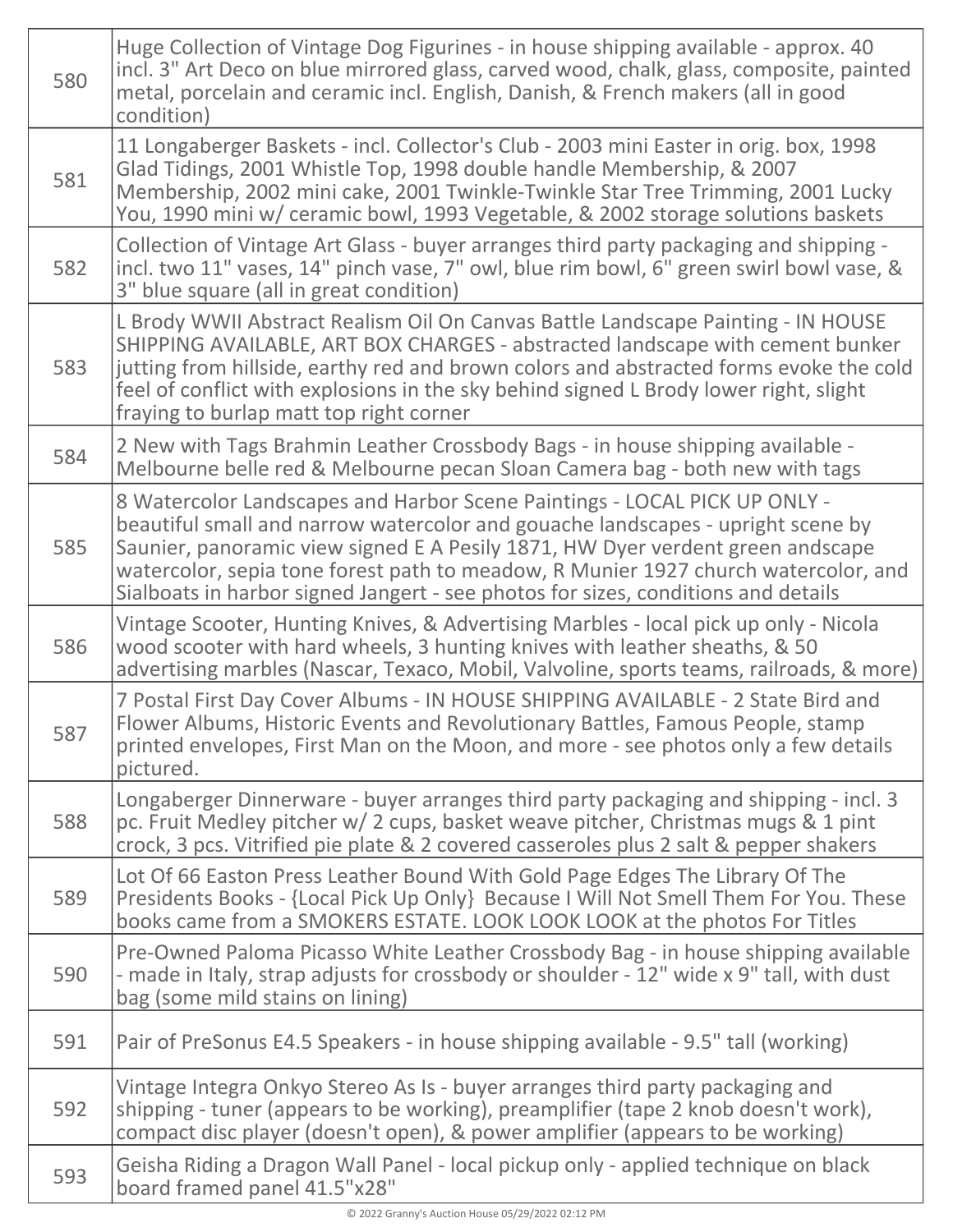| 580 | Huge Collection of Vintage Dog Figurines - in house shipping available - approx. 40<br>incl. 3" Art Deco on blue mirrored glass, carved wood, chalk, glass, composite, painted<br>metal, porcelain and ceramic incl. English, Danish, & French makers (all in good<br>condition)                                                                                                                                          |
|-----|---------------------------------------------------------------------------------------------------------------------------------------------------------------------------------------------------------------------------------------------------------------------------------------------------------------------------------------------------------------------------------------------------------------------------|
| 581 | 11 Longaberger Baskets - incl. Collector's Club - 2003 mini Easter in orig. box, 1998<br>Glad Tidings, 2001 Whistle Top, 1998 double handle Membership, & 2007<br>Membership, 2002 mini cake, 2001 Twinkle-Twinkle Star Tree Trimming, 2001 Lucky<br>You, 1990 mini w/ ceramic bowl, 1993 Vegetable, & 2002 storage solutions baskets                                                                                     |
| 582 | Collection of Vintage Art Glass - buyer arranges third party packaging and shipping -<br>incl. two 11" vases, 14" pinch vase, 7" owl, blue rim bowl, 6" green swirl bowl vase, &<br>3" blue square (all in great condition)                                                                                                                                                                                               |
| 583 | L Brody WWII Abstract Realism Oil On Canvas Battle Landscape Painting - IN HOUSE<br>SHIPPING AVAILABLE, ART BOX CHARGES - abstracted landscape with cement bunker<br>jutting from hillside, earthy red and brown colors and abstracted forms evoke the cold<br>feel of conflict with explosions in the sky behind signed L Brody lower right, slight<br>fraying to burlap matt top right corner                           |
| 584 | 2 New with Tags Brahmin Leather Crossbody Bags - in house shipping available -<br>Melbourne belle red & Melbourne pecan Sloan Camera bag - both new with tags                                                                                                                                                                                                                                                             |
| 585 | 8 Watercolor Landscapes and Harbor Scene Paintings - LOCAL PICK UP ONLY -<br>beautiful small and narrow watercolor and gouache landscapes - upright scene by<br>Saunier, panoramic view signed E A Pesily 1871, HW Dyer verdent green andscape<br>watercolor, sepia tone forest path to meadow, R Munier 1927 church watercolor, and<br>Sialboats in harbor signed Jangert - see photos for sizes, conditions and details |
| 586 | Vintage Scooter, Hunting Knives, & Advertising Marbles - local pick up only - Nicola<br>wood scooter with hard wheels, 3 hunting knives with leather sheaths, & 50<br>advertising marbles (Nascar, Texaco, Mobil, Valvoline, sports teams, railroads, & more)                                                                                                                                                             |
| 587 | 7 Postal First Day Cover Albums - IN HOUSE SHIPPING AVAILABLE - 2 State Bird and<br>Flower Albums, Historic Events and Revolutionary Battles, Famous People, stamp<br>printed envelopes, First Man on the Moon, and more - see photos only a few details<br>pictured.                                                                                                                                                     |
| 588 | Longaberger Dinnerware - buyer arranges third party packaging and shipping - incl. 3<br>pc. Fruit Medley pitcher w/ 2 cups, basket weave pitcher, Christmas mugs & 1 pint<br>crock, 3 pcs. Vitrified pie plate & 2 covered casseroles plus 2 salt & pepper shakers                                                                                                                                                        |
| 589 | Lot Of 66 Easton Press Leather Bound With Gold Page Edges The Library Of The<br>Presidents Books - {Local Pick Up Only} Because I Will Not Smell Them For You. These<br>books came from a SMOKERS ESTATE. LOOK LOOK LOOK at the photos For Titles                                                                                                                                                                         |
| 590 | Pre-Owned Paloma Picasso White Leather Crossbody Bag - in house shipping available<br>- made in Italy, strap adjusts for crossbody or shoulder - 12" wide x 9" tall, with dust<br>bag (some mild stains on lining)                                                                                                                                                                                                        |
| 591 | Pair of PreSonus E4.5 Speakers - in house shipping available - 9.5" tall (working)                                                                                                                                                                                                                                                                                                                                        |
| 592 | Vintage Integra Onkyo Stereo As Is - buyer arranges third party packaging and<br>shipping - tuner (appears to be working), preamplifier (tape 2 knob doesn't work),<br>compact disc player (doesn't open), & power amplifier (appears to be working)                                                                                                                                                                      |
| 593 | Geisha Riding a Dragon Wall Panel - local pickup only - applied technique on black<br>board framed panel 41.5"x28"                                                                                                                                                                                                                                                                                                        |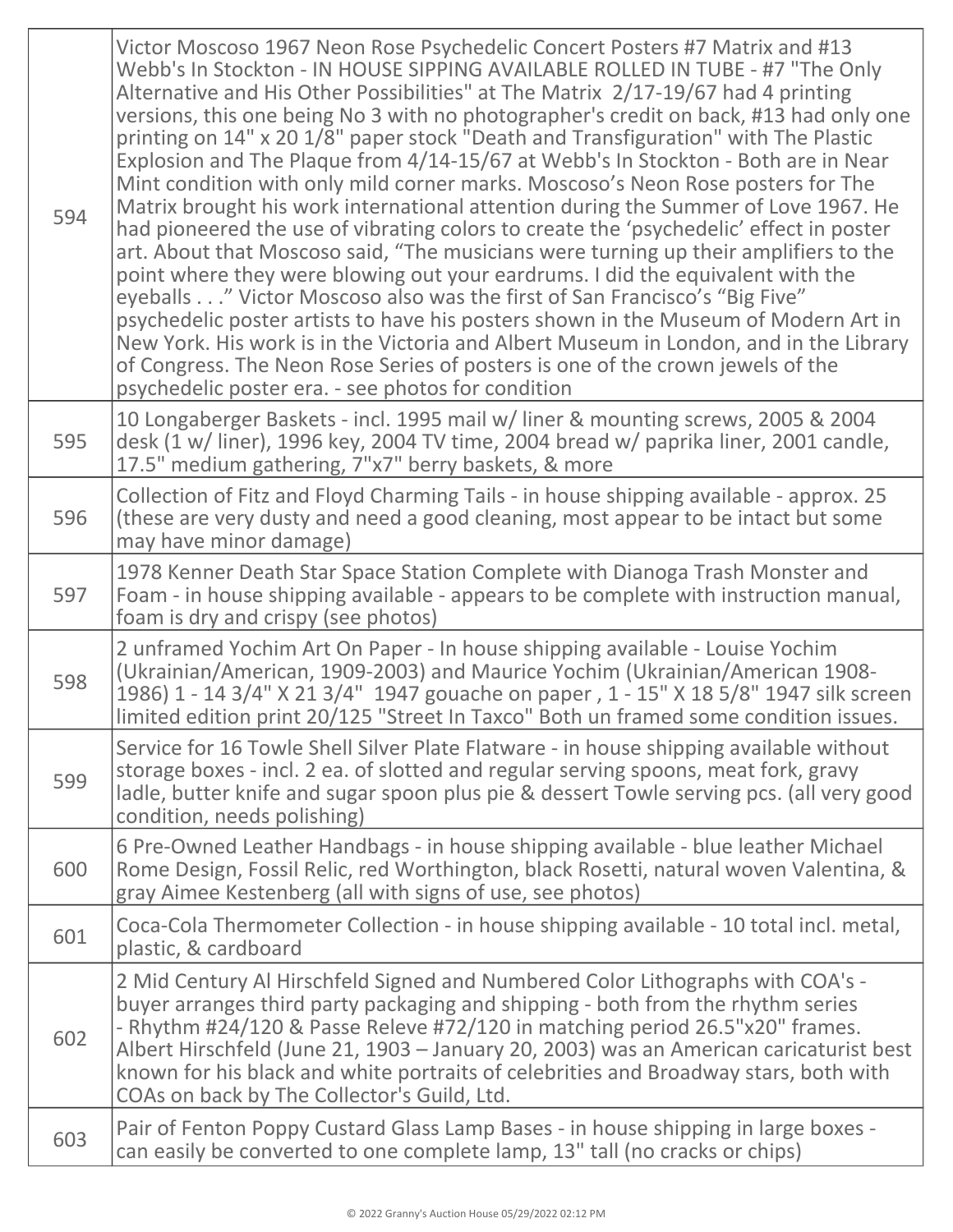| 594 | Victor Moscoso 1967 Neon Rose Psychedelic Concert Posters #7 Matrix and #13<br>Webb's In Stockton - IN HOUSE SIPPING AVAILABLE ROLLED IN TUBE - #7 "The Only<br>Alternative and His Other Possibilities" at The Matrix 2/17-19/67 had 4 printing<br>versions, this one being No 3 with no photographer's credit on back, #13 had only one<br>printing on 14" x 20 1/8" paper stock "Death and Transfiguration" with The Plastic<br>Explosion and The Plaque from 4/14-15/67 at Webb's In Stockton - Both are in Near<br>Mint condition with only mild corner marks. Moscoso's Neon Rose posters for The<br>Matrix brought his work international attention during the Summer of Love 1967. He<br>had pioneered the use of vibrating colors to create the 'psychedelic' effect in poster<br>art. About that Moscoso said, "The musicians were turning up their amplifiers to the<br>point where they were blowing out your eardrums. I did the equivalent with the<br>eyeballs" Victor Moscoso also was the first of San Francisco's "Big Five"<br>psychedelic poster artists to have his posters shown in the Museum of Modern Art in<br>New York. His work is in the Victoria and Albert Museum in London, and in the Library<br>of Congress. The Neon Rose Series of posters is one of the crown jewels of the<br>psychedelic poster era. - see photos for condition |
|-----|------------------------------------------------------------------------------------------------------------------------------------------------------------------------------------------------------------------------------------------------------------------------------------------------------------------------------------------------------------------------------------------------------------------------------------------------------------------------------------------------------------------------------------------------------------------------------------------------------------------------------------------------------------------------------------------------------------------------------------------------------------------------------------------------------------------------------------------------------------------------------------------------------------------------------------------------------------------------------------------------------------------------------------------------------------------------------------------------------------------------------------------------------------------------------------------------------------------------------------------------------------------------------------------------------------------------------------------------------------------------|
| 595 | 10 Longaberger Baskets - incl. 1995 mail w/ liner & mounting screws, 2005 & 2004<br>desk (1 w/ liner), 1996 key, 2004 TV time, 2004 bread w/ paprika liner, 2001 candle,<br>17.5" medium gathering, 7"x7" berry baskets, & more                                                                                                                                                                                                                                                                                                                                                                                                                                                                                                                                                                                                                                                                                                                                                                                                                                                                                                                                                                                                                                                                                                                                        |
| 596 | Collection of Fitz and Floyd Charming Tails - in house shipping available - approx. 25<br>(these are very dusty and need a good cleaning, most appear to be intact but some<br>may have minor damage)                                                                                                                                                                                                                                                                                                                                                                                                                                                                                                                                                                                                                                                                                                                                                                                                                                                                                                                                                                                                                                                                                                                                                                  |
| 597 | 1978 Kenner Death Star Space Station Complete with Dianoga Trash Monster and<br>Foam - in house shipping available - appears to be complete with instruction manual,<br>foam is dry and crispy (see photos)                                                                                                                                                                                                                                                                                                                                                                                                                                                                                                                                                                                                                                                                                                                                                                                                                                                                                                                                                                                                                                                                                                                                                            |
| 598 | 2 unframed Yochim Art On Paper - In house shipping available - Louise Yochim<br>(Ukrainian/American, 1909-2003) and Maurice Yochim (Ukrainian/American 1908-<br>1986) 1 - 14 3/4" X 21 3/4" 1947 gouache on paper, 1 - 15" X 18 5/8" 1947 silk screen<br>limited edition print 20/125 "Street In Taxco" Both un framed some condition issues.                                                                                                                                                                                                                                                                                                                                                                                                                                                                                                                                                                                                                                                                                                                                                                                                                                                                                                                                                                                                                          |
| 599 | Service for 16 Towle Shell Silver Plate Flatware - in house shipping available without<br>storage boxes - incl. 2 ea. of slotted and regular serving spoons, meat fork, gravy<br>ladle, butter knife and sugar spoon plus pie & dessert Towle serving pcs. (all very good<br>condition, needs polishing)                                                                                                                                                                                                                                                                                                                                                                                                                                                                                                                                                                                                                                                                                                                                                                                                                                                                                                                                                                                                                                                               |
| 600 | 6 Pre-Owned Leather Handbags - in house shipping available - blue leather Michael<br>Rome Design, Fossil Relic, red Worthington, black Rosetti, natural woven Valentina, &<br>gray Aimee Kestenberg (all with signs of use, see photos)                                                                                                                                                                                                                                                                                                                                                                                                                                                                                                                                                                                                                                                                                                                                                                                                                                                                                                                                                                                                                                                                                                                                |
| 601 | Coca-Cola Thermometer Collection - in house shipping available - 10 total incl. metal,<br>plastic, & cardboard                                                                                                                                                                                                                                                                                                                                                                                                                                                                                                                                                                                                                                                                                                                                                                                                                                                                                                                                                                                                                                                                                                                                                                                                                                                         |
| 602 | 2 Mid Century Al Hirschfeld Signed and Numbered Color Lithographs with COA's -<br>buyer arranges third party packaging and shipping - both from the rhythm series<br>- Rhythm #24/120 & Passe Releve #72/120 in matching period 26.5"x20" frames.<br>Albert Hirschfeld (June 21, 1903 - January 20, 2003) was an American caricaturist best<br>known for his black and white portraits of celebrities and Broadway stars, both with<br>COAs on back by The Collector's Guild, Ltd.                                                                                                                                                                                                                                                                                                                                                                                                                                                                                                                                                                                                                                                                                                                                                                                                                                                                                     |
| 603 | Pair of Fenton Poppy Custard Glass Lamp Bases - in house shipping in large boxes -<br>can easily be converted to one complete lamp, 13" tall (no cracks or chips)                                                                                                                                                                                                                                                                                                                                                                                                                                                                                                                                                                                                                                                                                                                                                                                                                                                                                                                                                                                                                                                                                                                                                                                                      |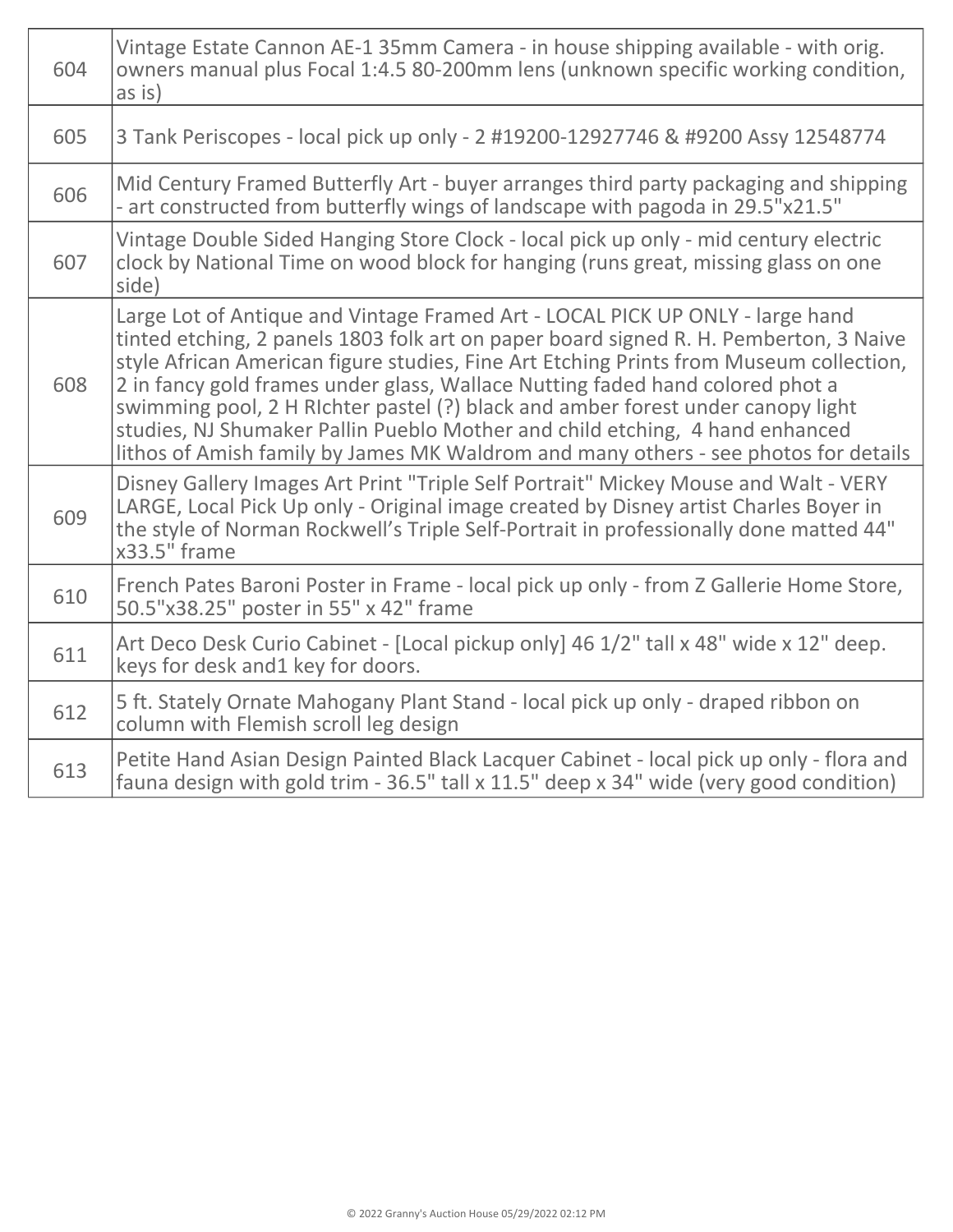| 604 | Vintage Estate Cannon AE-1 35mm Camera - in house shipping available - with orig.<br>owners manual plus Focal 1:4.5 80-200mm lens (unknown specific working condition,<br>$\overline{a}$ s is)                                                                                                                                                                                                                                                                                                                                                                                                              |
|-----|-------------------------------------------------------------------------------------------------------------------------------------------------------------------------------------------------------------------------------------------------------------------------------------------------------------------------------------------------------------------------------------------------------------------------------------------------------------------------------------------------------------------------------------------------------------------------------------------------------------|
| 605 | 3 Tank Periscopes - local pick up only - 2 #19200-12927746 & #9200 Assy 12548774                                                                                                                                                                                                                                                                                                                                                                                                                                                                                                                            |
| 606 | Mid Century Framed Butterfly Art - buyer arranges third party packaging and shipping<br>- art constructed from butterfly wings of landscape with pagoda in 29.5"x21.5"                                                                                                                                                                                                                                                                                                                                                                                                                                      |
| 607 | Vintage Double Sided Hanging Store Clock - local pick up only - mid century electric<br>clock by National Time on wood block for hanging (runs great, missing glass on one<br>side)                                                                                                                                                                                                                                                                                                                                                                                                                         |
| 608 | Large Lot of Antique and Vintage Framed Art - LOCAL PICK UP ONLY - large hand<br>tinted etching, 2 panels 1803 folk art on paper board signed R. H. Pemberton, 3 Naive<br>style African American figure studies, Fine Art Etching Prints from Museum collection,<br>2 in fancy gold frames under glass, Wallace Nutting faded hand colored phot a<br>swimming pool, 2 H RIchter pastel (?) black and amber forest under canopy light<br>studies, NJ Shumaker Pallin Pueblo Mother and child etching, 4 hand enhanced<br>lithos of Amish family by James MK Waldrom and many others - see photos for details |
| 609 | Disney Gallery Images Art Print "Triple Self Portrait" Mickey Mouse and Walt - VERY<br>LARGE, Local Pick Up only - Original image created by Disney artist Charles Boyer in<br>the style of Norman Rockwell's Triple Self-Portrait in professionally done matted 44"<br>$x33.5"$ frame                                                                                                                                                                                                                                                                                                                      |
| 610 | French Pates Baroni Poster in Frame - local pick up only - from Z Gallerie Home Store,<br>50.5"x38.25" poster in 55" x 42" frame                                                                                                                                                                                                                                                                                                                                                                                                                                                                            |
| 611 | Art Deco Desk Curio Cabinet - [Local pickup only] 46 1/2" tall x 48" wide x 12" deep.<br>keys for desk and1 key for doors.                                                                                                                                                                                                                                                                                                                                                                                                                                                                                  |
| 612 | 5 ft. Stately Ornate Mahogany Plant Stand - local pick up only - draped ribbon on<br>column with Flemish scroll leg design                                                                                                                                                                                                                                                                                                                                                                                                                                                                                  |
| 613 | Petite Hand Asian Design Painted Black Lacquer Cabinet - local pick up only - flora and<br>fauna design with gold trim - 36.5" tall x 11.5" deep x 34" wide (very good condition)                                                                                                                                                                                                                                                                                                                                                                                                                           |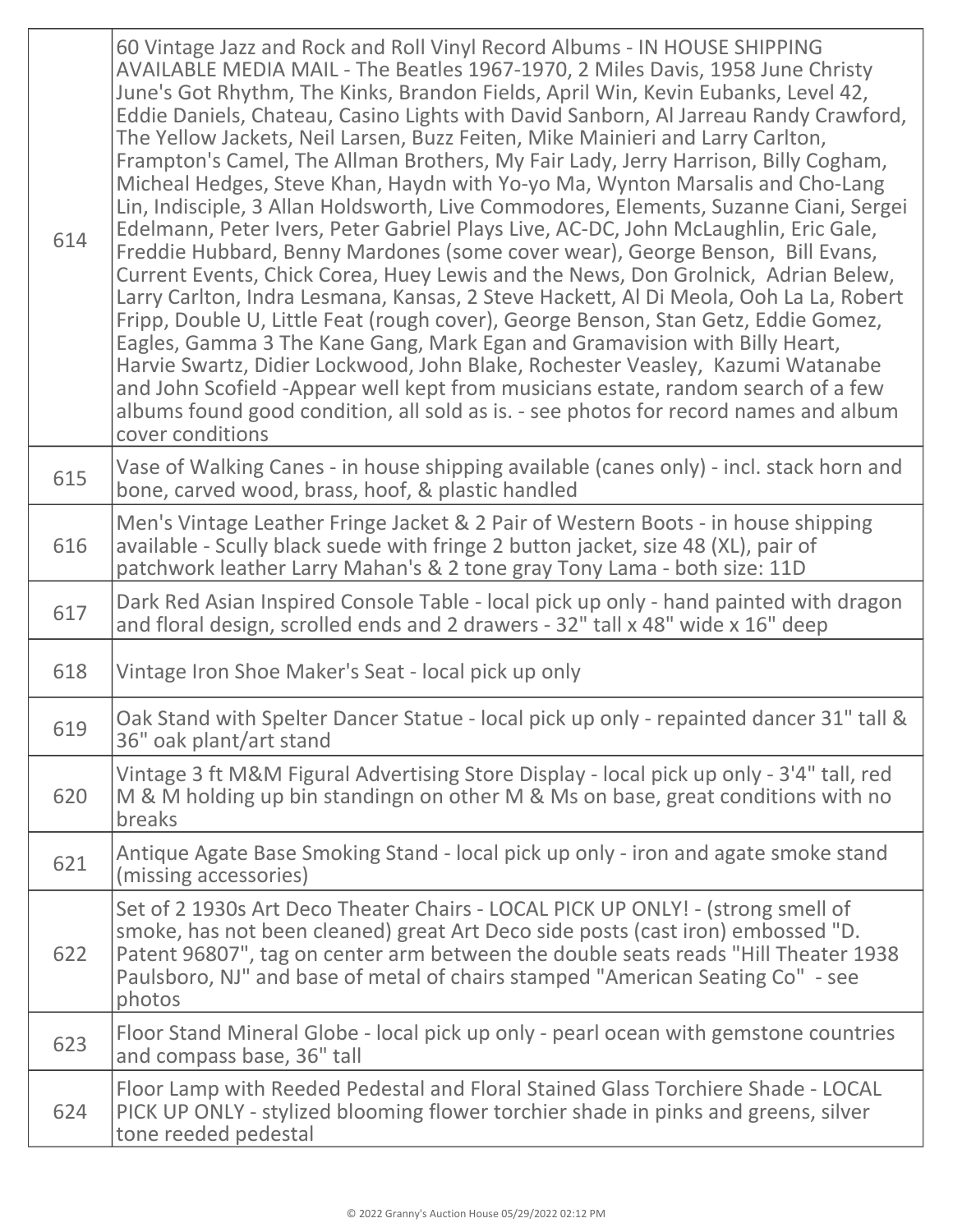| 614 | 60 Vintage Jazz and Rock and Roll Vinyl Record Albums - IN HOUSE SHIPPING<br>AVAILABLE MEDIA MAIL - The Beatles 1967-1970, 2 Miles Davis, 1958 June Christy<br>June's Got Rhythm, The Kinks, Brandon Fields, April Win, Kevin Eubanks, Level 42,<br>Eddie Daniels, Chateau, Casino Lights with David Sanborn, Al Jarreau Randy Crawford,<br>The Yellow Jackets, Neil Larsen, Buzz Feiten, Mike Mainieri and Larry Carlton,<br>Frampton's Camel, The Allman Brothers, My Fair Lady, Jerry Harrison, Billy Cogham,<br>Micheal Hedges, Steve Khan, Haydn with Yo-yo Ma, Wynton Marsalis and Cho-Lang<br>Lin, Indisciple, 3 Allan Holdsworth, Live Commodores, Elements, Suzanne Ciani, Sergei<br>Edelmann, Peter Ivers, Peter Gabriel Plays Live, AC-DC, John McLaughlin, Eric Gale,<br>Freddie Hubbard, Benny Mardones (some cover wear), George Benson, Bill Evans,<br>Current Events, Chick Corea, Huey Lewis and the News, Don Grolnick, Adrian Belew,<br>Larry Carlton, Indra Lesmana, Kansas, 2 Steve Hackett, Al Di Meola, Ooh La La, Robert<br>Fripp, Double U, Little Feat (rough cover), George Benson, Stan Getz, Eddie Gomez,<br>Eagles, Gamma 3 The Kane Gang, Mark Egan and Gramavision with Billy Heart,<br>Harvie Swartz, Didier Lockwood, John Blake, Rochester Veasley, Kazumi Watanabe<br>and John Scofield -Appear well kept from musicians estate, random search of a few<br>albums found good condition, all sold as is. - see photos for record names and album<br>cover conditions |
|-----|---------------------------------------------------------------------------------------------------------------------------------------------------------------------------------------------------------------------------------------------------------------------------------------------------------------------------------------------------------------------------------------------------------------------------------------------------------------------------------------------------------------------------------------------------------------------------------------------------------------------------------------------------------------------------------------------------------------------------------------------------------------------------------------------------------------------------------------------------------------------------------------------------------------------------------------------------------------------------------------------------------------------------------------------------------------------------------------------------------------------------------------------------------------------------------------------------------------------------------------------------------------------------------------------------------------------------------------------------------------------------------------------------------------------------------------------------------------------------------------------------------|
| 615 | Vase of Walking Canes - in house shipping available (canes only) - incl. stack horn and<br>bone, carved wood, brass, hoof, & plastic handled                                                                                                                                                                                                                                                                                                                                                                                                                                                                                                                                                                                                                                                                                                                                                                                                                                                                                                                                                                                                                                                                                                                                                                                                                                                                                                                                                            |
| 616 | Men's Vintage Leather Fringe Jacket & 2 Pair of Western Boots - in house shipping<br>available - Scully black suede with fringe 2 button jacket, size 48 (XL), pair of<br>patchwork leather Larry Mahan's & 2 tone gray Tony Lama - both size: 11D                                                                                                                                                                                                                                                                                                                                                                                                                                                                                                                                                                                                                                                                                                                                                                                                                                                                                                                                                                                                                                                                                                                                                                                                                                                      |
| 617 | Dark Red Asian Inspired Console Table - local pick up only - hand painted with dragon<br>and floral design, scrolled ends and 2 drawers - 32" tall x 48" wide x 16" deep                                                                                                                                                                                                                                                                                                                                                                                                                                                                                                                                                                                                                                                                                                                                                                                                                                                                                                                                                                                                                                                                                                                                                                                                                                                                                                                                |
| 618 | Vintage Iron Shoe Maker's Seat - local pick up only                                                                                                                                                                                                                                                                                                                                                                                                                                                                                                                                                                                                                                                                                                                                                                                                                                                                                                                                                                                                                                                                                                                                                                                                                                                                                                                                                                                                                                                     |
| 619 | Oak Stand with Spelter Dancer Statue - local pick up only - repainted dancer 31" tall &<br>36" oak plant/art stand                                                                                                                                                                                                                                                                                                                                                                                                                                                                                                                                                                                                                                                                                                                                                                                                                                                                                                                                                                                                                                                                                                                                                                                                                                                                                                                                                                                      |
| 620 | Vintage 3 ft M&M Figural Advertising Store Display - local pick up only - 3'4" tall, red<br>M & M holding up bin standingn on other M & Ms on base, great conditions with no<br>breaks                                                                                                                                                                                                                                                                                                                                                                                                                                                                                                                                                                                                                                                                                                                                                                                                                                                                                                                                                                                                                                                                                                                                                                                                                                                                                                                  |
| 621 | Antique Agate Base Smoking Stand - local pick up only - iron and agate smoke stand<br>(missing accessories)                                                                                                                                                                                                                                                                                                                                                                                                                                                                                                                                                                                                                                                                                                                                                                                                                                                                                                                                                                                                                                                                                                                                                                                                                                                                                                                                                                                             |
| 622 | Set of 2 1930s Art Deco Theater Chairs - LOCAL PICK UP ONLY! - (strong smell of<br>smoke, has not been cleaned) great Art Deco side posts (cast iron) embossed "D.<br>Patent 96807", tag on center arm between the double seats reads "Hill Theater 1938<br>Paulsboro, NJ" and base of metal of chairs stamped "American Seating Co" - see<br>photos                                                                                                                                                                                                                                                                                                                                                                                                                                                                                                                                                                                                                                                                                                                                                                                                                                                                                                                                                                                                                                                                                                                                                    |
| 623 | Floor Stand Mineral Globe - local pick up only - pearl ocean with gemstone countries<br>and compass base, 36" tall                                                                                                                                                                                                                                                                                                                                                                                                                                                                                                                                                                                                                                                                                                                                                                                                                                                                                                                                                                                                                                                                                                                                                                                                                                                                                                                                                                                      |
| 624 | Floor Lamp with Reeded Pedestal and Floral Stained Glass Torchiere Shade - LOCAL<br>PICK UP ONLY - stylized blooming flower torchier shade in pinks and greens, silver<br>tone reeded pedestal                                                                                                                                                                                                                                                                                                                                                                                                                                                                                                                                                                                                                                                                                                                                                                                                                                                                                                                                                                                                                                                                                                                                                                                                                                                                                                          |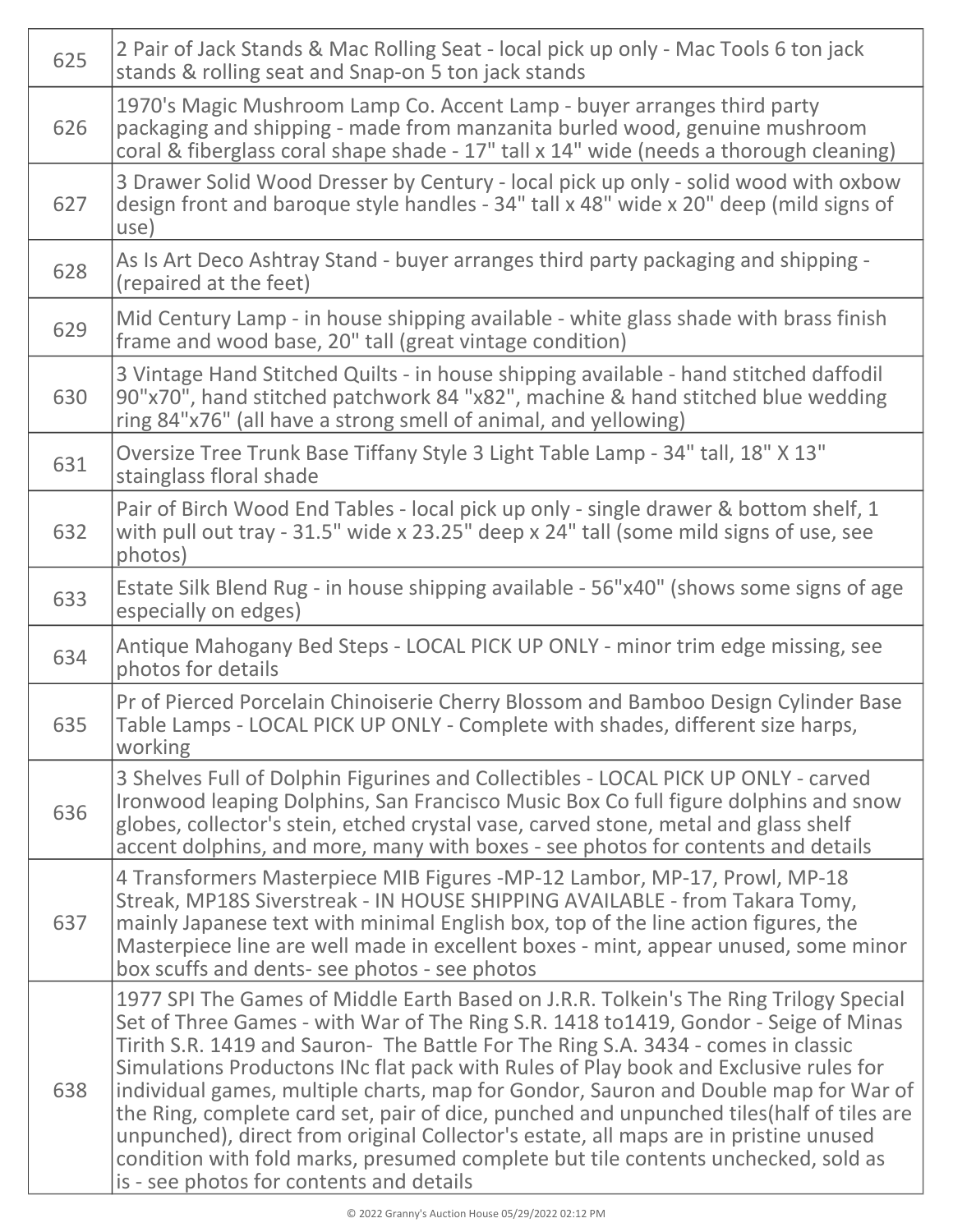|  | 625 | 2 Pair of Jack Stands & Mac Rolling Seat - local pick up only - Mac Tools 6 ton jack<br>stands & rolling seat and Snap-on 5 ton jack stands                                                                                                                                                                                                                                                                                                                                                                                                                                                                                                                                                                                                                            |
|--|-----|------------------------------------------------------------------------------------------------------------------------------------------------------------------------------------------------------------------------------------------------------------------------------------------------------------------------------------------------------------------------------------------------------------------------------------------------------------------------------------------------------------------------------------------------------------------------------------------------------------------------------------------------------------------------------------------------------------------------------------------------------------------------|
|  | 626 | 1970's Magic Mushroom Lamp Co. Accent Lamp - buyer arranges third party<br>packaging and shipping - made from manzanita burled wood, genuine mushroom<br>coral & fiberglass coral shape shade - 17" tall x 14" wide (needs a thorough cleaning)                                                                                                                                                                                                                                                                                                                                                                                                                                                                                                                        |
|  | 627 | 3 Drawer Solid Wood Dresser by Century - local pick up only - solid wood with oxbow<br>design front and baroque style handles - 34" tall x 48" wide x 20" deep (mild signs of<br>use)                                                                                                                                                                                                                                                                                                                                                                                                                                                                                                                                                                                  |
|  | 628 | As Is Art Deco Ashtray Stand - buyer arranges third party packaging and shipping -<br>(repaired at the feet)                                                                                                                                                                                                                                                                                                                                                                                                                                                                                                                                                                                                                                                           |
|  | 629 | Mid Century Lamp - in house shipping available - white glass shade with brass finish<br>frame and wood base, 20" tall (great vintage condition)                                                                                                                                                                                                                                                                                                                                                                                                                                                                                                                                                                                                                        |
|  | 630 | 3 Vintage Hand Stitched Quilts - in house shipping available - hand stitched daffodil<br>90"x70", hand stitched patchwork 84 "x82", machine & hand stitched blue wedding<br>ring 84"x76" (all have a strong smell of animal, and yellowing)                                                                                                                                                                                                                                                                                                                                                                                                                                                                                                                            |
|  | 631 | Oversize Tree Trunk Base Tiffany Style 3 Light Table Lamp - 34" tall, 18" X 13"<br>stainglass floral shade                                                                                                                                                                                                                                                                                                                                                                                                                                                                                                                                                                                                                                                             |
|  | 632 | Pair of Birch Wood End Tables - local pick up only - single drawer & bottom shelf, 1<br>with pull out tray - 31.5" wide x 23.25" deep x 24" tall (some mild signs of use, see<br>photos)                                                                                                                                                                                                                                                                                                                                                                                                                                                                                                                                                                               |
|  | 633 | Estate Silk Blend Rug - in house shipping available - 56"x40" (shows some signs of age<br>especially on edges)                                                                                                                                                                                                                                                                                                                                                                                                                                                                                                                                                                                                                                                         |
|  | 634 | Antique Mahogany Bed Steps - LOCAL PICK UP ONLY - minor trim edge missing, see<br>photos for details                                                                                                                                                                                                                                                                                                                                                                                                                                                                                                                                                                                                                                                                   |
|  | 635 | Pr of Pierced Porcelain Chinoiserie Cherry Blossom and Bamboo Design Cylinder Base<br>Table Lamps - LOCAL PICK UP ONLY - Complete with shades, different size harps,<br>working                                                                                                                                                                                                                                                                                                                                                                                                                                                                                                                                                                                        |
|  | 636 | 3 Shelves Full of Dolphin Figurines and Collectibles - LOCAL PICK UP ONLY - carved<br>Ironwood leaping Dolphins, San Francisco Music Box Co full figure dolphins and snow<br>globes, collector's stein, etched crystal vase, carved stone, metal and glass shelf<br>accent dolphins, and more, many with boxes - see photos for contents and details                                                                                                                                                                                                                                                                                                                                                                                                                   |
|  | 637 | 4 Transformers Masterpiece MIB Figures -MP-12 Lambor, MP-17, Prowl, MP-18<br>Streak, MP18S Siverstreak - IN HOUSE SHIPPING AVAILABLE - from Takara Tomy,<br>mainly Japanese text with minimal English box, top of the line action figures, the<br>Masterpiece line are well made in excellent boxes - mint, appear unused, some minor<br>box scuffs and dents- see photos - see photos                                                                                                                                                                                                                                                                                                                                                                                 |
|  | 638 | 1977 SPI The Games of Middle Earth Based on J.R.R. Tolkein's The Ring Trilogy Special<br>Set of Three Games - with War of The Ring S.R. 1418 to1419, Gondor - Seige of Minas<br>Tirith S.R. 1419 and Sauron- The Battle For The Ring S.A. 3434 - comes in classic<br>Simulations Productons INc flat pack with Rules of Play book and Exclusive rules for<br>individual games, multiple charts, map for Gondor, Sauron and Double map for War of<br>the Ring, complete card set, pair of dice, punched and unpunched tiles (half of tiles are<br>unpunched), direct from original Collector's estate, all maps are in pristine unused<br>condition with fold marks, presumed complete but tile contents unchecked, sold as<br>is - see photos for contents and details |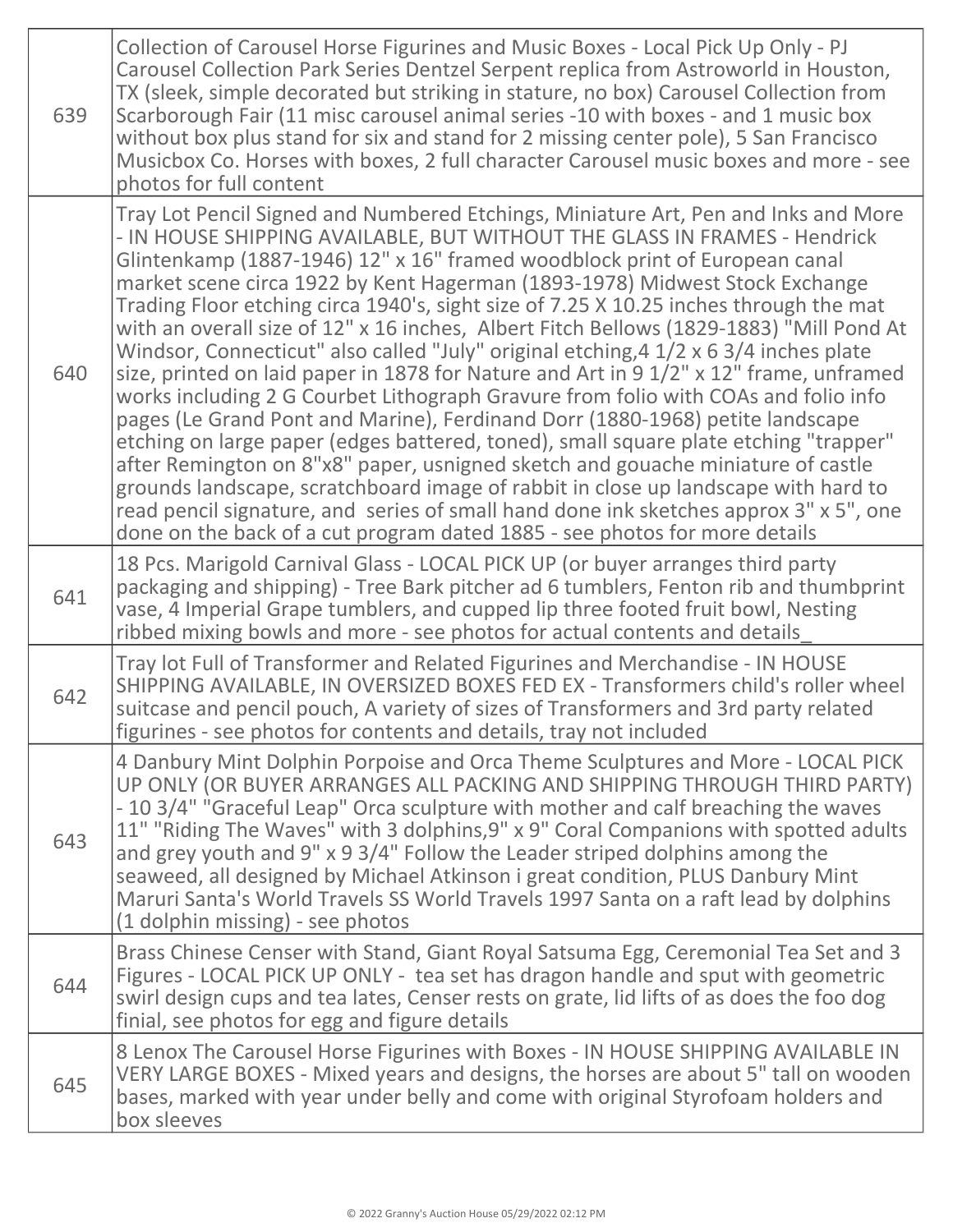| 639 | Collection of Carousel Horse Figurines and Music Boxes - Local Pick Up Only - PJ<br>Carousel Collection Park Series Dentzel Serpent replica from Astroworld in Houston,<br>TX (sleek, simple decorated but striking in stature, no box) Carousel Collection from<br>Scarborough Fair (11 misc carousel animal series -10 with boxes - and 1 music box<br>without box plus stand for six and stand for 2 missing center pole), 5 San Francisco<br>Musicbox Co. Horses with boxes, 2 full character Carousel music boxes and more - see<br>photos for full content                                                                                                                                                                                                                                                                                                                                                                                                                                                                                                                                                                                                                                                                                                                                                   |
|-----|--------------------------------------------------------------------------------------------------------------------------------------------------------------------------------------------------------------------------------------------------------------------------------------------------------------------------------------------------------------------------------------------------------------------------------------------------------------------------------------------------------------------------------------------------------------------------------------------------------------------------------------------------------------------------------------------------------------------------------------------------------------------------------------------------------------------------------------------------------------------------------------------------------------------------------------------------------------------------------------------------------------------------------------------------------------------------------------------------------------------------------------------------------------------------------------------------------------------------------------------------------------------------------------------------------------------|
| 640 | Tray Lot Pencil Signed and Numbered Etchings, Miniature Art, Pen and Inks and More<br>- IN HOUSE SHIPPING AVAILABLE, BUT WITHOUT THE GLASS IN FRAMES - Hendrick<br>Glintenkamp (1887-1946) 12" x 16" framed woodblock print of European canal<br>market scene circa 1922 by Kent Hagerman (1893-1978) Midwest Stock Exchange<br>Trading Floor etching circa 1940's, sight size of 7.25 X 10.25 inches through the mat<br>with an overall size of 12" x 16 inches, Albert Fitch Bellows (1829-1883) "Mill Pond At<br>Windsor, Connecticut" also called "July" original etching, 4 1/2 x 6 3/4 inches plate<br>size, printed on laid paper in 1878 for Nature and Art in 9 1/2" x 12" frame, unframed<br>works including 2 G Courbet Lithograph Gravure from folio with COAs and folio info<br>pages (Le Grand Pont and Marine), Ferdinand Dorr (1880-1968) petite landscape<br>etching on large paper (edges battered, toned), small square plate etching "trapper"<br>after Remington on 8"x8" paper, usnigned sketch and gouache miniature of castle<br>grounds landscape, scratchboard image of rabbit in close up landscape with hard to<br>read pencil signature, and series of small hand done ink sketches approx 3" x 5", one<br>done on the back of a cut program dated 1885 - see photos for more details |
| 641 | 18 Pcs. Marigold Carnival Glass - LOCAL PICK UP (or buyer arranges third party<br>packaging and shipping) - Tree Bark pitcher ad 6 tumblers, Fenton rib and thumbprint<br>vase, 4 Imperial Grape tumblers, and cupped lip three footed fruit bowl, Nesting<br>ribbed mixing bowls and more - see photos for actual contents and details                                                                                                                                                                                                                                                                                                                                                                                                                                                                                                                                                                                                                                                                                                                                                                                                                                                                                                                                                                            |
| 642 | Tray lot Full of Transformer and Related Figurines and Merchandise - IN HOUSE<br>SHIPPING AVAILABLE, IN OVERSIZED BOXES FED EX - Transformers child's roller wheel<br>suitcase and pencil pouch, A variety of sizes of Transformers and 3rd party related<br>figurines - see photos for contents and details, tray not included                                                                                                                                                                                                                                                                                                                                                                                                                                                                                                                                                                                                                                                                                                                                                                                                                                                                                                                                                                                    |
| 643 | 4 Danbury Mint Dolphin Porpoise and Orca Theme Sculptures and More - LOCAL PICK<br>UP ONLY (OR BUYER ARRANGES ALL PACKING AND SHIPPING THROUGH THIRD PARTY)<br>- 10 3/4" "Graceful Leap" Orca sculpture with mother and calf breaching the waves<br>11" "Riding The Waves" with 3 dolphins, 9" x 9" Coral Companions with spotted adults<br>and grey youth and 9" x 9 3/4" Follow the Leader striped dolphins among the<br>seaweed, all designed by Michael Atkinson i great condition, PLUS Danbury Mint<br>Maruri Santa's World Travels SS World Travels 1997 Santa on a raft lead by dolphins<br>(1 dolphin missing) - see photos                                                                                                                                                                                                                                                                                                                                                                                                                                                                                                                                                                                                                                                                               |
| 644 | Brass Chinese Censer with Stand, Giant Royal Satsuma Egg, Ceremonial Tea Set and 3<br>Figures - LOCAL PICK UP ONLY - tea set has dragon handle and sput with geometric<br>swirl design cups and tea lates, Censer rests on grate, lid lifts of as does the foo dog<br>finial, see photos for egg and figure details                                                                                                                                                                                                                                                                                                                                                                                                                                                                                                                                                                                                                                                                                                                                                                                                                                                                                                                                                                                                |
| 645 | 8 Lenox The Carousel Horse Figurines with Boxes - IN HOUSE SHIPPING AVAILABLE IN<br>VERY LARGE BOXES - Mixed years and designs, the horses are about 5" tall on wooden<br>bases, marked with year under belly and come with original Styrofoam holders and<br>box sleeves                                                                                                                                                                                                                                                                                                                                                                                                                                                                                                                                                                                                                                                                                                                                                                                                                                                                                                                                                                                                                                          |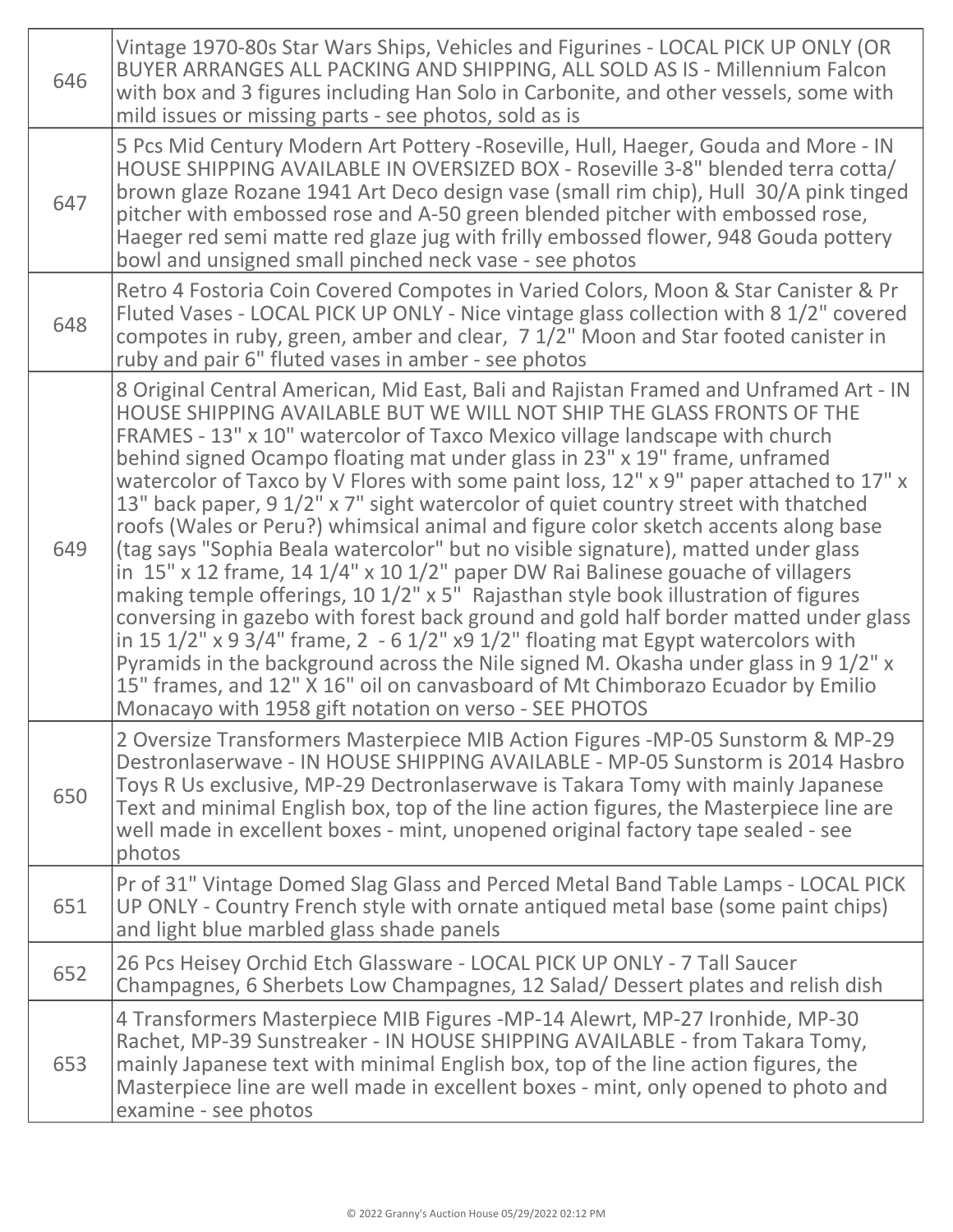| 646 | Vintage 1970-80s Star Wars Ships, Vehicles and Figurines - LOCAL PICK UP ONLY (OR<br>BUYER ARRANGES ALL PACKING AND SHIPPING, ALL SOLD AS IS - Millennium Falcon<br>with box and 3 figures including Han Solo in Carbonite, and other vessels, some with<br>mild issues or missing parts - see photos, sold as is                                                                                                                                                                                                                                                                                                                                                                                                                                                                                                                                                                                                                                                                                                                                                                                                                                                                                                                                                                                      |
|-----|--------------------------------------------------------------------------------------------------------------------------------------------------------------------------------------------------------------------------------------------------------------------------------------------------------------------------------------------------------------------------------------------------------------------------------------------------------------------------------------------------------------------------------------------------------------------------------------------------------------------------------------------------------------------------------------------------------------------------------------------------------------------------------------------------------------------------------------------------------------------------------------------------------------------------------------------------------------------------------------------------------------------------------------------------------------------------------------------------------------------------------------------------------------------------------------------------------------------------------------------------------------------------------------------------------|
| 647 | 5 Pcs Mid Century Modern Art Pottery - Roseville, Hull, Haeger, Gouda and More - IN<br>HOUSE SHIPPING AVAILABLE IN OVERSIZED BOX - Roseville 3-8" blended terra cotta/<br>brown glaze Rozane 1941 Art Deco design vase (small rim chip), Hull 30/A pink tinged<br>pitcher with embossed rose and A-50 green blended pitcher with embossed rose,<br>Haeger red semi matte red glaze jug with frilly embossed flower, 948 Gouda pottery<br>bowl and unsigned small pinched neck vase - see photos                                                                                                                                                                                                                                                                                                                                                                                                                                                                                                                                                                                                                                                                                                                                                                                                        |
| 648 | Retro 4 Fostoria Coin Covered Compotes in Varied Colors, Moon & Star Canister & Pr<br>Fluted Vases - LOCAL PICK UP ONLY - Nice vintage glass collection with 8 1/2" covered<br>compotes in ruby, green, amber and clear, 7 1/2" Moon and Star footed canister in<br>ruby and pair 6" fluted vases in amber - see photos                                                                                                                                                                                                                                                                                                                                                                                                                                                                                                                                                                                                                                                                                                                                                                                                                                                                                                                                                                                |
| 649 | 8 Original Central American, Mid East, Bali and Rajistan Framed and Unframed Art - IN<br>HOUSE SHIPPING AVAILABLE BUT WE WILL NOT SHIP THE GLASS FRONTS OF THE<br>FRAMES - 13" x 10" watercolor of Taxco Mexico village landscape with church<br>behind signed Ocampo floating mat under glass in 23" x 19" frame, unframed<br>watercolor of Taxco by V Flores with some paint loss, 12" x 9" paper attached to 17" x<br>13" back paper, 9 1/2" x 7" sight watercolor of quiet country street with thatched<br>roofs (Wales or Peru?) whimsical animal and figure color sketch accents along base<br>(tag says "Sophia Beala watercolor" but no visible signature), matted under glass<br>in $15''$ x 12 frame, 14 $1/4''$ x 10 $1/2''$ paper DW Rai Balinese gouache of villagers<br>making temple offerings, 10 1/2" x 5" Rajasthan style book illustration of figures<br>conversing in gazebo with forest back ground and gold half border matted under glass<br>in 15 $1/2$ " x 9 $3/4$ " frame, 2 - 6 $1/2$ " x 9 $1/2$ " floating mat Egypt watercolors with<br>Pyramids in the background across the Nile signed M. Okasha under glass in 9 1/2" x<br>15" frames, and 12" X 16" oil on canvasboard of Mt Chimborazo Ecuador by Emilio<br>Monacayo with 1958 gift notation on verso - SEE PHOTOS |
| 650 | 2 Oversize Transformers Masterpiece MIB Action Figures -MP-05 Sunstorm & MP-29<br>Destronlaserwave - IN HOUSE SHIPPING AVAILABLE - MP-05 Sunstorm is 2014 Hasbro<br>Toys R Us exclusive, MP-29 Dectronlaserwave is Takara Tomy with mainly Japanese<br>Text and minimal English box, top of the line action figures, the Masterpiece line are<br>well made in excellent boxes - mint, unopened original factory tape sealed - see<br>photos                                                                                                                                                                                                                                                                                                                                                                                                                                                                                                                                                                                                                                                                                                                                                                                                                                                            |
| 651 | Pr of 31" Vintage Domed Slag Glass and Perced Metal Band Table Lamps - LOCAL PICK<br>UP ONLY - Country French style with ornate antiqued metal base (some paint chips)<br>and light blue marbled glass shade panels                                                                                                                                                                                                                                                                                                                                                                                                                                                                                                                                                                                                                                                                                                                                                                                                                                                                                                                                                                                                                                                                                    |
| 652 | 26 Pcs Heisey Orchid Etch Glassware - LOCAL PICK UP ONLY - 7 Tall Saucer<br>Champagnes, 6 Sherbets Low Champagnes, 12 Salad/ Dessert plates and relish dish                                                                                                                                                                                                                                                                                                                                                                                                                                                                                                                                                                                                                                                                                                                                                                                                                                                                                                                                                                                                                                                                                                                                            |
| 653 | 4 Transformers Masterpiece MIB Figures -MP-14 Alewrt, MP-27 Ironhide, MP-30<br>Rachet, MP-39 Sunstreaker - IN HOUSE SHIPPING AVAILABLE - from Takara Tomy,<br>mainly Japanese text with minimal English box, top of the line action figures, the<br>Masterpiece line are well made in excellent boxes - mint, only opened to photo and<br>examine - see photos                                                                                                                                                                                                                                                                                                                                                                                                                                                                                                                                                                                                                                                                                                                                                                                                                                                                                                                                         |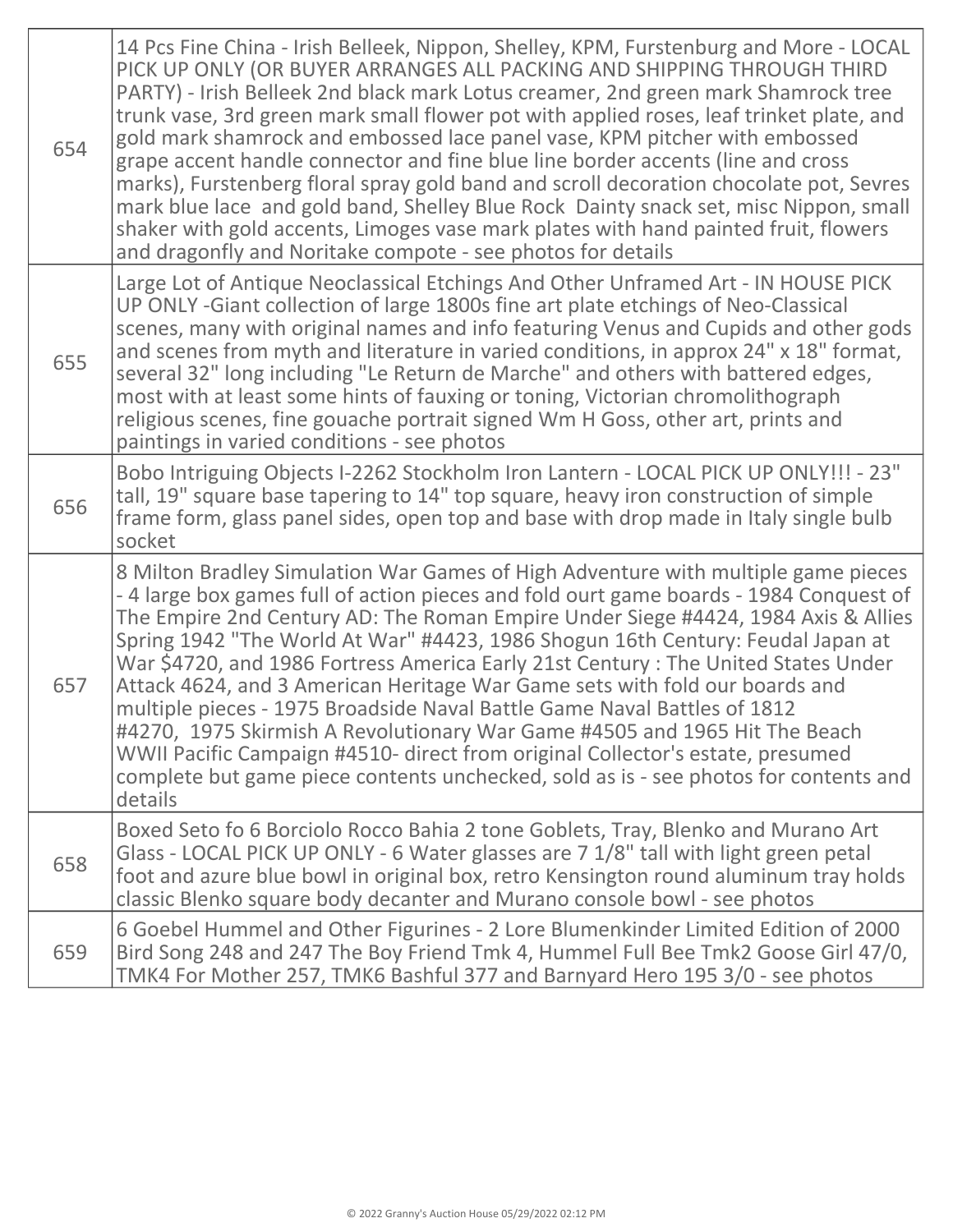| 654 | 14 Pcs Fine China - Irish Belleek, Nippon, Shelley, KPM, Furstenburg and More - LOCAL<br>PICK UP ONLY (OR BUYER ARRANGES ALL PACKING AND SHIPPING THROUGH THIRD<br>PARTY) - Irish Belleek 2nd black mark Lotus creamer, 2nd green mark Shamrock tree<br>trunk vase, 3rd green mark small flower pot with applied roses, leaf trinket plate, and<br>gold mark shamrock and embossed lace panel vase, KPM pitcher with embossed<br>grape accent handle connector and fine blue line border accents (line and cross<br>marks), Furstenberg floral spray gold band and scroll decoration chocolate pot, Sevres<br>mark blue lace and gold band, Shelley Blue Rock Dainty snack set, misc Nippon, small<br>shaker with gold accents, Limoges vase mark plates with hand painted fruit, flowers<br>and dragonfly and Noritake compote - see photos for details              |
|-----|-----------------------------------------------------------------------------------------------------------------------------------------------------------------------------------------------------------------------------------------------------------------------------------------------------------------------------------------------------------------------------------------------------------------------------------------------------------------------------------------------------------------------------------------------------------------------------------------------------------------------------------------------------------------------------------------------------------------------------------------------------------------------------------------------------------------------------------------------------------------------|
| 655 | Large Lot of Antique Neoclassical Etchings And Other Unframed Art - IN HOUSE PICK<br>UP ONLY-Giant collection of large 1800s fine art plate etchings of Neo-Classical<br>scenes, many with original names and info featuring Venus and Cupids and other gods<br>and scenes from myth and literature in varied conditions, in approx 24" x 18" format,<br>several 32" long including "Le Return de Marche" and others with battered edges,<br>most with at least some hints of fauxing or toning, Victorian chromolithograph<br>religious scenes, fine gouache portrait signed Wm H Goss, other art, prints and<br>paintings in varied conditions - see photos                                                                                                                                                                                                         |
| 656 | Bobo Intriguing Objects I-2262 Stockholm Iron Lantern - LOCAL PICK UP ONLY!!! - 23"<br>tall, 19" square base tapering to 14" top square, heavy iron construction of simple<br>frame form, glass panel sides, open top and base with drop made in Italy single bulb<br>socket                                                                                                                                                                                                                                                                                                                                                                                                                                                                                                                                                                                          |
| 657 | 8 Milton Bradley Simulation War Games of High Adventure with multiple game pieces<br>-4 large box games full of action pieces and fold ourt game boards - 1984 Conquest of<br>The Empire 2nd Century AD: The Roman Empire Under Siege #4424, 1984 Axis & Allies<br>Spring 1942 "The World At War" #4423, 1986 Shogun 16th Century: Feudal Japan at<br>War \$4720, and 1986 Fortress America Early 21st Century: The United States Under<br>Attack 4624, and 3 American Heritage War Game sets with fold our boards and<br>multiple pieces - 1975 Broadside Naval Battle Game Naval Battles of 1812<br>#4270, 1975 Skirmish A Revolutionary War Game #4505 and 1965 Hit The Beach<br>WWII Pacific Campaign #4510- direct from original Collector's estate, presumed<br>complete but game piece contents unchecked, sold as is - see photos for contents and<br>details |
| 658 | Boxed Seto fo 6 Borciolo Rocco Bahia 2 tone Goblets, Tray, Blenko and Murano Art<br>Glass - LOCAL PICK UP ONLY - 6 Water glasses are 7 1/8" tall with light green petal<br>foot and azure blue bowl in original box, retro Kensington round aluminum tray holds<br>classic Blenko square body decanter and Murano console bowl - see photos                                                                                                                                                                                                                                                                                                                                                                                                                                                                                                                           |
| 659 | 6 Goebel Hummel and Other Figurines - 2 Lore Blumenkinder Limited Edition of 2000<br>Bird Song 248 and 247 The Boy Friend Tmk 4, Hummel Full Bee Tmk2 Goose Girl 47/0,<br>TMK4 For Mother 257, TMK6 Bashful 377 and Barnyard Hero 195 3/0 - see photos                                                                                                                                                                                                                                                                                                                                                                                                                                                                                                                                                                                                                |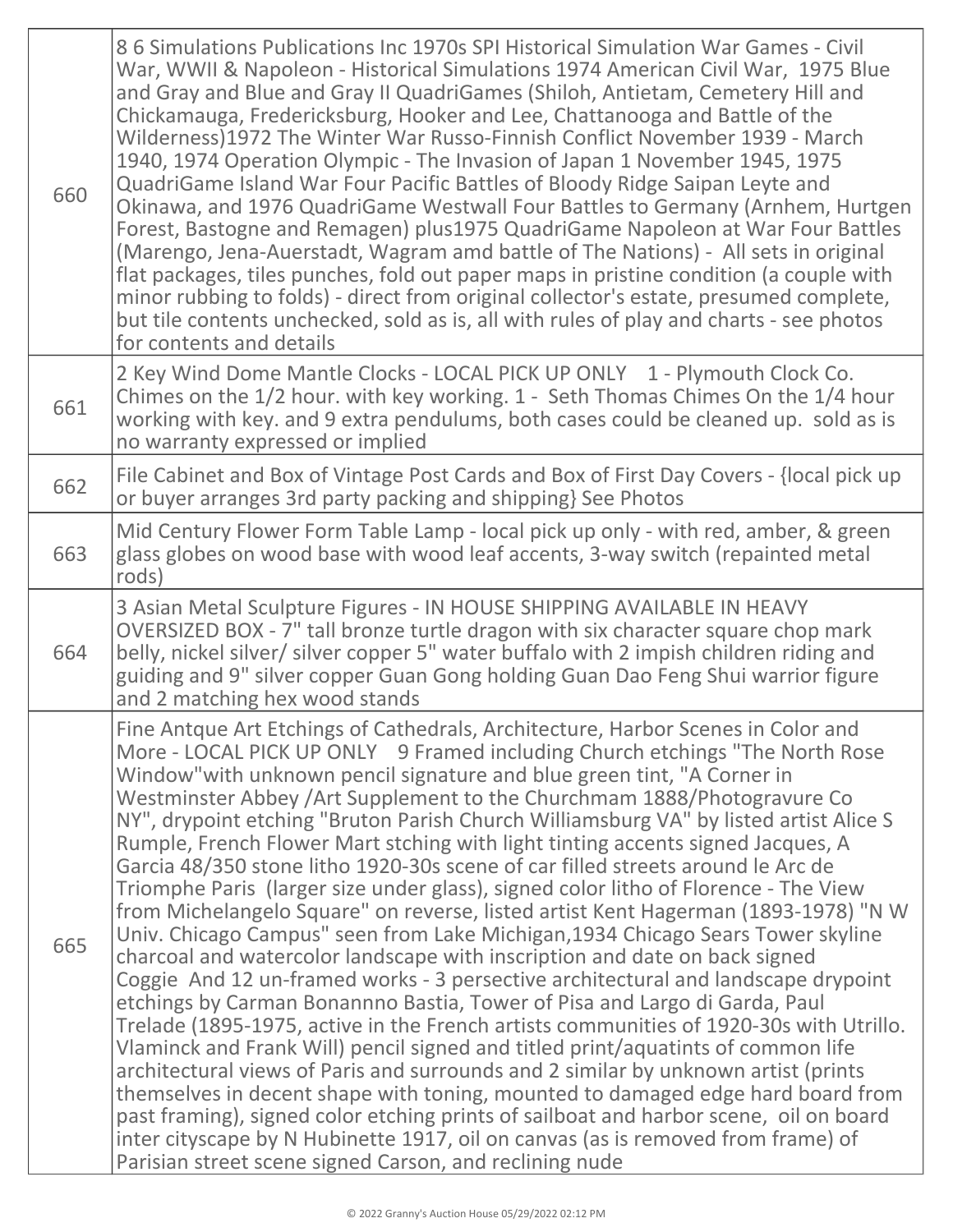| 660 | 86 Simulations Publications Inc 1970s SPI Historical Simulation War Games - Civil<br>War, WWII & Napoleon - Historical Simulations 1974 American Civil War, 1975 Blue<br>and Gray and Blue and Gray II QuadriGames (Shiloh, Antietam, Cemetery Hill and<br>Chickamauga, Fredericksburg, Hooker and Lee, Chattanooga and Battle of the<br>Wilderness)1972 The Winter War Russo-Finnish Conflict November 1939 - March<br>1940, 1974 Operation Olympic - The Invasion of Japan 1 November 1945, 1975<br>QuadriGame Island War Four Pacific Battles of Bloody Ridge Saipan Leyte and<br>Okinawa, and 1976 QuadriGame Westwall Four Battles to Germany (Arnhem, Hurtgen<br>Forest, Bastogne and Remagen) plus1975 QuadriGame Napoleon at War Four Battles<br>(Marengo, Jena-Auerstadt, Wagram amd battle of The Nations) - All sets in original<br>flat packages, tiles punches, fold out paper maps in pristine condition (a couple with<br>minor rubbing to folds) - direct from original collector's estate, presumed complete,<br>but tile contents unchecked, sold as is, all with rules of play and charts - see photos<br>for contents and details                                                                                                                                                                                                                                                                                                                                                                                                                                                                                                                                                   |
|-----|---------------------------------------------------------------------------------------------------------------------------------------------------------------------------------------------------------------------------------------------------------------------------------------------------------------------------------------------------------------------------------------------------------------------------------------------------------------------------------------------------------------------------------------------------------------------------------------------------------------------------------------------------------------------------------------------------------------------------------------------------------------------------------------------------------------------------------------------------------------------------------------------------------------------------------------------------------------------------------------------------------------------------------------------------------------------------------------------------------------------------------------------------------------------------------------------------------------------------------------------------------------------------------------------------------------------------------------------------------------------------------------------------------------------------------------------------------------------------------------------------------------------------------------------------------------------------------------------------------------------------------------------------------------------------------------------------------|
| 661 | 2 Key Wind Dome Mantle Clocks - LOCAL PICK UP ONLY 1 - Plymouth Clock Co.<br>Chimes on the 1/2 hour. with key working. 1 - Seth Thomas Chimes On the 1/4 hour<br>working with key. and 9 extra pendulums, both cases could be cleaned up. sold as is<br>no warranty expressed or implied                                                                                                                                                                                                                                                                                                                                                                                                                                                                                                                                                                                                                                                                                                                                                                                                                                                                                                                                                                                                                                                                                                                                                                                                                                                                                                                                                                                                                |
| 662 | File Cabinet and Box of Vintage Post Cards and Box of First Day Covers - {local pick up<br>or buyer arranges 3rd party packing and shipping} See Photos                                                                                                                                                                                                                                                                                                                                                                                                                                                                                                                                                                                                                                                                                                                                                                                                                                                                                                                                                                                                                                                                                                                                                                                                                                                                                                                                                                                                                                                                                                                                                 |
| 663 | Mid Century Flower Form Table Lamp - local pick up only - with red, amber, & green<br>glass globes on wood base with wood leaf accents, 3-way switch (repainted metal<br>rods)                                                                                                                                                                                                                                                                                                                                                                                                                                                                                                                                                                                                                                                                                                                                                                                                                                                                                                                                                                                                                                                                                                                                                                                                                                                                                                                                                                                                                                                                                                                          |
| 664 | 3 Asian Metal Sculpture Figures - IN HOUSE SHIPPING AVAILABLE IN HEAVY<br>OVERSIZED BOX - 7" tall bronze turtle dragon with six character square chop mark<br>belly, nickel silver/ silver copper 5" water buffalo with 2 impish children riding and<br>guiding and 9" silver copper Guan Gong holding Guan Dao Feng Shui warrior figure<br>and 2 matching hex wood stands                                                                                                                                                                                                                                                                                                                                                                                                                                                                                                                                                                                                                                                                                                                                                                                                                                                                                                                                                                                                                                                                                                                                                                                                                                                                                                                              |
| 665 | Fine Antque Art Etchings of Cathedrals, Architecture, Harbor Scenes in Color and<br>More - LOCAL PICK UP ONLY 9 Framed including Church etchings "The North Rose"<br>Window" with unknown pencil signature and blue green tint, "A Corner in<br>Westminster Abbey / Art Supplement to the Churchmam 1888/Photogravure Co<br>NY", drypoint etching "Bruton Parish Church Williamsburg VA" by listed artist Alice S<br>Rumple, French Flower Mart stching with light tinting accents signed Jacques, A<br>Garcia 48/350 stone litho 1920-30s scene of car filled streets around le Arc de<br>Triomphe Paris (larger size under glass), signed color litho of Florence - The View<br>from Michelangelo Square" on reverse, listed artist Kent Hagerman (1893-1978) "N W<br>Univ. Chicago Campus" seen from Lake Michigan, 1934 Chicago Sears Tower skyline<br>charcoal and watercolor landscape with inscription and date on back signed<br>Coggie And 12 un-framed works - 3 persective architectural and landscape drypoint<br>etchings by Carman Bonannno Bastia, Tower of Pisa and Largo di Garda, Paul<br>Trelade (1895-1975, active in the French artists communities of 1920-30s with Utrillo.<br>Vlaminck and Frank Will) pencil signed and titled print/aquatints of common life<br>architectural views of Paris and surrounds and 2 similar by unknown artist (prints<br>themselves in decent shape with toning, mounted to damaged edge hard board from<br>past framing), signed color etching prints of sailboat and harbor scene, oil on board<br>inter cityscape by N Hubinette 1917, oil on canvas (as is removed from frame) of<br>Parisian street scene signed Carson, and reclining nude |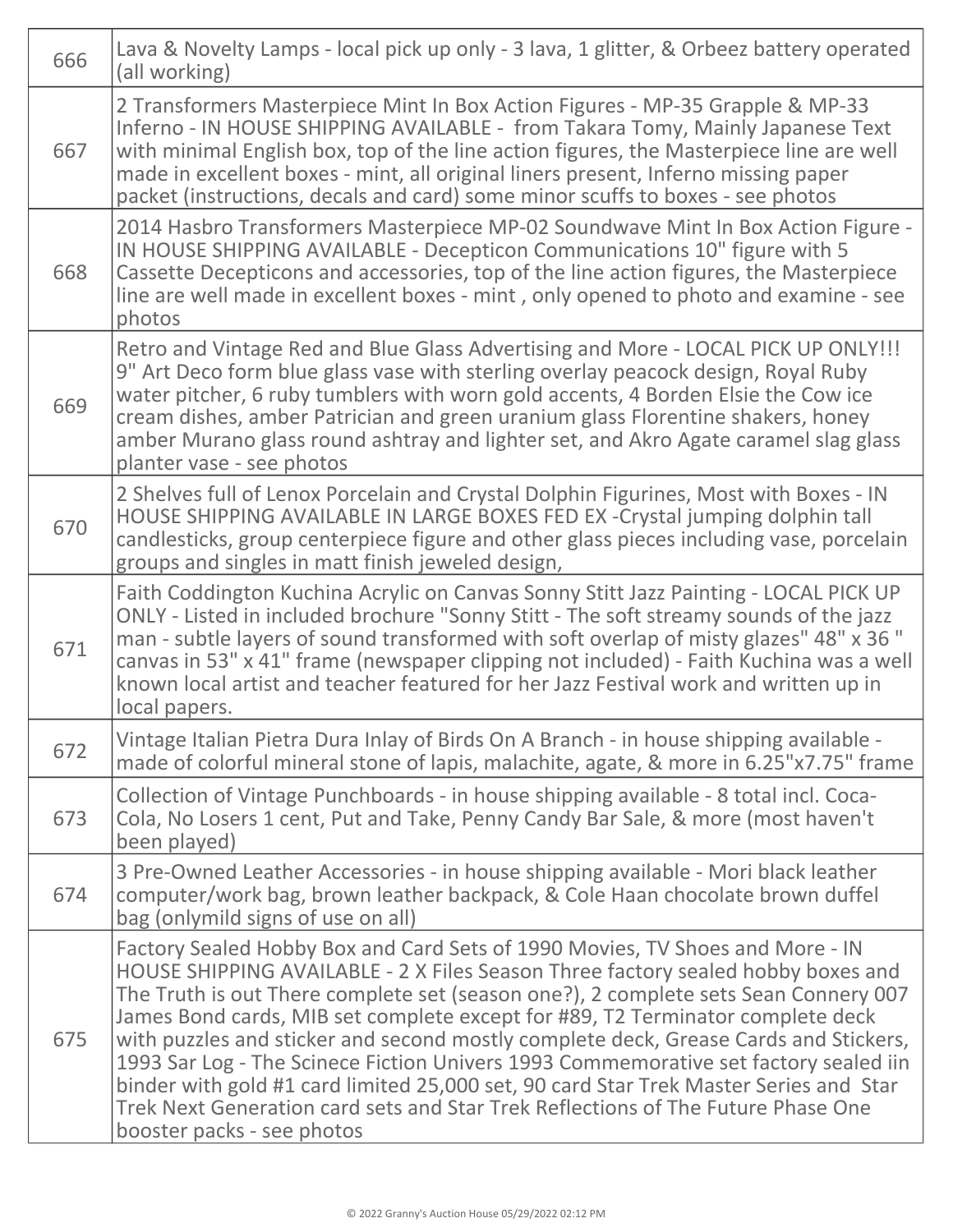| 666 | Lava & Novelty Lamps - local pick up only - 3 lava, 1 glitter, & Orbeez battery operated<br>(all working)                                                                                                                                                                                                                                                                                                                                                                                                                                                                                                                                                                                                                             |
|-----|---------------------------------------------------------------------------------------------------------------------------------------------------------------------------------------------------------------------------------------------------------------------------------------------------------------------------------------------------------------------------------------------------------------------------------------------------------------------------------------------------------------------------------------------------------------------------------------------------------------------------------------------------------------------------------------------------------------------------------------|
| 667 | 2 Transformers Masterpiece Mint In Box Action Figures - MP-35 Grapple & MP-33<br>Inferno - IN HOUSE SHIPPING AVAILABLE - from Takara Tomy, Mainly Japanese Text<br>with minimal English box, top of the line action figures, the Masterpiece line are well<br>made in excellent boxes - mint, all original liners present, Inferno missing paper<br>packet (instructions, decals and card) some minor scuffs to boxes - see photos                                                                                                                                                                                                                                                                                                    |
| 668 | 2014 Hasbro Transformers Masterpiece MP-02 Soundwave Mint In Box Action Figure -<br>IN HOUSE SHIPPING AVAILABLE - Decepticon Communications 10" figure with 5<br>Cassette Decepticons and accessories, top of the line action figures, the Masterpiece<br>line are well made in excellent boxes - mint, only opened to photo and examine - see<br>photos                                                                                                                                                                                                                                                                                                                                                                              |
| 669 | Retro and Vintage Red and Blue Glass Advertising and More - LOCAL PICK UP ONLY!!!<br>9" Art Deco form blue glass vase with sterling overlay peacock design, Royal Ruby<br>water pitcher, 6 ruby tumblers with worn gold accents, 4 Borden Elsie the Cow ice<br>cream dishes, amber Patrician and green uranium glass Florentine shakers, honey<br>amber Murano glass round ashtray and lighter set, and Akro Agate caramel slag glass<br>planter vase - see photos                                                                                                                                                                                                                                                                    |
| 670 | 2 Shelves full of Lenox Porcelain and Crystal Dolphin Figurines, Most with Boxes - IN<br>HOUSE SHIPPING AVAILABLE IN LARGE BOXES FED EX-Crystal jumping dolphin tall<br>candlesticks, group centerpiece figure and other glass pieces including vase, porcelain<br>groups and singles in matt finish jeweled design,                                                                                                                                                                                                                                                                                                                                                                                                                  |
| 671 | Faith Coddington Kuchina Acrylic on Canvas Sonny Stitt Jazz Painting - LOCAL PICK UP<br>ONLY - Listed in included brochure "Sonny Stitt - The soft streamy sounds of the jazz<br>man - subtle layers of sound transformed with soft overlap of misty glazes" 48" x 36"<br>canvas in 53" x 41" frame (newspaper clipping not included) - Faith Kuchina was a well<br>known local artist and teacher featured for her Jazz Festival work and written up in<br>local papers.                                                                                                                                                                                                                                                             |
| 672 | Vintage Italian Pietra Dura Inlay of Birds On A Branch - in house shipping available -<br>made of colorful mineral stone of lapis, malachite, agate, & more in 6.25"x7.75" frame                                                                                                                                                                                                                                                                                                                                                                                                                                                                                                                                                      |
| 673 | Collection of Vintage Punchboards - in house shipping available - 8 total incl. Coca-<br>Cola, No Losers 1 cent, Put and Take, Penny Candy Bar Sale, & more (most haven't<br>been played)                                                                                                                                                                                                                                                                                                                                                                                                                                                                                                                                             |
| 674 | 3 Pre-Owned Leather Accessories - in house shipping available - Mori black leather<br>computer/work bag, brown leather backpack, & Cole Haan chocolate brown duffel<br>bag (onlymild signs of use on all)                                                                                                                                                                                                                                                                                                                                                                                                                                                                                                                             |
| 675 | Factory Sealed Hobby Box and Card Sets of 1990 Movies, TV Shoes and More - IN<br>HOUSE SHIPPING AVAILABLE - 2 X Files Season Three factory sealed hobby boxes and<br>The Truth is out There complete set (season one?), 2 complete sets Sean Connery 007<br>James Bond cards, MIB set complete except for #89, T2 Terminator complete deck<br>with puzzles and sticker and second mostly complete deck, Grease Cards and Stickers,<br>1993 Sar Log - The Scinece Fiction Univers 1993 Commemorative set factory sealed iin<br>binder with gold #1 card limited 25,000 set, 90 card Star Trek Master Series and Star<br>Trek Next Generation card sets and Star Trek Reflections of The Future Phase One<br>booster packs - see photos |